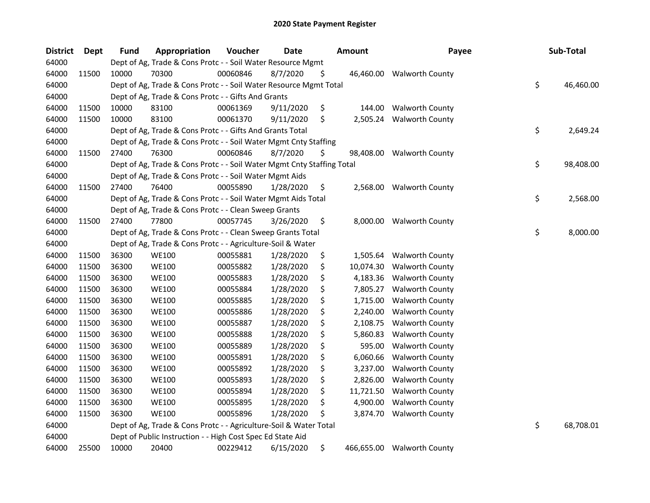| <b>District</b> | Dept  | <b>Fund</b> | Appropriation                                                          | Voucher  | <b>Date</b> |     | <b>Amount</b> | Payee                  | Sub-Total       |
|-----------------|-------|-------------|------------------------------------------------------------------------|----------|-------------|-----|---------------|------------------------|-----------------|
| 64000           |       |             | Dept of Ag, Trade & Cons Protc - - Soil Water Resource Mgmt            |          |             |     |               |                        |                 |
| 64000           | 11500 | 10000       | 70300                                                                  | 00060846 | 8/7/2020    | S   | 46,460.00     | <b>Walworth County</b> |                 |
| 64000           |       |             | Dept of Ag, Trade & Cons Protc - - Soil Water Resource Mgmt Total      |          |             |     |               |                        | \$<br>46,460.00 |
| 64000           |       |             | Dept of Ag, Trade & Cons Protc - - Gifts And Grants                    |          |             |     |               |                        |                 |
| 64000           | 11500 | 10000       | 83100                                                                  | 00061369 | 9/11/2020   | \$  | 144.00        | <b>Walworth County</b> |                 |
| 64000           | 11500 | 10000       | 83100                                                                  | 00061370 | 9/11/2020   | \$  | 2,505.24      | <b>Walworth County</b> |                 |
| 64000           |       |             | Dept of Ag, Trade & Cons Protc - - Gifts And Grants Total              |          |             |     |               |                        | \$<br>2,649.24  |
| 64000           |       |             | Dept of Ag, Trade & Cons Protc - - Soil Water Mgmt Cnty Staffing       |          |             |     |               |                        |                 |
| 64000           | 11500 | 27400       | 76300                                                                  | 00060846 | 8/7/2020    | \$  | 98,408.00     | <b>Walworth County</b> |                 |
| 64000           |       |             | Dept of Ag, Trade & Cons Protc - - Soil Water Mgmt Cnty Staffing Total |          |             |     |               |                        | \$<br>98,408.00 |
| 64000           |       |             | Dept of Ag, Trade & Cons Protc - - Soil Water Mgmt Aids                |          |             |     |               |                        |                 |
| 64000           | 11500 | 27400       | 76400                                                                  | 00055890 | 1/28/2020   | \$  | 2,568.00      | <b>Walworth County</b> |                 |
| 64000           |       |             | Dept of Ag, Trade & Cons Protc - - Soil Water Mgmt Aids Total          |          |             |     |               |                        | \$<br>2,568.00  |
| 64000           |       |             | Dept of Ag, Trade & Cons Protc - - Clean Sweep Grants                  |          |             |     |               |                        |                 |
| 64000           | 11500 | 27400       | 77800                                                                  | 00057745 | 3/26/2020   | \$  | 8,000.00      | <b>Walworth County</b> |                 |
| 64000           |       |             | Dept of Ag, Trade & Cons Protc - - Clean Sweep Grants Total            |          |             |     |               |                        | \$<br>8,000.00  |
| 64000           |       |             | Dept of Ag, Trade & Cons Protc - - Agriculture-Soil & Water            |          |             |     |               |                        |                 |
| 64000           | 11500 | 36300       | <b>WE100</b>                                                           | 00055881 | 1/28/2020   | \$  | 1,505.64      | <b>Walworth County</b> |                 |
| 64000           | 11500 | 36300       | <b>WE100</b>                                                           | 00055882 | 1/28/2020   | \$  | 10,074.30     | <b>Walworth County</b> |                 |
| 64000           | 11500 | 36300       | <b>WE100</b>                                                           | 00055883 | 1/28/2020   | \$  | 4,183.36      | <b>Walworth County</b> |                 |
| 64000           | 11500 | 36300       | <b>WE100</b>                                                           | 00055884 | 1/28/2020   | \$  | 7,805.27      | <b>Walworth County</b> |                 |
| 64000           | 11500 | 36300       | <b>WE100</b>                                                           | 00055885 | 1/28/2020   | \$  | 1,715.00      | <b>Walworth County</b> |                 |
| 64000           | 11500 | 36300       | <b>WE100</b>                                                           | 00055886 | 1/28/2020   | \$  | 2,240.00      | <b>Walworth County</b> |                 |
| 64000           | 11500 | 36300       | <b>WE100</b>                                                           | 00055887 | 1/28/2020   | \$  | 2,108.75      | <b>Walworth County</b> |                 |
| 64000           | 11500 | 36300       | <b>WE100</b>                                                           | 00055888 | 1/28/2020   | \$  | 5,860.83      | <b>Walworth County</b> |                 |
| 64000           | 11500 | 36300       | <b>WE100</b>                                                           | 00055889 | 1/28/2020   | \$  | 595.00        | <b>Walworth County</b> |                 |
| 64000           | 11500 | 36300       | <b>WE100</b>                                                           | 00055891 | 1/28/2020   | \$  | 6,060.66      | <b>Walworth County</b> |                 |
| 64000           | 11500 | 36300       | <b>WE100</b>                                                           | 00055892 | 1/28/2020   | \$  | 3,237.00      | <b>Walworth County</b> |                 |
| 64000           | 11500 | 36300       | <b>WE100</b>                                                           | 00055893 | 1/28/2020   | \$  | 2,826.00      | <b>Walworth County</b> |                 |
| 64000           | 11500 | 36300       | <b>WE100</b>                                                           | 00055894 | 1/28/2020   | \$  | 11,721.50     | <b>Walworth County</b> |                 |
| 64000           | 11500 | 36300       | <b>WE100</b>                                                           | 00055895 | 1/28/2020   | \$  | 4,900.00      | <b>Walworth County</b> |                 |
| 64000           | 11500 | 36300       | <b>WE100</b>                                                           | 00055896 | 1/28/2020   | \$, | 3,874.70      | <b>Walworth County</b> |                 |
| 64000           |       |             | Dept of Ag, Trade & Cons Protc - - Agriculture-Soil & Water Total      |          |             |     |               |                        | \$<br>68,708.01 |
| 64000           |       |             | Dept of Public Instruction - - High Cost Spec Ed State Aid             |          |             |     |               |                        |                 |
| 64000           | 25500 | 10000       | 20400                                                                  | 00229412 | 6/15/2020   | \$  | 466,655.00    | <b>Walworth County</b> |                 |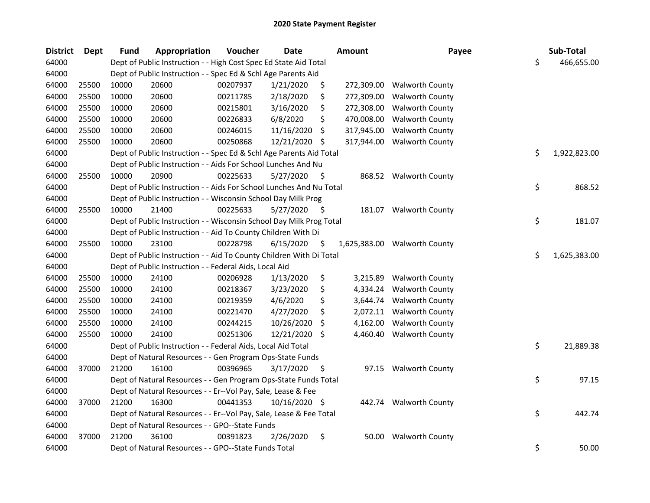| <b>District</b> | Dept  | <b>Fund</b> | Appropriation                                                       | Voucher  | <b>Date</b>   |     | <b>Amount</b> | Payee                  | Sub-Total          |
|-----------------|-------|-------------|---------------------------------------------------------------------|----------|---------------|-----|---------------|------------------------|--------------------|
| 64000           |       |             | Dept of Public Instruction - - High Cost Spec Ed State Aid Total    |          |               |     |               |                        | \$<br>466,655.00   |
| 64000           |       |             | Dept of Public Instruction - - Spec Ed & Schl Age Parents Aid       |          |               |     |               |                        |                    |
| 64000           | 25500 | 10000       | 20600                                                               | 00207937 | 1/21/2020     | \$  | 272,309.00    | <b>Walworth County</b> |                    |
| 64000           | 25500 | 10000       | 20600                                                               | 00211785 | 2/18/2020     | \$  | 272,309.00    | <b>Walworth County</b> |                    |
| 64000           | 25500 | 10000       | 20600                                                               | 00215801 | 3/16/2020     | \$  | 272,308.00    | <b>Walworth County</b> |                    |
| 64000           | 25500 | 10000       | 20600                                                               | 00226833 | 6/8/2020      | \$  | 470,008.00    | <b>Walworth County</b> |                    |
| 64000           | 25500 | 10000       | 20600                                                               | 00246015 | 11/16/2020    | \$  | 317,945.00    | <b>Walworth County</b> |                    |
| 64000           | 25500 | 10000       | 20600                                                               | 00250868 | 12/21/2020    | \$. | 317,944.00    | <b>Walworth County</b> |                    |
| 64000           |       |             | Dept of Public Instruction - - Spec Ed & Schl Age Parents Aid Total |          |               |     |               |                        | \$<br>1,922,823.00 |
| 64000           |       |             | Dept of Public Instruction - - Aids For School Lunches And Nu       |          |               |     |               |                        |                    |
| 64000           | 25500 | 10000       | 20900                                                               | 00225633 | 5/27/2020     | \$  |               | 868.52 Walworth County |                    |
| 64000           |       |             | Dept of Public Instruction - - Aids For School Lunches And Nu Total |          |               |     |               |                        | \$<br>868.52       |
| 64000           |       |             | Dept of Public Instruction - - Wisconsin School Day Milk Prog       |          |               |     |               |                        |                    |
| 64000           | 25500 | 10000       | 21400                                                               | 00225633 | 5/27/2020     | S   |               | 181.07 Walworth County |                    |
| 64000           |       |             | Dept of Public Instruction - - Wisconsin School Day Milk Prog Total |          |               |     |               |                        | \$<br>181.07       |
| 64000           |       |             | Dept of Public Instruction - - Aid To County Children With Di       |          |               |     |               |                        |                    |
| 64000           | 25500 | 10000       | 23100                                                               | 00228798 | 6/15/2020     | \$  | 1,625,383.00  | <b>Walworth County</b> |                    |
| 64000           |       |             | Dept of Public Instruction - - Aid To County Children With Di Total |          |               |     |               |                        | \$<br>1,625,383.00 |
| 64000           |       |             | Dept of Public Instruction - - Federal Aids, Local Aid              |          |               |     |               |                        |                    |
| 64000           | 25500 | 10000       | 24100                                                               | 00206928 | 1/13/2020     | \$  | 3,215.89      | <b>Walworth County</b> |                    |
| 64000           | 25500 | 10000       | 24100                                                               | 00218367 | 3/23/2020     | \$  | 4,334.24      | <b>Walworth County</b> |                    |
| 64000           | 25500 | 10000       | 24100                                                               | 00219359 | 4/6/2020      | \$  | 3,644.74      | <b>Walworth County</b> |                    |
| 64000           | 25500 | 10000       | 24100                                                               | 00221470 | 4/27/2020     | \$  | 2,072.11      | <b>Walworth County</b> |                    |
| 64000           | 25500 | 10000       | 24100                                                               | 00244215 | 10/26/2020    | \$  | 4,162.00      | <b>Walworth County</b> |                    |
| 64000           | 25500 | 10000       | 24100                                                               | 00251306 | 12/21/2020    | \$  | 4,460.40      | <b>Walworth County</b> |                    |
| 64000           |       |             | Dept of Public Instruction - - Federal Aids, Local Aid Total        |          |               |     |               |                        | \$<br>21,889.38    |
| 64000           |       |             | Dept of Natural Resources - - Gen Program Ops-State Funds           |          |               |     |               |                        |                    |
| 64000           | 37000 | 21200       | 16100                                                               | 00396965 | 3/17/2020     | \$  |               | 97.15 Walworth County  |                    |
| 64000           |       |             | Dept of Natural Resources - - Gen Program Ops-State Funds Total     |          |               |     |               |                        | \$<br>97.15        |
| 64000           |       |             | Dept of Natural Resources - - Er--Vol Pay, Sale, Lease & Fee        |          |               |     |               |                        |                    |
| 64000           | 37000 | 21200       | 16300                                                               | 00441353 | 10/16/2020 \$ |     |               | 442.74 Walworth County |                    |
| 64000           |       |             | Dept of Natural Resources - - Er--Vol Pay, Sale, Lease & Fee Total  |          |               |     |               |                        | \$<br>442.74       |
| 64000           |       |             | Dept of Natural Resources - - GPO--State Funds                      |          |               |     |               |                        |                    |
| 64000           | 37000 | 21200       | 36100                                                               | 00391823 | 2/26/2020     | \$  | 50.00         | <b>Walworth County</b> |                    |
| 64000           |       |             | Dept of Natural Resources - - GPO--State Funds Total                |          |               |     |               |                        | \$<br>50.00        |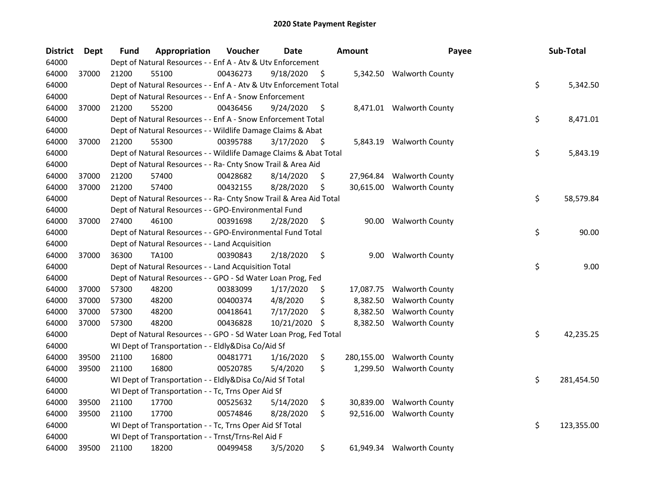| <b>District</b> | <b>Dept</b> | <b>Fund</b> | Appropriation                                                      | Voucher  | Date       |      | <b>Amount</b> | Payee                     | Sub-Total        |
|-----------------|-------------|-------------|--------------------------------------------------------------------|----------|------------|------|---------------|---------------------------|------------------|
| 64000           |             |             | Dept of Natural Resources - - Enf A - Atv & Utv Enforcement        |          |            |      |               |                           |                  |
| 64000           | 37000       | 21200       | 55100                                                              | 00436273 | 9/18/2020  | \$   |               | 5,342.50 Walworth County  |                  |
| 64000           |             |             | Dept of Natural Resources - - Enf A - Atv & Utv Enforcement Total  |          |            |      |               |                           | \$<br>5,342.50   |
| 64000           |             |             | Dept of Natural Resources - - Enf A - Snow Enforcement             |          |            |      |               |                           |                  |
| 64000           | 37000       | 21200       | 55200                                                              | 00436456 | 9/24/2020  | \$   |               | 8,471.01 Walworth County  |                  |
| 64000           |             |             | Dept of Natural Resources - - Enf A - Snow Enforcement Total       |          |            |      |               |                           | \$<br>8,471.01   |
| 64000           |             |             | Dept of Natural Resources - - Wildlife Damage Claims & Abat        |          |            |      |               |                           |                  |
| 64000           | 37000       | 21200       | 55300                                                              | 00395788 | 3/17/2020  | - \$ |               | 5,843.19 Walworth County  |                  |
| 64000           |             |             | Dept of Natural Resources - - Wildlife Damage Claims & Abat Total  |          |            |      |               |                           | \$<br>5,843.19   |
| 64000           |             |             | Dept of Natural Resources - - Ra- Cnty Snow Trail & Area Aid       |          |            |      |               |                           |                  |
| 64000           | 37000       | 21200       | 57400                                                              | 00428682 | 8/14/2020  | \$   |               | 27,964.84 Walworth County |                  |
| 64000           | 37000       | 21200       | 57400                                                              | 00432155 | 8/28/2020  | \$   |               | 30,615.00 Walworth County |                  |
| 64000           |             |             | Dept of Natural Resources - - Ra- Cnty Snow Trail & Area Aid Total |          |            |      |               |                           | \$<br>58,579.84  |
| 64000           |             |             | Dept of Natural Resources - - GPO-Environmental Fund               |          |            |      |               |                           |                  |
| 64000           | 37000       | 27400       | 46100                                                              | 00391698 | 2/28/2020  | \$   | 90.00         | <b>Walworth County</b>    |                  |
| 64000           |             |             | Dept of Natural Resources - - GPO-Environmental Fund Total         |          |            |      |               |                           | \$<br>90.00      |
| 64000           |             |             | Dept of Natural Resources - - Land Acquisition                     |          |            |      |               |                           |                  |
| 64000           | 37000       | 36300       | <b>TA100</b>                                                       | 00390843 | 2/18/2020  | \$   | 9.00          | <b>Walworth County</b>    |                  |
| 64000           |             |             | Dept of Natural Resources - - Land Acquisition Total               |          |            |      |               |                           | \$<br>9.00       |
| 64000           |             |             | Dept of Natural Resources - - GPO - Sd Water Loan Prog, Fed        |          |            |      |               |                           |                  |
| 64000           | 37000       | 57300       | 48200                                                              | 00383099 | 1/17/2020  | \$   | 17,087.75     | <b>Walworth County</b>    |                  |
| 64000           | 37000       | 57300       | 48200                                                              | 00400374 | 4/8/2020   | \$   | 8,382.50      | <b>Walworth County</b>    |                  |
| 64000           | 37000       | 57300       | 48200                                                              | 00418641 | 7/17/2020  | \$   | 8,382.50      | <b>Walworth County</b>    |                  |
| 64000           | 37000       | 57300       | 48200                                                              | 00436828 | 10/21/2020 | -S   | 8,382.50      | <b>Walworth County</b>    |                  |
| 64000           |             |             | Dept of Natural Resources - - GPO - Sd Water Loan Prog, Fed Total  |          |            |      |               |                           | \$<br>42,235.25  |
| 64000           |             |             | WI Dept of Transportation - - Eldly&Disa Co/Aid Sf                 |          |            |      |               |                           |                  |
| 64000           | 39500       | 21100       | 16800                                                              | 00481771 | 1/16/2020  | \$   | 280,155.00    | <b>Walworth County</b>    |                  |
| 64000           | 39500       | 21100       | 16800                                                              | 00520785 | 5/4/2020   | \$   | 1,299.50      | <b>Walworth County</b>    |                  |
| 64000           |             |             | WI Dept of Transportation - - Eldly&Disa Co/Aid Sf Total           |          |            |      |               |                           | \$<br>281,454.50 |
| 64000           |             |             | WI Dept of Transportation - - Tc, Trns Oper Aid Sf                 |          |            |      |               |                           |                  |
| 64000           | 39500       | 21100       | 17700                                                              | 00525632 | 5/14/2020  | \$   | 30,839.00     | <b>Walworth County</b>    |                  |
| 64000           | 39500       | 21100       | 17700                                                              | 00574846 | 8/28/2020  | \$   | 92,516.00     | <b>Walworth County</b>    |                  |
| 64000           |             |             | WI Dept of Transportation - - Tc, Trns Oper Aid Sf Total           |          |            |      |               |                           | \$<br>123,355.00 |
| 64000           |             |             | WI Dept of Transportation - - Trnst/Trns-Rel Aid F                 |          |            |      |               |                           |                  |
| 64000           | 39500       | 21100       | 18200                                                              | 00499458 | 3/5/2020   | \$   |               | 61,949.34 Walworth County |                  |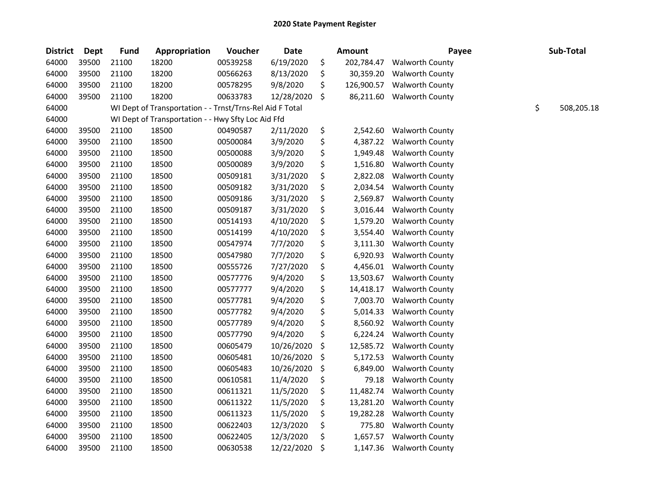| <b>District</b> | <b>Dept</b> | <b>Fund</b> | Appropriation                                            | Voucher  | <b>Date</b> | <b>Amount</b>    | Payee                  | Sub-Total        |
|-----------------|-------------|-------------|----------------------------------------------------------|----------|-------------|------------------|------------------------|------------------|
| 64000           | 39500       | 21100       | 18200                                                    | 00539258 | 6/19/2020   | \$<br>202,784.47 | <b>Walworth County</b> |                  |
| 64000           | 39500       | 21100       | 18200                                                    | 00566263 | 8/13/2020   | \$<br>30,359.20  | <b>Walworth County</b> |                  |
| 64000           | 39500       | 21100       | 18200                                                    | 00578295 | 9/8/2020    | \$<br>126,900.57 | <b>Walworth County</b> |                  |
| 64000           | 39500       | 21100       | 18200                                                    | 00633783 | 12/28/2020  | \$<br>86,211.60  | <b>Walworth County</b> |                  |
| 64000           |             |             | WI Dept of Transportation - - Trnst/Trns-Rel Aid F Total |          |             |                  |                        | \$<br>508,205.18 |
| 64000           |             |             | WI Dept of Transportation - - Hwy Sfty Loc Aid Ffd       |          |             |                  |                        |                  |
| 64000           | 39500       | 21100       | 18500                                                    | 00490587 | 2/11/2020   | \$<br>2,542.60   | <b>Walworth County</b> |                  |
| 64000           | 39500       | 21100       | 18500                                                    | 00500084 | 3/9/2020    | \$<br>4,387.22   | <b>Walworth County</b> |                  |
| 64000           | 39500       | 21100       | 18500                                                    | 00500088 | 3/9/2020    | \$<br>1,949.48   | <b>Walworth County</b> |                  |
| 64000           | 39500       | 21100       | 18500                                                    | 00500089 | 3/9/2020    | \$<br>1,516.80   | <b>Walworth County</b> |                  |
| 64000           | 39500       | 21100       | 18500                                                    | 00509181 | 3/31/2020   | \$<br>2,822.08   | <b>Walworth County</b> |                  |
| 64000           | 39500       | 21100       | 18500                                                    | 00509182 | 3/31/2020   | \$<br>2,034.54   | <b>Walworth County</b> |                  |
| 64000           | 39500       | 21100       | 18500                                                    | 00509186 | 3/31/2020   | \$<br>2,569.87   | <b>Walworth County</b> |                  |
| 64000           | 39500       | 21100       | 18500                                                    | 00509187 | 3/31/2020   | \$<br>3,016.44   | <b>Walworth County</b> |                  |
| 64000           | 39500       | 21100       | 18500                                                    | 00514193 | 4/10/2020   | \$<br>1,579.20   | <b>Walworth County</b> |                  |
| 64000           | 39500       | 21100       | 18500                                                    | 00514199 | 4/10/2020   | \$<br>3,554.40   | <b>Walworth County</b> |                  |
| 64000           | 39500       | 21100       | 18500                                                    | 00547974 | 7/7/2020    | \$<br>3,111.30   | <b>Walworth County</b> |                  |
| 64000           | 39500       | 21100       | 18500                                                    | 00547980 | 7/7/2020    | \$<br>6,920.93   | <b>Walworth County</b> |                  |
| 64000           | 39500       | 21100       | 18500                                                    | 00555726 | 7/27/2020   | \$<br>4,456.01   | <b>Walworth County</b> |                  |
| 64000           | 39500       | 21100       | 18500                                                    | 00577776 | 9/4/2020    | \$<br>13,503.67  | <b>Walworth County</b> |                  |
| 64000           | 39500       | 21100       | 18500                                                    | 00577777 | 9/4/2020    | \$<br>14,418.17  | <b>Walworth County</b> |                  |
| 64000           | 39500       | 21100       | 18500                                                    | 00577781 | 9/4/2020    | \$<br>7,003.70   | <b>Walworth County</b> |                  |
| 64000           | 39500       | 21100       | 18500                                                    | 00577782 | 9/4/2020    | \$<br>5,014.33   | <b>Walworth County</b> |                  |
| 64000           | 39500       | 21100       | 18500                                                    | 00577789 | 9/4/2020    | \$<br>8,560.92   | <b>Walworth County</b> |                  |
| 64000           | 39500       | 21100       | 18500                                                    | 00577790 | 9/4/2020    | \$<br>6,224.24   | <b>Walworth County</b> |                  |
| 64000           | 39500       | 21100       | 18500                                                    | 00605479 | 10/26/2020  | \$<br>12,585.72  | <b>Walworth County</b> |                  |
| 64000           | 39500       | 21100       | 18500                                                    | 00605481 | 10/26/2020  | \$<br>5,172.53   | <b>Walworth County</b> |                  |
| 64000           | 39500       | 21100       | 18500                                                    | 00605483 | 10/26/2020  | \$<br>6,849.00   | <b>Walworth County</b> |                  |
| 64000           | 39500       | 21100       | 18500                                                    | 00610581 | 11/4/2020   | \$<br>79.18      | <b>Walworth County</b> |                  |
| 64000           | 39500       | 21100       | 18500                                                    | 00611321 | 11/5/2020   | \$<br>11,482.74  | <b>Walworth County</b> |                  |
| 64000           | 39500       | 21100       | 18500                                                    | 00611322 | 11/5/2020   | \$<br>13,281.20  | <b>Walworth County</b> |                  |
| 64000           | 39500       | 21100       | 18500                                                    | 00611323 | 11/5/2020   | \$<br>19,282.28  | <b>Walworth County</b> |                  |
| 64000           | 39500       | 21100       | 18500                                                    | 00622403 | 12/3/2020   | \$<br>775.80     | <b>Walworth County</b> |                  |
| 64000           | 39500       | 21100       | 18500                                                    | 00622405 | 12/3/2020   | \$<br>1,657.57   | <b>Walworth County</b> |                  |
| 64000           | 39500       | 21100       | 18500                                                    | 00630538 | 12/22/2020  | \$<br>1,147.36   | <b>Walworth County</b> |                  |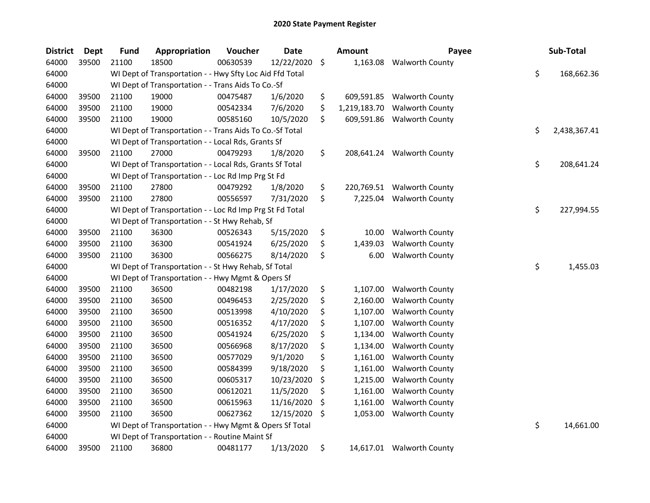| <b>District</b> | <b>Dept</b> | <b>Fund</b> | Appropriation                                            | Voucher  | <b>Date</b> |         | Amount       | Payee                      | Sub-Total          |
|-----------------|-------------|-------------|----------------------------------------------------------|----------|-------------|---------|--------------|----------------------------|--------------------|
| 64000           | 39500       | 21100       | 18500                                                    | 00630539 | 12/22/2020  | $\zeta$ | 1,163.08     | <b>Walworth County</b>     |                    |
| 64000           |             |             | WI Dept of Transportation - - Hwy Sfty Loc Aid Ffd Total |          |             |         |              |                            | \$<br>168,662.36   |
| 64000           |             |             | WI Dept of Transportation - - Trans Aids To Co.-Sf       |          |             |         |              |                            |                    |
| 64000           | 39500       | 21100       | 19000                                                    | 00475487 | 1/6/2020    | \$      | 609,591.85   | <b>Walworth County</b>     |                    |
| 64000           | 39500       | 21100       | 19000                                                    | 00542334 | 7/6/2020    | \$      | 1,219,183.70 | <b>Walworth County</b>     |                    |
| 64000           | 39500       | 21100       | 19000                                                    | 00585160 | 10/5/2020   | \$      | 609,591.86   | <b>Walworth County</b>     |                    |
| 64000           |             |             | WI Dept of Transportation - - Trans Aids To Co.-Sf Total |          |             |         |              |                            | \$<br>2,438,367.41 |
| 64000           |             |             | WI Dept of Transportation - - Local Rds, Grants Sf       |          |             |         |              |                            |                    |
| 64000           | 39500       | 21100       | 27000                                                    | 00479293 | 1/8/2020    | \$      |              | 208,641.24 Walworth County |                    |
| 64000           |             |             | WI Dept of Transportation - - Local Rds, Grants Sf Total |          |             |         |              |                            | \$<br>208,641.24   |
| 64000           |             |             | WI Dept of Transportation - - Loc Rd Imp Prg St Fd       |          |             |         |              |                            |                    |
| 64000           | 39500       | 21100       | 27800                                                    | 00479292 | 1/8/2020    | \$      | 220,769.51   | <b>Walworth County</b>     |                    |
| 64000           | 39500       | 21100       | 27800                                                    | 00556597 | 7/31/2020   | \$      | 7,225.04     | <b>Walworth County</b>     |                    |
| 64000           |             |             | WI Dept of Transportation - - Loc Rd Imp Prg St Fd Total |          |             |         |              |                            | \$<br>227,994.55   |
| 64000           |             |             | WI Dept of Transportation - - St Hwy Rehab, Sf           |          |             |         |              |                            |                    |
| 64000           | 39500       | 21100       | 36300                                                    | 00526343 | 5/15/2020   | \$      | 10.00        | <b>Walworth County</b>     |                    |
| 64000           | 39500       | 21100       | 36300                                                    | 00541924 | 6/25/2020   | \$      | 1,439.03     | <b>Walworth County</b>     |                    |
| 64000           | 39500       | 21100       | 36300                                                    | 00566275 | 8/14/2020   | \$      | 6.00         | <b>Walworth County</b>     |                    |
| 64000           |             |             | WI Dept of Transportation - - St Hwy Rehab, Sf Total     |          |             |         |              |                            | \$<br>1,455.03     |
| 64000           |             |             | WI Dept of Transportation - - Hwy Mgmt & Opers Sf        |          |             |         |              |                            |                    |
| 64000           | 39500       | 21100       | 36500                                                    | 00482198 | 1/17/2020   | \$      | 1,107.00     | <b>Walworth County</b>     |                    |
| 64000           | 39500       | 21100       | 36500                                                    | 00496453 | 2/25/2020   | \$      | 2,160.00     | <b>Walworth County</b>     |                    |
| 64000           | 39500       | 21100       | 36500                                                    | 00513998 | 4/10/2020   | \$      | 1,107.00     | <b>Walworth County</b>     |                    |
| 64000           | 39500       | 21100       | 36500                                                    | 00516352 | 4/17/2020   | \$      | 1,107.00     | <b>Walworth County</b>     |                    |
| 64000           | 39500       | 21100       | 36500                                                    | 00541924 | 6/25/2020   | \$      | 1,134.00     | <b>Walworth County</b>     |                    |
| 64000           | 39500       | 21100       | 36500                                                    | 00566968 | 8/17/2020   | \$      | 1,134.00     | <b>Walworth County</b>     |                    |
| 64000           | 39500       | 21100       | 36500                                                    | 00577029 | 9/1/2020    | \$      | 1,161.00     | <b>Walworth County</b>     |                    |
| 64000           | 39500       | 21100       | 36500                                                    | 00584399 | 9/18/2020   | \$      | 1,161.00     | <b>Walworth County</b>     |                    |
| 64000           | 39500       | 21100       | 36500                                                    | 00605317 | 10/23/2020  | \$      | 1,215.00     | <b>Walworth County</b>     |                    |
| 64000           | 39500       | 21100       | 36500                                                    | 00612021 | 11/5/2020   | \$      | 1,161.00     | <b>Walworth County</b>     |                    |
| 64000           | 39500       | 21100       | 36500                                                    | 00615963 | 11/16/2020  | \$      | 1,161.00     | <b>Walworth County</b>     |                    |
| 64000           | 39500       | 21100       | 36500                                                    | 00627362 | 12/15/2020  | \$      | 1,053.00     | <b>Walworth County</b>     |                    |
| 64000           |             |             | WI Dept of Transportation - - Hwy Mgmt & Opers Sf Total  |          |             |         |              |                            | \$<br>14,661.00    |
| 64000           |             |             | WI Dept of Transportation - - Routine Maint Sf           |          |             |         |              |                            |                    |
| 64000           | 39500       | 21100       | 36800                                                    | 00481177 | 1/13/2020   | \$      |              | 14,617.01 Walworth County  |                    |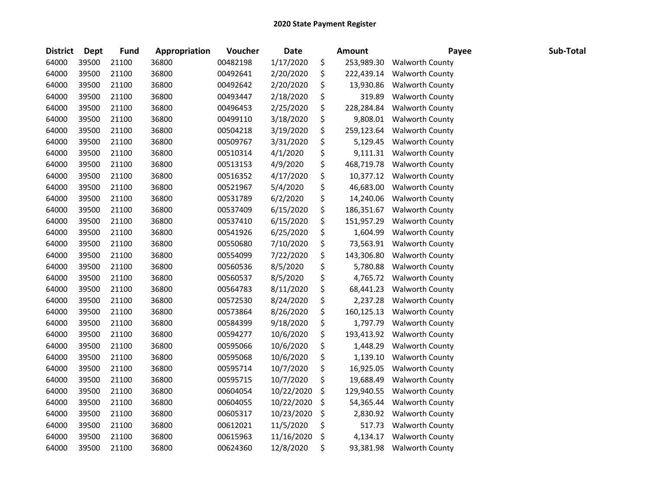| <b>District</b> | Dept  | <b>Fund</b> | Appropriation | Voucher  | <b>Date</b> | <b>Amount</b>    | Payee                  | Sub-Total |
|-----------------|-------|-------------|---------------|----------|-------------|------------------|------------------------|-----------|
| 64000           | 39500 | 21100       | 36800         | 00482198 | 1/17/2020   | \$<br>253,989.30 | <b>Walworth County</b> |           |
| 64000           | 39500 | 21100       | 36800         | 00492641 | 2/20/2020   | \$<br>222,439.14 | <b>Walworth County</b> |           |
| 64000           | 39500 | 21100       | 36800         | 00492642 | 2/20/2020   | \$<br>13,930.86  | <b>Walworth County</b> |           |
| 64000           | 39500 | 21100       | 36800         | 00493447 | 2/18/2020   | \$<br>319.89     | <b>Walworth County</b> |           |
| 64000           | 39500 | 21100       | 36800         | 00496453 | 2/25/2020   | \$<br>228,284.84 | <b>Walworth County</b> |           |
| 64000           | 39500 | 21100       | 36800         | 00499110 | 3/18/2020   | \$<br>9,808.01   | <b>Walworth County</b> |           |
| 64000           | 39500 | 21100       | 36800         | 00504218 | 3/19/2020   | \$<br>259,123.64 | <b>Walworth County</b> |           |
| 64000           | 39500 | 21100       | 36800         | 00509767 | 3/31/2020   | \$<br>5,129.45   | <b>Walworth County</b> |           |
| 64000           | 39500 | 21100       | 36800         | 00510314 | 4/1/2020    | \$<br>9,111.31   | <b>Walworth County</b> |           |
| 64000           | 39500 | 21100       | 36800         | 00513153 | 4/9/2020    | \$<br>468,719.78 | <b>Walworth County</b> |           |
| 64000           | 39500 | 21100       | 36800         | 00516352 | 4/17/2020   | \$<br>10,377.12  | <b>Walworth County</b> |           |
| 64000           | 39500 | 21100       | 36800         | 00521967 | 5/4/2020    | \$<br>46,683.00  | <b>Walworth County</b> |           |
| 64000           | 39500 | 21100       | 36800         | 00531789 | 6/2/2020    | \$<br>14,240.06  | <b>Walworth County</b> |           |
| 64000           | 39500 | 21100       | 36800         | 00537409 | 6/15/2020   | \$<br>186,351.67 | <b>Walworth County</b> |           |
| 64000           | 39500 | 21100       | 36800         | 00537410 | 6/15/2020   | \$<br>151,957.29 | <b>Walworth County</b> |           |
| 64000           | 39500 | 21100       | 36800         | 00541926 | 6/25/2020   | \$<br>1,604.99   | Walworth County        |           |
| 64000           | 39500 | 21100       | 36800         | 00550680 | 7/10/2020   | \$<br>73,563.91  | <b>Walworth County</b> |           |
| 64000           | 39500 | 21100       | 36800         | 00554099 | 7/22/2020   | \$<br>143,306.80 | <b>Walworth County</b> |           |
| 64000           | 39500 | 21100       | 36800         | 00560536 | 8/5/2020    | \$<br>5,780.88   | <b>Walworth County</b> |           |
| 64000           | 39500 | 21100       | 36800         | 00560537 | 8/5/2020    | \$<br>4,765.72   | <b>Walworth County</b> |           |
| 64000           | 39500 | 21100       | 36800         | 00564783 | 8/11/2020   | \$<br>68,441.23  | <b>Walworth County</b> |           |
| 64000           | 39500 | 21100       | 36800         | 00572530 | 8/24/2020   | \$<br>2,237.28   | <b>Walworth County</b> |           |
| 64000           | 39500 | 21100       | 36800         | 00573864 | 8/26/2020   | \$<br>160,125.13 | <b>Walworth County</b> |           |
| 64000           | 39500 | 21100       | 36800         | 00584399 | 9/18/2020   | \$<br>1,797.79   | <b>Walworth County</b> |           |
| 64000           | 39500 | 21100       | 36800         | 00594277 | 10/6/2020   | \$<br>193,413.92 | <b>Walworth County</b> |           |
| 64000           | 39500 | 21100       | 36800         | 00595066 | 10/6/2020   | \$<br>1,448.29   | <b>Walworth County</b> |           |
| 64000           | 39500 | 21100       | 36800         | 00595068 | 10/6/2020   | \$<br>1,139.10   | <b>Walworth County</b> |           |
| 64000           | 39500 | 21100       | 36800         | 00595714 | 10/7/2020   | \$<br>16,925.05  | <b>Walworth County</b> |           |
| 64000           | 39500 | 21100       | 36800         | 00595715 | 10/7/2020   | \$<br>19,688.49  | <b>Walworth County</b> |           |
| 64000           | 39500 | 21100       | 36800         | 00604054 | 10/22/2020  | \$<br>129,940.55 | <b>Walworth County</b> |           |
| 64000           | 39500 | 21100       | 36800         | 00604055 | 10/22/2020  | \$<br>54,365.44  | <b>Walworth County</b> |           |
| 64000           | 39500 | 21100       | 36800         | 00605317 | 10/23/2020  | \$<br>2,830.92   | <b>Walworth County</b> |           |
| 64000           | 39500 | 21100       | 36800         | 00612021 | 11/5/2020   | \$<br>517.73     | <b>Walworth County</b> |           |
| 64000           | 39500 | 21100       | 36800         | 00615963 | 11/16/2020  | \$<br>4,134.17   | <b>Walworth County</b> |           |
| 64000           | 39500 | 21100       | 36800         | 00624360 | 12/8/2020   | \$<br>93,381.98  | <b>Walworth County</b> |           |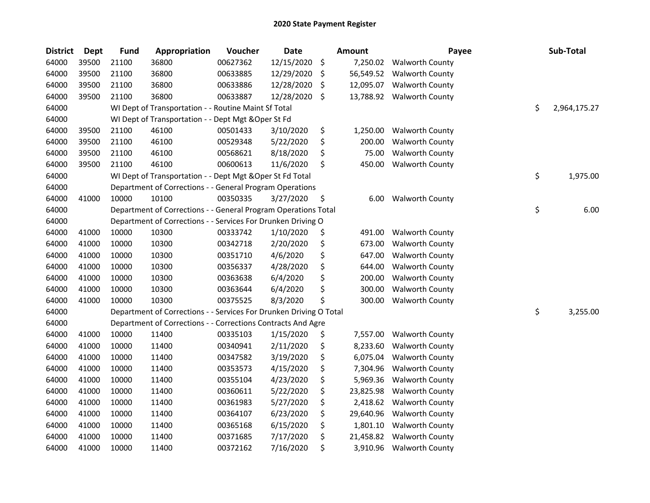| <b>District</b> | <b>Dept</b> | <b>Fund</b> | Appropriation                                                      | Voucher  | <b>Date</b> |     | <b>Amount</b> | Payee                    | Sub-Total          |
|-----------------|-------------|-------------|--------------------------------------------------------------------|----------|-------------|-----|---------------|--------------------------|--------------------|
| 64000           | 39500       | 21100       | 36800                                                              | 00627362 | 12/15/2020  | \$  | 7,250.02      | <b>Walworth County</b>   |                    |
| 64000           | 39500       | 21100       | 36800                                                              | 00633885 | 12/29/2020  | \$  | 56,549.52     | Walworth County          |                    |
| 64000           | 39500       | 21100       | 36800                                                              | 00633886 | 12/28/2020  | \$, | 12,095.07     | <b>Walworth County</b>   |                    |
| 64000           | 39500       | 21100       | 36800                                                              | 00633887 | 12/28/2020  | \$  | 13,788.92     | <b>Walworth County</b>   |                    |
| 64000           |             |             | WI Dept of Transportation - - Routine Maint Sf Total               |          |             |     |               |                          | \$<br>2,964,175.27 |
| 64000           |             |             | WI Dept of Transportation - - Dept Mgt & Oper St Fd                |          |             |     |               |                          |                    |
| 64000           | 39500       | 21100       | 46100                                                              | 00501433 | 3/10/2020   | \$  | 1,250.00      | <b>Walworth County</b>   |                    |
| 64000           | 39500       | 21100       | 46100                                                              | 00529348 | 5/22/2020   | \$  | 200.00        | <b>Walworth County</b>   |                    |
| 64000           | 39500       | 21100       | 46100                                                              | 00568621 | 8/18/2020   | \$  | 75.00         | <b>Walworth County</b>   |                    |
| 64000           | 39500       | 21100       | 46100                                                              | 00600613 | 11/6/2020   | \$  | 450.00        | <b>Walworth County</b>   |                    |
| 64000           |             |             | WI Dept of Transportation - - Dept Mgt & Oper St Fd Total          |          |             |     |               |                          | \$<br>1,975.00     |
| 64000           |             |             | Department of Corrections - - General Program Operations           |          |             |     |               |                          |                    |
| 64000           | 41000       | 10000       | 10100                                                              | 00350335 | 3/27/2020   | \$  | 6.00          | <b>Walworth County</b>   |                    |
| 64000           |             |             | Department of Corrections - - General Program Operations Total     |          |             |     |               |                          | \$<br>6.00         |
| 64000           |             |             | Department of Corrections - - Services For Drunken Driving O       |          |             |     |               |                          |                    |
| 64000           | 41000       | 10000       | 10300                                                              | 00333742 | 1/10/2020   | \$  | 491.00        | <b>Walworth County</b>   |                    |
| 64000           | 41000       | 10000       | 10300                                                              | 00342718 | 2/20/2020   | \$  | 673.00        | <b>Walworth County</b>   |                    |
| 64000           | 41000       | 10000       | 10300                                                              | 00351710 | 4/6/2020    | \$  | 647.00        | <b>Walworth County</b>   |                    |
| 64000           | 41000       | 10000       | 10300                                                              | 00356337 | 4/28/2020   | \$  | 644.00        | <b>Walworth County</b>   |                    |
| 64000           | 41000       | 10000       | 10300                                                              | 00363638 | 6/4/2020    | \$  | 200.00        | <b>Walworth County</b>   |                    |
| 64000           | 41000       | 10000       | 10300                                                              | 00363644 | 6/4/2020    | \$  | 300.00        | <b>Walworth County</b>   |                    |
| 64000           | 41000       | 10000       | 10300                                                              | 00375525 | 8/3/2020    | \$  | 300.00        | <b>Walworth County</b>   |                    |
| 64000           |             |             | Department of Corrections - - Services For Drunken Driving O Total |          |             |     |               |                          | \$<br>3,255.00     |
| 64000           |             |             | Department of Corrections - - Corrections Contracts And Agre       |          |             |     |               |                          |                    |
| 64000           | 41000       | 10000       | 11400                                                              | 00335103 | 1/15/2020   | \$  | 7,557.00      | <b>Walworth County</b>   |                    |
| 64000           | 41000       | 10000       | 11400                                                              | 00340941 | 2/11/2020   | \$  | 8,233.60      | <b>Walworth County</b>   |                    |
| 64000           | 41000       | 10000       | 11400                                                              | 00347582 | 3/19/2020   | \$  | 6,075.04      | <b>Walworth County</b>   |                    |
| 64000           | 41000       | 10000       | 11400                                                              | 00353573 | 4/15/2020   | \$  | 7,304.96      | <b>Walworth County</b>   |                    |
| 64000           | 41000       | 10000       | 11400                                                              | 00355104 | 4/23/2020   | \$  | 5,969.36      | <b>Walworth County</b>   |                    |
| 64000           | 41000       | 10000       | 11400                                                              | 00360611 | 5/22/2020   | \$  | 23,825.98     | <b>Walworth County</b>   |                    |
| 64000           | 41000       | 10000       | 11400                                                              | 00361983 | 5/27/2020   | \$  | 2,418.62      | <b>Walworth County</b>   |                    |
| 64000           | 41000       | 10000       | 11400                                                              | 00364107 | 6/23/2020   | \$  | 29,640.96     | <b>Walworth County</b>   |                    |
| 64000           | 41000       | 10000       | 11400                                                              | 00365168 | 6/15/2020   | \$  | 1,801.10      | <b>Walworth County</b>   |                    |
| 64000           | 41000       | 10000       | 11400                                                              | 00371685 | 7/17/2020   | \$  | 21,458.82     | <b>Walworth County</b>   |                    |
| 64000           | 41000       | 10000       | 11400                                                              | 00372162 | 7/16/2020   | \$  |               | 3,910.96 Walworth County |                    |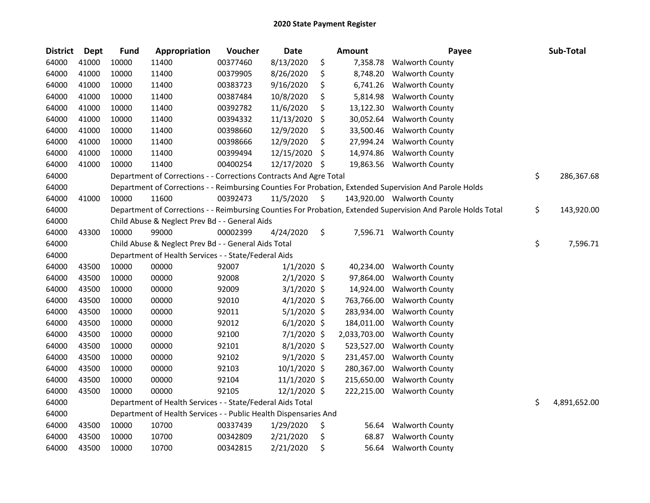| <b>District</b> | Dept  | <b>Fund</b> | Appropriation                                                      | Voucher  | <b>Date</b>   | <b>Amount</b>   | Payee                                                                                                         | Sub-Total          |
|-----------------|-------|-------------|--------------------------------------------------------------------|----------|---------------|-----------------|---------------------------------------------------------------------------------------------------------------|--------------------|
| 64000           | 41000 | 10000       | 11400                                                              | 00377460 | 8/13/2020     | \$<br>7,358.78  | <b>Walworth County</b>                                                                                        |                    |
| 64000           | 41000 | 10000       | 11400                                                              | 00379905 | 8/26/2020     | \$<br>8,748.20  | <b>Walworth County</b>                                                                                        |                    |
| 64000           | 41000 | 10000       | 11400                                                              | 00383723 | 9/16/2020     | \$<br>6,741.26  | <b>Walworth County</b>                                                                                        |                    |
| 64000           | 41000 | 10000       | 11400                                                              | 00387484 | 10/8/2020     | \$<br>5,814.98  | <b>Walworth County</b>                                                                                        |                    |
| 64000           | 41000 | 10000       | 11400                                                              | 00392782 | 11/6/2020     | \$<br>13,122.30 | <b>Walworth County</b>                                                                                        |                    |
| 64000           | 41000 | 10000       | 11400                                                              | 00394332 | 11/13/2020    | \$<br>30,052.64 | <b>Walworth County</b>                                                                                        |                    |
| 64000           | 41000 | 10000       | 11400                                                              | 00398660 | 12/9/2020     | \$<br>33,500.46 | <b>Walworth County</b>                                                                                        |                    |
| 64000           | 41000 | 10000       | 11400                                                              | 00398666 | 12/9/2020     | \$<br>27,994.24 | <b>Walworth County</b>                                                                                        |                    |
| 64000           | 41000 | 10000       | 11400                                                              | 00399494 | 12/15/2020    | \$<br>14,974.86 | <b>Walworth County</b>                                                                                        |                    |
| 64000           | 41000 | 10000       | 11400                                                              | 00400254 | 12/17/2020    | \$<br>19,863.56 | <b>Walworth County</b>                                                                                        |                    |
| 64000           |       |             | Department of Corrections - - Corrections Contracts And Agre Total |          |               |                 |                                                                                                               | \$<br>286,367.68   |
| 64000           |       |             |                                                                    |          |               |                 | Department of Corrections - - Reimbursing Counties For Probation, Extended Supervision And Parole Holds       |                    |
| 64000           | 41000 | 10000       | 11600                                                              | 00392473 | 11/5/2020     | \$              | 143,920.00 Walworth County                                                                                    |                    |
| 64000           |       |             |                                                                    |          |               |                 | Department of Corrections - - Reimbursing Counties For Probation, Extended Supervision And Parole Holds Total | \$<br>143,920.00   |
| 64000           |       |             | Child Abuse & Neglect Prev Bd - - General Aids                     |          |               |                 |                                                                                                               |                    |
| 64000           | 43300 | 10000       | 99000                                                              | 00002399 | 4/24/2020     | \$              | 7,596.71 Walworth County                                                                                      |                    |
| 64000           |       |             | Child Abuse & Neglect Prev Bd - - General Aids Total               |          |               |                 |                                                                                                               | \$<br>7,596.71     |
| 64000           |       |             | Department of Health Services - - State/Federal Aids               |          |               |                 |                                                                                                               |                    |
| 64000           | 43500 | 10000       | 00000                                                              | 92007    | $1/1/2020$ \$ | 40,234.00       | <b>Walworth County</b>                                                                                        |                    |
| 64000           | 43500 | 10000       | 00000                                                              | 92008    | $2/1/2020$ \$ | 97,864.00       | <b>Walworth County</b>                                                                                        |                    |
| 64000           | 43500 | 10000       | 00000                                                              | 92009    | $3/1/2020$ \$ | 14,924.00       | <b>Walworth County</b>                                                                                        |                    |
| 64000           | 43500 | 10000       | 00000                                                              | 92010    | $4/1/2020$ \$ | 763,766.00      | <b>Walworth County</b>                                                                                        |                    |
| 64000           | 43500 | 10000       | 00000                                                              | 92011    | $5/1/2020$ \$ | 283,934.00      | <b>Walworth County</b>                                                                                        |                    |
| 64000           | 43500 | 10000       | 00000                                                              | 92012    | $6/1/2020$ \$ | 184,011.00      | <b>Walworth County</b>                                                                                        |                    |
| 64000           | 43500 | 10000       | 00000                                                              | 92100    | 7/1/2020 \$   | 2,033,703.00    | <b>Walworth County</b>                                                                                        |                    |
| 64000           | 43500 | 10000       | 00000                                                              | 92101    | $8/1/2020$ \$ | 523,527.00      | <b>Walworth County</b>                                                                                        |                    |
| 64000           | 43500 | 10000       | 00000                                                              | 92102    | $9/1/2020$ \$ | 231,457.00      | Walworth County                                                                                               |                    |
| 64000           | 43500 | 10000       | 00000                                                              | 92103    | 10/1/2020 \$  | 280,367.00      | <b>Walworth County</b>                                                                                        |                    |
| 64000           | 43500 | 10000       | 00000                                                              | 92104    | 11/1/2020 \$  | 215,650.00      | <b>Walworth County</b>                                                                                        |                    |
| 64000           | 43500 | 10000       | 00000                                                              | 92105    | 12/1/2020 \$  | 222,215.00      | <b>Walworth County</b>                                                                                        |                    |
| 64000           |       |             | Department of Health Services - - State/Federal Aids Total         |          |               |                 |                                                                                                               | \$<br>4,891,652.00 |
| 64000           |       |             | Department of Health Services - - Public Health Dispensaries And   |          |               |                 |                                                                                                               |                    |
| 64000           | 43500 | 10000       | 10700                                                              | 00337439 | 1/29/2020     | \$<br>56.64     | <b>Walworth County</b>                                                                                        |                    |
| 64000           | 43500 | 10000       | 10700                                                              | 00342809 | 2/21/2020     | \$<br>68.87     | <b>Walworth County</b>                                                                                        |                    |
| 64000           | 43500 | 10000       | 10700                                                              | 00342815 | 2/21/2020     | \$<br>56.64     | <b>Walworth County</b>                                                                                        |                    |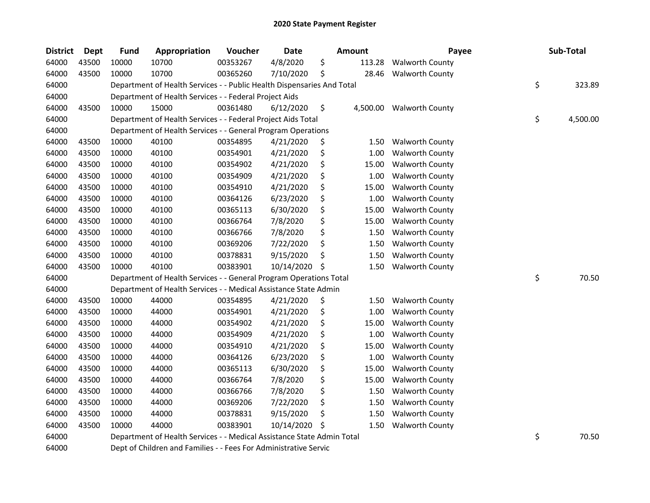| <b>District</b> | Dept  | <b>Fund</b> | Appropriation                                                          | Voucher  | <b>Date</b> | Amount |        | Payee                    | Sub-Total      |
|-----------------|-------|-------------|------------------------------------------------------------------------|----------|-------------|--------|--------|--------------------------|----------------|
| 64000           | 43500 | 10000       | 10700                                                                  | 00353267 | 4/8/2020    | \$     | 113.28 | <b>Walworth County</b>   |                |
| 64000           | 43500 | 10000       | 10700                                                                  | 00365260 | 7/10/2020   | \$     | 28.46  | <b>Walworth County</b>   |                |
| 64000           |       |             | Department of Health Services - - Public Health Dispensaries And Total |          |             |        |        |                          | \$<br>323.89   |
| 64000           |       |             | Department of Health Services - - Federal Project Aids                 |          |             |        |        |                          |                |
| 64000           | 43500 | 10000       | 15000                                                                  | 00361480 | 6/12/2020   | \$     |        | 4,500.00 Walworth County |                |
| 64000           |       |             | Department of Health Services - - Federal Project Aids Total           |          |             |        |        |                          | \$<br>4,500.00 |
| 64000           |       |             | Department of Health Services - - General Program Operations           |          |             |        |        |                          |                |
| 64000           | 43500 | 10000       | 40100                                                                  | 00354895 | 4/21/2020   | \$     | 1.50   | <b>Walworth County</b>   |                |
| 64000           | 43500 | 10000       | 40100                                                                  | 00354901 | 4/21/2020   | \$     | 1.00   | <b>Walworth County</b>   |                |
| 64000           | 43500 | 10000       | 40100                                                                  | 00354902 | 4/21/2020   | \$     | 15.00  | <b>Walworth County</b>   |                |
| 64000           | 43500 | 10000       | 40100                                                                  | 00354909 | 4/21/2020   | \$     | 1.00   | <b>Walworth County</b>   |                |
| 64000           | 43500 | 10000       | 40100                                                                  | 00354910 | 4/21/2020   | \$     | 15.00  | <b>Walworth County</b>   |                |
| 64000           | 43500 | 10000       | 40100                                                                  | 00364126 | 6/23/2020   | \$     | 1.00   | <b>Walworth County</b>   |                |
| 64000           | 43500 | 10000       | 40100                                                                  | 00365113 | 6/30/2020   | \$     | 15.00  | <b>Walworth County</b>   |                |
| 64000           | 43500 | 10000       | 40100                                                                  | 00366764 | 7/8/2020    | \$     | 15.00  | <b>Walworth County</b>   |                |
| 64000           | 43500 | 10000       | 40100                                                                  | 00366766 | 7/8/2020    | \$     | 1.50   | <b>Walworth County</b>   |                |
| 64000           | 43500 | 10000       | 40100                                                                  | 00369206 | 7/22/2020   | \$     | 1.50   | <b>Walworth County</b>   |                |
| 64000           | 43500 | 10000       | 40100                                                                  | 00378831 | 9/15/2020   | \$     | 1.50   | <b>Walworth County</b>   |                |
| 64000           | 43500 | 10000       | 40100                                                                  | 00383901 | 10/14/2020  | \$     | 1.50   | <b>Walworth County</b>   |                |
| 64000           |       |             | Department of Health Services - - General Program Operations Total     |          |             |        |        |                          | \$<br>70.50    |
| 64000           |       |             | Department of Health Services - - Medical Assistance State Admin       |          |             |        |        |                          |                |
| 64000           | 43500 | 10000       | 44000                                                                  | 00354895 | 4/21/2020   | \$     | 1.50   | <b>Walworth County</b>   |                |
| 64000           | 43500 | 10000       | 44000                                                                  | 00354901 | 4/21/2020   | \$     | 1.00   | <b>Walworth County</b>   |                |
| 64000           | 43500 | 10000       | 44000                                                                  | 00354902 | 4/21/2020   | \$     | 15.00  | <b>Walworth County</b>   |                |
| 64000           | 43500 | 10000       | 44000                                                                  | 00354909 | 4/21/2020   | \$     | 1.00   | <b>Walworth County</b>   |                |
| 64000           | 43500 | 10000       | 44000                                                                  | 00354910 | 4/21/2020   | \$     | 15.00  | <b>Walworth County</b>   |                |
| 64000           | 43500 | 10000       | 44000                                                                  | 00364126 | 6/23/2020   | \$     | 1.00   | <b>Walworth County</b>   |                |
| 64000           | 43500 | 10000       | 44000                                                                  | 00365113 | 6/30/2020   | \$     | 15.00  | <b>Walworth County</b>   |                |
| 64000           | 43500 | 10000       | 44000                                                                  | 00366764 | 7/8/2020    | \$     | 15.00  | <b>Walworth County</b>   |                |
| 64000           | 43500 | 10000       | 44000                                                                  | 00366766 | 7/8/2020    | \$     | 1.50   | <b>Walworth County</b>   |                |
| 64000           | 43500 | 10000       | 44000                                                                  | 00369206 | 7/22/2020   | \$     | 1.50   | <b>Walworth County</b>   |                |
| 64000           | 43500 | 10000       | 44000                                                                  | 00378831 | 9/15/2020   | \$     | 1.50   | <b>Walworth County</b>   |                |
| 64000           | 43500 | 10000       | 44000                                                                  | 00383901 | 10/14/2020  | \$     | 1.50   | <b>Walworth County</b>   |                |
| 64000           |       |             | Department of Health Services - - Medical Assistance State Admin Total |          |             |        |        |                          | \$<br>70.50    |
| 64000           |       |             | Dept of Children and Families - - Fees For Administrative Servic       |          |             |        |        |                          |                |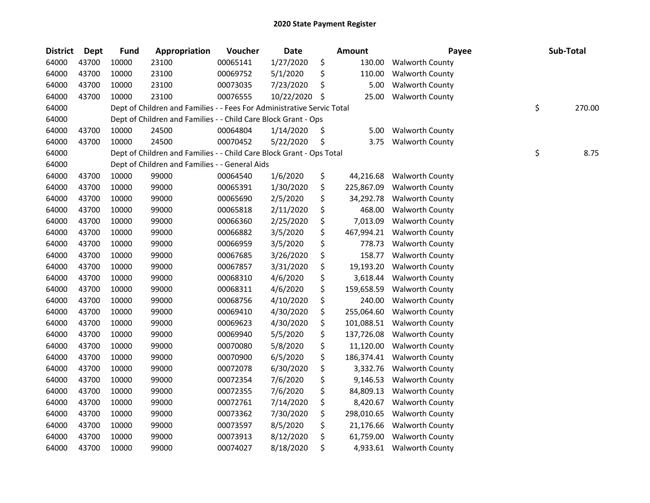| <b>District</b> | <b>Dept</b> | <b>Fund</b> | Appropriation                                                          | Voucher  | <b>Date</b> | <b>Amount</b>    | Payee                    | Sub-Total    |
|-----------------|-------------|-------------|------------------------------------------------------------------------|----------|-------------|------------------|--------------------------|--------------|
| 64000           | 43700       | 10000       | 23100                                                                  | 00065141 | 1/27/2020   | \$<br>130.00     | <b>Walworth County</b>   |              |
| 64000           | 43700       | 10000       | 23100                                                                  | 00069752 | 5/1/2020    | \$<br>110.00     | Walworth County          |              |
| 64000           | 43700       | 10000       | 23100                                                                  | 00073035 | 7/23/2020   | \$<br>5.00       | <b>Walworth County</b>   |              |
| 64000           | 43700       | 10000       | 23100                                                                  | 00076555 | 10/22/2020  | \$<br>25.00      | <b>Walworth County</b>   |              |
| 64000           |             |             | Dept of Children and Families - - Fees For Administrative Servic Total |          |             |                  |                          | \$<br>270.00 |
| 64000           |             |             | Dept of Children and Families - - Child Care Block Grant - Ops         |          |             |                  |                          |              |
| 64000           | 43700       | 10000       | 24500                                                                  | 00064804 | 1/14/2020   | \$<br>5.00       | <b>Walworth County</b>   |              |
| 64000           | 43700       | 10000       | 24500                                                                  | 00070452 | 5/22/2020   | \$<br>3.75       | <b>Walworth County</b>   |              |
| 64000           |             |             | Dept of Children and Families - - Child Care Block Grant - Ops Total   |          |             |                  |                          | \$<br>8.75   |
| 64000           |             |             | Dept of Children and Families - - General Aids                         |          |             |                  |                          |              |
| 64000           | 43700       | 10000       | 99000                                                                  | 00064540 | 1/6/2020    | \$<br>44,216.68  | <b>Walworth County</b>   |              |
| 64000           | 43700       | 10000       | 99000                                                                  | 00065391 | 1/30/2020   | \$<br>225,867.09 | <b>Walworth County</b>   |              |
| 64000           | 43700       | 10000       | 99000                                                                  | 00065690 | 2/5/2020    | \$<br>34,292.78  | <b>Walworth County</b>   |              |
| 64000           | 43700       | 10000       | 99000                                                                  | 00065818 | 2/11/2020   | \$<br>468.00     | <b>Walworth County</b>   |              |
| 64000           | 43700       | 10000       | 99000                                                                  | 00066360 | 2/25/2020   | \$<br>7,013.09   | <b>Walworth County</b>   |              |
| 64000           | 43700       | 10000       | 99000                                                                  | 00066882 | 3/5/2020    | \$<br>467,994.21 | <b>Walworth County</b>   |              |
| 64000           | 43700       | 10000       | 99000                                                                  | 00066959 | 3/5/2020    | \$<br>778.73     | <b>Walworth County</b>   |              |
| 64000           | 43700       | 10000       | 99000                                                                  | 00067685 | 3/26/2020   | \$<br>158.77     | <b>Walworth County</b>   |              |
| 64000           | 43700       | 10000       | 99000                                                                  | 00067857 | 3/31/2020   | \$<br>19,193.20  | <b>Walworth County</b>   |              |
| 64000           | 43700       | 10000       | 99000                                                                  | 00068310 | 4/6/2020    | \$<br>3,618.44   | <b>Walworth County</b>   |              |
| 64000           | 43700       | 10000       | 99000                                                                  | 00068311 | 4/6/2020    | \$<br>159,658.59 | <b>Walworth County</b>   |              |
| 64000           | 43700       | 10000       | 99000                                                                  | 00068756 | 4/10/2020   | \$<br>240.00     | <b>Walworth County</b>   |              |
| 64000           | 43700       | 10000       | 99000                                                                  | 00069410 | 4/30/2020   | \$<br>255,064.60 | <b>Walworth County</b>   |              |
| 64000           | 43700       | 10000       | 99000                                                                  | 00069623 | 4/30/2020   | \$<br>101,088.51 | <b>Walworth County</b>   |              |
| 64000           | 43700       | 10000       | 99000                                                                  | 00069940 | 5/5/2020    | \$<br>137,726.08 | <b>Walworth County</b>   |              |
| 64000           | 43700       | 10000       | 99000                                                                  | 00070080 | 5/8/2020    | \$<br>11,120.00  | <b>Walworth County</b>   |              |
| 64000           | 43700       | 10000       | 99000                                                                  | 00070900 | 6/5/2020    | \$<br>186,374.41 | <b>Walworth County</b>   |              |
| 64000           | 43700       | 10000       | 99000                                                                  | 00072078 | 6/30/2020   | \$<br>3,332.76   | <b>Walworth County</b>   |              |
| 64000           | 43700       | 10000       | 99000                                                                  | 00072354 | 7/6/2020    | \$<br>9,146.53   | <b>Walworth County</b>   |              |
| 64000           | 43700       | 10000       | 99000                                                                  | 00072355 | 7/6/2020    | \$<br>84,809.13  | <b>Walworth County</b>   |              |
| 64000           | 43700       | 10000       | 99000                                                                  | 00072761 | 7/14/2020   | \$<br>8,420.67   | <b>Walworth County</b>   |              |
| 64000           | 43700       | 10000       | 99000                                                                  | 00073362 | 7/30/2020   | \$<br>298,010.65 | <b>Walworth County</b>   |              |
| 64000           | 43700       | 10000       | 99000                                                                  | 00073597 | 8/5/2020    | \$<br>21,176.66  | <b>Walworth County</b>   |              |
| 64000           | 43700       | 10000       | 99000                                                                  | 00073913 | 8/12/2020   | \$<br>61,759.00  | <b>Walworth County</b>   |              |
| 64000           | 43700       | 10000       | 99000                                                                  | 00074027 | 8/18/2020   | \$               | 4,933.61 Walworth County |              |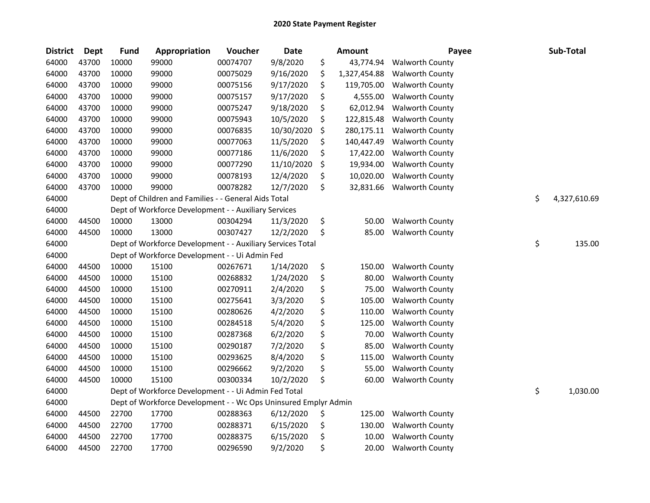| <b>District</b> | <b>Dept</b> | <b>Fund</b> | Appropriation                                                   | Voucher  | <b>Date</b> | <b>Amount</b>      | Payee                  | Sub-Total          |
|-----------------|-------------|-------------|-----------------------------------------------------------------|----------|-------------|--------------------|------------------------|--------------------|
| 64000           | 43700       | 10000       | 99000                                                           | 00074707 | 9/8/2020    | \$<br>43,774.94    | <b>Walworth County</b> |                    |
| 64000           | 43700       | 10000       | 99000                                                           | 00075029 | 9/16/2020   | \$<br>1,327,454.88 | <b>Walworth County</b> |                    |
| 64000           | 43700       | 10000       | 99000                                                           | 00075156 | 9/17/2020   | \$<br>119,705.00   | <b>Walworth County</b> |                    |
| 64000           | 43700       | 10000       | 99000                                                           | 00075157 | 9/17/2020   | \$<br>4,555.00     | <b>Walworth County</b> |                    |
| 64000           | 43700       | 10000       | 99000                                                           | 00075247 | 9/18/2020   | \$<br>62,012.94    | <b>Walworth County</b> |                    |
| 64000           | 43700       | 10000       | 99000                                                           | 00075943 | 10/5/2020   | \$<br>122,815.48   | <b>Walworth County</b> |                    |
| 64000           | 43700       | 10000       | 99000                                                           | 00076835 | 10/30/2020  | \$<br>280,175.11   | <b>Walworth County</b> |                    |
| 64000           | 43700       | 10000       | 99000                                                           | 00077063 | 11/5/2020   | \$<br>140,447.49   | <b>Walworth County</b> |                    |
| 64000           | 43700       | 10000       | 99000                                                           | 00077186 | 11/6/2020   | \$<br>17,422.00    | <b>Walworth County</b> |                    |
| 64000           | 43700       | 10000       | 99000                                                           | 00077290 | 11/10/2020  | \$<br>19,934.00    | <b>Walworth County</b> |                    |
| 64000           | 43700       | 10000       | 99000                                                           | 00078193 | 12/4/2020   | \$<br>10,020.00    | <b>Walworth County</b> |                    |
| 64000           | 43700       | 10000       | 99000                                                           | 00078282 | 12/7/2020   | \$<br>32,831.66    | <b>Walworth County</b> |                    |
| 64000           |             |             | Dept of Children and Families - - General Aids Total            |          |             |                    |                        | \$<br>4,327,610.69 |
| 64000           |             |             | Dept of Workforce Development - - Auxiliary Services            |          |             |                    |                        |                    |
| 64000           | 44500       | 10000       | 13000                                                           | 00304294 | 11/3/2020   | \$<br>50.00        | <b>Walworth County</b> |                    |
| 64000           | 44500       | 10000       | 13000                                                           | 00307427 | 12/2/2020   | \$<br>85.00        | <b>Walworth County</b> |                    |
| 64000           |             |             | Dept of Workforce Development - - Auxiliary Services Total      |          |             |                    |                        | \$<br>135.00       |
| 64000           |             |             | Dept of Workforce Development - - Ui Admin Fed                  |          |             |                    |                        |                    |
| 64000           | 44500       | 10000       | 15100                                                           | 00267671 | 1/14/2020   | \$<br>150.00       | <b>Walworth County</b> |                    |
| 64000           | 44500       | 10000       | 15100                                                           | 00268832 | 1/24/2020   | \$<br>80.00        | <b>Walworth County</b> |                    |
| 64000           | 44500       | 10000       | 15100                                                           | 00270911 | 2/4/2020    | \$<br>75.00        | <b>Walworth County</b> |                    |
| 64000           | 44500       | 10000       | 15100                                                           | 00275641 | 3/3/2020    | \$<br>105.00       | <b>Walworth County</b> |                    |
| 64000           | 44500       | 10000       | 15100                                                           | 00280626 | 4/2/2020    | \$<br>110.00       | <b>Walworth County</b> |                    |
| 64000           | 44500       | 10000       | 15100                                                           | 00284518 | 5/4/2020    | \$<br>125.00       | <b>Walworth County</b> |                    |
| 64000           | 44500       | 10000       | 15100                                                           | 00287368 | 6/2/2020    | \$<br>70.00        | <b>Walworth County</b> |                    |
| 64000           | 44500       | 10000       | 15100                                                           | 00290187 | 7/2/2020    | \$<br>85.00        | <b>Walworth County</b> |                    |
| 64000           | 44500       | 10000       | 15100                                                           | 00293625 | 8/4/2020    | \$<br>115.00       | <b>Walworth County</b> |                    |
| 64000           | 44500       | 10000       | 15100                                                           | 00296662 | 9/2/2020    | \$<br>55.00        | <b>Walworth County</b> |                    |
| 64000           | 44500       | 10000       | 15100                                                           | 00300334 | 10/2/2020   | \$<br>60.00        | <b>Walworth County</b> |                    |
| 64000           |             |             | Dept of Workforce Development - - Ui Admin Fed Total            |          |             |                    |                        | \$<br>1,030.00     |
| 64000           |             |             | Dept of Workforce Development - - Wc Ops Uninsured Emplyr Admin |          |             |                    |                        |                    |
| 64000           | 44500       | 22700       | 17700                                                           | 00288363 | 6/12/2020   | \$<br>125.00       | <b>Walworth County</b> |                    |
| 64000           | 44500       | 22700       | 17700                                                           | 00288371 | 6/15/2020   | \$<br>130.00       | <b>Walworth County</b> |                    |
| 64000           | 44500       | 22700       | 17700                                                           | 00288375 | 6/15/2020   | \$<br>10.00        | <b>Walworth County</b> |                    |
| 64000           | 44500       | 22700       | 17700                                                           | 00296590 | 9/2/2020    | \$<br>20.00        | <b>Walworth County</b> |                    |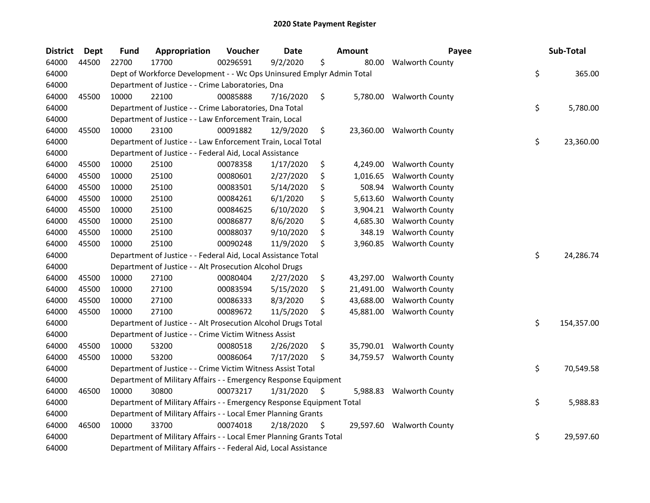| Dept  | <b>Fund</b>     | Appropriation | Voucher  | Date      |                                                                                                                                                                                                                                                                                                                                                       |                                                                                                                                                                                                                                                                                                                                                                                                                                                                                                                                              | Payee                                                                                                                                                           |                                                                                                                                                          | Sub-Total  |
|-------|-----------------|---------------|----------|-----------|-------------------------------------------------------------------------------------------------------------------------------------------------------------------------------------------------------------------------------------------------------------------------------------------------------------------------------------------------------|----------------------------------------------------------------------------------------------------------------------------------------------------------------------------------------------------------------------------------------------------------------------------------------------------------------------------------------------------------------------------------------------------------------------------------------------------------------------------------------------------------------------------------------------|-----------------------------------------------------------------------------------------------------------------------------------------------------------------|----------------------------------------------------------------------------------------------------------------------------------------------------------|------------|
| 44500 | 22700           | 17700         | 00296591 | 9/2/2020  | \$                                                                                                                                                                                                                                                                                                                                                    | 80.00                                                                                                                                                                                                                                                                                                                                                                                                                                                                                                                                        | <b>Walworth County</b>                                                                                                                                          |                                                                                                                                                          |            |
|       |                 |               |          |           |                                                                                                                                                                                                                                                                                                                                                       |                                                                                                                                                                                                                                                                                                                                                                                                                                                                                                                                              |                                                                                                                                                                 | \$                                                                                                                                                       | 365.00     |
|       |                 |               |          |           |                                                                                                                                                                                                                                                                                                                                                       |                                                                                                                                                                                                                                                                                                                                                                                                                                                                                                                                              |                                                                                                                                                                 |                                                                                                                                                          |            |
| 45500 | 10000           | 22100         | 00085888 | 7/16/2020 | \$                                                                                                                                                                                                                                                                                                                                                    |                                                                                                                                                                                                                                                                                                                                                                                                                                                                                                                                              |                                                                                                                                                                 |                                                                                                                                                          |            |
|       |                 |               |          |           |                                                                                                                                                                                                                                                                                                                                                       |                                                                                                                                                                                                                                                                                                                                                                                                                                                                                                                                              |                                                                                                                                                                 | \$                                                                                                                                                       | 5,780.00   |
|       |                 |               |          |           |                                                                                                                                                                                                                                                                                                                                                       |                                                                                                                                                                                                                                                                                                                                                                                                                                                                                                                                              |                                                                                                                                                                 |                                                                                                                                                          |            |
| 45500 | 10000           | 23100         | 00091882 | 12/9/2020 | \$                                                                                                                                                                                                                                                                                                                                                    |                                                                                                                                                                                                                                                                                                                                                                                                                                                                                                                                              |                                                                                                                                                                 |                                                                                                                                                          |            |
|       |                 |               |          |           |                                                                                                                                                                                                                                                                                                                                                       |                                                                                                                                                                                                                                                                                                                                                                                                                                                                                                                                              |                                                                                                                                                                 | \$                                                                                                                                                       | 23,360.00  |
|       |                 |               |          |           |                                                                                                                                                                                                                                                                                                                                                       |                                                                                                                                                                                                                                                                                                                                                                                                                                                                                                                                              |                                                                                                                                                                 |                                                                                                                                                          |            |
| 45500 | 10000           | 25100         | 00078358 | 1/17/2020 | \$                                                                                                                                                                                                                                                                                                                                                    |                                                                                                                                                                                                                                                                                                                                                                                                                                                                                                                                              | <b>Walworth County</b>                                                                                                                                          |                                                                                                                                                          |            |
| 45500 | 10000           | 25100         | 00080601 | 2/27/2020 | \$                                                                                                                                                                                                                                                                                                                                                    | 1,016.65                                                                                                                                                                                                                                                                                                                                                                                                                                                                                                                                     | <b>Walworth County</b>                                                                                                                                          |                                                                                                                                                          |            |
| 45500 | 10000           | 25100         | 00083501 | 5/14/2020 | \$                                                                                                                                                                                                                                                                                                                                                    | 508.94                                                                                                                                                                                                                                                                                                                                                                                                                                                                                                                                       | <b>Walworth County</b>                                                                                                                                          |                                                                                                                                                          |            |
| 45500 | 10000           | 25100         | 00084261 | 6/1/2020  | \$                                                                                                                                                                                                                                                                                                                                                    | 5,613.60                                                                                                                                                                                                                                                                                                                                                                                                                                                                                                                                     | <b>Walworth County</b>                                                                                                                                          |                                                                                                                                                          |            |
| 45500 | 10000           | 25100         | 00084625 | 6/10/2020 | \$                                                                                                                                                                                                                                                                                                                                                    | 3,904.21                                                                                                                                                                                                                                                                                                                                                                                                                                                                                                                                     | <b>Walworth County</b>                                                                                                                                          |                                                                                                                                                          |            |
| 45500 | 10000           | 25100         | 00086877 | 8/6/2020  | \$                                                                                                                                                                                                                                                                                                                                                    | 4,685.30                                                                                                                                                                                                                                                                                                                                                                                                                                                                                                                                     | <b>Walworth County</b>                                                                                                                                          |                                                                                                                                                          |            |
| 45500 | 10000           | 25100         | 00088037 | 9/10/2020 | \$                                                                                                                                                                                                                                                                                                                                                    | 348.19                                                                                                                                                                                                                                                                                                                                                                                                                                                                                                                                       | <b>Walworth County</b>                                                                                                                                          |                                                                                                                                                          |            |
| 45500 | 10000           | 25100         | 00090248 | 11/9/2020 | \$                                                                                                                                                                                                                                                                                                                                                    | 3,960.85                                                                                                                                                                                                                                                                                                                                                                                                                                                                                                                                     | <b>Walworth County</b>                                                                                                                                          |                                                                                                                                                          |            |
|       |                 |               |          |           |                                                                                                                                                                                                                                                                                                                                                       |                                                                                                                                                                                                                                                                                                                                                                                                                                                                                                                                              |                                                                                                                                                                 | \$                                                                                                                                                       | 24,286.74  |
|       |                 |               |          |           |                                                                                                                                                                                                                                                                                                                                                       |                                                                                                                                                                                                                                                                                                                                                                                                                                                                                                                                              |                                                                                                                                                                 |                                                                                                                                                          |            |
| 45500 | 10000           | 27100         | 00080404 | 2/27/2020 | \$                                                                                                                                                                                                                                                                                                                                                    | 43,297.00                                                                                                                                                                                                                                                                                                                                                                                                                                                                                                                                    | Walworth County                                                                                                                                                 |                                                                                                                                                          |            |
| 45500 | 10000           | 27100         | 00083594 | 5/15/2020 | \$                                                                                                                                                                                                                                                                                                                                                    | 21,491.00                                                                                                                                                                                                                                                                                                                                                                                                                                                                                                                                    | <b>Walworth County</b>                                                                                                                                          |                                                                                                                                                          |            |
| 45500 | 10000           | 27100         | 00086333 | 8/3/2020  | \$                                                                                                                                                                                                                                                                                                                                                    | 43,688.00                                                                                                                                                                                                                                                                                                                                                                                                                                                                                                                                    | <b>Walworth County</b>                                                                                                                                          |                                                                                                                                                          |            |
| 45500 | 10000           | 27100         | 00089672 | 11/5/2020 | \$                                                                                                                                                                                                                                                                                                                                                    | 45,881.00                                                                                                                                                                                                                                                                                                                                                                                                                                                                                                                                    | <b>Walworth County</b>                                                                                                                                          |                                                                                                                                                          |            |
|       |                 |               |          |           |                                                                                                                                                                                                                                                                                                                                                       |                                                                                                                                                                                                                                                                                                                                                                                                                                                                                                                                              |                                                                                                                                                                 | \$                                                                                                                                                       | 154,357.00 |
|       |                 |               |          |           |                                                                                                                                                                                                                                                                                                                                                       |                                                                                                                                                                                                                                                                                                                                                                                                                                                                                                                                              |                                                                                                                                                                 |                                                                                                                                                          |            |
| 45500 | 10000           | 53200         | 00080518 | 2/26/2020 | \$                                                                                                                                                                                                                                                                                                                                                    |                                                                                                                                                                                                                                                                                                                                                                                                                                                                                                                                              |                                                                                                                                                                 |                                                                                                                                                          |            |
| 45500 | 10000           | 53200         | 00086064 | 7/17/2020 | \$                                                                                                                                                                                                                                                                                                                                                    |                                                                                                                                                                                                                                                                                                                                                                                                                                                                                                                                              |                                                                                                                                                                 |                                                                                                                                                          |            |
|       |                 |               |          |           |                                                                                                                                                                                                                                                                                                                                                       |                                                                                                                                                                                                                                                                                                                                                                                                                                                                                                                                              |                                                                                                                                                                 | \$                                                                                                                                                       | 70,549.58  |
|       |                 |               |          |           |                                                                                                                                                                                                                                                                                                                                                       |                                                                                                                                                                                                                                                                                                                                                                                                                                                                                                                                              |                                                                                                                                                                 |                                                                                                                                                          |            |
| 46500 | 10000           | 30800         | 00073217 | 1/31/2020 | $\ddot{\varsigma}$                                                                                                                                                                                                                                                                                                                                    | 5,988.83                                                                                                                                                                                                                                                                                                                                                                                                                                                                                                                                     | <b>Walworth County</b>                                                                                                                                          |                                                                                                                                                          |            |
|       |                 |               |          |           |                                                                                                                                                                                                                                                                                                                                                       |                                                                                                                                                                                                                                                                                                                                                                                                                                                                                                                                              |                                                                                                                                                                 | \$                                                                                                                                                       | 5,988.83   |
|       |                 |               |          |           |                                                                                                                                                                                                                                                                                                                                                       |                                                                                                                                                                                                                                                                                                                                                                                                                                                                                                                                              |                                                                                                                                                                 |                                                                                                                                                          |            |
| 46500 | 10000           | 33700         | 00074018 | 2/18/2020 | \$,                                                                                                                                                                                                                                                                                                                                                   |                                                                                                                                                                                                                                                                                                                                                                                                                                                                                                                                              |                                                                                                                                                                 |                                                                                                                                                          |            |
|       |                 |               |          |           |                                                                                                                                                                                                                                                                                                                                                       |                                                                                                                                                                                                                                                                                                                                                                                                                                                                                                                                              |                                                                                                                                                                 | \$                                                                                                                                                       | 29,597.60  |
|       |                 |               |          |           |                                                                                                                                                                                                                                                                                                                                                       |                                                                                                                                                                                                                                                                                                                                                                                                                                                                                                                                              |                                                                                                                                                                 |                                                                                                                                                          |            |
|       | <b>District</b> |               |          |           | Department of Justice - - Crime Laboratories, Dna<br>Department of Justice - - Crime Laboratories, Dna Total<br>Department of Justice - - Law Enforcement Train, Local<br>Department of Justice - - Federal Aid, Local Assistance<br>Department of Justice - - Alt Prosecution Alcohol Drugs<br>Department of Justice - - Crime Victim Witness Assist | Department of Justice - - Law Enforcement Train, Local Total<br>Department of Justice - - Federal Aid, Local Assistance Total<br>Department of Justice - - Alt Prosecution Alcohol Drugs Total<br>Department of Justice - - Crime Victim Witness Assist Total<br>Department of Military Affairs - - Emergency Response Equipment<br>Department of Military Affairs - - Local Emer Planning Grants<br>Department of Military Affairs - - Local Emer Planning Grants Total<br>Department of Military Affairs - - Federal Aid, Local Assistance | <b>Amount</b><br>Dept of Workforce Development - - Wc Ops Uninsured Emplyr Admin Total<br>Department of Military Affairs - - Emergency Response Equipment Total | 5,780.00 Walworth County<br>23,360.00 Walworth County<br>4,249.00<br>35,790.01 Walworth County<br>34,759.57 Walworth County<br>29,597.60 Walworth County |            |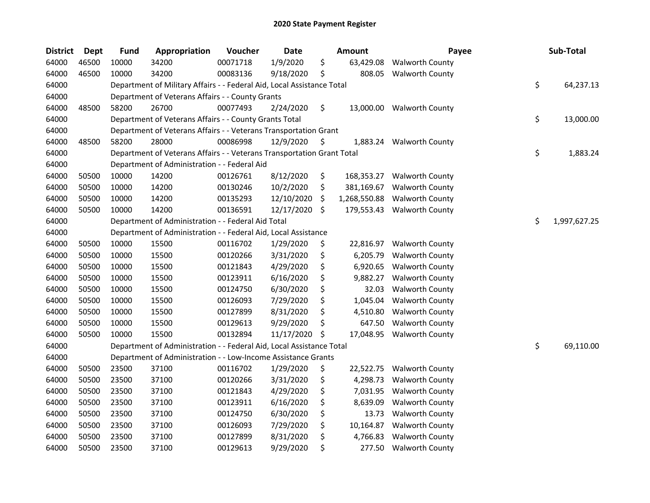| <b>District</b> | Dept  | <b>Fund</b> | Appropriation                                                          | Voucher  | Date       | <b>Amount</b>      | Payee                  | Sub-Total          |
|-----------------|-------|-------------|------------------------------------------------------------------------|----------|------------|--------------------|------------------------|--------------------|
| 64000           | 46500 | 10000       | 34200                                                                  | 00071718 | 1/9/2020   | \$<br>63,429.08    | <b>Walworth County</b> |                    |
| 64000           | 46500 | 10000       | 34200                                                                  | 00083136 | 9/18/2020  | \$<br>808.05       | <b>Walworth County</b> |                    |
| 64000           |       |             | Department of Military Affairs - - Federal Aid, Local Assistance Total |          |            |                    |                        | \$<br>64,237.13    |
| 64000           |       |             | Department of Veterans Affairs - - County Grants                       |          |            |                    |                        |                    |
| 64000           | 48500 | 58200       | 26700                                                                  | 00077493 | 2/24/2020  | \$<br>13,000.00    | <b>Walworth County</b> |                    |
| 64000           |       |             | Department of Veterans Affairs - - County Grants Total                 |          |            |                    |                        | \$<br>13,000.00    |
| 64000           |       |             | Department of Veterans Affairs - - Veterans Transportation Grant       |          |            |                    |                        |                    |
| 64000           | 48500 | 58200       | 28000                                                                  | 00086998 | 12/9/2020  | \$<br>1,883.24     | <b>Walworth County</b> |                    |
| 64000           |       |             | Department of Veterans Affairs - - Veterans Transportation Grant Total |          |            |                    |                        | \$<br>1,883.24     |
| 64000           |       |             | Department of Administration - - Federal Aid                           |          |            |                    |                        |                    |
| 64000           | 50500 | 10000       | 14200                                                                  | 00126761 | 8/12/2020  | \$<br>168,353.27   | <b>Walworth County</b> |                    |
| 64000           | 50500 | 10000       | 14200                                                                  | 00130246 | 10/2/2020  | \$<br>381,169.67   | <b>Walworth County</b> |                    |
| 64000           | 50500 | 10000       | 14200                                                                  | 00135293 | 12/10/2020 | \$<br>1,268,550.88 | <b>Walworth County</b> |                    |
| 64000           | 50500 | 10000       | 14200                                                                  | 00136591 | 12/17/2020 | \$<br>179,553.43   | <b>Walworth County</b> |                    |
| 64000           |       |             | Department of Administration - - Federal Aid Total                     |          |            |                    |                        | \$<br>1,997,627.25 |
| 64000           |       |             | Department of Administration - - Federal Aid, Local Assistance         |          |            |                    |                        |                    |
| 64000           | 50500 | 10000       | 15500                                                                  | 00116702 | 1/29/2020  | \$<br>22,816.97    | <b>Walworth County</b> |                    |
| 64000           | 50500 | 10000       | 15500                                                                  | 00120266 | 3/31/2020  | \$<br>6,205.79     | <b>Walworth County</b> |                    |
| 64000           | 50500 | 10000       | 15500                                                                  | 00121843 | 4/29/2020  | \$<br>6,920.65     | Walworth County        |                    |
| 64000           | 50500 | 10000       | 15500                                                                  | 00123911 | 6/16/2020  | \$<br>9,882.27     | <b>Walworth County</b> |                    |
| 64000           | 50500 | 10000       | 15500                                                                  | 00124750 | 6/30/2020  | \$<br>32.03        | <b>Walworth County</b> |                    |
| 64000           | 50500 | 10000       | 15500                                                                  | 00126093 | 7/29/2020  | \$<br>1,045.04     | <b>Walworth County</b> |                    |
| 64000           | 50500 | 10000       | 15500                                                                  | 00127899 | 8/31/2020  | \$<br>4,510.80     | <b>Walworth County</b> |                    |
| 64000           | 50500 | 10000       | 15500                                                                  | 00129613 | 9/29/2020  | \$<br>647.50       | <b>Walworth County</b> |                    |
| 64000           | 50500 | 10000       | 15500                                                                  | 00132894 | 11/17/2020 | \$<br>17,048.95    | <b>Walworth County</b> |                    |
| 64000           |       |             | Department of Administration - - Federal Aid, Local Assistance Total   |          |            |                    |                        | \$<br>69,110.00    |
| 64000           |       |             | Department of Administration - - Low-Income Assistance Grants          |          |            |                    |                        |                    |
| 64000           | 50500 | 23500       | 37100                                                                  | 00116702 | 1/29/2020  | \$<br>22,522.75    | <b>Walworth County</b> |                    |
| 64000           | 50500 | 23500       | 37100                                                                  | 00120266 | 3/31/2020  | \$<br>4,298.73     | <b>Walworth County</b> |                    |
| 64000           | 50500 | 23500       | 37100                                                                  | 00121843 | 4/29/2020  | \$<br>7,031.95     | <b>Walworth County</b> |                    |
| 64000           | 50500 | 23500       | 37100                                                                  | 00123911 | 6/16/2020  | \$<br>8,639.09     | <b>Walworth County</b> |                    |
| 64000           | 50500 | 23500       | 37100                                                                  | 00124750 | 6/30/2020  | \$<br>13.73        | <b>Walworth County</b> |                    |
| 64000           | 50500 | 23500       | 37100                                                                  | 00126093 | 7/29/2020  | \$<br>10,164.87    | <b>Walworth County</b> |                    |
| 64000           | 50500 | 23500       | 37100                                                                  | 00127899 | 8/31/2020  | \$<br>4,766.83     | <b>Walworth County</b> |                    |
| 64000           | 50500 | 23500       | 37100                                                                  | 00129613 | 9/29/2020  | \$<br>277.50       | <b>Walworth County</b> |                    |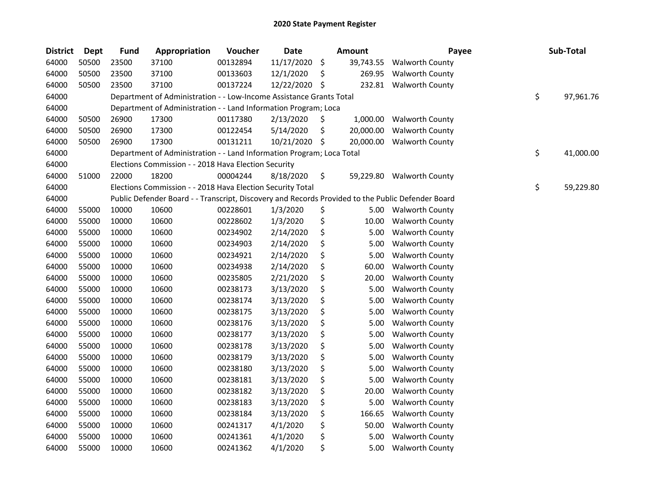| <b>District</b> | <b>Dept</b> | <b>Fund</b> | Appropriation                                                                                     | Voucher  | <b>Date</b> |     | Amount    | Payee                     | Sub-Total       |
|-----------------|-------------|-------------|---------------------------------------------------------------------------------------------------|----------|-------------|-----|-----------|---------------------------|-----------------|
| 64000           | 50500       | 23500       | 37100                                                                                             | 00132894 | 11/17/2020  | \$  | 39,743.55 | <b>Walworth County</b>    |                 |
| 64000           | 50500       | 23500       | 37100                                                                                             | 00133603 | 12/1/2020   | \$  | 269.95    | <b>Walworth County</b>    |                 |
| 64000           | 50500       | 23500       | 37100                                                                                             | 00137224 | 12/22/2020  | \$  | 232.81    | <b>Walworth County</b>    |                 |
| 64000           |             |             | Department of Administration - - Low-Income Assistance Grants Total                               |          |             |     |           |                           | \$<br>97,961.76 |
| 64000           |             |             | Department of Administration - - Land Information Program; Loca                                   |          |             |     |           |                           |                 |
| 64000           | 50500       | 26900       | 17300                                                                                             | 00117380 | 2/13/2020   | \$. | 1,000.00  | <b>Walworth County</b>    |                 |
| 64000           | 50500       | 26900       | 17300                                                                                             | 00122454 | 5/14/2020   | \$  | 20,000.00 | <b>Walworth County</b>    |                 |
| 64000           | 50500       | 26900       | 17300                                                                                             | 00131211 | 10/21/2020  | \$  | 20,000.00 | <b>Walworth County</b>    |                 |
| 64000           |             |             | Department of Administration - - Land Information Program; Loca Total                             |          |             |     |           |                           | \$<br>41,000.00 |
| 64000           |             |             | Elections Commission - - 2018 Hava Election Security                                              |          |             |     |           |                           |                 |
| 64000           | 51000       | 22000       | 18200                                                                                             | 00004244 | 8/18/2020   | \$  |           | 59,229.80 Walworth County |                 |
| 64000           |             |             | Elections Commission - - 2018 Hava Election Security Total                                        |          |             |     |           |                           | \$<br>59,229.80 |
| 64000           |             |             | Public Defender Board - - Transcript, Discovery and Records Provided to the Public Defender Board |          |             |     |           |                           |                 |
| 64000           | 55000       | 10000       | 10600                                                                                             | 00228601 | 1/3/2020    | \$  | 5.00      | <b>Walworth County</b>    |                 |
| 64000           | 55000       | 10000       | 10600                                                                                             | 00228602 | 1/3/2020    | \$  | 10.00     | <b>Walworth County</b>    |                 |
| 64000           | 55000       | 10000       | 10600                                                                                             | 00234902 | 2/14/2020   | \$  | 5.00      | <b>Walworth County</b>    |                 |
| 64000           | 55000       | 10000       | 10600                                                                                             | 00234903 | 2/14/2020   | \$  | 5.00      | <b>Walworth County</b>    |                 |
| 64000           | 55000       | 10000       | 10600                                                                                             | 00234921 | 2/14/2020   | \$  | 5.00      | <b>Walworth County</b>    |                 |
| 64000           | 55000       | 10000       | 10600                                                                                             | 00234938 | 2/14/2020   | \$  | 60.00     | <b>Walworth County</b>    |                 |
| 64000           | 55000       | 10000       | 10600                                                                                             | 00235805 | 2/21/2020   | \$  | 20.00     | <b>Walworth County</b>    |                 |
| 64000           | 55000       | 10000       | 10600                                                                                             | 00238173 | 3/13/2020   | \$  | 5.00      | <b>Walworth County</b>    |                 |
| 64000           | 55000       | 10000       | 10600                                                                                             | 00238174 | 3/13/2020   | \$  | 5.00      | <b>Walworth County</b>    |                 |
| 64000           | 55000       | 10000       | 10600                                                                                             | 00238175 | 3/13/2020   | \$  | 5.00      | <b>Walworth County</b>    |                 |
| 64000           | 55000       | 10000       | 10600                                                                                             | 00238176 | 3/13/2020   | \$  | 5.00      | <b>Walworth County</b>    |                 |
| 64000           | 55000       | 10000       | 10600                                                                                             | 00238177 | 3/13/2020   | \$  | 5.00      | <b>Walworth County</b>    |                 |
| 64000           | 55000       | 10000       | 10600                                                                                             | 00238178 | 3/13/2020   | \$  | 5.00      | <b>Walworth County</b>    |                 |
| 64000           | 55000       | 10000       | 10600                                                                                             | 00238179 | 3/13/2020   | \$  | 5.00      | <b>Walworth County</b>    |                 |
| 64000           | 55000       | 10000       | 10600                                                                                             | 00238180 | 3/13/2020   | \$  | 5.00      | <b>Walworth County</b>    |                 |
| 64000           | 55000       | 10000       | 10600                                                                                             | 00238181 | 3/13/2020   | \$  | 5.00      | <b>Walworth County</b>    |                 |
| 64000           | 55000       | 10000       | 10600                                                                                             | 00238182 | 3/13/2020   | \$  | 20.00     | <b>Walworth County</b>    |                 |
| 64000           | 55000       | 10000       | 10600                                                                                             | 00238183 | 3/13/2020   | \$  | 5.00      | <b>Walworth County</b>    |                 |
| 64000           | 55000       | 10000       | 10600                                                                                             | 00238184 | 3/13/2020   | \$  | 166.65    | <b>Walworth County</b>    |                 |
| 64000           | 55000       | 10000       | 10600                                                                                             | 00241317 | 4/1/2020    | \$  | 50.00     | <b>Walworth County</b>    |                 |
| 64000           | 55000       | 10000       | 10600                                                                                             | 00241361 | 4/1/2020    | \$  | 5.00      | <b>Walworth County</b>    |                 |
| 64000           | 55000       | 10000       | 10600                                                                                             | 00241362 | 4/1/2020    | \$  | 5.00      | <b>Walworth County</b>    |                 |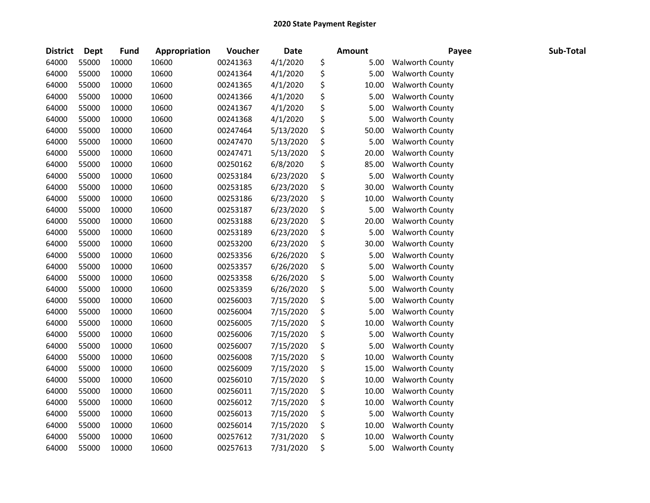| <b>District</b> | Dept  | <b>Fund</b> | Appropriation | Voucher  | <b>Date</b> | <b>Amount</b> | Payee                  | Sub-Total |
|-----------------|-------|-------------|---------------|----------|-------------|---------------|------------------------|-----------|
| 64000           | 55000 | 10000       | 10600         | 00241363 | 4/1/2020    | \$<br>5.00    | <b>Walworth County</b> |           |
| 64000           | 55000 | 10000       | 10600         | 00241364 | 4/1/2020    | \$<br>5.00    | <b>Walworth County</b> |           |
| 64000           | 55000 | 10000       | 10600         | 00241365 | 4/1/2020    | \$<br>10.00   | <b>Walworth County</b> |           |
| 64000           | 55000 | 10000       | 10600         | 00241366 | 4/1/2020    | \$<br>5.00    | <b>Walworth County</b> |           |
| 64000           | 55000 | 10000       | 10600         | 00241367 | 4/1/2020    | \$<br>5.00    | <b>Walworth County</b> |           |
| 64000           | 55000 | 10000       | 10600         | 00241368 | 4/1/2020    | \$<br>5.00    | <b>Walworth County</b> |           |
| 64000           | 55000 | 10000       | 10600         | 00247464 | 5/13/2020   | \$<br>50.00   | <b>Walworth County</b> |           |
| 64000           | 55000 | 10000       | 10600         | 00247470 | 5/13/2020   | \$<br>5.00    | <b>Walworth County</b> |           |
| 64000           | 55000 | 10000       | 10600         | 00247471 | 5/13/2020   | \$<br>20.00   | <b>Walworth County</b> |           |
| 64000           | 55000 | 10000       | 10600         | 00250162 | 6/8/2020    | \$<br>85.00   | <b>Walworth County</b> |           |
| 64000           | 55000 | 10000       | 10600         | 00253184 | 6/23/2020   | \$<br>5.00    | <b>Walworth County</b> |           |
| 64000           | 55000 | 10000       | 10600         | 00253185 | 6/23/2020   | \$<br>30.00   | <b>Walworth County</b> |           |
| 64000           | 55000 | 10000       | 10600         | 00253186 | 6/23/2020   | \$<br>10.00   | <b>Walworth County</b> |           |
| 64000           | 55000 | 10000       | 10600         | 00253187 | 6/23/2020   | \$<br>5.00    | Walworth County        |           |
| 64000           | 55000 | 10000       | 10600         | 00253188 | 6/23/2020   | \$<br>20.00   | <b>Walworth County</b> |           |
| 64000           | 55000 | 10000       | 10600         | 00253189 | 6/23/2020   | \$<br>5.00    | <b>Walworth County</b> |           |
| 64000           | 55000 | 10000       | 10600         | 00253200 | 6/23/2020   | \$<br>30.00   | <b>Walworth County</b> |           |
| 64000           | 55000 | 10000       | 10600         | 00253356 | 6/26/2020   | \$<br>5.00    | <b>Walworth County</b> |           |
| 64000           | 55000 | 10000       | 10600         | 00253357 | 6/26/2020   | \$<br>5.00    | <b>Walworth County</b> |           |
| 64000           | 55000 | 10000       | 10600         | 00253358 | 6/26/2020   | \$<br>5.00    | <b>Walworth County</b> |           |
| 64000           | 55000 | 10000       | 10600         | 00253359 | 6/26/2020   | \$<br>5.00    | <b>Walworth County</b> |           |
| 64000           | 55000 | 10000       | 10600         | 00256003 | 7/15/2020   | \$<br>5.00    | <b>Walworth County</b> |           |
| 64000           | 55000 | 10000       | 10600         | 00256004 | 7/15/2020   | \$<br>5.00    | <b>Walworth County</b> |           |
| 64000           | 55000 | 10000       | 10600         | 00256005 | 7/15/2020   | \$<br>10.00   | <b>Walworth County</b> |           |
| 64000           | 55000 | 10000       | 10600         | 00256006 | 7/15/2020   | \$<br>5.00    | <b>Walworth County</b> |           |
| 64000           | 55000 | 10000       | 10600         | 00256007 | 7/15/2020   | \$<br>5.00    | <b>Walworth County</b> |           |
| 64000           | 55000 | 10000       | 10600         | 00256008 | 7/15/2020   | \$<br>10.00   | <b>Walworth County</b> |           |
| 64000           | 55000 | 10000       | 10600         | 00256009 | 7/15/2020   | \$<br>15.00   | <b>Walworth County</b> |           |
| 64000           | 55000 | 10000       | 10600         | 00256010 | 7/15/2020   | \$<br>10.00   | <b>Walworth County</b> |           |
| 64000           | 55000 | 10000       | 10600         | 00256011 | 7/15/2020   | \$<br>10.00   | <b>Walworth County</b> |           |
| 64000           | 55000 | 10000       | 10600         | 00256012 | 7/15/2020   | \$<br>10.00   | <b>Walworth County</b> |           |
| 64000           | 55000 | 10000       | 10600         | 00256013 | 7/15/2020   | \$<br>5.00    | <b>Walworth County</b> |           |
| 64000           | 55000 | 10000       | 10600         | 00256014 | 7/15/2020   | \$<br>10.00   | <b>Walworth County</b> |           |
| 64000           | 55000 | 10000       | 10600         | 00257612 | 7/31/2020   | \$<br>10.00   | <b>Walworth County</b> |           |
| 64000           | 55000 | 10000       | 10600         | 00257613 | 7/31/2020   | \$<br>5.00    | <b>Walworth County</b> |           |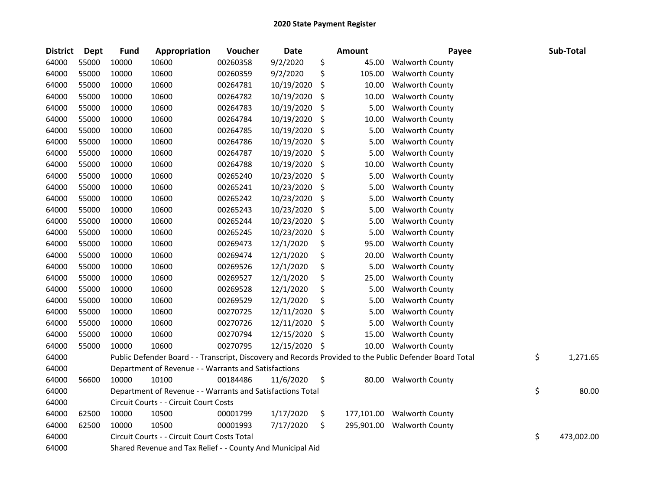| <b>District</b> | Dept  | <b>Fund</b> | Appropriation                                              | Voucher  | Date       | Amount           | Payee                                                                                                   | Sub-Total        |
|-----------------|-------|-------------|------------------------------------------------------------|----------|------------|------------------|---------------------------------------------------------------------------------------------------------|------------------|
| 64000           | 55000 | 10000       | 10600                                                      | 00260358 | 9/2/2020   | \$<br>45.00      | <b>Walworth County</b>                                                                                  |                  |
| 64000           | 55000 | 10000       | 10600                                                      | 00260359 | 9/2/2020   | \$<br>105.00     | <b>Walworth County</b>                                                                                  |                  |
| 64000           | 55000 | 10000       | 10600                                                      | 00264781 | 10/19/2020 | \$<br>10.00      | <b>Walworth County</b>                                                                                  |                  |
| 64000           | 55000 | 10000       | 10600                                                      | 00264782 | 10/19/2020 | \$<br>10.00      | <b>Walworth County</b>                                                                                  |                  |
| 64000           | 55000 | 10000       | 10600                                                      | 00264783 | 10/19/2020 | \$<br>5.00       | <b>Walworth County</b>                                                                                  |                  |
| 64000           | 55000 | 10000       | 10600                                                      | 00264784 | 10/19/2020 | \$<br>10.00      | <b>Walworth County</b>                                                                                  |                  |
| 64000           | 55000 | 10000       | 10600                                                      | 00264785 | 10/19/2020 | \$<br>5.00       | <b>Walworth County</b>                                                                                  |                  |
| 64000           | 55000 | 10000       | 10600                                                      | 00264786 | 10/19/2020 | \$<br>5.00       | <b>Walworth County</b>                                                                                  |                  |
| 64000           | 55000 | 10000       | 10600                                                      | 00264787 | 10/19/2020 | \$<br>5.00       | <b>Walworth County</b>                                                                                  |                  |
| 64000           | 55000 | 10000       | 10600                                                      | 00264788 | 10/19/2020 | \$<br>10.00      | <b>Walworth County</b>                                                                                  |                  |
| 64000           | 55000 | 10000       | 10600                                                      | 00265240 | 10/23/2020 | \$<br>5.00       | <b>Walworth County</b>                                                                                  |                  |
| 64000           | 55000 | 10000       | 10600                                                      | 00265241 | 10/23/2020 | \$<br>5.00       | <b>Walworth County</b>                                                                                  |                  |
| 64000           | 55000 | 10000       | 10600                                                      | 00265242 | 10/23/2020 | \$<br>5.00       | <b>Walworth County</b>                                                                                  |                  |
| 64000           | 55000 | 10000       | 10600                                                      | 00265243 | 10/23/2020 | \$<br>5.00       | <b>Walworth County</b>                                                                                  |                  |
| 64000           | 55000 | 10000       | 10600                                                      | 00265244 | 10/23/2020 | \$<br>5.00       | <b>Walworth County</b>                                                                                  |                  |
| 64000           | 55000 | 10000       | 10600                                                      | 00265245 | 10/23/2020 | \$<br>5.00       | <b>Walworth County</b>                                                                                  |                  |
| 64000           | 55000 | 10000       | 10600                                                      | 00269473 | 12/1/2020  | \$<br>95.00      | <b>Walworth County</b>                                                                                  |                  |
| 64000           | 55000 | 10000       | 10600                                                      | 00269474 | 12/1/2020  | \$<br>20.00      | <b>Walworth County</b>                                                                                  |                  |
| 64000           | 55000 | 10000       | 10600                                                      | 00269526 | 12/1/2020  | \$<br>5.00       | <b>Walworth County</b>                                                                                  |                  |
| 64000           | 55000 | 10000       | 10600                                                      | 00269527 | 12/1/2020  | \$<br>25.00      | <b>Walworth County</b>                                                                                  |                  |
| 64000           | 55000 | 10000       | 10600                                                      | 00269528 | 12/1/2020  | \$<br>5.00       | <b>Walworth County</b>                                                                                  |                  |
| 64000           | 55000 | 10000       | 10600                                                      | 00269529 | 12/1/2020  | \$<br>5.00       | <b>Walworth County</b>                                                                                  |                  |
| 64000           | 55000 | 10000       | 10600                                                      | 00270725 | 12/11/2020 | \$<br>5.00       | <b>Walworth County</b>                                                                                  |                  |
| 64000           | 55000 | 10000       | 10600                                                      | 00270726 | 12/11/2020 | \$<br>5.00       | <b>Walworth County</b>                                                                                  |                  |
| 64000           | 55000 | 10000       | 10600                                                      | 00270794 | 12/15/2020 | \$<br>15.00      | <b>Walworth County</b>                                                                                  |                  |
| 64000           | 55000 | 10000       | 10600                                                      | 00270795 | 12/15/2020 | \$<br>10.00      | <b>Walworth County</b>                                                                                  |                  |
| 64000           |       |             |                                                            |          |            |                  | Public Defender Board - - Transcript, Discovery and Records Provided to the Public Defender Board Total | \$<br>1,271.65   |
| 64000           |       |             | Department of Revenue - - Warrants and Satisfactions       |          |            |                  |                                                                                                         |                  |
| 64000           | 56600 | 10000       | 10100                                                      | 00184486 | 11/6/2020  | \$<br>80.00      | <b>Walworth County</b>                                                                                  |                  |
| 64000           |       |             | Department of Revenue - - Warrants and Satisfactions Total |          |            |                  |                                                                                                         | \$<br>80.00      |
| 64000           |       |             | Circuit Courts - - Circuit Court Costs                     |          |            |                  |                                                                                                         |                  |
| 64000           | 62500 | 10000       | 10500                                                      | 00001799 | 1/17/2020  | \$<br>177,101.00 | <b>Walworth County</b>                                                                                  |                  |
| 64000           | 62500 | 10000       | 10500                                                      | 00001993 | 7/17/2020  | \$<br>295,901.00 | <b>Walworth County</b>                                                                                  |                  |
| 64000           |       |             | Circuit Courts - - Circuit Court Costs Total               |          |            |                  |                                                                                                         | \$<br>473,002.00 |
| 64000           |       |             | Shared Revenue and Tax Relief - - County And Municipal Aid |          |            |                  |                                                                                                         |                  |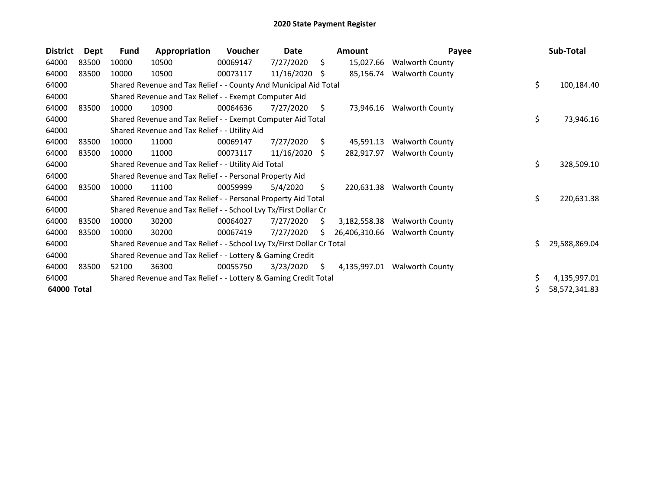| <b>District</b> | <b>Dept</b> | <b>Fund</b> | Appropriation                                                         | Voucher  | Date       |     | <b>Amount</b> | Payee                  |    | Sub-Total     |
|-----------------|-------------|-------------|-----------------------------------------------------------------------|----------|------------|-----|---------------|------------------------|----|---------------|
| 64000           | 83500       | 10000       | 10500                                                                 | 00069147 | 7/27/2020  | \$  | 15,027.66     | <b>Walworth County</b> |    |               |
| 64000           | 83500       | 10000       | 10500                                                                 | 00073117 | 11/16/2020 | S   | 85,156.74     | <b>Walworth County</b> |    |               |
| 64000           |             |             | Shared Revenue and Tax Relief - - County And Municipal Aid Total      |          |            |     |               |                        | \$ | 100,184.40    |
| 64000           |             |             | Shared Revenue and Tax Relief - - Exempt Computer Aid                 |          |            |     |               |                        |    |               |
| 64000           | 83500       | 10000       | 10900                                                                 | 00064636 | 7/27/2020  | S.  | 73,946.16     | <b>Walworth County</b> |    |               |
| 64000           |             |             | Shared Revenue and Tax Relief - - Exempt Computer Aid Total           |          |            |     |               |                        | \$ | 73,946.16     |
| 64000           |             |             | Shared Revenue and Tax Relief - - Utility Aid                         |          |            |     |               |                        |    |               |
| 64000           | 83500       | 10000       | 11000                                                                 | 00069147 | 7/27/2020  | Ŝ.  | 45,591.13     | <b>Walworth County</b> |    |               |
| 64000           | 83500       | 10000       | 11000                                                                 | 00073117 | 11/16/2020 | \$. | 282,917.97    | <b>Walworth County</b> |    |               |
| 64000           |             |             | Shared Revenue and Tax Relief - - Utility Aid Total                   |          |            |     |               |                        | \$ | 328,509.10    |
| 64000           |             |             | Shared Revenue and Tax Relief - - Personal Property Aid               |          |            |     |               |                        |    |               |
| 64000           | 83500       | 10000       | 11100                                                                 | 00059999 | 5/4/2020   | \$  | 220,631.38    | <b>Walworth County</b> |    |               |
| 64000           |             |             | Shared Revenue and Tax Relief - - Personal Property Aid Total         |          |            |     |               |                        | \$ | 220,631.38    |
| 64000           |             |             | Shared Revenue and Tax Relief - - School Lvy Tx/First Dollar Cr       |          |            |     |               |                        |    |               |
| 64000           | 83500       | 10000       | 30200                                                                 | 00064027 | 7/27/2020  | S   | 3,182,558.38  | <b>Walworth County</b> |    |               |
| 64000           | 83500       | 10000       | 30200                                                                 | 00067419 | 7/27/2020  | Ś.  | 26,406,310.66 | <b>Walworth County</b> |    |               |
| 64000           |             |             | Shared Revenue and Tax Relief - - School Lvy Tx/First Dollar Cr Total |          |            |     |               |                        | Ś. | 29,588,869.04 |
| 64000           |             |             | Shared Revenue and Tax Relief - - Lottery & Gaming Credit             |          |            |     |               |                        |    |               |
| 64000           | 83500       | 52100       | 36300                                                                 | 00055750 | 3/23/2020  | \$  | 4,135,997.01  | <b>Walworth County</b> |    |               |
| 64000           |             |             | Shared Revenue and Tax Relief - - Lottery & Gaming Credit Total       |          |            |     |               |                        | \$ | 4,135,997.01  |
| 64000 Total     |             |             |                                                                       |          |            |     |               |                        | Ś. | 58,572,341.83 |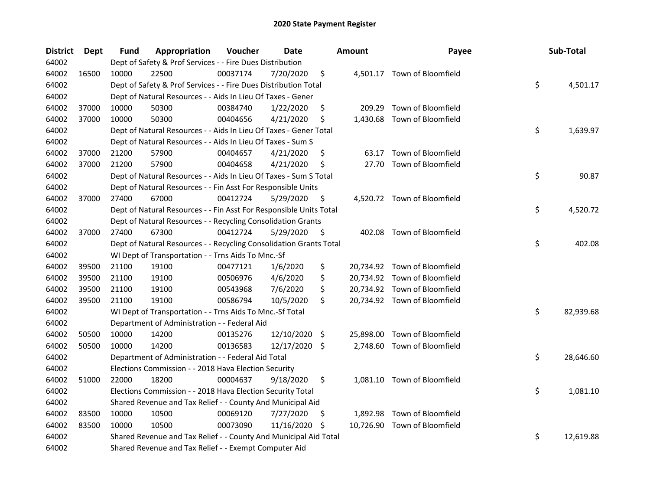| <b>District</b> | <b>Dept</b> | Fund  | Appropriation                                                      | Voucher  | <b>Date</b>   |     | <b>Amount</b> | Payee                        | Sub-Total       |
|-----------------|-------------|-------|--------------------------------------------------------------------|----------|---------------|-----|---------------|------------------------------|-----------------|
| 64002           |             |       | Dept of Safety & Prof Services - - Fire Dues Distribution          |          |               |     |               |                              |                 |
| 64002           | 16500       | 10000 | 22500                                                              | 00037174 | 7/20/2020     | \$  |               | 4,501.17 Town of Bloomfield  |                 |
| 64002           |             |       | Dept of Safety & Prof Services - - Fire Dues Distribution Total    |          |               |     |               |                              | \$<br>4,501.17  |
| 64002           |             |       | Dept of Natural Resources - - Aids In Lieu Of Taxes - Gener        |          |               |     |               |                              |                 |
| 64002           | 37000       | 10000 | 50300                                                              | 00384740 | 1/22/2020     | \$  | 209.29        | Town of Bloomfield           |                 |
| 64002           | 37000       | 10000 | 50300                                                              | 00404656 | 4/21/2020     | \$  |               | 1,430.68 Town of Bloomfield  |                 |
| 64002           |             |       | Dept of Natural Resources - - Aids In Lieu Of Taxes - Gener Total  |          |               |     |               |                              | \$<br>1,639.97  |
| 64002           |             |       | Dept of Natural Resources - - Aids In Lieu Of Taxes - Sum S        |          |               |     |               |                              |                 |
| 64002           | 37000       | 21200 | 57900                                                              | 00404657 | 4/21/2020     | \$  | 63.17         | Town of Bloomfield           |                 |
| 64002           | 37000       | 21200 | 57900                                                              | 00404658 | 4/21/2020     | \$  | 27.70         | Town of Bloomfield           |                 |
| 64002           |             |       | Dept of Natural Resources - - Aids In Lieu Of Taxes - Sum S Total  |          |               |     |               |                              | \$<br>90.87     |
| 64002           |             |       | Dept of Natural Resources - - Fin Asst For Responsible Units       |          |               |     |               |                              |                 |
| 64002           | 37000       | 27400 | 67000                                                              | 00412724 | 5/29/2020     | \$  |               | 4,520.72 Town of Bloomfield  |                 |
| 64002           |             |       | Dept of Natural Resources - - Fin Asst For Responsible Units Total |          |               |     |               |                              | \$<br>4,520.72  |
| 64002           |             |       | Dept of Natural Resources - - Recycling Consolidation Grants       |          |               |     |               |                              |                 |
| 64002           | 37000       | 27400 | 67300                                                              | 00412724 | 5/29/2020     | \$  |               | 402.08 Town of Bloomfield    |                 |
| 64002           |             |       | Dept of Natural Resources - - Recycling Consolidation Grants Total |          |               |     |               |                              | \$<br>402.08    |
| 64002           |             |       | WI Dept of Transportation - - Trns Aids To Mnc.-Sf                 |          |               |     |               |                              |                 |
| 64002           | 39500       | 21100 | 19100                                                              | 00477121 | 1/6/2020      | \$  |               | 20,734.92 Town of Bloomfield |                 |
| 64002           | 39500       | 21100 | 19100                                                              | 00506976 | 4/6/2020      | \$  |               | 20,734.92 Town of Bloomfield |                 |
| 64002           | 39500       | 21100 | 19100                                                              | 00543968 | 7/6/2020      | \$  |               | 20,734.92 Town of Bloomfield |                 |
| 64002           | 39500       | 21100 | 19100                                                              | 00586794 | 10/5/2020     | \$  |               | 20,734.92 Town of Bloomfield |                 |
| 64002           |             |       | WI Dept of Transportation - - Trns Aids To Mnc.-Sf Total           |          |               |     |               |                              | \$<br>82,939.68 |
| 64002           |             |       | Department of Administration - - Federal Aid                       |          |               |     |               |                              |                 |
| 64002           | 50500       | 10000 | 14200                                                              | 00135276 | 12/10/2020    | -\$ |               | 25,898.00 Town of Bloomfield |                 |
| 64002           | 50500       | 10000 | 14200                                                              | 00136583 | 12/17/2020 \$ |     |               | 2,748.60 Town of Bloomfield  |                 |
| 64002           |             |       | Department of Administration - - Federal Aid Total                 |          |               |     |               |                              | \$<br>28,646.60 |
| 64002           |             |       | Elections Commission - - 2018 Hava Election Security               |          |               |     |               |                              |                 |
| 64002           | 51000       | 22000 | 18200                                                              | 00004637 | 9/18/2020     | \$  |               | 1,081.10 Town of Bloomfield  |                 |
| 64002           |             |       | Elections Commission - - 2018 Hava Election Security Total         |          |               |     |               |                              | \$<br>1,081.10  |
| 64002           |             |       | Shared Revenue and Tax Relief - - County And Municipal Aid         |          |               |     |               |                              |                 |
| 64002           | 83500       | 10000 | 10500                                                              | 00069120 | 7/27/2020     | \$. | 1,892.98      | Town of Bloomfield           |                 |
| 64002           | 83500       | 10000 | 10500                                                              | 00073090 | 11/16/2020    | \$  |               | 10,726.90 Town of Bloomfield |                 |
| 64002           |             |       | Shared Revenue and Tax Relief - - County And Municipal Aid Total   |          |               |     |               |                              | \$<br>12,619.88 |
| 64002           |             |       | Shared Revenue and Tax Relief - - Exempt Computer Aid              |          |               |     |               |                              |                 |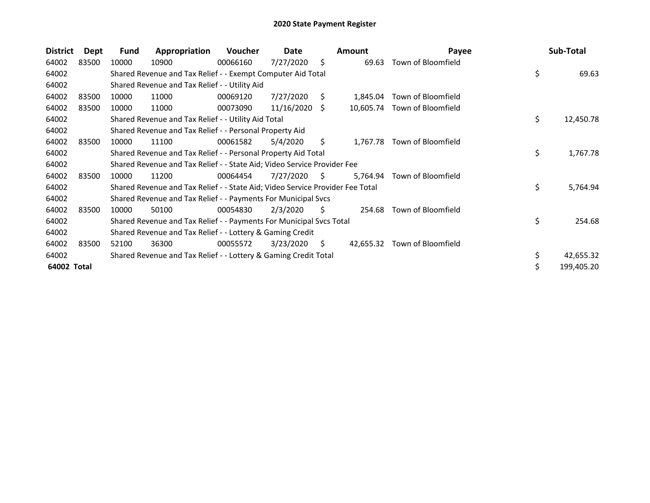| <b>District</b> | Dept  | Fund  | Appropriation                                                                 | Voucher  | Date       |    | Amount   | Payee                        | Sub-Total        |
|-----------------|-------|-------|-------------------------------------------------------------------------------|----------|------------|----|----------|------------------------------|------------------|
| 64002           | 83500 | 10000 | 10900                                                                         | 00066160 | 7/27/2020  | S. | 69.63    | Town of Bloomfield           |                  |
| 64002           |       |       | Shared Revenue and Tax Relief - - Exempt Computer Aid Total                   |          |            |    |          |                              | \$<br>69.63      |
| 64002           |       |       | Shared Revenue and Tax Relief - - Utility Aid                                 |          |            |    |          |                              |                  |
| 64002           | 83500 | 10000 | 11000                                                                         | 00069120 | 7/27/2020  | S  | 1,845.04 | Town of Bloomfield           |                  |
| 64002           | 83500 | 10000 | 11000                                                                         | 00073090 | 11/16/2020 | S  |          | 10,605.74 Town of Bloomfield |                  |
| 64002           |       |       | Shared Revenue and Tax Relief - - Utility Aid Total                           |          |            |    |          |                              | \$<br>12,450.78  |
| 64002           |       |       | Shared Revenue and Tax Relief - - Personal Property Aid                       |          |            |    |          |                              |                  |
| 64002           | 83500 | 10000 | 11100                                                                         | 00061582 | 5/4/2020   | S. | 1,767.78 | Town of Bloomfield           |                  |
| 64002           |       |       | Shared Revenue and Tax Relief - - Personal Property Aid Total                 |          |            |    |          |                              | \$<br>1,767.78   |
| 64002           |       |       | Shared Revenue and Tax Relief - - State Aid; Video Service Provider Fee       |          |            |    |          |                              |                  |
| 64002           | 83500 | 10000 | 11200                                                                         | 00064454 | 7/27/2020  | S  | 5,764.94 | Town of Bloomfield           |                  |
| 64002           |       |       | Shared Revenue and Tax Relief - - State Aid; Video Service Provider Fee Total |          |            |    |          |                              | \$<br>5,764.94   |
| 64002           |       |       | Shared Revenue and Tax Relief - - Payments For Municipal Svcs                 |          |            |    |          |                              |                  |
| 64002           | 83500 | 10000 | 50100                                                                         | 00054830 | 2/3/2020   | S. | 254.68   | Town of Bloomfield           |                  |
| 64002           |       |       | Shared Revenue and Tax Relief - - Payments For Municipal Svcs Total           |          |            |    |          |                              | \$<br>254.68     |
| 64002           |       |       | Shared Revenue and Tax Relief - - Lottery & Gaming Credit                     |          |            |    |          |                              |                  |
| 64002           | 83500 | 52100 | 36300                                                                         | 00055572 | 3/23/2020  | S. |          | 42,655.32 Town of Bloomfield |                  |
| 64002           |       |       | Shared Revenue and Tax Relief - - Lottery & Gaming Credit Total               |          |            |    |          |                              | \$<br>42,655.32  |
| 64002 Total     |       |       |                                                                               |          |            |    |          |                              | \$<br>199,405.20 |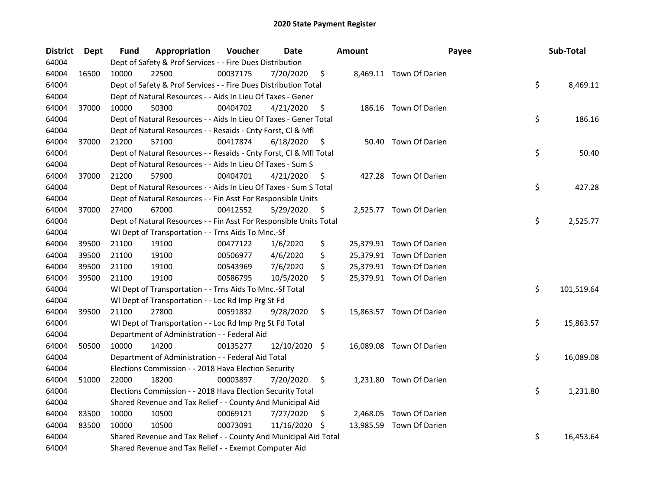| <b>District</b> | <b>Dept</b> | Fund  | Appropriation                                                      | Voucher  | <b>Date</b>   |     | <b>Amount</b> | Payee                    | Sub-Total        |
|-----------------|-------------|-------|--------------------------------------------------------------------|----------|---------------|-----|---------------|--------------------------|------------------|
| 64004           |             |       | Dept of Safety & Prof Services - - Fire Dues Distribution          |          |               |     |               |                          |                  |
| 64004           | 16500       | 10000 | 22500                                                              | 00037175 | 7/20/2020     | \$  |               | 8,469.11 Town Of Darien  |                  |
| 64004           |             |       | Dept of Safety & Prof Services - - Fire Dues Distribution Total    |          |               |     |               |                          | \$<br>8,469.11   |
| 64004           |             |       | Dept of Natural Resources - - Aids In Lieu Of Taxes - Gener        |          |               |     |               |                          |                  |
| 64004           | 37000       | 10000 | 50300                                                              | 00404702 | 4/21/2020     | \$  |               | 186.16 Town Of Darien    |                  |
| 64004           |             |       | Dept of Natural Resources - - Aids In Lieu Of Taxes - Gener Total  |          |               |     |               |                          | \$<br>186.16     |
| 64004           |             |       | Dept of Natural Resources - - Resaids - Cnty Forst, Cl & Mfl       |          |               |     |               |                          |                  |
| 64004           | 37000       | 21200 | 57100                                                              | 00417874 | 6/18/2020     | \$  |               | 50.40 Town Of Darien     |                  |
| 64004           |             |       | Dept of Natural Resources - - Resaids - Cnty Forst, Cl & Mfl Total |          |               |     |               |                          | \$<br>50.40      |
| 64004           |             |       | Dept of Natural Resources - - Aids In Lieu Of Taxes - Sum S        |          |               |     |               |                          |                  |
| 64004           | 37000       | 21200 | 57900                                                              | 00404701 | 4/21/2020     | \$  |               | 427.28 Town Of Darien    |                  |
| 64004           |             |       | Dept of Natural Resources - - Aids In Lieu Of Taxes - Sum S Total  |          |               |     |               |                          | \$<br>427.28     |
| 64004           |             |       | Dept of Natural Resources - - Fin Asst For Responsible Units       |          |               |     |               |                          |                  |
| 64004           | 37000       | 27400 | 67000                                                              | 00412552 | 5/29/2020     | \$, |               | 2,525.77 Town Of Darien  |                  |
| 64004           |             |       | Dept of Natural Resources - - Fin Asst For Responsible Units Total |          |               |     |               |                          | \$<br>2,525.77   |
| 64004           |             |       | WI Dept of Transportation - - Trns Aids To Mnc.-Sf                 |          |               |     |               |                          |                  |
| 64004           | 39500       | 21100 | 19100                                                              | 00477122 | 1/6/2020      | \$  |               | 25,379.91 Town Of Darien |                  |
| 64004           | 39500       | 21100 | 19100                                                              | 00506977 | 4/6/2020      | \$  |               | 25,379.91 Town Of Darien |                  |
| 64004           | 39500       | 21100 | 19100                                                              | 00543969 | 7/6/2020      | \$  |               | 25,379.91 Town Of Darien |                  |
| 64004           | 39500       | 21100 | 19100                                                              | 00586795 | 10/5/2020     | \$  |               | 25,379.91 Town Of Darien |                  |
| 64004           |             |       | WI Dept of Transportation - - Trns Aids To Mnc.-Sf Total           |          |               |     |               |                          | \$<br>101,519.64 |
| 64004           |             |       | WI Dept of Transportation - - Loc Rd Imp Prg St Fd                 |          |               |     |               |                          |                  |
| 64004           | 39500       | 21100 | 27800                                                              | 00591832 | 9/28/2020     | \$  |               | 15,863.57 Town Of Darien |                  |
| 64004           |             |       | WI Dept of Transportation - - Loc Rd Imp Prg St Fd Total           |          |               |     |               |                          | \$<br>15,863.57  |
| 64004           |             |       | Department of Administration - - Federal Aid                       |          |               |     |               |                          |                  |
| 64004           | 50500       | 10000 | 14200                                                              | 00135277 | 12/10/2020 \$ |     |               | 16,089.08 Town Of Darien |                  |
| 64004           |             |       | Department of Administration - - Federal Aid Total                 |          |               |     |               |                          | \$<br>16,089.08  |
| 64004           |             |       | Elections Commission - - 2018 Hava Election Security               |          |               |     |               |                          |                  |
| 64004           | 51000       | 22000 | 18200                                                              | 00003897 | 7/20/2020     | \$  |               | 1,231.80 Town Of Darien  |                  |
| 64004           |             |       | Elections Commission - - 2018 Hava Election Security Total         |          |               |     |               |                          | \$<br>1,231.80   |
| 64004           |             |       | Shared Revenue and Tax Relief - - County And Municipal Aid         |          |               |     |               |                          |                  |
| 64004           | 83500       | 10000 | 10500                                                              | 00069121 | 7/27/2020     | S   |               | 2,468.05 Town Of Darien  |                  |
| 64004           | 83500       | 10000 | 10500                                                              | 00073091 | 11/16/2020    | \$  |               | 13,985.59 Town Of Darien |                  |
| 64004           |             |       | Shared Revenue and Tax Relief - - County And Municipal Aid Total   |          |               |     |               |                          | \$<br>16,453.64  |
| 64004           |             |       | Shared Revenue and Tax Relief - - Exempt Computer Aid              |          |               |     |               |                          |                  |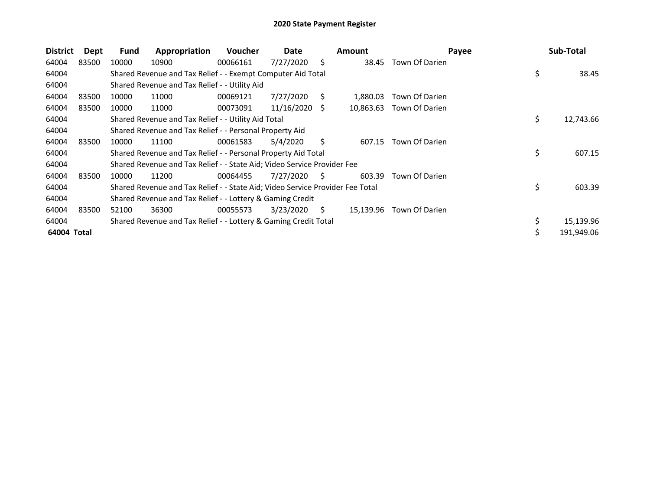| <b>District</b> | Dept  | Fund  | Appropriation                                                                 | <b>Voucher</b> | Date       |    | <b>Amount</b> | Payee          | Sub-Total       |
|-----------------|-------|-------|-------------------------------------------------------------------------------|----------------|------------|----|---------------|----------------|-----------------|
| 64004           | 83500 | 10000 | 10900                                                                         | 00066161       | 7/27/2020  | S. | 38.45         | Town Of Darien |                 |
| 64004           |       |       | Shared Revenue and Tax Relief - - Exempt Computer Aid Total                   |                |            |    |               |                | \$<br>38.45     |
| 64004           |       |       | Shared Revenue and Tax Relief - - Utility Aid                                 |                |            |    |               |                |                 |
| 64004           | 83500 | 10000 | 11000                                                                         | 00069121       | 7/27/2020  | S. | 1.880.03      | Town Of Darien |                 |
| 64004           | 83500 | 10000 | 11000                                                                         | 00073091       | 11/16/2020 | S  | 10,863.63     | Town Of Darien |                 |
| 64004           |       |       | Shared Revenue and Tax Relief - - Utility Aid Total                           |                |            |    |               |                | \$<br>12,743.66 |
| 64004           |       |       | Shared Revenue and Tax Relief - - Personal Property Aid                       |                |            |    |               |                |                 |
| 64004           | 83500 | 10000 | 11100                                                                         | 00061583       | 5/4/2020   | S. | 607.15        | Town Of Darien |                 |
| 64004           |       |       | Shared Revenue and Tax Relief - - Personal Property Aid Total                 |                |            |    |               |                | \$<br>607.15    |
| 64004           |       |       | Shared Revenue and Tax Relief - - State Aid; Video Service Provider Fee       |                |            |    |               |                |                 |
| 64004           | 83500 | 10000 | 11200                                                                         | 00064455       | 7/27/2020  | S. | 603.39        | Town Of Darien |                 |
| 64004           |       |       | Shared Revenue and Tax Relief - - State Aid; Video Service Provider Fee Total |                |            |    |               |                | \$<br>603.39    |
| 64004           |       |       | Shared Revenue and Tax Relief - - Lottery & Gaming Credit                     |                |            |    |               |                |                 |
| 64004           | 83500 | 52100 | 36300                                                                         | 00055573       | 3/23/2020  | S. | 15,139.96     | Town Of Darien |                 |
| 64004           |       |       | Shared Revenue and Tax Relief - - Lottery & Gaming Credit Total               |                |            |    |               |                | 15,139.96       |
| 64004 Total     |       |       |                                                                               |                |            |    |               |                | 191,949.06      |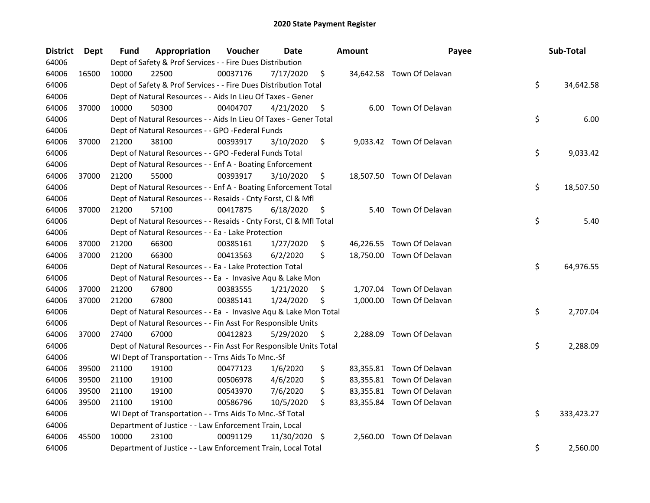| <b>District</b> | Dept  | <b>Fund</b> | Appropriation                                                      | Voucher  | Date          |     | <b>Amount</b> | Payee                     | Sub-Total        |
|-----------------|-------|-------------|--------------------------------------------------------------------|----------|---------------|-----|---------------|---------------------------|------------------|
| 64006           |       |             | Dept of Safety & Prof Services - - Fire Dues Distribution          |          |               |     |               |                           |                  |
| 64006           | 16500 | 10000       | 22500                                                              | 00037176 | 7/17/2020     | \$  |               | 34,642.58 Town Of Delavan |                  |
| 64006           |       |             | Dept of Safety & Prof Services - - Fire Dues Distribution Total    |          |               |     |               |                           | \$<br>34,642.58  |
| 64006           |       |             | Dept of Natural Resources - - Aids In Lieu Of Taxes - Gener        |          |               |     |               |                           |                  |
| 64006           | 37000 | 10000       | 50300                                                              | 00404707 | 4/21/2020     | \$  |               | 6.00 Town Of Delavan      |                  |
| 64006           |       |             | Dept of Natural Resources - - Aids In Lieu Of Taxes - Gener Total  |          |               |     |               |                           | \$<br>6.00       |
| 64006           |       |             | Dept of Natural Resources - - GPO -Federal Funds                   |          |               |     |               |                           |                  |
| 64006           | 37000 | 21200       | 38100                                                              | 00393917 | 3/10/2020     | \$  |               | 9,033.42 Town Of Delavan  |                  |
| 64006           |       |             | Dept of Natural Resources - - GPO -Federal Funds Total             |          |               |     |               |                           | \$<br>9,033.42   |
| 64006           |       |             | Dept of Natural Resources - - Enf A - Boating Enforcement          |          |               |     |               |                           |                  |
| 64006           | 37000 | 21200       | 55000                                                              | 00393917 | 3/10/2020     | \$  |               | 18,507.50 Town Of Delavan |                  |
| 64006           |       |             | Dept of Natural Resources - - Enf A - Boating Enforcement Total    |          |               |     |               |                           | \$<br>18,507.50  |
| 64006           |       |             | Dept of Natural Resources - - Resaids - Cnty Forst, Cl & Mfl       |          |               |     |               |                           |                  |
| 64006           | 37000 | 21200       | 57100                                                              | 00417875 | 6/18/2020     | \$  | 5.40          | Town Of Delavan           |                  |
| 64006           |       |             | Dept of Natural Resources - - Resaids - Cnty Forst, Cl & Mfl Total |          |               |     |               |                           | \$<br>5.40       |
| 64006           |       |             | Dept of Natural Resources - - Ea - Lake Protection                 |          |               |     |               |                           |                  |
| 64006           | 37000 | 21200       | 66300                                                              | 00385161 | 1/27/2020     | \$  |               | 46,226.55 Town Of Delavan |                  |
| 64006           | 37000 | 21200       | 66300                                                              | 00413563 | 6/2/2020      | \$  |               | 18,750.00 Town Of Delavan |                  |
| 64006           |       |             | Dept of Natural Resources - - Ea - Lake Protection Total           |          |               |     |               |                           | \$<br>64,976.55  |
| 64006           |       |             | Dept of Natural Resources - - Ea - Invasive Aqu & Lake Mon         |          |               |     |               |                           |                  |
| 64006           | 37000 | 21200       | 67800                                                              | 00383555 | 1/21/2020     | \$  |               | 1,707.04 Town Of Delavan  |                  |
| 64006           | 37000 | 21200       | 67800                                                              | 00385141 | 1/24/2020     | \$. |               | 1,000.00 Town Of Delavan  |                  |
| 64006           |       |             | Dept of Natural Resources - - Ea - Invasive Aqu & Lake Mon Total   |          |               |     |               |                           | \$<br>2,707.04   |
| 64006           |       |             | Dept of Natural Resources - - Fin Asst For Responsible Units       |          |               |     |               |                           |                  |
| 64006           | 37000 | 27400       | 67000                                                              | 00412823 | 5/29/2020     | \$  |               | 2,288.09 Town Of Delavan  |                  |
| 64006           |       |             | Dept of Natural Resources - - Fin Asst For Responsible Units Total |          |               |     |               |                           | \$<br>2,288.09   |
| 64006           |       |             | WI Dept of Transportation - - Trns Aids To Mnc.-Sf                 |          |               |     |               |                           |                  |
| 64006           | 39500 | 21100       | 19100                                                              | 00477123 | 1/6/2020      | \$  |               | 83,355.81 Town Of Delavan |                  |
| 64006           | 39500 | 21100       | 19100                                                              | 00506978 | 4/6/2020      | \$  |               | 83,355.81 Town Of Delavan |                  |
| 64006           | 39500 | 21100       | 19100                                                              | 00543970 | 7/6/2020      | \$  |               | 83,355.81 Town Of Delavan |                  |
| 64006           | 39500 | 21100       | 19100                                                              | 00586796 | 10/5/2020     | \$  |               | 83,355.84 Town Of Delavan |                  |
| 64006           |       |             | WI Dept of Transportation - - Trns Aids To Mnc.-Sf Total           |          |               |     |               |                           | \$<br>333,423.27 |
| 64006           |       |             | Department of Justice - - Law Enforcement Train, Local             |          |               |     |               |                           |                  |
| 64006           | 45500 | 10000       | 23100                                                              | 00091129 | 11/30/2020 \$ |     |               | 2,560.00 Town Of Delavan  |                  |
| 64006           |       |             | Department of Justice - - Law Enforcement Train, Local Total       |          |               |     |               |                           | \$<br>2,560.00   |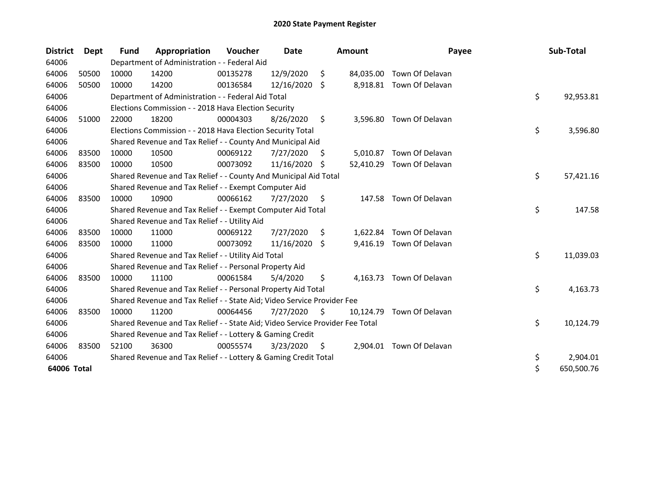| <b>District</b> | Dept  | <b>Fund</b> | Appropriation                                                                 | Voucher  | <b>Date</b> |    | <b>Amount</b> | Payee           | Sub-Total        |
|-----------------|-------|-------------|-------------------------------------------------------------------------------|----------|-------------|----|---------------|-----------------|------------------|
| 64006           |       |             | Department of Administration - - Federal Aid                                  |          |             |    |               |                 |                  |
| 64006           | 50500 | 10000       | 14200                                                                         | 00135278 | 12/9/2020   | \$ | 84,035.00     | Town Of Delavan |                  |
| 64006           | 50500 | 10000       | 14200                                                                         | 00136584 | 12/16/2020  | Ŝ. | 8,918.81      | Town Of Delavan |                  |
| 64006           |       |             | Department of Administration - - Federal Aid Total                            |          |             |    |               |                 | \$<br>92,953.81  |
| 64006           |       |             | Elections Commission - - 2018 Hava Election Security                          |          |             |    |               |                 |                  |
| 64006           | 51000 | 22000       | 18200                                                                         | 00004303 | 8/26/2020   | \$ | 3,596.80      | Town Of Delavan |                  |
| 64006           |       |             | Elections Commission - - 2018 Hava Election Security Total                    |          |             |    |               |                 | \$<br>3,596.80   |
| 64006           |       |             | Shared Revenue and Tax Relief - - County And Municipal Aid                    |          |             |    |               |                 |                  |
| 64006           | 83500 | 10000       | 10500                                                                         | 00069122 | 7/27/2020   | S  | 5,010.87      | Town Of Delavan |                  |
| 64006           | 83500 | 10000       | 10500                                                                         | 00073092 | 11/16/2020  | S. | 52,410.29     | Town Of Delavan |                  |
| 64006           |       |             | Shared Revenue and Tax Relief - - County And Municipal Aid Total              |          |             |    |               |                 | \$<br>57,421.16  |
| 64006           |       |             | Shared Revenue and Tax Relief - - Exempt Computer Aid                         |          |             |    |               |                 |                  |
| 64006           | 83500 | 10000       | 10900                                                                         | 00066162 | 7/27/2020   | \$ | 147.58        | Town Of Delavan |                  |
| 64006           |       |             | Shared Revenue and Tax Relief - - Exempt Computer Aid Total                   |          |             |    |               |                 | \$<br>147.58     |
| 64006           |       |             | Shared Revenue and Tax Relief - - Utility Aid                                 |          |             |    |               |                 |                  |
| 64006           | 83500 | 10000       | 11000                                                                         | 00069122 | 7/27/2020   | \$ | 1,622.84      | Town Of Delavan |                  |
| 64006           | 83500 | 10000       | 11000                                                                         | 00073092 | 11/16/2020  | S. | 9,416.19      | Town Of Delavan |                  |
| 64006           |       |             | Shared Revenue and Tax Relief - - Utility Aid Total                           |          |             |    |               |                 | \$<br>11,039.03  |
| 64006           |       |             | Shared Revenue and Tax Relief - - Personal Property Aid                       |          |             |    |               |                 |                  |
| 64006           | 83500 | 10000       | 11100                                                                         | 00061584 | 5/4/2020    | \$ | 4,163.73      | Town Of Delavan |                  |
| 64006           |       |             | Shared Revenue and Tax Relief - - Personal Property Aid Total                 |          |             |    |               |                 | \$<br>4,163.73   |
| 64006           |       |             | Shared Revenue and Tax Relief - - State Aid; Video Service Provider Fee       |          |             |    |               |                 |                  |
| 64006           | 83500 | 10000       | 11200                                                                         | 00064456 | 7/27/2020   | \$ | 10,124.79     | Town Of Delavan |                  |
| 64006           |       |             | Shared Revenue and Tax Relief - - State Aid; Video Service Provider Fee Total |          |             |    |               |                 | \$<br>10,124.79  |
| 64006           |       |             | Shared Revenue and Tax Relief - - Lottery & Gaming Credit                     |          |             |    |               |                 |                  |
| 64006           | 83500 | 52100       | 36300                                                                         | 00055574 | 3/23/2020   | \$ | 2,904.01      | Town Of Delavan |                  |
| 64006           |       |             | Shared Revenue and Tax Relief - - Lottery & Gaming Credit Total               |          |             |    |               |                 | \$<br>2,904.01   |
| 64006 Total     |       |             |                                                                               |          |             |    |               |                 | \$<br>650,500.76 |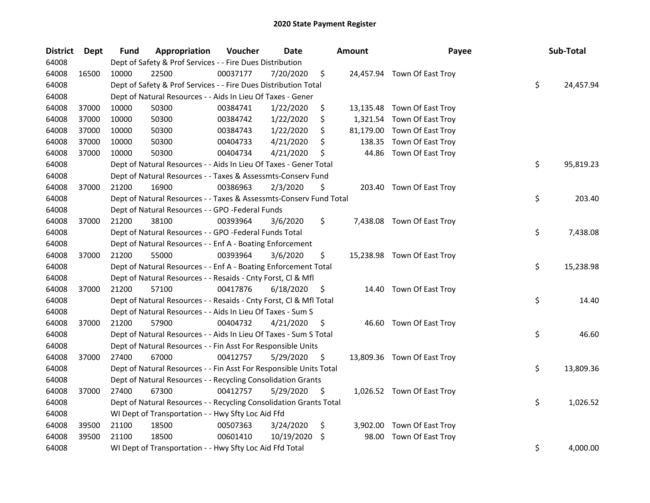| <b>District</b> | <b>Dept</b> | <b>Fund</b> | Appropriation                                                      | Voucher  | <b>Date</b> |     | <b>Amount</b> | Payee                       | Sub-Total       |
|-----------------|-------------|-------------|--------------------------------------------------------------------|----------|-------------|-----|---------------|-----------------------------|-----------------|
| 64008           |             |             | Dept of Safety & Prof Services - - Fire Dues Distribution          |          |             |     |               |                             |                 |
| 64008           | 16500       | 10000       | 22500                                                              | 00037177 | 7/20/2020   | \$  |               | 24,457.94 Town Of East Troy |                 |
| 64008           |             |             | Dept of Safety & Prof Services - - Fire Dues Distribution Total    |          |             |     |               |                             | \$<br>24,457.94 |
| 64008           |             |             | Dept of Natural Resources - - Aids In Lieu Of Taxes - Gener        |          |             |     |               |                             |                 |
| 64008           | 37000       | 10000       | 50300                                                              | 00384741 | 1/22/2020   | \$  |               | 13,135.48 Town Of East Troy |                 |
| 64008           | 37000       | 10000       | 50300                                                              | 00384742 | 1/22/2020   | \$  | 1,321.54      | Town Of East Troy           |                 |
| 64008           | 37000       | 10000       | 50300                                                              | 00384743 | 1/22/2020   | \$  | 81,179.00     | Town Of East Troy           |                 |
| 64008           | 37000       | 10000       | 50300                                                              | 00404733 | 4/21/2020   | \$  | 138.35        | Town Of East Troy           |                 |
| 64008           | 37000       | 10000       | 50300                                                              | 00404734 | 4/21/2020   | \$  | 44.86         | Town Of East Troy           |                 |
| 64008           |             |             | Dept of Natural Resources - - Aids In Lieu Of Taxes - Gener Total  |          |             |     |               |                             | \$<br>95,819.23 |
| 64008           |             |             | Dept of Natural Resources - - Taxes & Assessmts-Conserv Fund       |          |             |     |               |                             |                 |
| 64008           | 37000       | 21200       | 16900                                                              | 00386963 | 2/3/2020    | \$  |               | 203.40 Town Of East Troy    |                 |
| 64008           |             |             | Dept of Natural Resources - - Taxes & Assessmts-Conserv Fund Total |          |             |     |               |                             | \$<br>203.40    |
| 64008           |             |             | Dept of Natural Resources - - GPO -Federal Funds                   |          |             |     |               |                             |                 |
| 64008           | 37000       | 21200       | 38100                                                              | 00393964 | 3/6/2020    | \$  |               | 7,438.08 Town Of East Troy  |                 |
| 64008           |             |             | Dept of Natural Resources - - GPO -Federal Funds Total             |          |             |     |               |                             | \$<br>7,438.08  |
| 64008           |             |             | Dept of Natural Resources - - Enf A - Boating Enforcement          |          |             |     |               |                             |                 |
| 64008           | 37000       | 21200       | 55000                                                              | 00393964 | 3/6/2020    | \$  |               | 15,238.98 Town Of East Troy |                 |
| 64008           |             |             | Dept of Natural Resources - - Enf A - Boating Enforcement Total    |          |             |     |               |                             | \$<br>15,238.98 |
| 64008           |             |             | Dept of Natural Resources - - Resaids - Cnty Forst, Cl & Mfl       |          |             |     |               |                             |                 |
| 64008           | 37000       | 21200       | 57100                                                              | 00417876 | 6/18/2020   | \$  |               | 14.40 Town Of East Troy     |                 |
| 64008           |             |             | Dept of Natural Resources - - Resaids - Cnty Forst, Cl & Mfl Total |          |             |     |               |                             | \$<br>14.40     |
| 64008           |             |             | Dept of Natural Resources - - Aids In Lieu Of Taxes - Sum S        |          |             |     |               |                             |                 |
| 64008           | 37000       | 21200       | 57900                                                              | 00404732 | 4/21/2020   | \$  |               | 46.60 Town Of East Troy     |                 |
| 64008           |             |             | Dept of Natural Resources - - Aids In Lieu Of Taxes - Sum S Total  |          |             |     |               |                             | \$<br>46.60     |
| 64008           |             |             | Dept of Natural Resources - - Fin Asst For Responsible Units       |          |             |     |               |                             |                 |
| 64008           | 37000       | 27400       | 67000                                                              | 00412757 | 5/29/2020   | \$. |               | 13,809.36 Town Of East Troy |                 |
| 64008           |             |             | Dept of Natural Resources - - Fin Asst For Responsible Units Total |          |             |     |               |                             | \$<br>13,809.36 |
| 64008           |             |             | Dept of Natural Resources - - Recycling Consolidation Grants       |          |             |     |               |                             |                 |
| 64008           | 37000       | 27400       | 67300                                                              | 00412757 | 5/29/2020   | \$. |               | 1,026.52 Town Of East Troy  |                 |
| 64008           |             |             | Dept of Natural Resources - - Recycling Consolidation Grants Total |          |             |     |               |                             | \$<br>1,026.52  |
| 64008           |             |             | WI Dept of Transportation - - Hwy Sfty Loc Aid Ffd                 |          |             |     |               |                             |                 |
| 64008           | 39500       | 21100       | 18500                                                              | 00507363 | 3/24/2020   | \$  | 3,902.00      | Town Of East Troy           |                 |
| 64008           | 39500       | 21100       | 18500                                                              | 00601410 | 10/19/2020  | \$  | 98.00         | Town Of East Troy           |                 |
| 64008           |             |             | WI Dept of Transportation - - Hwy Sfty Loc Aid Ffd Total           |          |             |     |               |                             | \$<br>4,000.00  |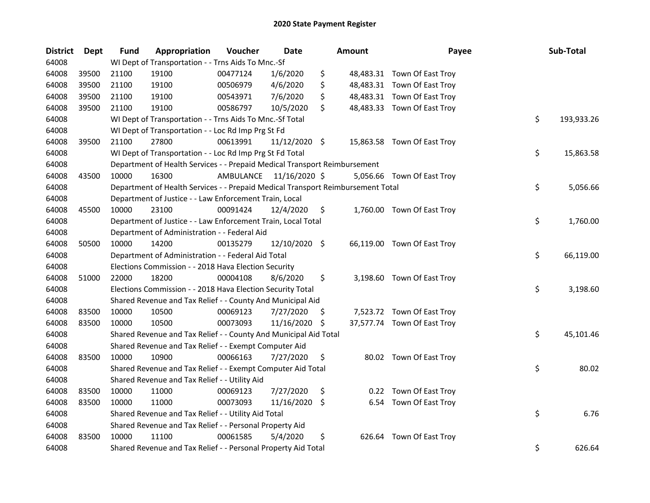| <b>District</b> | Dept  | <b>Fund</b> | Appropriation                                                                   | Voucher  | Date                    |     | <b>Amount</b> | Payee                       | Sub-Total        |
|-----------------|-------|-------------|---------------------------------------------------------------------------------|----------|-------------------------|-----|---------------|-----------------------------|------------------|
| 64008           |       |             | WI Dept of Transportation - - Trns Aids To Mnc.-Sf                              |          |                         |     |               |                             |                  |
| 64008           | 39500 | 21100       | 19100                                                                           | 00477124 | 1/6/2020                | \$  |               | 48,483.31 Town Of East Troy |                  |
| 64008           | 39500 | 21100       | 19100                                                                           | 00506979 | 4/6/2020                | \$  |               | 48,483.31 Town Of East Troy |                  |
| 64008           | 39500 | 21100       | 19100                                                                           | 00543971 | 7/6/2020                | \$  |               | 48,483.31 Town Of East Troy |                  |
| 64008           | 39500 | 21100       | 19100                                                                           | 00586797 | 10/5/2020               | \$  |               | 48,483.33 Town Of East Troy |                  |
| 64008           |       |             | WI Dept of Transportation - - Trns Aids To Mnc.-Sf Total                        |          |                         |     |               |                             | \$<br>193,933.26 |
| 64008           |       |             | WI Dept of Transportation - - Loc Rd Imp Prg St Fd                              |          |                         |     |               |                             |                  |
| 64008           | 39500 | 21100       | 27800                                                                           | 00613991 | 11/12/2020 \$           |     |               | 15,863.58 Town Of East Troy |                  |
| 64008           |       |             | WI Dept of Transportation - - Loc Rd Imp Prg St Fd Total                        |          |                         |     |               |                             | \$<br>15,863.58  |
| 64008           |       |             | Department of Health Services - - Prepaid Medical Transport Reimbursement       |          |                         |     |               |                             |                  |
| 64008           | 43500 | 10000       | 16300                                                                           |          | AMBULANCE 11/16/2020 \$ |     |               | 5,056.66 Town Of East Troy  |                  |
| 64008           |       |             | Department of Health Services - - Prepaid Medical Transport Reimbursement Total |          |                         |     |               |                             | \$<br>5,056.66   |
| 64008           |       |             | Department of Justice - - Law Enforcement Train, Local                          |          |                         |     |               |                             |                  |
| 64008           | 45500 | 10000       | 23100                                                                           | 00091424 | 12/4/2020               | \$  |               | 1,760.00 Town Of East Troy  |                  |
| 64008           |       |             | Department of Justice - - Law Enforcement Train, Local Total                    |          |                         |     |               |                             | \$<br>1,760.00   |
| 64008           |       |             | Department of Administration - - Federal Aid                                    |          |                         |     |               |                             |                  |
| 64008           | 50500 | 10000       | 14200                                                                           | 00135279 | 12/10/2020 \$           |     |               | 66,119.00 Town Of East Troy |                  |
| 64008           |       |             | Department of Administration - - Federal Aid Total                              |          |                         |     |               |                             | \$<br>66,119.00  |
| 64008           |       |             | Elections Commission - - 2018 Hava Election Security                            |          |                         |     |               |                             |                  |
| 64008           | 51000 | 22000       | 18200                                                                           | 00004108 | 8/6/2020                | \$  |               | 3,198.60 Town Of East Troy  |                  |
| 64008           |       |             | Elections Commission - - 2018 Hava Election Security Total                      |          |                         |     |               |                             | \$<br>3,198.60   |
| 64008           |       |             | Shared Revenue and Tax Relief - - County And Municipal Aid                      |          |                         |     |               |                             |                  |
| 64008           | 83500 | 10000       | 10500                                                                           | 00069123 | 7/27/2020               | \$. |               | 7,523.72 Town Of East Troy  |                  |
| 64008           | 83500 | 10000       | 10500                                                                           | 00073093 | 11/16/2020              | \$  |               | 37,577.74 Town Of East Troy |                  |
| 64008           |       |             | Shared Revenue and Tax Relief - - County And Municipal Aid Total                |          |                         |     |               |                             | \$<br>45,101.46  |
| 64008           |       |             | Shared Revenue and Tax Relief - - Exempt Computer Aid                           |          |                         |     |               |                             |                  |
| 64008           | 83500 | 10000       | 10900                                                                           | 00066163 | 7/27/2020               | \$  |               | 80.02 Town Of East Troy     |                  |
| 64008           |       |             | Shared Revenue and Tax Relief - - Exempt Computer Aid Total                     |          |                         |     |               |                             | \$<br>80.02      |
| 64008           |       |             | Shared Revenue and Tax Relief - - Utility Aid                                   |          |                         |     |               |                             |                  |
| 64008           | 83500 | 10000       | 11000                                                                           | 00069123 | 7/27/2020               | \$  |               | 0.22 Town Of East Troy      |                  |
| 64008           | 83500 | 10000       | 11000                                                                           | 00073093 | 11/16/2020              | \$  |               | 6.54 Town Of East Troy      |                  |
| 64008           |       |             | Shared Revenue and Tax Relief - - Utility Aid Total                             |          |                         |     |               |                             | \$<br>6.76       |
| 64008           |       |             | Shared Revenue and Tax Relief - - Personal Property Aid                         |          |                         |     |               |                             |                  |
| 64008           | 83500 | 10000       | 11100                                                                           | 00061585 | 5/4/2020                | \$  |               | 626.64 Town Of East Troy    |                  |
| 64008           |       |             | Shared Revenue and Tax Relief - - Personal Property Aid Total                   |          |                         |     |               |                             | \$<br>626.64     |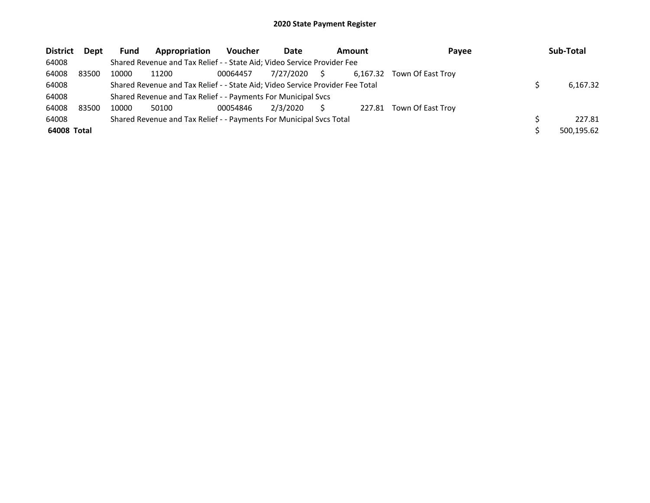| <b>District</b> | Dept  | Fund  | Appropriation                                                                 | <b>Voucher</b> | Date      | Amount |          | Payee             | Sub-Total  |
|-----------------|-------|-------|-------------------------------------------------------------------------------|----------------|-----------|--------|----------|-------------------|------------|
| 64008           |       |       | Shared Revenue and Tax Relief - - State Aid; Video Service Provider Fee       |                |           |        |          |                   |            |
| 64008           | 83500 | 10000 | 11200                                                                         | 00064457       | 7/27/2020 | S.     | 6.167.32 | Town Of East Trov |            |
| 64008           |       |       | Shared Revenue and Tax Relief - - State Aid; Video Service Provider Fee Total |                |           |        |          |                   | 6.167.32   |
| 64008           |       |       | Shared Revenue and Tax Relief - - Payments For Municipal Svcs                 |                |           |        |          |                   |            |
| 64008           | 83500 | 10000 | 50100                                                                         | 00054846       | 2/3/2020  |        | 227.81   | Town Of East Troy |            |
| 64008           |       |       | Shared Revenue and Tax Relief - - Payments For Municipal Svcs Total           |                |           |        |          |                   | 227.81     |
| 64008 Total     |       |       |                                                                               |                |           |        |          |                   | 500,195.62 |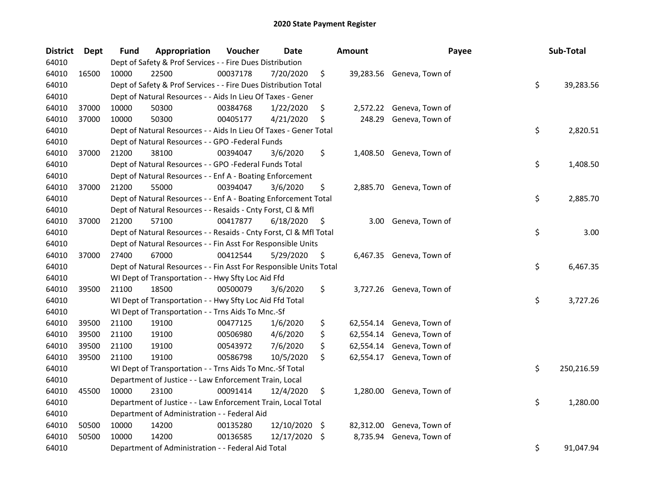| District | <b>Dept</b> | Fund  | Appropriation                                                      | Voucher  | <b>Date</b> |                    | <b>Amount</b> | Payee                     | Sub-Total        |
|----------|-------------|-------|--------------------------------------------------------------------|----------|-------------|--------------------|---------------|---------------------------|------------------|
| 64010    |             |       | Dept of Safety & Prof Services - - Fire Dues Distribution          |          |             |                    |               |                           |                  |
| 64010    | 16500       | 10000 | 22500                                                              | 00037178 | 7/20/2020   | \$                 |               | 39,283.56 Geneva, Town of |                  |
| 64010    |             |       | Dept of Safety & Prof Services - - Fire Dues Distribution Total    |          |             |                    |               |                           | \$<br>39,283.56  |
| 64010    |             |       | Dept of Natural Resources - - Aids In Lieu Of Taxes - Gener        |          |             |                    |               |                           |                  |
| 64010    | 37000       | 10000 | 50300                                                              | 00384768 | 1/22/2020   | \$                 | 2,572.22      | Geneva, Town of           |                  |
| 64010    | 37000       | 10000 | 50300                                                              | 00405177 | 4/21/2020   | \$                 | 248.29        | Geneva, Town of           |                  |
| 64010    |             |       | Dept of Natural Resources - - Aids In Lieu Of Taxes - Gener Total  |          |             |                    |               |                           | \$<br>2,820.51   |
| 64010    |             |       | Dept of Natural Resources - - GPO -Federal Funds                   |          |             |                    |               |                           |                  |
| 64010    | 37000       | 21200 | 38100                                                              | 00394047 | 3/6/2020    | \$                 |               | 1,408.50 Geneva, Town of  |                  |
| 64010    |             |       | Dept of Natural Resources - - GPO -Federal Funds Total             |          |             |                    |               |                           | \$<br>1,408.50   |
| 64010    |             |       | Dept of Natural Resources - - Enf A - Boating Enforcement          |          |             |                    |               |                           |                  |
| 64010    | 37000       | 21200 | 55000                                                              | 00394047 | 3/6/2020    | \$                 | 2,885.70      | Geneva, Town of           |                  |
| 64010    |             |       | Dept of Natural Resources - - Enf A - Boating Enforcement Total    |          |             |                    |               |                           | \$<br>2,885.70   |
| 64010    |             |       | Dept of Natural Resources - - Resaids - Cnty Forst, Cl & Mfl       |          |             |                    |               |                           |                  |
| 64010    | 37000       | 21200 | 57100                                                              | 00417877 | 6/18/2020   | \$                 | 3.00          | Geneva, Town of           |                  |
| 64010    |             |       | Dept of Natural Resources - - Resaids - Cnty Forst, Cl & Mfl Total |          |             |                    |               |                           | \$<br>3.00       |
| 64010    |             |       | Dept of Natural Resources - - Fin Asst For Responsible Units       |          |             |                    |               |                           |                  |
| 64010    | 37000       | 27400 | 67000                                                              | 00412544 | 5/29/2020   | \$                 |               | 6,467.35 Geneva, Town of  |                  |
| 64010    |             |       | Dept of Natural Resources - - Fin Asst For Responsible Units Total |          |             |                    |               |                           | \$<br>6,467.35   |
| 64010    |             |       | WI Dept of Transportation - - Hwy Sfty Loc Aid Ffd                 |          |             |                    |               |                           |                  |
| 64010    | 39500       | 21100 | 18500                                                              | 00500079 | 3/6/2020    | \$                 |               | 3,727.26 Geneva, Town of  |                  |
| 64010    |             |       | WI Dept of Transportation - - Hwy Sfty Loc Aid Ffd Total           |          |             |                    |               |                           | \$<br>3,727.26   |
| 64010    |             |       | WI Dept of Transportation - - Trns Aids To Mnc.-Sf                 |          |             |                    |               |                           |                  |
| 64010    | 39500       | 21100 | 19100                                                              | 00477125 | 1/6/2020    | \$                 | 62,554.14     | Geneva, Town of           |                  |
| 64010    | 39500       | 21100 | 19100                                                              | 00506980 | 4/6/2020    | \$                 | 62,554.14     | Geneva, Town of           |                  |
| 64010    | 39500       | 21100 | 19100                                                              | 00543972 | 7/6/2020    | \$                 | 62,554.14     | Geneva, Town of           |                  |
| 64010    | 39500       | 21100 | 19100                                                              | 00586798 | 10/5/2020   | \$                 | 62,554.17     | Geneva, Town of           |                  |
| 64010    |             |       | WI Dept of Transportation - - Trns Aids To Mnc.-Sf Total           |          |             |                    |               |                           | \$<br>250,216.59 |
| 64010    |             |       | Department of Justice - - Law Enforcement Train, Local             |          |             |                    |               |                           |                  |
| 64010    | 45500       | 10000 | 23100                                                              | 00091414 | 12/4/2020   | \$                 |               | 1,280.00 Geneva, Town of  |                  |
| 64010    |             |       | Department of Justice - - Law Enforcement Train, Local Total       |          |             |                    |               |                           | \$<br>1,280.00   |
| 64010    |             |       | Department of Administration - - Federal Aid                       |          |             |                    |               |                           |                  |
| 64010    | 50500       | 10000 | 14200                                                              | 00135280 | 12/10/2020  | \$                 | 82,312.00     | Geneva, Town of           |                  |
| 64010    | 50500       | 10000 | 14200                                                              | 00136585 | 12/17/2020  | $\ddot{\varsigma}$ | 8,735.94      | Geneva, Town of           |                  |
| 64010    |             |       | Department of Administration - - Federal Aid Total                 |          |             |                    |               |                           | \$<br>91,047.94  |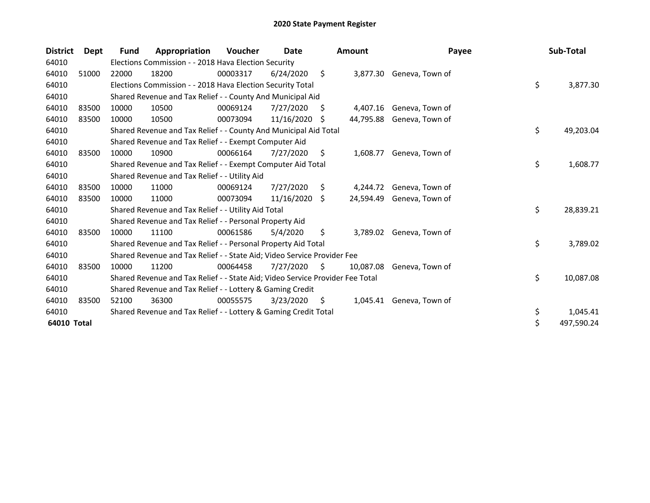| <b>District</b> | Dept  | <b>Fund</b> | Appropriation                                                                 | Voucher  | Date       |     | <b>Amount</b> | Payee                    | Sub-Total        |
|-----------------|-------|-------------|-------------------------------------------------------------------------------|----------|------------|-----|---------------|--------------------------|------------------|
| 64010           |       |             | Elections Commission - - 2018 Hava Election Security                          |          |            |     |               |                          |                  |
| 64010           | 51000 | 22000       | 18200                                                                         | 00003317 | 6/24/2020  | \$  |               | 3,877.30 Geneva, Town of |                  |
| 64010           |       |             | Elections Commission - - 2018 Hava Election Security Total                    |          |            |     |               |                          | \$<br>3,877.30   |
| 64010           |       |             | Shared Revenue and Tax Relief - - County And Municipal Aid                    |          |            |     |               |                          |                  |
| 64010           | 83500 | 10000       | 10500                                                                         | 00069124 | 7/27/2020  | S   | 4,407.16      | Geneva, Town of          |                  |
| 64010           | 83500 | 10000       | 10500                                                                         | 00073094 | 11/16/2020 | \$. | 44,795.88     | Geneva, Town of          |                  |
| 64010           |       |             | Shared Revenue and Tax Relief - - County And Municipal Aid Total              |          |            |     |               |                          | \$<br>49,203.04  |
| 64010           |       |             | Shared Revenue and Tax Relief - - Exempt Computer Aid                         |          |            |     |               |                          |                  |
| 64010           | 83500 | 10000       | 10900                                                                         | 00066164 | 7/27/2020  | \$. | 1,608.77      | Geneva, Town of          |                  |
| 64010           |       |             | Shared Revenue and Tax Relief - - Exempt Computer Aid Total                   |          |            |     |               |                          | \$<br>1,608.77   |
| 64010           |       |             | Shared Revenue and Tax Relief - - Utility Aid                                 |          |            |     |               |                          |                  |
| 64010           | 83500 | 10000       | 11000                                                                         | 00069124 | 7/27/2020  | S.  | 4,244.72      | Geneva, Town of          |                  |
| 64010           | 83500 | 10000       | 11000                                                                         | 00073094 | 11/16/2020 | \$  | 24,594.49     | Geneva, Town of          |                  |
| 64010           |       |             | Shared Revenue and Tax Relief - - Utility Aid Total                           |          |            |     |               |                          | \$<br>28,839.21  |
| 64010           |       |             | Shared Revenue and Tax Relief - - Personal Property Aid                       |          |            |     |               |                          |                  |
| 64010           | 83500 | 10000       | 11100                                                                         | 00061586 | 5/4/2020   | \$  | 3,789.02      | Geneva, Town of          |                  |
| 64010           |       |             | Shared Revenue and Tax Relief - - Personal Property Aid Total                 |          |            |     |               |                          | \$<br>3,789.02   |
| 64010           |       |             | Shared Revenue and Tax Relief - - State Aid; Video Service Provider Fee       |          |            |     |               |                          |                  |
| 64010           | 83500 | 10000       | 11200                                                                         | 00064458 | 7/27/2020  | S   | 10.087.08     | Geneva, Town of          |                  |
| 64010           |       |             | Shared Revenue and Tax Relief - - State Aid; Video Service Provider Fee Total |          |            |     |               |                          | \$<br>10,087.08  |
| 64010           |       |             | Shared Revenue and Tax Relief - - Lottery & Gaming Credit                     |          |            |     |               |                          |                  |
| 64010           | 83500 | 52100       | 36300                                                                         | 00055575 | 3/23/2020  | S   | 1,045.41      | Geneva, Town of          |                  |
| 64010           |       |             | Shared Revenue and Tax Relief - - Lottery & Gaming Credit Total               |          |            |     |               |                          | \$<br>1,045.41   |
| 64010 Total     |       |             |                                                                               |          |            |     |               |                          | \$<br>497,590.24 |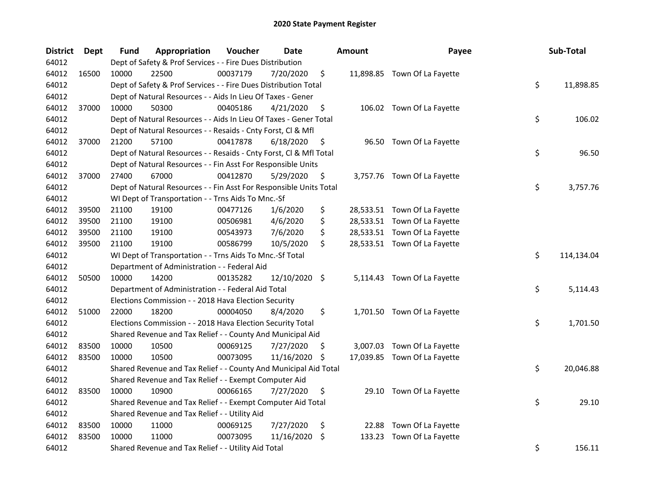| <b>District</b> | Dept  | Fund  | Appropriation                                                      | Voucher  | <b>Date</b>   |    | <b>Amount</b> | Payee                        | Sub-Total        |
|-----------------|-------|-------|--------------------------------------------------------------------|----------|---------------|----|---------------|------------------------------|------------------|
| 64012           |       |       | Dept of Safety & Prof Services - - Fire Dues Distribution          |          |               |    |               |                              |                  |
| 64012           | 16500 | 10000 | 22500                                                              | 00037179 | 7/20/2020     | \$ |               | 11,898.85 Town Of La Fayette |                  |
| 64012           |       |       | Dept of Safety & Prof Services - - Fire Dues Distribution Total    |          |               |    |               |                              | \$<br>11,898.85  |
| 64012           |       |       | Dept of Natural Resources - - Aids In Lieu Of Taxes - Gener        |          |               |    |               |                              |                  |
| 64012           | 37000 | 10000 | 50300                                                              | 00405186 | 4/21/2020     | \$ |               | 106.02 Town Of La Fayette    |                  |
| 64012           |       |       | Dept of Natural Resources - - Aids In Lieu Of Taxes - Gener Total  |          |               |    |               |                              | \$<br>106.02     |
| 64012           |       |       | Dept of Natural Resources - - Resaids - Cnty Forst, Cl & Mfl       |          |               |    |               |                              |                  |
| 64012           | 37000 | 21200 | 57100                                                              | 00417878 | 6/18/2020     | \$ |               | 96.50 Town Of La Fayette     |                  |
| 64012           |       |       | Dept of Natural Resources - - Resaids - Cnty Forst, Cl & Mfl Total |          |               |    |               |                              | \$<br>96.50      |
| 64012           |       |       | Dept of Natural Resources - - Fin Asst For Responsible Units       |          |               |    |               |                              |                  |
| 64012           | 37000 | 27400 | 67000                                                              | 00412870 | 5/29/2020     | \$ |               | 3,757.76 Town Of La Fayette  |                  |
| 64012           |       |       | Dept of Natural Resources - - Fin Asst For Responsible Units Total |          |               |    |               |                              | \$<br>3,757.76   |
| 64012           |       |       | WI Dept of Transportation - - Trns Aids To Mnc.-Sf                 |          |               |    |               |                              |                  |
| 64012           | 39500 | 21100 | 19100                                                              | 00477126 | 1/6/2020      | \$ |               | 28,533.51 Town Of La Fayette |                  |
| 64012           | 39500 | 21100 | 19100                                                              | 00506981 | 4/6/2020      | \$ |               | 28,533.51 Town Of La Fayette |                  |
| 64012           | 39500 | 21100 | 19100                                                              | 00543973 | 7/6/2020      | \$ |               | 28,533.51 Town Of La Fayette |                  |
| 64012           | 39500 | 21100 | 19100                                                              | 00586799 | 10/5/2020     | \$ |               | 28,533.51 Town Of La Fayette |                  |
| 64012           |       |       | WI Dept of Transportation - - Trns Aids To Mnc.-Sf Total           |          |               |    |               |                              | \$<br>114,134.04 |
| 64012           |       |       | Department of Administration - - Federal Aid                       |          |               |    |               |                              |                  |
| 64012           | 50500 | 10000 | 14200                                                              | 00135282 | 12/10/2020 \$ |    |               | 5,114.43 Town Of La Fayette  |                  |
| 64012           |       |       | Department of Administration - - Federal Aid Total                 |          |               |    |               |                              | \$<br>5,114.43   |
| 64012           |       |       | Elections Commission - - 2018 Hava Election Security               |          |               |    |               |                              |                  |
| 64012           | 51000 | 22000 | 18200                                                              | 00004050 | 8/4/2020      | \$ |               | 1,701.50 Town Of La Fayette  |                  |
| 64012           |       |       | Elections Commission - - 2018 Hava Election Security Total         |          |               |    |               |                              | \$<br>1,701.50   |
| 64012           |       |       | Shared Revenue and Tax Relief - - County And Municipal Aid         |          |               |    |               |                              |                  |
| 64012           | 83500 | 10000 | 10500                                                              | 00069125 | 7/27/2020     | S. |               | 3,007.03 Town Of La Fayette  |                  |
| 64012           | 83500 | 10000 | 10500                                                              | 00073095 | 11/16/2020 \$ |    |               | 17,039.85 Town Of La Fayette |                  |
| 64012           |       |       | Shared Revenue and Tax Relief - - County And Municipal Aid Total   |          |               |    |               |                              | \$<br>20,046.88  |
| 64012           |       |       | Shared Revenue and Tax Relief - - Exempt Computer Aid              |          |               |    |               |                              |                  |
| 64012           | 83500 | 10000 | 10900                                                              | 00066165 | 7/27/2020     | \$ |               | 29.10 Town Of La Fayette     |                  |
| 64012           |       |       | Shared Revenue and Tax Relief - - Exempt Computer Aid Total        |          |               |    |               |                              | \$<br>29.10      |
| 64012           |       |       | Shared Revenue and Tax Relief - - Utility Aid                      |          |               |    |               |                              |                  |
| 64012           | 83500 | 10000 | 11000                                                              | 00069125 | 7/27/2020     | \$ | 22.88         | Town Of La Fayette           |                  |
| 64012           | 83500 | 10000 | 11000                                                              | 00073095 | 11/16/2020    | \$ | 133.23        | Town Of La Fayette           |                  |
| 64012           |       |       | Shared Revenue and Tax Relief - - Utility Aid Total                |          |               |    |               |                              | \$<br>156.11     |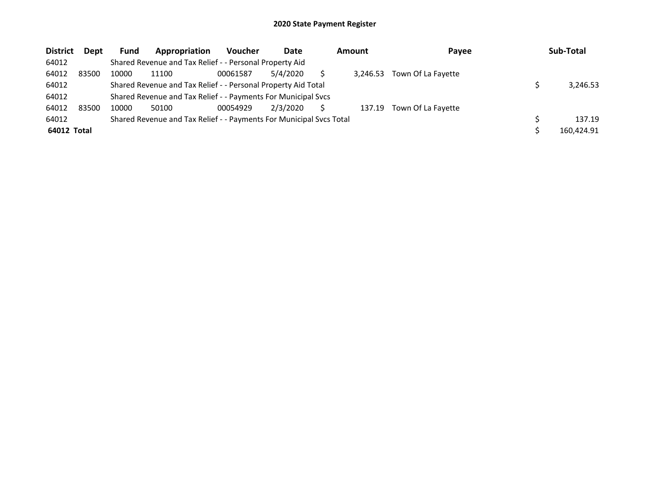| <b>District</b> | <b>Dept</b> | <b>Fund</b> | Appropriation                                                       | <b>Voucher</b> | Date     | Amount   | Payee              | Sub-Total  |
|-----------------|-------------|-------------|---------------------------------------------------------------------|----------------|----------|----------|--------------------|------------|
| 64012           |             |             | Shared Revenue and Tax Relief - - Personal Property Aid             |                |          |          |                    |            |
| 64012           | 83500       | 10000       | 11100                                                               | 00061587       | 5/4/2020 | 3.246.53 | Town Of La Fayette |            |
| 64012           |             |             | Shared Revenue and Tax Relief - - Personal Property Aid Total       |                |          |          |                    | 3.246.53   |
| 64012           |             |             | Shared Revenue and Tax Relief - - Payments For Municipal Svcs       |                |          |          |                    |            |
| 64012           | 83500       | 10000       | 50100                                                               | 00054929       | 2/3/2020 | 137.19   | Town Of La Fayette |            |
| 64012           |             |             | Shared Revenue and Tax Relief - - Payments For Municipal Svcs Total |                |          |          |                    | 137.19     |
| 64012 Total     |             |             |                                                                     |                |          |          |                    | 160.424.91 |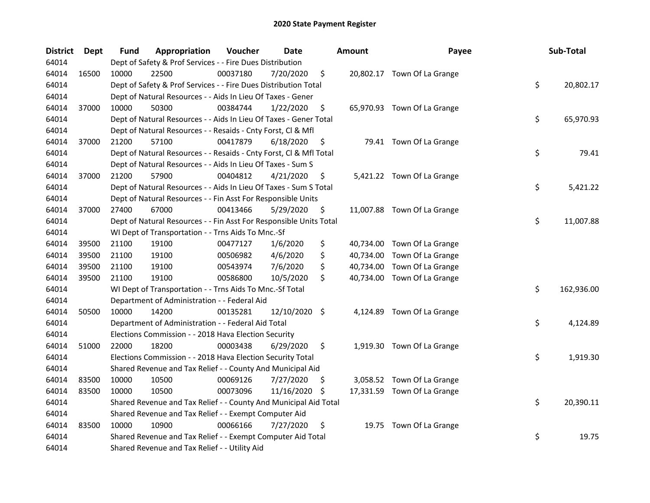| <b>District</b> | <b>Dept</b> | Fund  | Appropriation                                                      | Voucher  | <b>Date</b>   |     | <b>Amount</b> | Payee                       | Sub-Total        |
|-----------------|-------------|-------|--------------------------------------------------------------------|----------|---------------|-----|---------------|-----------------------------|------------------|
| 64014           |             |       | Dept of Safety & Prof Services - - Fire Dues Distribution          |          |               |     |               |                             |                  |
| 64014           | 16500       | 10000 | 22500                                                              | 00037180 | 7/20/2020     | \$  |               | 20,802.17 Town Of La Grange |                  |
| 64014           |             |       | Dept of Safety & Prof Services - - Fire Dues Distribution Total    |          |               |     |               |                             | \$<br>20,802.17  |
| 64014           |             |       | Dept of Natural Resources - - Aids In Lieu Of Taxes - Gener        |          |               |     |               |                             |                  |
| 64014           | 37000       | 10000 | 50300                                                              | 00384744 | 1/22/2020     | \$  |               | 65,970.93 Town Of La Grange |                  |
| 64014           |             |       | Dept of Natural Resources - - Aids In Lieu Of Taxes - Gener Total  |          |               |     |               |                             | \$<br>65,970.93  |
| 64014           |             |       | Dept of Natural Resources - - Resaids - Cnty Forst, Cl & Mfl       |          |               |     |               |                             |                  |
| 64014           | 37000       | 21200 | 57100                                                              | 00417879 | 6/18/2020     | \$  |               | 79.41 Town Of La Grange     |                  |
| 64014           |             |       | Dept of Natural Resources - - Resaids - Cnty Forst, Cl & Mfl Total |          |               |     |               |                             | \$<br>79.41      |
| 64014           |             |       | Dept of Natural Resources - - Aids In Lieu Of Taxes - Sum S        |          |               |     |               |                             |                  |
| 64014           | 37000       | 21200 | 57900                                                              | 00404812 | 4/21/2020     | \$  |               | 5,421.22 Town Of La Grange  |                  |
| 64014           |             |       | Dept of Natural Resources - - Aids In Lieu Of Taxes - Sum S Total  |          |               |     |               |                             | \$<br>5,421.22   |
| 64014           |             |       | Dept of Natural Resources - - Fin Asst For Responsible Units       |          |               |     |               |                             |                  |
| 64014           | 37000       | 27400 | 67000                                                              | 00413466 | 5/29/2020     | \$  |               | 11,007.88 Town Of La Grange |                  |
| 64014           |             |       | Dept of Natural Resources - - Fin Asst For Responsible Units Total |          |               |     |               |                             | \$<br>11,007.88  |
| 64014           |             |       | WI Dept of Transportation - - Trns Aids To Mnc.-Sf                 |          |               |     |               |                             |                  |
| 64014           | 39500       | 21100 | 19100                                                              | 00477127 | 1/6/2020      | \$  |               | 40,734.00 Town Of La Grange |                  |
| 64014           | 39500       | 21100 | 19100                                                              | 00506982 | 4/6/2020      | \$  | 40,734.00     | Town Of La Grange           |                  |
| 64014           | 39500       | 21100 | 19100                                                              | 00543974 | 7/6/2020      | \$  | 40,734.00     | Town Of La Grange           |                  |
| 64014           | 39500       | 21100 | 19100                                                              | 00586800 | 10/5/2020     | \$  |               | 40,734.00 Town Of La Grange |                  |
| 64014           |             |       | WI Dept of Transportation - - Trns Aids To Mnc.-Sf Total           |          |               |     |               |                             | \$<br>162,936.00 |
| 64014           |             |       | Department of Administration - - Federal Aid                       |          |               |     |               |                             |                  |
| 64014           | 50500       | 10000 | 14200                                                              | 00135281 | 12/10/2020 \$ |     |               | 4,124.89 Town Of La Grange  |                  |
| 64014           |             |       | Department of Administration - - Federal Aid Total                 |          |               |     |               |                             | \$<br>4,124.89   |
| 64014           |             |       | Elections Commission - - 2018 Hava Election Security               |          |               |     |               |                             |                  |
| 64014           | 51000       | 22000 | 18200                                                              | 00003438 | 6/29/2020     | \$  |               | 1,919.30 Town Of La Grange  |                  |
| 64014           |             |       | Elections Commission - - 2018 Hava Election Security Total         |          |               |     |               |                             | \$<br>1,919.30   |
| 64014           |             |       | Shared Revenue and Tax Relief - - County And Municipal Aid         |          |               |     |               |                             |                  |
| 64014           | 83500       | 10000 | 10500                                                              | 00069126 | 7/27/2020     | S   |               | 3,058.52 Town Of La Grange  |                  |
| 64014           | 83500       | 10000 | 10500                                                              | 00073096 | 11/16/2020    | \$. |               | 17,331.59 Town Of La Grange |                  |
| 64014           |             |       | Shared Revenue and Tax Relief - - County And Municipal Aid Total   |          |               |     |               |                             | \$<br>20,390.11  |
| 64014           |             |       | Shared Revenue and Tax Relief - - Exempt Computer Aid              |          |               |     |               |                             |                  |
| 64014           | 83500       | 10000 | 10900                                                              | 00066166 | 7/27/2020     | \$  |               | 19.75 Town Of La Grange     |                  |
| 64014           |             |       | Shared Revenue and Tax Relief - - Exempt Computer Aid Total        |          |               |     |               |                             | \$<br>19.75      |
| 64014           |             |       | Shared Revenue and Tax Relief - - Utility Aid                      |          |               |     |               |                             |                  |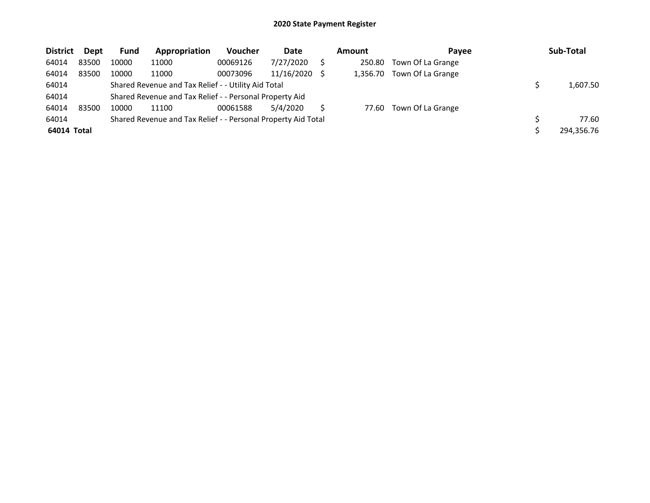| <b>District</b> | Dept  | <b>Fund</b> | Appropriation                                                 | Voucher  | Date       | <b>Amount</b> | Payee             | Sub-Total  |
|-----------------|-------|-------------|---------------------------------------------------------------|----------|------------|---------------|-------------------|------------|
| 64014           | 83500 | 10000       | 11000                                                         | 00069126 | 7/27/2020  | 250.80        | Town Of La Grange |            |
| 64014           | 83500 | 10000       | 11000                                                         | 00073096 | 11/16/2020 | 1.356.70      | Town Of La Grange |            |
| 64014           |       |             | Shared Revenue and Tax Relief - - Utility Aid Total           |          |            |               |                   | 1,607.50   |
| 64014           |       |             | Shared Revenue and Tax Relief - - Personal Property Aid       |          |            |               |                   |            |
| 64014           | 83500 | 10000       | 11100                                                         | 00061588 | 5/4/2020   | 77.60         | Town Of La Grange |            |
| 64014           |       |             | Shared Revenue and Tax Relief - - Personal Property Aid Total |          |            |               |                   | 77.60      |
| 64014 Total     |       |             |                                                               |          |            |               |                   | 294,356.76 |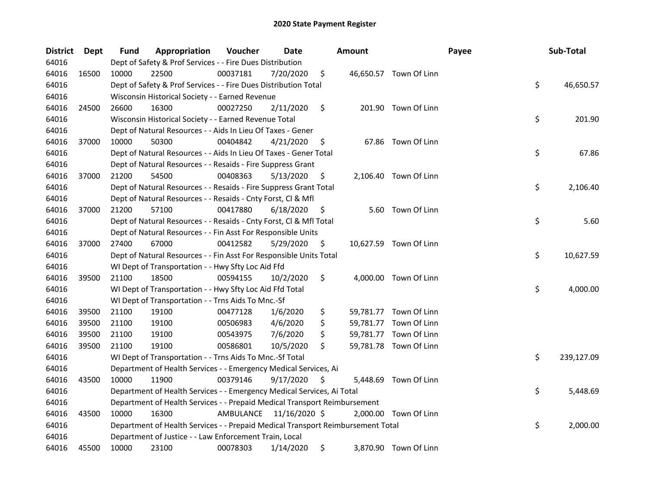| District | Dept  | <b>Fund</b> | Appropriation                                                                   | Voucher  | Date                    |    | <b>Amount</b> |                        | Payee | Sub-Total        |
|----------|-------|-------------|---------------------------------------------------------------------------------|----------|-------------------------|----|---------------|------------------------|-------|------------------|
| 64016    |       |             | Dept of Safety & Prof Services - - Fire Dues Distribution                       |          |                         |    |               |                        |       |                  |
| 64016    | 16500 | 10000       | 22500                                                                           | 00037181 | 7/20/2020               | \$ |               | 46,650.57 Town Of Linn |       |                  |
| 64016    |       |             | Dept of Safety & Prof Services - - Fire Dues Distribution Total                 |          |                         |    |               |                        |       | \$<br>46,650.57  |
| 64016    |       |             | Wisconsin Historical Society - - Earned Revenue                                 |          |                         |    |               |                        |       |                  |
| 64016    | 24500 | 26600       | 16300                                                                           | 00027250 | 2/11/2020               | \$ |               | 201.90 Town Of Linn    |       |                  |
| 64016    |       |             | Wisconsin Historical Society - - Earned Revenue Total                           |          |                         |    |               |                        |       | \$<br>201.90     |
| 64016    |       |             | Dept of Natural Resources - - Aids In Lieu Of Taxes - Gener                     |          |                         |    |               |                        |       |                  |
| 64016    | 37000 | 10000       | 50300                                                                           | 00404842 | 4/21/2020               | \$ |               | 67.86 Town Of Linn     |       |                  |
| 64016    |       |             | Dept of Natural Resources - - Aids In Lieu Of Taxes - Gener Total               |          |                         |    |               |                        |       | \$<br>67.86      |
| 64016    |       |             | Dept of Natural Resources - - Resaids - Fire Suppress Grant                     |          |                         |    |               |                        |       |                  |
| 64016    | 37000 | 21200       | 54500                                                                           | 00408363 | 5/13/2020               | \$ |               | 2,106.40 Town Of Linn  |       |                  |
| 64016    |       |             | Dept of Natural Resources - - Resaids - Fire Suppress Grant Total               |          |                         |    |               |                        |       | \$<br>2,106.40   |
| 64016    |       |             | Dept of Natural Resources - - Resaids - Cnty Forst, Cl & Mfl                    |          |                         |    |               |                        |       |                  |
| 64016    | 37000 | 21200       | 57100                                                                           | 00417880 | 6/18/2020               | \$ |               | 5.60 Town Of Linn      |       |                  |
| 64016    |       |             | Dept of Natural Resources - - Resaids - Cnty Forst, CI & Mfl Total              |          |                         |    |               |                        |       | \$<br>5.60       |
| 64016    |       |             | Dept of Natural Resources - - Fin Asst For Responsible Units                    |          |                         |    |               |                        |       |                  |
| 64016    | 37000 | 27400       | 67000                                                                           | 00412582 | 5/29/2020               | \$ |               | 10,627.59 Town Of Linn |       |                  |
| 64016    |       |             | Dept of Natural Resources - - Fin Asst For Responsible Units Total              |          |                         |    |               |                        |       | \$<br>10,627.59  |
| 64016    |       |             | WI Dept of Transportation - - Hwy Sfty Loc Aid Ffd                              |          |                         |    |               |                        |       |                  |
| 64016    | 39500 | 21100       | 18500                                                                           | 00594155 | 10/2/2020               | \$ |               | 4,000.00 Town Of Linn  |       |                  |
| 64016    |       |             | WI Dept of Transportation - - Hwy Sfty Loc Aid Ffd Total                        |          |                         |    |               |                        |       | \$<br>4,000.00   |
| 64016    |       |             | WI Dept of Transportation - - Trns Aids To Mnc.-Sf                              |          |                         |    |               |                        |       |                  |
| 64016    | 39500 | 21100       | 19100                                                                           | 00477128 | 1/6/2020                | \$ |               | 59,781.77 Town Of Linn |       |                  |
| 64016    | 39500 | 21100       | 19100                                                                           | 00506983 | 4/6/2020                | \$ |               | 59,781.77 Town Of Linn |       |                  |
| 64016    | 39500 | 21100       | 19100                                                                           | 00543975 | 7/6/2020                | \$ |               | 59,781.77 Town Of Linn |       |                  |
| 64016    | 39500 | 21100       | 19100                                                                           | 00586801 | 10/5/2020               | \$ |               | 59,781.78 Town Of Linn |       |                  |
| 64016    |       |             | WI Dept of Transportation - - Trns Aids To Mnc.-Sf Total                        |          |                         |    |               |                        |       | \$<br>239,127.09 |
| 64016    |       |             | Department of Health Services - - Emergency Medical Services, Ai                |          |                         |    |               |                        |       |                  |
| 64016    | 43500 | 10000       | 11900                                                                           | 00379146 | 9/17/2020               | S  |               | 5,448.69 Town Of Linn  |       |                  |
| 64016    |       |             | Department of Health Services - - Emergency Medical Services, Ai Total          |          |                         |    |               |                        |       | \$<br>5,448.69   |
| 64016    |       |             | Department of Health Services - - Prepaid Medical Transport Reimbursement       |          |                         |    |               |                        |       |                  |
| 64016    | 43500 | 10000       | 16300                                                                           |          | AMBULANCE 11/16/2020 \$ |    |               | 2,000.00 Town Of Linn  |       |                  |
| 64016    |       |             | Department of Health Services - - Prepaid Medical Transport Reimbursement Total |          |                         |    |               |                        |       | \$<br>2,000.00   |
| 64016    |       |             | Department of Justice - - Law Enforcement Train, Local                          |          |                         |    |               |                        |       |                  |
| 64016    | 45500 | 10000       | 23100                                                                           | 00078303 | 1/14/2020               | \$ |               | 3,870.90 Town Of Linn  |       |                  |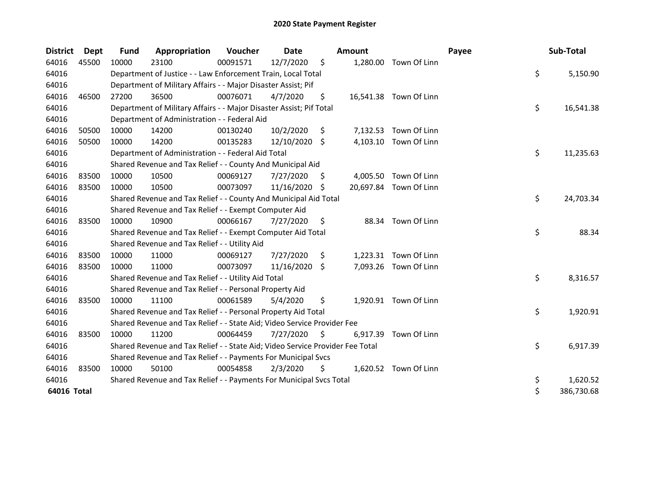| <b>District</b> | <b>Dept</b> | Fund  | Appropriation                                                                 | Voucher  | <b>Date</b>   |     | <b>Amount</b> |                        | Payee | Sub-Total        |
|-----------------|-------------|-------|-------------------------------------------------------------------------------|----------|---------------|-----|---------------|------------------------|-------|------------------|
| 64016           | 45500       | 10000 | 23100                                                                         | 00091571 | 12/7/2020     | \$  |               | 1,280.00 Town Of Linn  |       |                  |
| 64016           |             |       | Department of Justice - - Law Enforcement Train, Local Total                  |          |               |     |               |                        |       | \$<br>5,150.90   |
| 64016           |             |       | Department of Military Affairs - - Major Disaster Assist; Pif                 |          |               |     |               |                        |       |                  |
| 64016           | 46500       | 27200 | 36500                                                                         | 00076071 | 4/7/2020      | \$  |               | 16,541.38 Town Of Linn |       |                  |
| 64016           |             |       | Department of Military Affairs - - Major Disaster Assist; Pif Total           |          |               |     |               |                        |       | \$<br>16,541.38  |
| 64016           |             |       | Department of Administration - - Federal Aid                                  |          |               |     |               |                        |       |                  |
| 64016           | 50500       | 10000 | 14200                                                                         | 00130240 | 10/2/2020     | \$  | 7,132.53      | Town Of Linn           |       |                  |
| 64016           | 50500       | 10000 | 14200                                                                         | 00135283 | 12/10/2020 \$ |     |               | 4,103.10 Town Of Linn  |       |                  |
| 64016           |             |       | Department of Administration - - Federal Aid Total                            |          |               |     |               |                        |       | \$<br>11,235.63  |
| 64016           |             |       | Shared Revenue and Tax Relief - - County And Municipal Aid                    |          |               |     |               |                        |       |                  |
| 64016           | 83500       | 10000 | 10500                                                                         | 00069127 | 7/27/2020     | -S  |               | 4,005.50 Town Of Linn  |       |                  |
| 64016           | 83500       | 10000 | 10500                                                                         | 00073097 | 11/16/2020    | -S  |               | 20,697.84 Town Of Linn |       |                  |
| 64016           |             |       | Shared Revenue and Tax Relief - - County And Municipal Aid Total              |          |               |     |               |                        |       | \$<br>24,703.34  |
| 64016           |             |       | Shared Revenue and Tax Relief - - Exempt Computer Aid                         |          |               |     |               |                        |       |                  |
| 64016           | 83500       | 10000 | 10900                                                                         | 00066167 | 7/27/2020     | S   |               | 88.34 Town Of Linn     |       |                  |
| 64016           |             |       | Shared Revenue and Tax Relief - - Exempt Computer Aid Total                   |          |               |     |               |                        |       | \$<br>88.34      |
| 64016           |             |       | Shared Revenue and Tax Relief - - Utility Aid                                 |          |               |     |               |                        |       |                  |
| 64016           | 83500       | 10000 | 11000                                                                         | 00069127 | 7/27/2020     | \$  |               | 1,223.31 Town Of Linn  |       |                  |
| 64016           | 83500       | 10000 | 11000                                                                         | 00073097 | 11/16/2020 \$ |     |               | 7,093.26 Town Of Linn  |       |                  |
| 64016           |             |       | Shared Revenue and Tax Relief - - Utility Aid Total                           |          |               |     |               |                        |       | \$<br>8,316.57   |
| 64016           |             |       | Shared Revenue and Tax Relief - - Personal Property Aid                       |          |               |     |               |                        |       |                  |
| 64016           | 83500       | 10000 | 11100                                                                         | 00061589 | 5/4/2020      | \$  |               | 1,920.91 Town Of Linn  |       |                  |
| 64016           |             |       | Shared Revenue and Tax Relief - - Personal Property Aid Total                 |          |               |     |               |                        |       | \$<br>1,920.91   |
| 64016           |             |       | Shared Revenue and Tax Relief - - State Aid; Video Service Provider Fee       |          |               |     |               |                        |       |                  |
| 64016           | 83500       | 10000 | 11200                                                                         | 00064459 | 7/27/2020     | \$. | 6,917.39      | Town Of Linn           |       |                  |
| 64016           |             |       | Shared Revenue and Tax Relief - - State Aid; Video Service Provider Fee Total |          |               |     |               |                        |       | \$<br>6,917.39   |
| 64016           |             |       | Shared Revenue and Tax Relief - - Payments For Municipal Svcs                 |          |               |     |               |                        |       |                  |
| 64016           | 83500       | 10000 | 50100                                                                         | 00054858 | 2/3/2020      | \$  |               | 1,620.52 Town Of Linn  |       |                  |
| 64016           |             |       | Shared Revenue and Tax Relief - - Payments For Municipal Svcs Total           |          |               |     |               |                        |       | \$<br>1,620.52   |
| 64016 Total     |             |       |                                                                               |          |               |     |               |                        |       | \$<br>386,730.68 |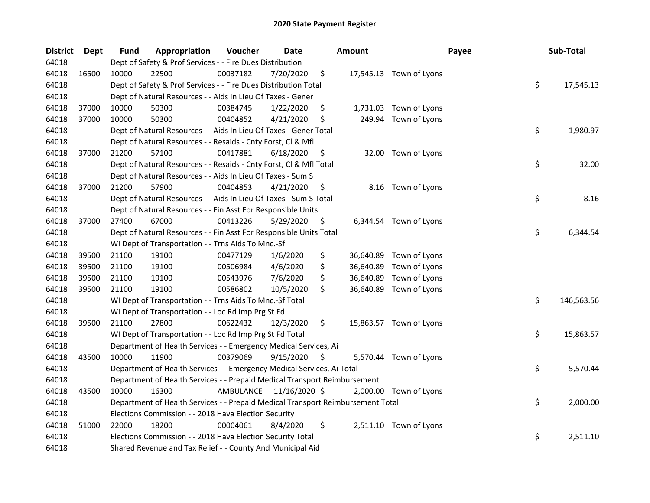| <b>District</b> | <b>Dept</b> | Fund  | Appropriation                                                                   | Voucher  | <b>Date</b>             | <b>Amount</b>   |                         | Payee | Sub-Total        |
|-----------------|-------------|-------|---------------------------------------------------------------------------------|----------|-------------------------|-----------------|-------------------------|-------|------------------|
| 64018           |             |       | Dept of Safety & Prof Services - - Fire Dues Distribution                       |          |                         |                 |                         |       |                  |
| 64018           | 16500       | 10000 | 22500                                                                           | 00037182 | 7/20/2020               | \$              | 17,545.13 Town of Lyons |       |                  |
| 64018           |             |       | Dept of Safety & Prof Services - - Fire Dues Distribution Total                 |          |                         |                 |                         |       | \$<br>17,545.13  |
| 64018           |             |       | Dept of Natural Resources - - Aids In Lieu Of Taxes - Gener                     |          |                         |                 |                         |       |                  |
| 64018           | 37000       | 10000 | 50300                                                                           | 00384745 | 1/22/2020               | \$              | 1,731.03 Town of Lyons  |       |                  |
| 64018           | 37000       | 10000 | 50300                                                                           | 00404852 | 4/21/2020               | \$              | 249.94 Town of Lyons    |       |                  |
| 64018           |             |       | Dept of Natural Resources - - Aids In Lieu Of Taxes - Gener Total               |          |                         |                 |                         |       | \$<br>1,980.97   |
| 64018           |             |       | Dept of Natural Resources - - Resaids - Cnty Forst, Cl & Mfl                    |          |                         |                 |                         |       |                  |
| 64018           | 37000       | 21200 | 57100                                                                           | 00417881 | 6/18/2020               | \$              | 32.00 Town of Lyons     |       |                  |
| 64018           |             |       | Dept of Natural Resources - - Resaids - Cnty Forst, Cl & Mfl Total              |          |                         |                 |                         |       | \$<br>32.00      |
| 64018           |             |       | Dept of Natural Resources - - Aids In Lieu Of Taxes - Sum S                     |          |                         |                 |                         |       |                  |
| 64018           | 37000       | 21200 | 57900                                                                           | 00404853 | 4/21/2020               | \$              | 8.16 Town of Lyons      |       |                  |
| 64018           |             |       | Dept of Natural Resources - - Aids In Lieu Of Taxes - Sum S Total               |          |                         |                 |                         |       | \$<br>8.16       |
| 64018           |             |       | Dept of Natural Resources - - Fin Asst For Responsible Units                    |          |                         |                 |                         |       |                  |
| 64018           | 37000       | 27400 | 67000                                                                           | 00413226 | 5/29/2020               | \$              | 6,344.54 Town of Lyons  |       |                  |
| 64018           |             |       | Dept of Natural Resources - - Fin Asst For Responsible Units Total              |          |                         |                 |                         |       | \$<br>6,344.54   |
| 64018           |             |       | WI Dept of Transportation - - Trns Aids To Mnc.-Sf                              |          |                         |                 |                         |       |                  |
| 64018           | 39500       | 21100 | 19100                                                                           | 00477129 | 1/6/2020                | \$<br>36,640.89 | Town of Lyons           |       |                  |
| 64018           | 39500       | 21100 | 19100                                                                           | 00506984 | 4/6/2020                | \$<br>36,640.89 | Town of Lyons           |       |                  |
| 64018           | 39500       | 21100 | 19100                                                                           | 00543976 | 7/6/2020                | \$<br>36,640.89 | Town of Lyons           |       |                  |
| 64018           | 39500       | 21100 | 19100                                                                           | 00586802 | 10/5/2020               | \$<br>36,640.89 | Town of Lyons           |       |                  |
| 64018           |             |       | WI Dept of Transportation - - Trns Aids To Mnc.-Sf Total                        |          |                         |                 |                         |       | \$<br>146,563.56 |
| 64018           |             |       | WI Dept of Transportation - - Loc Rd Imp Prg St Fd                              |          |                         |                 |                         |       |                  |
| 64018           | 39500       | 21100 | 27800                                                                           | 00622432 | 12/3/2020               | \$              | 15,863.57 Town of Lyons |       |                  |
| 64018           |             |       | WI Dept of Transportation - - Loc Rd Imp Prg St Fd Total                        |          |                         |                 |                         |       | \$<br>15,863.57  |
| 64018           |             |       | Department of Health Services - - Emergency Medical Services, Ai                |          |                         |                 |                         |       |                  |
| 64018           | 43500       | 10000 | 11900                                                                           | 00379069 | 9/15/2020               | \$              | 5,570.44 Town of Lyons  |       |                  |
| 64018           |             |       | Department of Health Services - - Emergency Medical Services, Ai Total          |          |                         |                 |                         |       | \$<br>5,570.44   |
| 64018           |             |       | Department of Health Services - - Prepaid Medical Transport Reimbursement       |          |                         |                 |                         |       |                  |
| 64018           | 43500       | 10000 | 16300                                                                           |          | AMBULANCE 11/16/2020 \$ |                 | 2,000.00 Town of Lyons  |       |                  |
| 64018           |             |       | Department of Health Services - - Prepaid Medical Transport Reimbursement Total |          |                         |                 |                         |       | \$<br>2,000.00   |
| 64018           |             |       | Elections Commission - - 2018 Hava Election Security                            |          |                         |                 |                         |       |                  |
| 64018           | 51000       | 22000 | 18200                                                                           | 00004061 | 8/4/2020                | \$              | 2,511.10 Town of Lyons  |       |                  |
| 64018           |             |       | Elections Commission - - 2018 Hava Election Security Total                      |          |                         |                 |                         |       | \$<br>2,511.10   |
| 64018           |             |       | Shared Revenue and Tax Relief - - County And Municipal Aid                      |          |                         |                 |                         |       |                  |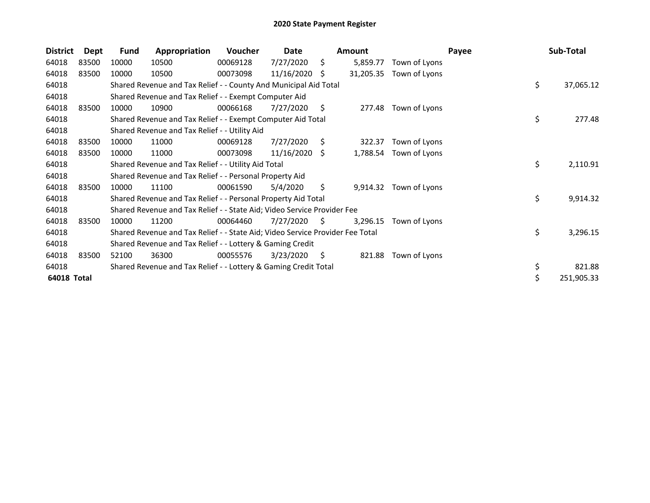| <b>District</b> | Dept  | Fund  | Appropriation                                                                 | <b>Voucher</b> | Date       |    | <b>Amount</b> |                        | Payee | Sub-Total       |
|-----------------|-------|-------|-------------------------------------------------------------------------------|----------------|------------|----|---------------|------------------------|-------|-----------------|
| 64018           | 83500 | 10000 | 10500                                                                         | 00069128       | 7/27/2020  | Ŝ. | 5,859.77      | Town of Lyons          |       |                 |
| 64018           | 83500 | 10000 | 10500                                                                         | 00073098       | 11/16/2020 | S  | 31,205.35     | Town of Lyons          |       |                 |
| 64018           |       |       | Shared Revenue and Tax Relief - - County And Municipal Aid Total              |                |            |    |               |                        |       | \$<br>37,065.12 |
| 64018           |       |       | Shared Revenue and Tax Relief - - Exempt Computer Aid                         |                |            |    |               |                        |       |                 |
| 64018           | 83500 | 10000 | 10900                                                                         | 00066168       | 7/27/2020  | \$ | 277.48        | Town of Lyons          |       |                 |
| 64018           |       |       | Shared Revenue and Tax Relief - - Exempt Computer Aid Total                   |                |            |    |               |                        |       | \$<br>277.48    |
| 64018           |       |       | Shared Revenue and Tax Relief - - Utility Aid                                 |                |            |    |               |                        |       |                 |
| 64018           | 83500 | 10000 | 11000                                                                         | 00069128       | 7/27/2020  | \$ | 322.37        | Town of Lyons          |       |                 |
| 64018           | 83500 | 10000 | 11000                                                                         | 00073098       | 11/16/2020 | -S |               | 1,788.54 Town of Lyons |       |                 |
| 64018           |       |       | Shared Revenue and Tax Relief - - Utility Aid Total                           |                |            |    |               |                        |       | \$<br>2,110.91  |
| 64018           |       |       | Shared Revenue and Tax Relief - - Personal Property Aid                       |                |            |    |               |                        |       |                 |
| 64018           | 83500 | 10000 | 11100                                                                         | 00061590       | 5/4/2020   | \$ | 9,914.32      | Town of Lyons          |       |                 |
| 64018           |       |       | Shared Revenue and Tax Relief - - Personal Property Aid Total                 |                |            |    |               |                        |       | \$<br>9,914.32  |
| 64018           |       |       | Shared Revenue and Tax Relief - - State Aid; Video Service Provider Fee       |                |            |    |               |                        |       |                 |
| 64018           | 83500 | 10000 | 11200                                                                         | 00064460       | 7/27/2020  | S. | 3,296.15      | Town of Lyons          |       |                 |
| 64018           |       |       | Shared Revenue and Tax Relief - - State Aid; Video Service Provider Fee Total |                |            |    |               |                        |       | \$<br>3,296.15  |
| 64018           |       |       | Shared Revenue and Tax Relief - - Lottery & Gaming Credit                     |                |            |    |               |                        |       |                 |
| 64018           | 83500 | 52100 | 36300                                                                         | 00055576       | 3/23/2020  | S  | 821.88        | Town of Lyons          |       |                 |
| 64018           |       |       | Shared Revenue and Tax Relief - - Lottery & Gaming Credit Total               |                |            |    |               |                        |       | \$<br>821.88    |
| 64018 Total     |       |       |                                                                               |                |            |    |               |                        |       | 251,905.33      |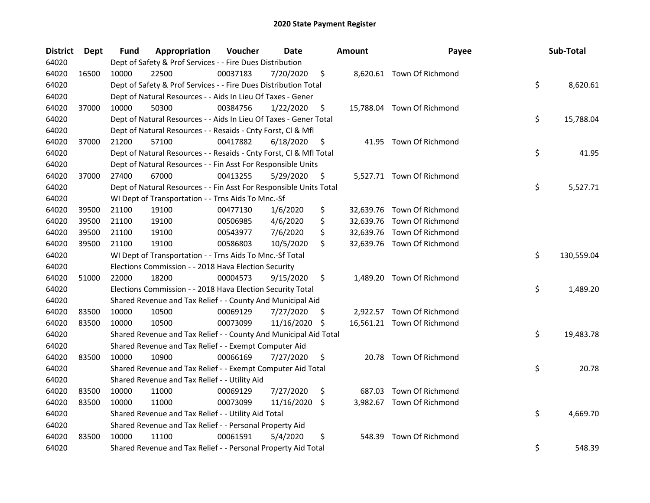| <b>District</b> | Dept  | Fund  | Appropriation                                                      | Voucher  | Date       |     | <b>Amount</b> | Payee                      | Sub-Total        |
|-----------------|-------|-------|--------------------------------------------------------------------|----------|------------|-----|---------------|----------------------------|------------------|
| 64020           |       |       | Dept of Safety & Prof Services - - Fire Dues Distribution          |          |            |     |               |                            |                  |
| 64020           | 16500 | 10000 | 22500                                                              | 00037183 | 7/20/2020  | \$  |               | 8,620.61 Town Of Richmond  |                  |
| 64020           |       |       | Dept of Safety & Prof Services - - Fire Dues Distribution Total    |          |            |     |               |                            | \$<br>8,620.61   |
| 64020           |       |       | Dept of Natural Resources - - Aids In Lieu Of Taxes - Gener        |          |            |     |               |                            |                  |
| 64020           | 37000 | 10000 | 50300                                                              | 00384756 | 1/22/2020  | \$  |               | 15,788.04 Town Of Richmond |                  |
| 64020           |       |       | Dept of Natural Resources - - Aids In Lieu Of Taxes - Gener Total  |          |            |     |               |                            | \$<br>15,788.04  |
| 64020           |       |       | Dept of Natural Resources - - Resaids - Cnty Forst, Cl & Mfl       |          |            |     |               |                            |                  |
| 64020           | 37000 | 21200 | 57100                                                              | 00417882 | 6/18/2020  | \$  |               | 41.95 Town Of Richmond     |                  |
| 64020           |       |       | Dept of Natural Resources - - Resaids - Cnty Forst, Cl & Mfl Total |          |            |     |               |                            | \$<br>41.95      |
| 64020           |       |       | Dept of Natural Resources - - Fin Asst For Responsible Units       |          |            |     |               |                            |                  |
| 64020           | 37000 | 27400 | 67000                                                              | 00413255 | 5/29/2020  | \$  |               | 5,527.71 Town Of Richmond  |                  |
| 64020           |       |       | Dept of Natural Resources - - Fin Asst For Responsible Units Total |          |            |     |               |                            | \$<br>5,527.71   |
| 64020           |       |       | WI Dept of Transportation - - Trns Aids To Mnc.-Sf                 |          |            |     |               |                            |                  |
| 64020           | 39500 | 21100 | 19100                                                              | 00477130 | 1/6/2020   | \$  |               | 32,639.76 Town Of Richmond |                  |
| 64020           | 39500 | 21100 | 19100                                                              | 00506985 | 4/6/2020   | \$  |               | 32,639.76 Town Of Richmond |                  |
| 64020           | 39500 | 21100 | 19100                                                              | 00543977 | 7/6/2020   | \$  |               | 32,639.76 Town Of Richmond |                  |
| 64020           | 39500 | 21100 | 19100                                                              | 00586803 | 10/5/2020  | \$  |               | 32,639.76 Town Of Richmond |                  |
| 64020           |       |       | WI Dept of Transportation - - Trns Aids To Mnc.-Sf Total           |          |            |     |               |                            | \$<br>130,559.04 |
| 64020           |       |       | Elections Commission - - 2018 Hava Election Security               |          |            |     |               |                            |                  |
| 64020           | 51000 | 22000 | 18200                                                              | 00004573 | 9/15/2020  | \$  | 1,489.20      | Town Of Richmond           |                  |
| 64020           |       |       | Elections Commission - - 2018 Hava Election Security Total         |          |            |     |               |                            | \$<br>1,489.20   |
| 64020           |       |       | Shared Revenue and Tax Relief - - County And Municipal Aid         |          |            |     |               |                            |                  |
| 64020           | 83500 | 10000 | 10500                                                              | 00069129 | 7/27/2020  | \$. |               | 2,922.57 Town Of Richmond  |                  |
| 64020           | 83500 | 10000 | 10500                                                              | 00073099 | 11/16/2020 | \$  |               | 16,561.21 Town Of Richmond |                  |
| 64020           |       |       | Shared Revenue and Tax Relief - - County And Municipal Aid Total   |          |            |     |               |                            | \$<br>19,483.78  |
| 64020           |       |       | Shared Revenue and Tax Relief - - Exempt Computer Aid              |          |            |     |               |                            |                  |
| 64020           | 83500 | 10000 | 10900                                                              | 00066169 | 7/27/2020  | \$  |               | 20.78 Town Of Richmond     |                  |
| 64020           |       |       | Shared Revenue and Tax Relief - - Exempt Computer Aid Total        |          |            |     |               |                            | \$<br>20.78      |
| 64020           |       |       | Shared Revenue and Tax Relief - - Utility Aid                      |          |            |     |               |                            |                  |
| 64020           | 83500 | 10000 | 11000                                                              | 00069129 | 7/27/2020  | \$  | 687.03        | Town Of Richmond           |                  |
| 64020           | 83500 | 10000 | 11000                                                              | 00073099 | 11/16/2020 | \$  |               | 3,982.67 Town Of Richmond  |                  |
| 64020           |       |       | Shared Revenue and Tax Relief - - Utility Aid Total                |          |            |     |               |                            | \$<br>4,669.70   |
| 64020           |       |       | Shared Revenue and Tax Relief - - Personal Property Aid            |          |            |     |               |                            |                  |
| 64020           | 83500 | 10000 | 11100                                                              | 00061591 | 5/4/2020   | \$  | 548.39        | Town Of Richmond           |                  |
| 64020           |       |       | Shared Revenue and Tax Relief - - Personal Property Aid Total      |          |            |     |               |                            | \$<br>548.39     |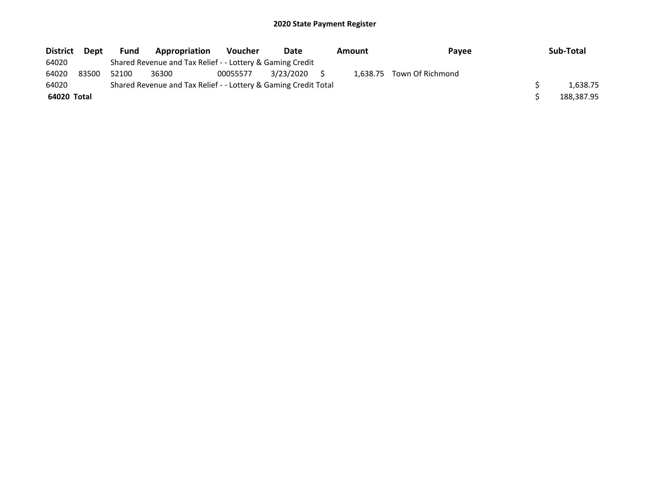| <b>District</b> | <b>Dept</b> | <b>Fund</b> | Appropriation                                                   | <b>Voucher</b> | Date      | Amount | <b>Pavee</b>              | Sub-Total  |
|-----------------|-------------|-------------|-----------------------------------------------------------------|----------------|-----------|--------|---------------------------|------------|
| 64020           |             |             | Shared Revenue and Tax Relief - - Lottery & Gaming Credit       |                |           |        |                           |            |
| 64020           | 83500       | 52100       | 36300                                                           | 00055577       | 3/23/2020 |        | 1,638.75 Town Of Richmond |            |
| 64020           |             |             | Shared Revenue and Tax Relief - - Lottery & Gaming Credit Total |                |           |        |                           | 1.638.75   |
| 64020 Total     |             |             |                                                                 |                |           |        |                           | 188,387.95 |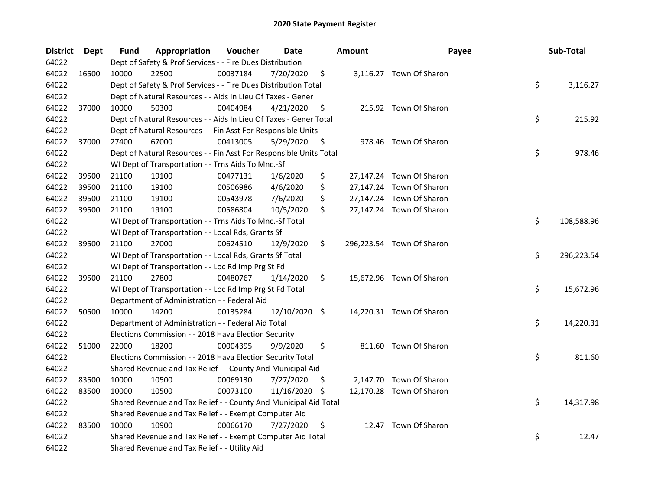| <b>District</b> | Dept  | <b>Fund</b> | Appropriation                                                      | Voucher  | <b>Date</b>   |     | <b>Amount</b> | Payee                     | Sub-Total        |
|-----------------|-------|-------------|--------------------------------------------------------------------|----------|---------------|-----|---------------|---------------------------|------------------|
| 64022           |       |             | Dept of Safety & Prof Services - - Fire Dues Distribution          |          |               |     |               |                           |                  |
| 64022           | 16500 | 10000       | 22500                                                              | 00037184 | 7/20/2020     | \$  |               | 3,116.27 Town Of Sharon   |                  |
| 64022           |       |             | Dept of Safety & Prof Services - - Fire Dues Distribution Total    |          |               |     |               |                           | \$<br>3,116.27   |
| 64022           |       |             | Dept of Natural Resources - - Aids In Lieu Of Taxes - Gener        |          |               |     |               |                           |                  |
| 64022           | 37000 | 10000       | 50300                                                              | 00404984 | 4/21/2020     | \$  |               | 215.92 Town Of Sharon     |                  |
| 64022           |       |             | Dept of Natural Resources - - Aids In Lieu Of Taxes - Gener Total  |          |               |     |               |                           | \$<br>215.92     |
| 64022           |       |             | Dept of Natural Resources - - Fin Asst For Responsible Units       |          |               |     |               |                           |                  |
| 64022           | 37000 | 27400       | 67000                                                              | 00413005 | 5/29/2020     | \$  |               | 978.46 Town Of Sharon     |                  |
| 64022           |       |             | Dept of Natural Resources - - Fin Asst For Responsible Units Total |          |               |     |               |                           | \$<br>978.46     |
| 64022           |       |             | WI Dept of Transportation - - Trns Aids To Mnc.-Sf                 |          |               |     |               |                           |                  |
| 64022           | 39500 | 21100       | 19100                                                              | 00477131 | 1/6/2020      | \$  |               | 27,147.24 Town Of Sharon  |                  |
| 64022           | 39500 | 21100       | 19100                                                              | 00506986 | 4/6/2020      | \$  |               | 27,147.24 Town Of Sharon  |                  |
| 64022           | 39500 | 21100       | 19100                                                              | 00543978 | 7/6/2020      | \$  |               | 27,147.24 Town Of Sharon  |                  |
| 64022           | 39500 | 21100       | 19100                                                              | 00586804 | 10/5/2020     | \$  |               | 27,147.24 Town Of Sharon  |                  |
| 64022           |       |             | WI Dept of Transportation - - Trns Aids To Mnc.-Sf Total           |          |               |     |               |                           | \$<br>108,588.96 |
| 64022           |       |             | WI Dept of Transportation - - Local Rds, Grants Sf                 |          |               |     |               |                           |                  |
| 64022           | 39500 | 21100       | 27000                                                              | 00624510 | 12/9/2020     | \$  |               | 296,223.54 Town Of Sharon |                  |
| 64022           |       |             | WI Dept of Transportation - - Local Rds, Grants Sf Total           |          |               |     |               |                           | \$<br>296,223.54 |
| 64022           |       |             | WI Dept of Transportation - - Loc Rd Imp Prg St Fd                 |          |               |     |               |                           |                  |
| 64022           | 39500 | 21100       | 27800                                                              | 00480767 | 1/14/2020     | \$  |               | 15,672.96 Town Of Sharon  |                  |
| 64022           |       |             | WI Dept of Transportation - - Loc Rd Imp Prg St Fd Total           |          |               |     |               |                           | \$<br>15,672.96  |
| 64022           |       |             | Department of Administration - - Federal Aid                       |          |               |     |               |                           |                  |
| 64022           | 50500 | 10000       | 14200                                                              | 00135284 | 12/10/2020 \$ |     |               | 14,220.31 Town Of Sharon  |                  |
| 64022           |       |             | Department of Administration - - Federal Aid Total                 |          |               |     |               |                           | \$<br>14,220.31  |
| 64022           |       |             | Elections Commission - - 2018 Hava Election Security               |          |               |     |               |                           |                  |
| 64022           | 51000 | 22000       | 18200                                                              | 00004395 | 9/9/2020      | \$  |               | 811.60 Town Of Sharon     |                  |
| 64022           |       |             | Elections Commission - - 2018 Hava Election Security Total         |          |               |     |               |                           | \$<br>811.60     |
| 64022           |       |             | Shared Revenue and Tax Relief - - County And Municipal Aid         |          |               |     |               |                           |                  |
| 64022           | 83500 | 10000       | 10500                                                              | 00069130 | 7/27/2020     | \$. |               | 2,147.70 Town Of Sharon   |                  |
| 64022           | 83500 | 10000       | 10500                                                              | 00073100 | 11/16/2020    | \$. |               | 12,170.28 Town Of Sharon  |                  |
| 64022           |       |             | Shared Revenue and Tax Relief - - County And Municipal Aid Total   |          |               |     |               |                           | \$<br>14,317.98  |
| 64022           |       |             | Shared Revenue and Tax Relief - - Exempt Computer Aid              |          |               |     |               |                           |                  |
| 64022           | 83500 | 10000       | 10900                                                              | 00066170 | 7/27/2020     | \$  |               | 12.47 Town Of Sharon      |                  |
| 64022           |       |             | Shared Revenue and Tax Relief - - Exempt Computer Aid Total        |          |               |     |               |                           | \$<br>12.47      |
| 64022           |       |             | Shared Revenue and Tax Relief - - Utility Aid                      |          |               |     |               |                           |                  |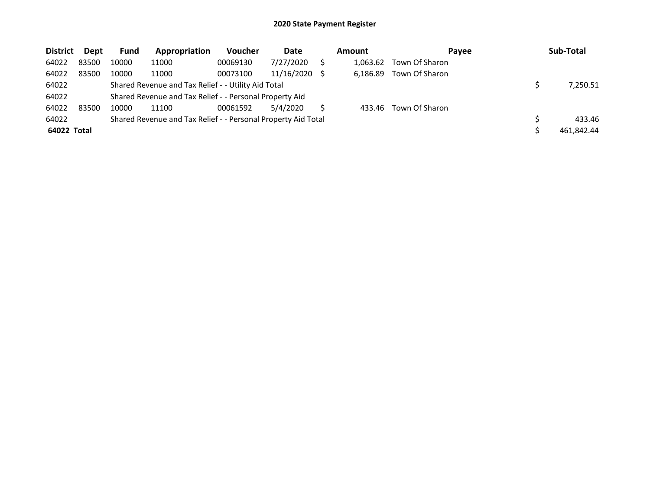| <b>District</b> | Dept  | Fund  | Appropriation                                                 | <b>Voucher</b> | Date          | <b>Amount</b> | Payee          | Sub-Total  |
|-----------------|-------|-------|---------------------------------------------------------------|----------------|---------------|---------------|----------------|------------|
| 64022           | 83500 | 10000 | 11000                                                         | 00069130       | 7/27/2020     | 1.063.62      | Town Of Sharon |            |
| 64022           | 83500 | 10000 | 11000                                                         | 00073100       | 11/16/2020 \$ | 6.186.89      | Town Of Sharon |            |
| 64022           |       |       | Shared Revenue and Tax Relief - - Utility Aid Total           |                |               |               |                | 7,250.51   |
| 64022           |       |       | Shared Revenue and Tax Relief - - Personal Property Aid       |                |               |               |                |            |
| 64022           | 83500 | 10000 | 11100                                                         | 00061592       | 5/4/2020      | 433.46        | Town Of Sharon |            |
| 64022           |       |       | Shared Revenue and Tax Relief - - Personal Property Aid Total |                |               |               |                | 433.46     |
| 64022 Total     |       |       |                                                               |                |               |               |                | 461.842.44 |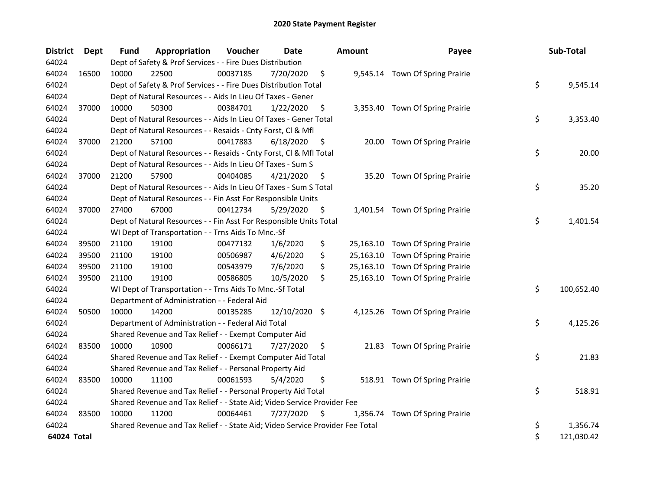| <b>District</b> | <b>Dept</b> | <b>Fund</b> | Appropriation                                                                 | Voucher  | <b>Date</b>   |     | <b>Amount</b> | Payee                            | Sub-Total        |
|-----------------|-------------|-------------|-------------------------------------------------------------------------------|----------|---------------|-----|---------------|----------------------------------|------------------|
| 64024           |             |             | Dept of Safety & Prof Services - - Fire Dues Distribution                     |          |               |     |               |                                  |                  |
| 64024           | 16500       | 10000       | 22500                                                                         | 00037185 | 7/20/2020     | \$  |               | 9,545.14 Town Of Spring Prairie  |                  |
| 64024           |             |             | Dept of Safety & Prof Services - - Fire Dues Distribution Total               |          |               |     |               |                                  | \$<br>9,545.14   |
| 64024           |             |             | Dept of Natural Resources - - Aids In Lieu Of Taxes - Gener                   |          |               |     |               |                                  |                  |
| 64024           | 37000       | 10000       | 50300                                                                         | 00384701 | 1/22/2020     | \$  |               | 3,353.40 Town Of Spring Prairie  |                  |
| 64024           |             |             | Dept of Natural Resources - - Aids In Lieu Of Taxes - Gener Total             |          |               |     |               |                                  | \$<br>3,353.40   |
| 64024           |             |             | Dept of Natural Resources - - Resaids - Cnty Forst, Cl & Mfl                  |          |               |     |               |                                  |                  |
| 64024           | 37000       | 21200       | 57100                                                                         | 00417883 | 6/18/2020     | \$  | 20.00         | Town Of Spring Prairie           |                  |
| 64024           |             |             | Dept of Natural Resources - - Resaids - Cnty Forst, Cl & Mfl Total            |          |               |     |               |                                  | \$<br>20.00      |
| 64024           |             |             | Dept of Natural Resources - - Aids In Lieu Of Taxes - Sum S                   |          |               |     |               |                                  |                  |
| 64024           | 37000       | 21200       | 57900                                                                         | 00404085 | 4/21/2020     | \$  | 35.20         | Town Of Spring Prairie           |                  |
| 64024           |             |             | Dept of Natural Resources - - Aids In Lieu Of Taxes - Sum S Total             |          |               |     |               |                                  | \$<br>35.20      |
| 64024           |             |             | Dept of Natural Resources - - Fin Asst For Responsible Units                  |          |               |     |               |                                  |                  |
| 64024           | 37000       | 27400       | 67000                                                                         | 00412734 | 5/29/2020     | \$  |               | 1,401.54 Town Of Spring Prairie  |                  |
| 64024           |             |             | Dept of Natural Resources - - Fin Asst For Responsible Units Total            |          |               |     |               |                                  | \$<br>1,401.54   |
| 64024           |             |             | WI Dept of Transportation - - Trns Aids To Mnc.-Sf                            |          |               |     |               |                                  |                  |
| 64024           | 39500       | 21100       | 19100                                                                         | 00477132 | 1/6/2020      | \$  |               | 25,163.10 Town Of Spring Prairie |                  |
| 64024           | 39500       | 21100       | 19100                                                                         | 00506987 | 4/6/2020      | \$  |               | 25,163.10 Town Of Spring Prairie |                  |
| 64024           | 39500       | 21100       | 19100                                                                         | 00543979 | 7/6/2020      | \$  |               | 25,163.10 Town Of Spring Prairie |                  |
| 64024           | 39500       | 21100       | 19100                                                                         | 00586805 | 10/5/2020     | \$  |               | 25,163.10 Town Of Spring Prairie |                  |
| 64024           |             |             | WI Dept of Transportation - - Trns Aids To Mnc.-Sf Total                      |          |               |     |               |                                  | \$<br>100,652.40 |
| 64024           |             |             | Department of Administration - - Federal Aid                                  |          |               |     |               |                                  |                  |
| 64024           | 50500       | 10000       | 14200                                                                         | 00135285 | 12/10/2020 \$ |     |               | 4,125.26 Town Of Spring Prairie  |                  |
| 64024           |             |             | Department of Administration - - Federal Aid Total                            |          |               |     |               |                                  | \$<br>4,125.26   |
| 64024           |             |             | Shared Revenue and Tax Relief - - Exempt Computer Aid                         |          |               |     |               |                                  |                  |
| 64024           | 83500       | 10000       | 10900                                                                         | 00066171 | 7/27/2020     | \$  |               | 21.83 Town Of Spring Prairie     |                  |
| 64024           |             |             | Shared Revenue and Tax Relief - - Exempt Computer Aid Total                   |          |               |     |               |                                  | \$<br>21.83      |
| 64024           |             |             | Shared Revenue and Tax Relief - - Personal Property Aid                       |          |               |     |               |                                  |                  |
| 64024           | 83500       | 10000       | 11100                                                                         | 00061593 | 5/4/2020      | \$  |               | 518.91 Town Of Spring Prairie    |                  |
| 64024           |             |             | Shared Revenue and Tax Relief - - Personal Property Aid Total                 |          |               |     |               |                                  | \$<br>518.91     |
| 64024           |             |             | Shared Revenue and Tax Relief - - State Aid; Video Service Provider Fee       |          |               |     |               |                                  |                  |
| 64024           | 83500       | 10000       | 11200                                                                         | 00064461 | 7/27/2020     | \$. | 1,356.74      | Town Of Spring Prairie           |                  |
| 64024           |             |             | Shared Revenue and Tax Relief - - State Aid; Video Service Provider Fee Total |          |               |     |               |                                  | \$<br>1,356.74   |
| 64024 Total     |             |             |                                                                               |          |               |     |               |                                  | \$<br>121,030.42 |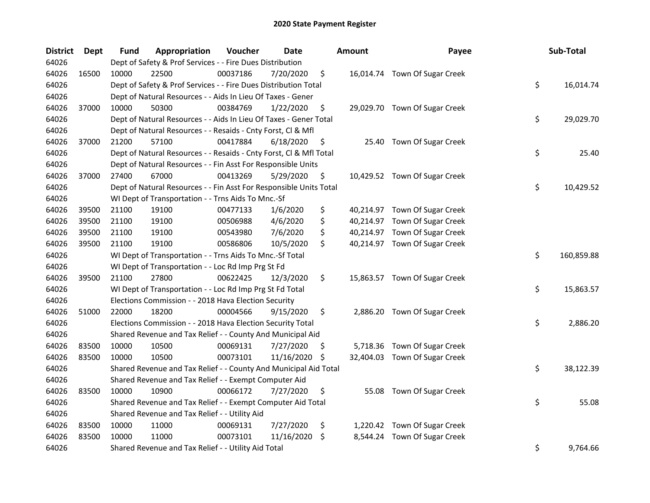| <b>District</b> | <b>Dept</b> | Fund  | Appropriation                                                      | Voucher  | <b>Date</b>   |    | <b>Amount</b> | Payee                         | Sub-Total        |
|-----------------|-------------|-------|--------------------------------------------------------------------|----------|---------------|----|---------------|-------------------------------|------------------|
| 64026           |             |       | Dept of Safety & Prof Services - - Fire Dues Distribution          |          |               |    |               |                               |                  |
| 64026           | 16500       | 10000 | 22500                                                              | 00037186 | 7/20/2020     | \$ |               | 16,014.74 Town Of Sugar Creek |                  |
| 64026           |             |       | Dept of Safety & Prof Services - - Fire Dues Distribution Total    |          |               |    |               |                               | \$<br>16,014.74  |
| 64026           |             |       | Dept of Natural Resources - - Aids In Lieu Of Taxes - Gener        |          |               |    |               |                               |                  |
| 64026           | 37000       | 10000 | 50300                                                              | 00384769 | 1/22/2020     | \$ |               | 29,029.70 Town Of Sugar Creek |                  |
| 64026           |             |       | Dept of Natural Resources - - Aids In Lieu Of Taxes - Gener Total  |          |               |    |               |                               | \$<br>29,029.70  |
| 64026           |             |       | Dept of Natural Resources - - Resaids - Cnty Forst, Cl & Mfl       |          |               |    |               |                               |                  |
| 64026           | 37000       | 21200 | 57100                                                              | 00417884 | 6/18/2020     | \$ |               | 25.40 Town Of Sugar Creek     |                  |
| 64026           |             |       | Dept of Natural Resources - - Resaids - Cnty Forst, Cl & Mfl Total |          |               |    |               |                               | \$<br>25.40      |
| 64026           |             |       | Dept of Natural Resources - - Fin Asst For Responsible Units       |          |               |    |               |                               |                  |
| 64026           | 37000       | 27400 | 67000                                                              | 00413269 | 5/29/2020     | \$ |               | 10,429.52 Town Of Sugar Creek |                  |
| 64026           |             |       | Dept of Natural Resources - - Fin Asst For Responsible Units Total |          |               |    |               |                               | \$<br>10,429.52  |
| 64026           |             |       | WI Dept of Transportation - - Trns Aids To Mnc.-Sf                 |          |               |    |               |                               |                  |
| 64026           | 39500       | 21100 | 19100                                                              | 00477133 | 1/6/2020      | \$ |               | 40,214.97 Town Of Sugar Creek |                  |
| 64026           | 39500       | 21100 | 19100                                                              | 00506988 | 4/6/2020      | \$ |               | 40,214.97 Town Of Sugar Creek |                  |
| 64026           | 39500       | 21100 | 19100                                                              | 00543980 | 7/6/2020      | \$ |               | 40,214.97 Town Of Sugar Creek |                  |
| 64026           | 39500       | 21100 | 19100                                                              | 00586806 | 10/5/2020     | \$ |               | 40,214.97 Town Of Sugar Creek |                  |
| 64026           |             |       | WI Dept of Transportation - - Trns Aids To Mnc.-Sf Total           |          |               |    |               |                               | \$<br>160,859.88 |
| 64026           |             |       | WI Dept of Transportation - - Loc Rd Imp Prg St Fd                 |          |               |    |               |                               |                  |
| 64026           | 39500       | 21100 | 27800                                                              | 00622425 | 12/3/2020     | \$ |               | 15,863.57 Town Of Sugar Creek |                  |
| 64026           |             |       | WI Dept of Transportation - - Loc Rd Imp Prg St Fd Total           |          |               |    |               |                               | \$<br>15,863.57  |
| 64026           |             |       | Elections Commission - - 2018 Hava Election Security               |          |               |    |               |                               |                  |
| 64026           | 51000       | 22000 | 18200                                                              | 00004566 | 9/15/2020     | \$ |               | 2,886.20 Town Of Sugar Creek  |                  |
| 64026           |             |       | Elections Commission - - 2018 Hava Election Security Total         |          |               |    |               |                               | \$<br>2,886.20   |
| 64026           |             |       | Shared Revenue and Tax Relief - - County And Municipal Aid         |          |               |    |               |                               |                  |
| 64026           | 83500       | 10000 | 10500                                                              | 00069131 | 7/27/2020     | S  |               | 5,718.36 Town Of Sugar Creek  |                  |
| 64026           | 83500       | 10000 | 10500                                                              | 00073101 | 11/16/2020 \$ |    |               | 32,404.03 Town Of Sugar Creek |                  |
| 64026           |             |       | Shared Revenue and Tax Relief - - County And Municipal Aid Total   |          |               |    |               |                               | \$<br>38,122.39  |
| 64026           |             |       | Shared Revenue and Tax Relief - - Exempt Computer Aid              |          |               |    |               |                               |                  |
| 64026           | 83500       | 10000 | 10900                                                              | 00066172 | 7/27/2020     | \$ | 55.08         | Town Of Sugar Creek           |                  |
| 64026           |             |       | Shared Revenue and Tax Relief - - Exempt Computer Aid Total        |          |               |    |               |                               | \$<br>55.08      |
| 64026           |             |       | Shared Revenue and Tax Relief - - Utility Aid                      |          |               |    |               |                               |                  |
| 64026           | 83500       | 10000 | 11000                                                              | 00069131 | 7/27/2020     | \$ |               | 1,220.42 Town Of Sugar Creek  |                  |
| 64026           | 83500       | 10000 | 11000                                                              | 00073101 | 11/16/2020    | \$ | 8,544.24      | Town Of Sugar Creek           |                  |
| 64026           |             |       | Shared Revenue and Tax Relief - - Utility Aid Total                |          |               |    |               |                               | \$<br>9,764.66   |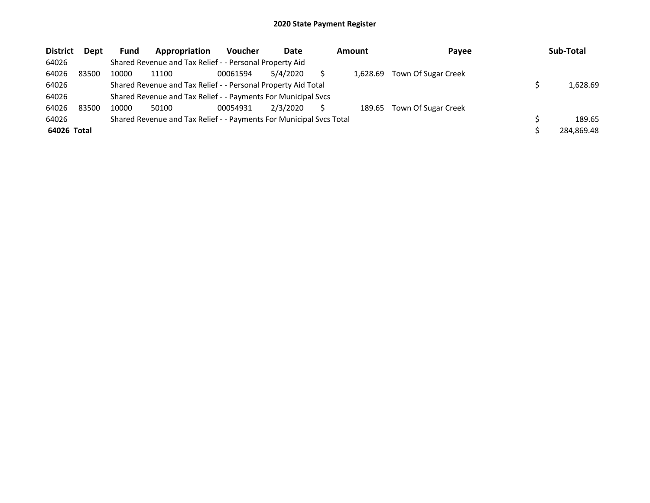| <b>District</b> | <b>Dept</b> | Fund  | Appropriation                                                       | <b>Voucher</b> | Date     | <b>Amount</b> | Payee               | Sub-Total  |
|-----------------|-------------|-------|---------------------------------------------------------------------|----------------|----------|---------------|---------------------|------------|
| 64026           |             |       | Shared Revenue and Tax Relief - - Personal Property Aid             |                |          |               |                     |            |
| 64026           | 83500       | 10000 | 11100                                                               | 00061594       | 5/4/2020 | 1.628.69      | Town Of Sugar Creek |            |
| 64026           |             |       | Shared Revenue and Tax Relief - - Personal Property Aid Total       |                |          |               |                     | 1,628.69   |
| 64026           |             |       | Shared Revenue and Tax Relief - - Payments For Municipal Svcs       |                |          |               |                     |            |
| 64026           | 83500       | 10000 | 50100                                                               | 00054931       | 2/3/2020 | 189.65        | Town Of Sugar Creek |            |
| 64026           |             |       | Shared Revenue and Tax Relief - - Payments For Municipal Svcs Total |                |          |               |                     | 189.65     |
| 64026 Total     |             |       |                                                                     |                |          |               |                     | 284.869.48 |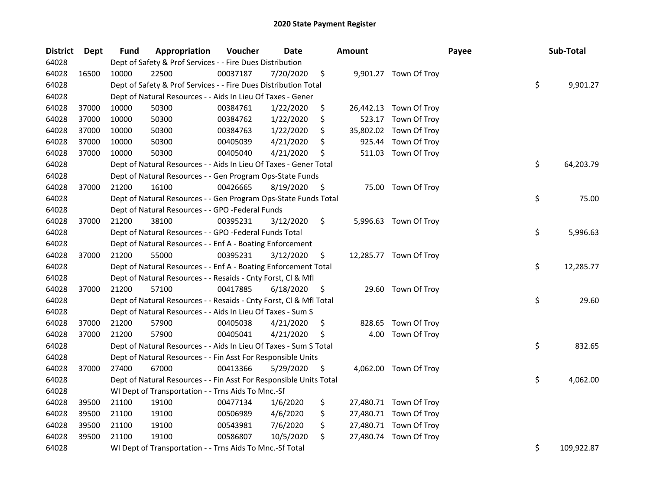| <b>District</b> | Dept  | <b>Fund</b> | Appropriation                                                      | Voucher  | <b>Date</b> |     | <b>Amount</b> |                        | Payee | Sub-Total        |
|-----------------|-------|-------------|--------------------------------------------------------------------|----------|-------------|-----|---------------|------------------------|-------|------------------|
| 64028           |       |             | Dept of Safety & Prof Services - - Fire Dues Distribution          |          |             |     |               |                        |       |                  |
| 64028           | 16500 | 10000       | 22500                                                              | 00037187 | 7/20/2020   | \$  |               | 9,901.27 Town Of Troy  |       |                  |
| 64028           |       |             | Dept of Safety & Prof Services - - Fire Dues Distribution Total    |          |             |     |               |                        |       | \$<br>9,901.27   |
| 64028           |       |             | Dept of Natural Resources - - Aids In Lieu Of Taxes - Gener        |          |             |     |               |                        |       |                  |
| 64028           | 37000 | 10000       | 50300                                                              | 00384761 | 1/22/2020   | \$  |               | 26,442.13 Town Of Troy |       |                  |
| 64028           | 37000 | 10000       | 50300                                                              | 00384762 | 1/22/2020   | \$  | 523.17        | Town Of Troy           |       |                  |
| 64028           | 37000 | 10000       | 50300                                                              | 00384763 | 1/22/2020   | \$  | 35,802.02     | Town Of Troy           |       |                  |
| 64028           | 37000 | 10000       | 50300                                                              | 00405039 | 4/21/2020   | \$  | 925.44        | Town Of Troy           |       |                  |
| 64028           | 37000 | 10000       | 50300                                                              | 00405040 | 4/21/2020   | \$  | 511.03        | Town Of Troy           |       |                  |
| 64028           |       |             | Dept of Natural Resources - - Aids In Lieu Of Taxes - Gener Total  |          |             |     |               |                        |       | \$<br>64,203.79  |
| 64028           |       |             | Dept of Natural Resources - - Gen Program Ops-State Funds          |          |             |     |               |                        |       |                  |
| 64028           | 37000 | 21200       | 16100                                                              | 00426665 | 8/19/2020   | \$  |               | 75.00 Town Of Troy     |       |                  |
| 64028           |       |             | Dept of Natural Resources - - Gen Program Ops-State Funds Total    |          |             |     |               |                        |       | \$<br>75.00      |
| 64028           |       |             | Dept of Natural Resources - - GPO -Federal Funds                   |          |             |     |               |                        |       |                  |
| 64028           | 37000 | 21200       | 38100                                                              | 00395231 | 3/12/2020   | \$  |               | 5,996.63 Town Of Troy  |       |                  |
| 64028           |       |             | Dept of Natural Resources - - GPO -Federal Funds Total             |          |             |     |               |                        |       | \$<br>5,996.63   |
| 64028           |       |             | Dept of Natural Resources - - Enf A - Boating Enforcement          |          |             |     |               |                        |       |                  |
| 64028           | 37000 | 21200       | 55000                                                              | 00395231 | 3/12/2020   | \$  |               | 12,285.77 Town Of Troy |       |                  |
| 64028           |       |             | Dept of Natural Resources - - Enf A - Boating Enforcement Total    |          |             |     |               |                        |       | \$<br>12,285.77  |
| 64028           |       |             | Dept of Natural Resources - - Resaids - Cnty Forst, Cl & Mfl       |          |             |     |               |                        |       |                  |
| 64028           | 37000 | 21200       | 57100                                                              | 00417885 | 6/18/2020   | \$  |               | 29.60 Town Of Troy     |       |                  |
| 64028           |       |             | Dept of Natural Resources - - Resaids - Cnty Forst, Cl & Mfl Total |          |             |     |               |                        |       | \$<br>29.60      |
| 64028           |       |             | Dept of Natural Resources - - Aids In Lieu Of Taxes - Sum S        |          |             |     |               |                        |       |                  |
| 64028           | 37000 | 21200       | 57900                                                              | 00405038 | 4/21/2020   | \$  | 828.65        | Town Of Troy           |       |                  |
| 64028           | 37000 | 21200       | 57900                                                              | 00405041 | 4/21/2020   | \$. | 4.00          | Town Of Troy           |       |                  |
| 64028           |       |             | Dept of Natural Resources - - Aids In Lieu Of Taxes - Sum S Total  |          |             |     |               |                        |       | \$<br>832.65     |
| 64028           |       |             | Dept of Natural Resources - - Fin Asst For Responsible Units       |          |             |     |               |                        |       |                  |
| 64028           | 37000 | 27400       | 67000                                                              | 00413366 | 5/29/2020   | \$  |               | 4,062.00 Town Of Troy  |       |                  |
| 64028           |       |             | Dept of Natural Resources - - Fin Asst For Responsible Units Total |          |             |     |               |                        |       | \$<br>4,062.00   |
| 64028           |       |             | WI Dept of Transportation - - Trns Aids To Mnc.-Sf                 |          |             |     |               |                        |       |                  |
| 64028           | 39500 | 21100       | 19100                                                              | 00477134 | 1/6/2020    | \$  |               | 27,480.71 Town Of Troy |       |                  |
| 64028           | 39500 | 21100       | 19100                                                              | 00506989 | 4/6/2020    | \$  |               | 27,480.71 Town Of Troy |       |                  |
| 64028           | 39500 | 21100       | 19100                                                              | 00543981 | 7/6/2020    | \$  |               | 27,480.71 Town Of Troy |       |                  |
| 64028           | 39500 | 21100       | 19100                                                              | 00586807 | 10/5/2020   | \$  |               | 27,480.74 Town Of Troy |       |                  |
| 64028           |       |             | WI Dept of Transportation - - Trns Aids To Mnc.-Sf Total           |          |             |     |               |                        |       | \$<br>109,922.87 |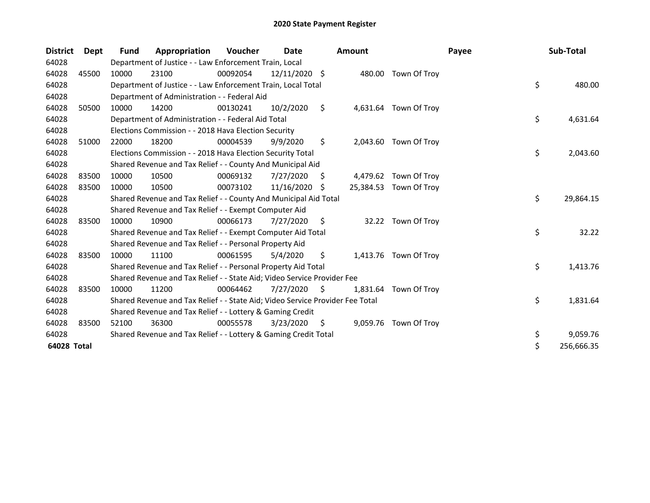| <b>District</b> | Dept  | Fund  | Appropriation                                                                 | Voucher  | Date          |    | <b>Amount</b> |                        | Payee | Sub-Total        |
|-----------------|-------|-------|-------------------------------------------------------------------------------|----------|---------------|----|---------------|------------------------|-------|------------------|
| 64028           |       |       | Department of Justice - - Law Enforcement Train, Local                        |          |               |    |               |                        |       |                  |
| 64028           | 45500 | 10000 | 23100                                                                         | 00092054 | 12/11/2020 \$ |    |               | 480.00 Town Of Troy    |       |                  |
| 64028           |       |       | Department of Justice - - Law Enforcement Train, Local Total                  |          |               |    |               |                        |       | \$<br>480.00     |
| 64028           |       |       | Department of Administration - - Federal Aid                                  |          |               |    |               |                        |       |                  |
| 64028           | 50500 | 10000 | 14200                                                                         | 00130241 | 10/2/2020     | \$ |               | 4,631.64 Town Of Troy  |       |                  |
| 64028           |       |       | Department of Administration - - Federal Aid Total                            |          |               |    |               |                        |       | \$<br>4,631.64   |
| 64028           |       |       | Elections Commission - - 2018 Hava Election Security                          |          |               |    |               |                        |       |                  |
| 64028           | 51000 | 22000 | 18200                                                                         | 00004539 | 9/9/2020      | \$ |               | 2,043.60 Town Of Troy  |       |                  |
| 64028           |       |       | Elections Commission - - 2018 Hava Election Security Total                    |          |               |    |               |                        |       | \$<br>2,043.60   |
| 64028           |       |       | Shared Revenue and Tax Relief - - County And Municipal Aid                    |          |               |    |               |                        |       |                  |
| 64028           | 83500 | 10000 | 10500                                                                         | 00069132 | 7/27/2020     | \$ |               | 4,479.62 Town Of Troy  |       |                  |
| 64028           | 83500 | 10000 | 10500                                                                         | 00073102 | 11/16/2020    | S  |               | 25,384.53 Town Of Troy |       |                  |
| 64028           |       |       | Shared Revenue and Tax Relief - - County And Municipal Aid Total              |          |               |    |               |                        |       | \$<br>29,864.15  |
| 64028           |       |       | Shared Revenue and Tax Relief - - Exempt Computer Aid                         |          |               |    |               |                        |       |                  |
| 64028           | 83500 | 10000 | 10900                                                                         | 00066173 | 7/27/2020     | \$ |               | 32.22 Town Of Troy     |       |                  |
| 64028           |       |       | Shared Revenue and Tax Relief - - Exempt Computer Aid Total                   |          |               |    |               |                        |       | \$<br>32.22      |
| 64028           |       |       | Shared Revenue and Tax Relief - - Personal Property Aid                       |          |               |    |               |                        |       |                  |
| 64028           | 83500 | 10000 | 11100                                                                         | 00061595 | 5/4/2020      | \$ |               | 1,413.76 Town Of Troy  |       |                  |
| 64028           |       |       | Shared Revenue and Tax Relief - - Personal Property Aid Total                 |          |               |    |               |                        |       | \$<br>1,413.76   |
| 64028           |       |       | Shared Revenue and Tax Relief - - State Aid; Video Service Provider Fee       |          |               |    |               |                        |       |                  |
| 64028           | 83500 | 10000 | 11200                                                                         | 00064462 | 7/27/2020     | S  | 1,831.64      | Town Of Troy           |       |                  |
| 64028           |       |       | Shared Revenue and Tax Relief - - State Aid; Video Service Provider Fee Total |          |               |    |               |                        |       | \$<br>1,831.64   |
| 64028           |       |       | Shared Revenue and Tax Relief - - Lottery & Gaming Credit                     |          |               |    |               |                        |       |                  |
| 64028           | 83500 | 52100 | 36300                                                                         | 00055578 | 3/23/2020     | S  |               | 9,059.76 Town Of Troy  |       |                  |
| 64028           |       |       | Shared Revenue and Tax Relief - - Lottery & Gaming Credit Total               |          |               |    |               |                        |       | \$<br>9,059.76   |
| 64028 Total     |       |       |                                                                               |          |               |    |               |                        |       | \$<br>256,666.35 |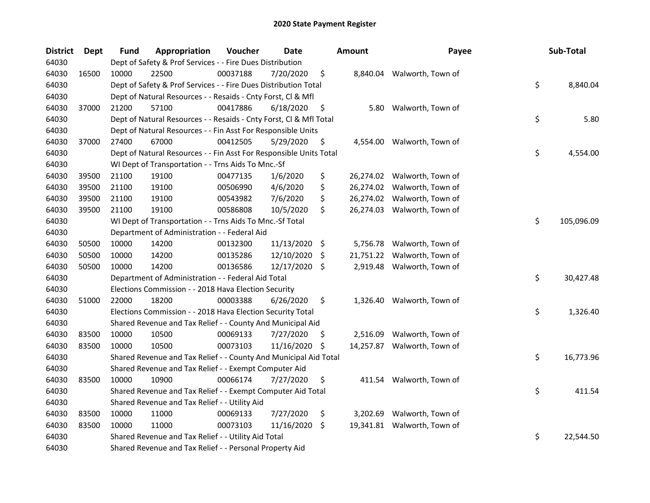| <b>District</b> | <b>Dept</b> | <b>Fund</b> | Appropriation                                                      | Voucher  | Date          |     | <b>Amount</b> | Payee                       | Sub-Total        |
|-----------------|-------------|-------------|--------------------------------------------------------------------|----------|---------------|-----|---------------|-----------------------------|------------------|
| 64030           |             |             | Dept of Safety & Prof Services - - Fire Dues Distribution          |          |               |     |               |                             |                  |
| 64030           | 16500       | 10000       | 22500                                                              | 00037188 | 7/20/2020     | \$  |               | 8,840.04 Walworth, Town of  |                  |
| 64030           |             |             | Dept of Safety & Prof Services - - Fire Dues Distribution Total    |          |               |     |               |                             | \$<br>8,840.04   |
| 64030           |             |             | Dept of Natural Resources - - Resaids - Cnty Forst, Cl & Mfl       |          |               |     |               |                             |                  |
| 64030           | 37000       | 21200       | 57100                                                              | 00417886 | 6/18/2020     | \$  | 5.80          | Walworth, Town of           |                  |
| 64030           |             |             | Dept of Natural Resources - - Resaids - Cnty Forst, Cl & Mfl Total |          |               |     |               |                             | \$<br>5.80       |
| 64030           |             |             | Dept of Natural Resources - - Fin Asst For Responsible Units       |          |               |     |               |                             |                  |
| 64030           | 37000       | 27400       | 67000                                                              | 00412505 | 5/29/2020     | \$  |               | 4,554.00 Walworth, Town of  |                  |
| 64030           |             |             | Dept of Natural Resources - - Fin Asst For Responsible Units Total |          |               |     |               |                             | \$<br>4,554.00   |
| 64030           |             |             | WI Dept of Transportation - - Trns Aids To Mnc.-Sf                 |          |               |     |               |                             |                  |
| 64030           | 39500       | 21100       | 19100                                                              | 00477135 | 1/6/2020      | \$  |               | 26,274.02 Walworth, Town of |                  |
| 64030           | 39500       | 21100       | 19100                                                              | 00506990 | 4/6/2020      | \$  |               | 26,274.02 Walworth, Town of |                  |
| 64030           | 39500       | 21100       | 19100                                                              | 00543982 | 7/6/2020      | \$  |               | 26,274.02 Walworth, Town of |                  |
| 64030           | 39500       | 21100       | 19100                                                              | 00586808 | 10/5/2020     | \$  |               | 26,274.03 Walworth, Town of |                  |
| 64030           |             |             | WI Dept of Transportation - - Trns Aids To Mnc.-Sf Total           |          |               |     |               |                             | \$<br>105,096.09 |
| 64030           |             |             | Department of Administration - - Federal Aid                       |          |               |     |               |                             |                  |
| 64030           | 50500       | 10000       | 14200                                                              | 00132300 | 11/13/2020 \$ |     | 5,756.78      | Walworth, Town of           |                  |
| 64030           | 50500       | 10000       | 14200                                                              | 00135286 | 12/10/2020    | \$. | 21,751.22     | Walworth, Town of           |                  |
| 64030           | 50500       | 10000       | 14200                                                              | 00136586 | 12/17/2020    | \$. |               | 2,919.48 Walworth, Town of  |                  |
| 64030           |             |             | Department of Administration - - Federal Aid Total                 |          |               |     |               |                             | \$<br>30,427.48  |
| 64030           |             |             | Elections Commission - - 2018 Hava Election Security               |          |               |     |               |                             |                  |
| 64030           | 51000       | 22000       | 18200                                                              | 00003388 | 6/26/2020     | \$  | 1,326.40      | Walworth, Town of           |                  |
| 64030           |             |             | Elections Commission - - 2018 Hava Election Security Total         |          |               |     |               |                             | \$<br>1,326.40   |
| 64030           |             |             | Shared Revenue and Tax Relief - - County And Municipal Aid         |          |               |     |               |                             |                  |
| 64030           | 83500       | 10000       | 10500                                                              | 00069133 | 7/27/2020     | \$  | 2,516.09      | Walworth, Town of           |                  |
| 64030           | 83500       | 10000       | 10500                                                              | 00073103 | 11/16/2020    | \$  |               | 14,257.87 Walworth, Town of |                  |
| 64030           |             |             | Shared Revenue and Tax Relief - - County And Municipal Aid Total   |          |               |     |               |                             | \$<br>16,773.96  |
| 64030           |             |             | Shared Revenue and Tax Relief - - Exempt Computer Aid              |          |               |     |               |                             |                  |
| 64030           | 83500       | 10000       | 10900                                                              | 00066174 | 7/27/2020     | \$  |               | 411.54 Walworth, Town of    |                  |
| 64030           |             |             | Shared Revenue and Tax Relief - - Exempt Computer Aid Total        |          |               |     |               |                             | \$<br>411.54     |
| 64030           |             |             | Shared Revenue and Tax Relief - - Utility Aid                      |          |               |     |               |                             |                  |
| 64030           | 83500       | 10000       | 11000                                                              | 00069133 | 7/27/2020     | \$  | 3,202.69      | Walworth, Town of           |                  |
| 64030           | 83500       | 10000       | 11000                                                              | 00073103 | 11/16/2020    | \$. |               | 19,341.81 Walworth, Town of |                  |
| 64030           |             |             | Shared Revenue and Tax Relief - - Utility Aid Total                |          |               |     |               |                             | \$<br>22,544.50  |
| 64030           |             |             | Shared Revenue and Tax Relief - - Personal Property Aid            |          |               |     |               |                             |                  |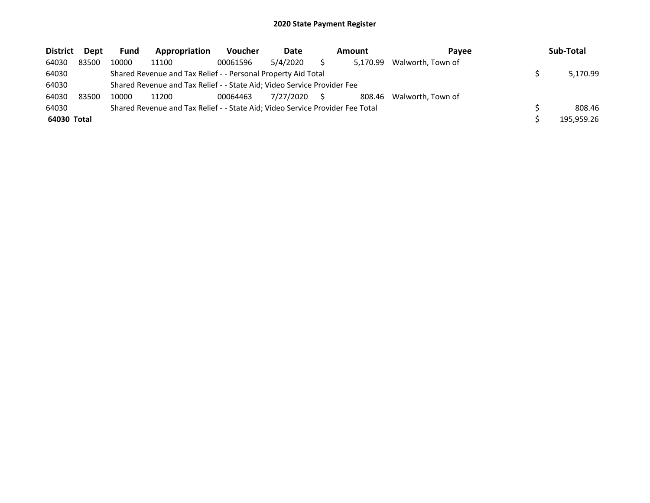| <b>District</b> | Dept  | <b>Fund</b> | Appropriation                                                                 | <b>Voucher</b> | Date      | Amount   | <b>Pavee</b>      | Sub-Total  |
|-----------------|-------|-------------|-------------------------------------------------------------------------------|----------------|-----------|----------|-------------------|------------|
| 64030           | 83500 | 10000       | 11100                                                                         | 00061596       | 5/4/2020  | 5.170.99 | Walworth, Town of |            |
| 64030           |       |             | Shared Revenue and Tax Relief - - Personal Property Aid Total                 |                |           |          |                   | 5,170.99   |
| 64030           |       |             | Shared Revenue and Tax Relief - - State Aid; Video Service Provider Fee       |                |           |          |                   |            |
| 64030           | 83500 | 10000       | 11200                                                                         | 00064463       | 7/27/2020 | 808.46   | Walworth, Town of |            |
| 64030           |       |             | Shared Revenue and Tax Relief - - State Aid; Video Service Provider Fee Total |                |           |          |                   | 808.46     |
| 64030 Total     |       |             |                                                                               |                |           |          |                   | 195,959.26 |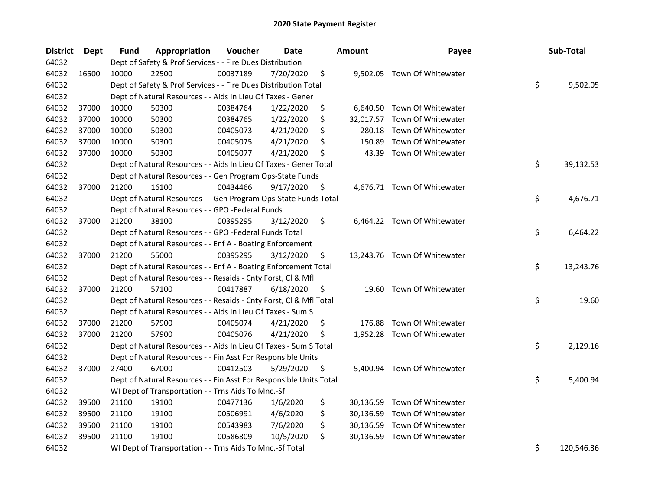| <b>District</b> | Dept  | <b>Fund</b> | Appropriation                                                      | Voucher  | <b>Date</b> |     | Amount    | Payee                        | Sub-Total        |
|-----------------|-------|-------------|--------------------------------------------------------------------|----------|-------------|-----|-----------|------------------------------|------------------|
| 64032           |       |             | Dept of Safety & Prof Services - - Fire Dues Distribution          |          |             |     |           |                              |                  |
| 64032           | 16500 | 10000       | 22500                                                              | 00037189 | 7/20/2020   | \$  |           | 9,502.05 Town Of Whitewater  |                  |
| 64032           |       |             | Dept of Safety & Prof Services - - Fire Dues Distribution Total    |          |             |     |           |                              | \$<br>9,502.05   |
| 64032           |       |             | Dept of Natural Resources - - Aids In Lieu Of Taxes - Gener        |          |             |     |           |                              |                  |
| 64032           | 37000 | 10000       | 50300                                                              | 00384764 | 1/22/2020   | \$  |           | 6,640.50 Town Of Whitewater  |                  |
| 64032           | 37000 | 10000       | 50300                                                              | 00384765 | 1/22/2020   | \$  | 32,017.57 | Town Of Whitewater           |                  |
| 64032           | 37000 | 10000       | 50300                                                              | 00405073 | 4/21/2020   | \$  | 280.18    | Town Of Whitewater           |                  |
| 64032           | 37000 | 10000       | 50300                                                              | 00405075 | 4/21/2020   | \$  | 150.89    | Town Of Whitewater           |                  |
| 64032           | 37000 | 10000       | 50300                                                              | 00405077 | 4/21/2020   | \$  | 43.39     | Town Of Whitewater           |                  |
| 64032           |       |             | Dept of Natural Resources - - Aids In Lieu Of Taxes - Gener Total  |          |             |     |           |                              | \$<br>39,132.53  |
| 64032           |       |             | Dept of Natural Resources - - Gen Program Ops-State Funds          |          |             |     |           |                              |                  |
| 64032           | 37000 | 21200       | 16100                                                              | 00434466 | 9/17/2020   | \$. |           | 4,676.71 Town Of Whitewater  |                  |
| 64032           |       |             | Dept of Natural Resources - - Gen Program Ops-State Funds Total    |          |             |     |           |                              | \$<br>4,676.71   |
| 64032           |       |             | Dept of Natural Resources - - GPO -Federal Funds                   |          |             |     |           |                              |                  |
| 64032           | 37000 | 21200       | 38100                                                              | 00395295 | 3/12/2020   | \$  |           | 6,464.22 Town Of Whitewater  |                  |
| 64032           |       |             | Dept of Natural Resources - - GPO -Federal Funds Total             |          |             |     |           |                              | \$<br>6,464.22   |
| 64032           |       |             | Dept of Natural Resources - - Enf A - Boating Enforcement          |          |             |     |           |                              |                  |
| 64032           | 37000 | 21200       | 55000                                                              | 00395295 | 3/12/2020   | \$  |           | 13,243.76 Town Of Whitewater |                  |
| 64032           |       |             | Dept of Natural Resources - - Enf A - Boating Enforcement Total    |          |             |     |           |                              | \$<br>13,243.76  |
| 64032           |       |             | Dept of Natural Resources - - Resaids - Cnty Forst, Cl & Mfl       |          |             |     |           |                              |                  |
| 64032           | 37000 | 21200       | 57100                                                              | 00417887 | 6/18/2020   | \$  |           | 19.60 Town Of Whitewater     |                  |
| 64032           |       |             | Dept of Natural Resources - - Resaids - Cnty Forst, Cl & Mfl Total |          |             |     |           |                              | \$<br>19.60      |
| 64032           |       |             | Dept of Natural Resources - - Aids In Lieu Of Taxes - Sum S        |          |             |     |           |                              |                  |
| 64032           | 37000 | 21200       | 57900                                                              | 00405074 | 4/21/2020   | \$  | 176.88    | Town Of Whitewater           |                  |
| 64032           | 37000 | 21200       | 57900                                                              | 00405076 | 4/21/2020   | \$  |           | 1,952.28 Town Of Whitewater  |                  |
| 64032           |       |             | Dept of Natural Resources - - Aids In Lieu Of Taxes - Sum S Total  |          |             |     |           |                              | \$<br>2,129.16   |
| 64032           |       |             | Dept of Natural Resources - - Fin Asst For Responsible Units       |          |             |     |           |                              |                  |
| 64032           | 37000 | 27400       | 67000                                                              | 00412503 | 5/29/2020   | \$, |           | 5,400.94 Town Of Whitewater  |                  |
| 64032           |       |             | Dept of Natural Resources - - Fin Asst For Responsible Units Total |          |             |     |           |                              | \$<br>5,400.94   |
| 64032           |       |             | WI Dept of Transportation - - Trns Aids To Mnc.-Sf                 |          |             |     |           |                              |                  |
| 64032           | 39500 | 21100       | 19100                                                              | 00477136 | 1/6/2020    | \$  |           | 30,136.59 Town Of Whitewater |                  |
| 64032           | 39500 | 21100       | 19100                                                              | 00506991 | 4/6/2020    | \$  |           | 30,136.59 Town Of Whitewater |                  |
| 64032           | 39500 | 21100       | 19100                                                              | 00543983 | 7/6/2020    | \$  |           | 30,136.59 Town Of Whitewater |                  |
| 64032           | 39500 | 21100       | 19100                                                              | 00586809 | 10/5/2020   | \$  |           | 30,136.59 Town Of Whitewater |                  |
| 64032           |       |             | WI Dept of Transportation - - Trns Aids To Mnc.-Sf Total           |          |             |     |           |                              | \$<br>120,546.36 |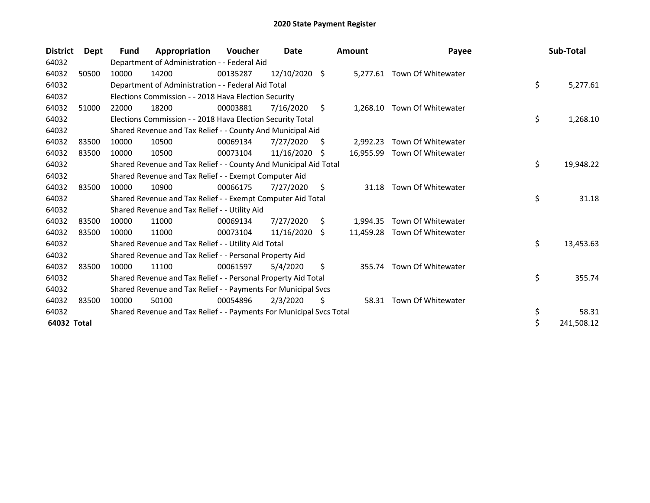| <b>District</b> | Dept  | Fund  | Appropriation                                                       | Voucher  | Date            |    | <b>Amount</b> | Payee                        | Sub-Total        |
|-----------------|-------|-------|---------------------------------------------------------------------|----------|-----------------|----|---------------|------------------------------|------------------|
| 64032           |       |       | Department of Administration - - Federal Aid                        |          |                 |    |               |                              |                  |
| 64032           | 50500 | 10000 | 14200                                                               | 00135287 | $12/10/2020$ \$ |    |               | 5,277.61 Town Of Whitewater  |                  |
| 64032           |       |       | Department of Administration - - Federal Aid Total                  |          |                 |    |               |                              | \$<br>5,277.61   |
| 64032           |       |       | Elections Commission - - 2018 Hava Election Security                |          |                 |    |               |                              |                  |
| 64032           | 51000 | 22000 | 18200                                                               | 00003881 | 7/16/2020       | \$ | 1,268.10      | Town Of Whitewater           |                  |
| 64032           |       |       | Elections Commission - - 2018 Hava Election Security Total          |          |                 |    |               |                              | \$<br>1,268.10   |
| 64032           |       |       | Shared Revenue and Tax Relief - - County And Municipal Aid          |          |                 |    |               |                              |                  |
| 64032           | 83500 | 10000 | 10500                                                               | 00069134 | 7/27/2020       | S  | 2,992.23      | Town Of Whitewater           |                  |
| 64032           | 83500 | 10000 | 10500                                                               | 00073104 | 11/16/2020      | S  | 16,955.99     | Town Of Whitewater           |                  |
| 64032           |       |       | Shared Revenue and Tax Relief - - County And Municipal Aid Total    |          |                 |    |               |                              | \$<br>19,948.22  |
| 64032           |       |       | Shared Revenue and Tax Relief - - Exempt Computer Aid               |          |                 |    |               |                              |                  |
| 64032           | 83500 | 10000 | 10900                                                               | 00066175 | 7/27/2020       | S. | 31.18         | Town Of Whitewater           |                  |
| 64032           |       |       | Shared Revenue and Tax Relief - - Exempt Computer Aid Total         |          |                 |    |               |                              | \$<br>31.18      |
| 64032           |       |       | Shared Revenue and Tax Relief - - Utility Aid                       |          |                 |    |               |                              |                  |
| 64032           | 83500 | 10000 | 11000                                                               | 00069134 | 7/27/2020       | S. | 1,994.35      | Town Of Whitewater           |                  |
| 64032           | 83500 | 10000 | 11000                                                               | 00073104 | 11/16/2020      | S. |               | 11,459.28 Town Of Whitewater |                  |
| 64032           |       |       | Shared Revenue and Tax Relief - - Utility Aid Total                 |          |                 |    |               |                              | \$<br>13,453.63  |
| 64032           |       |       | Shared Revenue and Tax Relief - - Personal Property Aid             |          |                 |    |               |                              |                  |
| 64032           | 83500 | 10000 | 11100                                                               | 00061597 | 5/4/2020        | \$ | 355.74        | Town Of Whitewater           |                  |
| 64032           |       |       | Shared Revenue and Tax Relief - - Personal Property Aid Total       |          |                 |    |               |                              | \$<br>355.74     |
| 64032           |       |       | Shared Revenue and Tax Relief - - Payments For Municipal Svcs       |          |                 |    |               |                              |                  |
| 64032           | 83500 | 10000 | 50100                                                               | 00054896 | 2/3/2020        | \$ | 58.31         | Town Of Whitewater           |                  |
| 64032           |       |       | Shared Revenue and Tax Relief - - Payments For Municipal Svcs Total |          |                 |    |               |                              | \$<br>58.31      |
| 64032 Total     |       |       |                                                                     |          |                 |    |               |                              | \$<br>241,508.12 |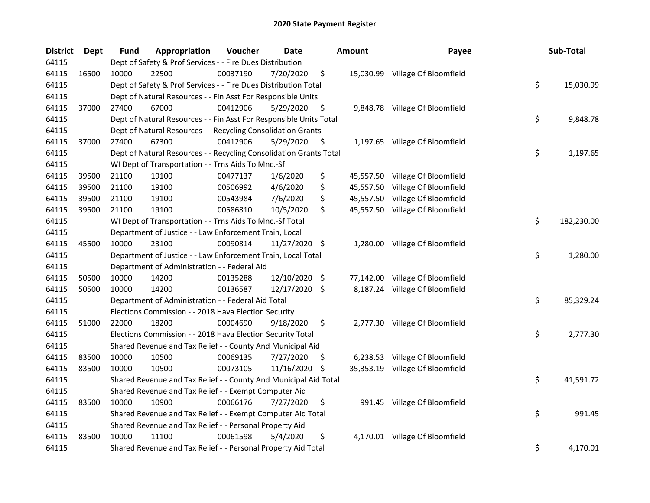| <b>District</b> | <b>Dept</b> | <b>Fund</b> | Appropriation                                                      | Voucher  | Date          |     | Amount    | Payee                           | Sub-Total        |
|-----------------|-------------|-------------|--------------------------------------------------------------------|----------|---------------|-----|-----------|---------------------------------|------------------|
| 64115           |             |             | Dept of Safety & Prof Services - - Fire Dues Distribution          |          |               |     |           |                                 |                  |
| 64115           | 16500       | 10000       | 22500                                                              | 00037190 | 7/20/2020     | \$  |           | 15,030.99 Village Of Bloomfield |                  |
| 64115           |             |             | Dept of Safety & Prof Services - - Fire Dues Distribution Total    |          |               |     |           |                                 | \$<br>15,030.99  |
| 64115           |             |             | Dept of Natural Resources - - Fin Asst For Responsible Units       |          |               |     |           |                                 |                  |
| 64115           | 37000       | 27400       | 67000                                                              | 00412906 | 5/29/2020     | \$  |           | 9,848.78 Village Of Bloomfield  |                  |
| 64115           |             |             | Dept of Natural Resources - - Fin Asst For Responsible Units Total |          |               |     |           |                                 | \$<br>9,848.78   |
| 64115           |             |             | Dept of Natural Resources - - Recycling Consolidation Grants       |          |               |     |           |                                 |                  |
| 64115           | 37000       | 27400       | 67300                                                              | 00412906 | 5/29/2020     | \$  |           | 1,197.65 Village Of Bloomfield  |                  |
| 64115           |             |             | Dept of Natural Resources - - Recycling Consolidation Grants Total |          |               |     |           |                                 | \$<br>1,197.65   |
| 64115           |             |             | WI Dept of Transportation - - Trns Aids To Mnc.-Sf                 |          |               |     |           |                                 |                  |
| 64115           | 39500       | 21100       | 19100                                                              | 00477137 | 1/6/2020      | \$  |           | 45,557.50 Village Of Bloomfield |                  |
| 64115           | 39500       | 21100       | 19100                                                              | 00506992 | 4/6/2020      | \$  |           | 45,557.50 Village Of Bloomfield |                  |
| 64115           | 39500       | 21100       | 19100                                                              | 00543984 | 7/6/2020      | \$  |           | 45,557.50 Village Of Bloomfield |                  |
| 64115           | 39500       | 21100       | 19100                                                              | 00586810 | 10/5/2020     | \$  |           | 45,557.50 Village Of Bloomfield |                  |
| 64115           |             |             | WI Dept of Transportation - - Trns Aids To Mnc.-Sf Total           |          |               |     |           |                                 | \$<br>182,230.00 |
| 64115           |             |             | Department of Justice - - Law Enforcement Train, Local             |          |               |     |           |                                 |                  |
| 64115           | 45500       | 10000       | 23100                                                              | 00090814 | 11/27/2020 \$ |     | 1,280.00  | Village Of Bloomfield           |                  |
| 64115           |             |             | Department of Justice - - Law Enforcement Train, Local Total       |          |               |     |           |                                 | \$<br>1,280.00   |
| 64115           |             |             | Department of Administration - - Federal Aid                       |          |               |     |           |                                 |                  |
| 64115           | 50500       | 10000       | 14200                                                              | 00135288 | 12/10/2020    | \$  | 77,142.00 | Village Of Bloomfield           |                  |
| 64115           | 50500       | 10000       | 14200                                                              | 00136587 | 12/17/2020 \$ |     |           | 8,187.24 Village Of Bloomfield  |                  |
| 64115           |             |             | Department of Administration - - Federal Aid Total                 |          |               |     |           |                                 | \$<br>85,329.24  |
| 64115           |             |             | Elections Commission - - 2018 Hava Election Security               |          |               |     |           |                                 |                  |
| 64115           | 51000       | 22000       | 18200                                                              | 00004690 | 9/18/2020     | \$  |           | 2,777.30 Village Of Bloomfield  |                  |
| 64115           |             |             | Elections Commission - - 2018 Hava Election Security Total         |          |               |     |           |                                 | \$<br>2,777.30   |
| 64115           |             |             | Shared Revenue and Tax Relief - - County And Municipal Aid         |          |               |     |           |                                 |                  |
| 64115           | 83500       | 10000       | 10500                                                              | 00069135 | 7/27/2020     | \$. |           | 6,238.53 Village Of Bloomfield  |                  |
| 64115           | 83500       | 10000       | 10500                                                              | 00073105 | 11/16/2020    | \$. |           | 35,353.19 Village Of Bloomfield |                  |
| 64115           |             |             | Shared Revenue and Tax Relief - - County And Municipal Aid Total   |          |               |     |           |                                 | \$<br>41,591.72  |
| 64115           |             |             | Shared Revenue and Tax Relief - - Exempt Computer Aid              |          |               |     |           |                                 |                  |
| 64115           | 83500       | 10000       | 10900                                                              | 00066176 | 7/27/2020     | \$  |           | 991.45 Village Of Bloomfield    |                  |
| 64115           |             |             | Shared Revenue and Tax Relief - - Exempt Computer Aid Total        |          |               |     |           |                                 | \$<br>991.45     |
| 64115           |             |             | Shared Revenue and Tax Relief - - Personal Property Aid            |          |               |     |           |                                 |                  |
| 64115           | 83500       | 10000       | 11100                                                              | 00061598 | 5/4/2020      | \$  |           | 4,170.01 Village Of Bloomfield  |                  |
| 64115           |             |             | Shared Revenue and Tax Relief - - Personal Property Aid Total      |          |               |     |           |                                 | \$<br>4,170.01   |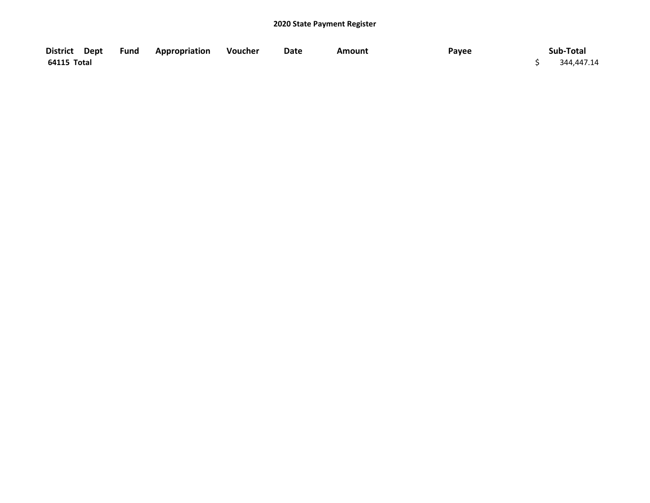|             | District Dept Fund Appropriation Voucher | Date | Amount | Payee | Sub-Total  |
|-------------|------------------------------------------|------|--------|-------|------------|
| 64115 Total |                                          |      |        |       | 344,447.14 |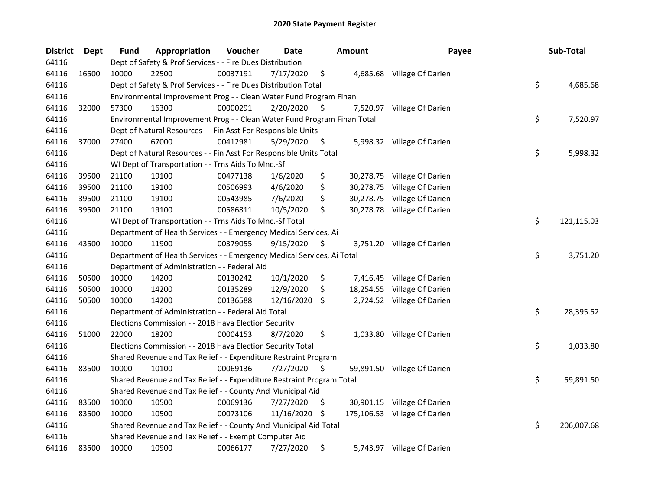| <b>District</b> | <b>Dept</b> | <b>Fund</b> | Appropriation                                                           | Voucher  | <b>Date</b> |     | <b>Amount</b> | Payee                        | Sub-Total        |
|-----------------|-------------|-------------|-------------------------------------------------------------------------|----------|-------------|-----|---------------|------------------------------|------------------|
| 64116           |             |             | Dept of Safety & Prof Services - - Fire Dues Distribution               |          |             |     |               |                              |                  |
| 64116           | 16500       | 10000       | 22500                                                                   | 00037191 | 7/17/2020   | \$  |               | 4,685.68 Village Of Darien   |                  |
| 64116           |             |             | Dept of Safety & Prof Services - - Fire Dues Distribution Total         |          |             |     |               |                              | \$<br>4,685.68   |
| 64116           |             |             | Environmental Improvement Prog - - Clean Water Fund Program Finan       |          |             |     |               |                              |                  |
| 64116           | 32000       | 57300       | 16300                                                                   | 00000291 | 2/20/2020   | S   |               | 7,520.97 Village Of Darien   |                  |
| 64116           |             |             | Environmental Improvement Prog - - Clean Water Fund Program Finan Total |          |             |     |               |                              | \$<br>7,520.97   |
| 64116           |             |             | Dept of Natural Resources - - Fin Asst For Responsible Units            |          |             |     |               |                              |                  |
| 64116           | 37000       | 27400       | 67000                                                                   | 00412981 | 5/29/2020   | \$  |               | 5,998.32 Village Of Darien   |                  |
| 64116           |             |             | Dept of Natural Resources - - Fin Asst For Responsible Units Total      |          |             |     |               |                              | \$<br>5,998.32   |
| 64116           |             |             | WI Dept of Transportation - - Trns Aids To Mnc.-Sf                      |          |             |     |               |                              |                  |
| 64116           | 39500       | 21100       | 19100                                                                   | 00477138 | 1/6/2020    | \$  |               | 30,278.75 Village Of Darien  |                  |
| 64116           | 39500       | 21100       | 19100                                                                   | 00506993 | 4/6/2020    | \$  |               | 30,278.75 Village Of Darien  |                  |
| 64116           | 39500       | 21100       | 19100                                                                   | 00543985 | 7/6/2020    | \$  |               | 30,278.75 Village Of Darien  |                  |
| 64116           | 39500       | 21100       | 19100                                                                   | 00586811 | 10/5/2020   | \$  |               | 30,278.78 Village Of Darien  |                  |
| 64116           |             |             | WI Dept of Transportation - - Trns Aids To Mnc.-Sf Total                |          |             |     |               |                              | \$<br>121,115.03 |
| 64116           |             |             | Department of Health Services - - Emergency Medical Services, Ai        |          |             |     |               |                              |                  |
| 64116           | 43500       | 10000       | 11900                                                                   | 00379055 | 9/15/2020   | \$  |               | 3,751.20 Village Of Darien   |                  |
| 64116           |             |             | Department of Health Services - - Emergency Medical Services, Ai Total  |          |             |     |               |                              | \$<br>3,751.20   |
| 64116           |             |             | Department of Administration - - Federal Aid                            |          |             |     |               |                              |                  |
| 64116           | 50500       | 10000       | 14200                                                                   | 00130242 | 10/1/2020   | \$  |               | 7,416.45 Village Of Darien   |                  |
| 64116           | 50500       | 10000       | 14200                                                                   | 00135289 | 12/9/2020   | \$  |               | 18,254.55 Village Of Darien  |                  |
| 64116           | 50500       | 10000       | 14200                                                                   | 00136588 | 12/16/2020  | -S  |               | 2,724.52 Village Of Darien   |                  |
| 64116           |             |             | Department of Administration - - Federal Aid Total                      |          |             |     |               |                              | \$<br>28,395.52  |
| 64116           |             |             | Elections Commission - - 2018 Hava Election Security                    |          |             |     |               |                              |                  |
| 64116           | 51000       | 22000       | 18200                                                                   | 00004153 | 8/7/2020    | \$  |               | 1,033.80 Village Of Darien   |                  |
| 64116           |             |             | Elections Commission - - 2018 Hava Election Security Total              |          |             |     |               |                              | \$<br>1,033.80   |
| 64116           |             |             | Shared Revenue and Tax Relief - - Expenditure Restraint Program         |          |             |     |               |                              |                  |
| 64116           | 83500       | 10000       | 10100                                                                   | 00069136 | 7/27/2020   | S   |               | 59,891.50 Village Of Darien  |                  |
| 64116           |             |             | Shared Revenue and Tax Relief - - Expenditure Restraint Program Total   |          |             |     |               |                              | \$<br>59,891.50  |
| 64116           |             |             | Shared Revenue and Tax Relief - - County And Municipal Aid              |          |             |     |               |                              |                  |
| 64116           | 83500       | 10000       | 10500                                                                   | 00069136 | 7/27/2020   | \$. |               | 30,901.15 Village Of Darien  |                  |
| 64116           | 83500       | 10000       | 10500                                                                   | 00073106 | 11/16/2020  | \$  |               | 175,106.53 Village Of Darien |                  |
| 64116           |             |             | Shared Revenue and Tax Relief - - County And Municipal Aid Total        |          |             |     |               |                              | \$<br>206,007.68 |
| 64116           |             |             | Shared Revenue and Tax Relief - - Exempt Computer Aid                   |          |             |     |               |                              |                  |
| 64116           | 83500       | 10000       | 10900                                                                   | 00066177 | 7/27/2020   | \$  |               | 5,743.97 Village Of Darien   |                  |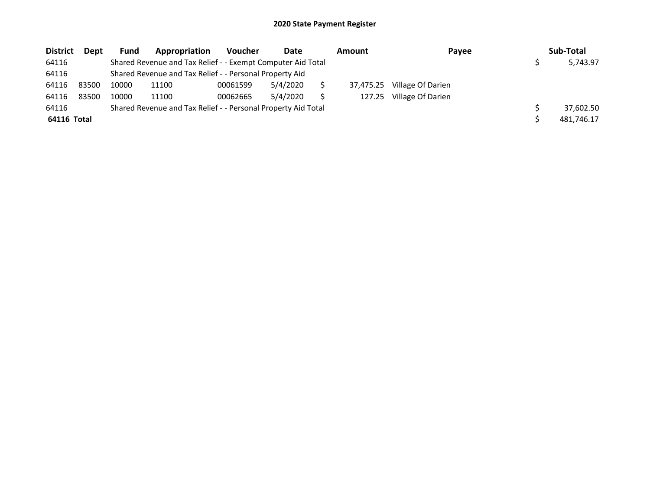| <b>District</b> | Dept  | Fund  | Appropriation                                                 | <b>Voucher</b> | Date     | <b>Amount</b> | Payee             | Sub-Total  |
|-----------------|-------|-------|---------------------------------------------------------------|----------------|----------|---------------|-------------------|------------|
| 64116           |       |       | Shared Revenue and Tax Relief - - Exempt Computer Aid Total   |                |          |               |                   | 5,743.97   |
| 64116           |       |       | Shared Revenue and Tax Relief - - Personal Property Aid       |                |          |               |                   |            |
| 64116           | 83500 | 10000 | 11100                                                         | 00061599       | 5/4/2020 | 37,475.25     | Village Of Darien |            |
| 64116           | 83500 | 10000 | 11100                                                         | 00062665       | 5/4/2020 | 127.25        | Village Of Darien |            |
| 64116           |       |       | Shared Revenue and Tax Relief - - Personal Property Aid Total |                |          |               |                   | 37,602.50  |
| 64116 Total     |       |       |                                                               |                |          |               |                   | 481,746.17 |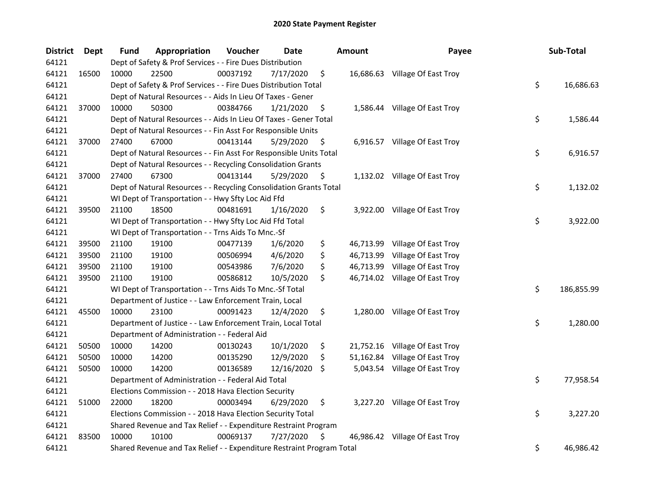| <b>District</b> | Dept  | <b>Fund</b> | Appropriation                                                         | Voucher  | <b>Date</b> | Amount          | Payee                          | Sub-Total        |
|-----------------|-------|-------------|-----------------------------------------------------------------------|----------|-------------|-----------------|--------------------------------|------------------|
| 64121           |       |             | Dept of Safety & Prof Services - - Fire Dues Distribution             |          |             |                 |                                |                  |
| 64121           | 16500 | 10000       | 22500                                                                 | 00037192 | 7/17/2020   | \$              | 16,686.63 Village Of East Troy |                  |
| 64121           |       |             | Dept of Safety & Prof Services - - Fire Dues Distribution Total       |          |             |                 |                                | \$<br>16,686.63  |
| 64121           |       |             | Dept of Natural Resources - - Aids In Lieu Of Taxes - Gener           |          |             |                 |                                |                  |
| 64121           | 37000 | 10000       | 50300                                                                 | 00384766 | 1/21/2020   | \$              | 1,586.44 Village Of East Troy  |                  |
| 64121           |       |             | Dept of Natural Resources - - Aids In Lieu Of Taxes - Gener Total     |          |             |                 |                                | \$<br>1,586.44   |
| 64121           |       |             | Dept of Natural Resources - - Fin Asst For Responsible Units          |          |             |                 |                                |                  |
| 64121           | 37000 | 27400       | 67000                                                                 | 00413144 | 5/29/2020   | \$              | 6,916.57 Village Of East Troy  |                  |
| 64121           |       |             | Dept of Natural Resources - - Fin Asst For Responsible Units Total    |          |             |                 |                                | \$<br>6,916.57   |
| 64121           |       |             | Dept of Natural Resources - - Recycling Consolidation Grants          |          |             |                 |                                |                  |
| 64121           | 37000 | 27400       | 67300                                                                 | 00413144 | 5/29/2020   | \$              | 1,132.02 Village Of East Troy  |                  |
| 64121           |       |             | Dept of Natural Resources - - Recycling Consolidation Grants Total    |          |             |                 |                                | \$<br>1,132.02   |
| 64121           |       |             | WI Dept of Transportation - - Hwy Sfty Loc Aid Ffd                    |          |             |                 |                                |                  |
| 64121           | 39500 | 21100       | 18500                                                                 | 00481691 | 1/16/2020   | \$              | 3,922.00 Village Of East Troy  |                  |
| 64121           |       |             | WI Dept of Transportation - - Hwy Sfty Loc Aid Ffd Total              |          |             |                 |                                | \$<br>3,922.00   |
| 64121           |       |             | WI Dept of Transportation - - Trns Aids To Mnc.-Sf                    |          |             |                 |                                |                  |
| 64121           | 39500 | 21100       | 19100                                                                 | 00477139 | 1/6/2020    | \$<br>46,713.99 | Village Of East Troy           |                  |
| 64121           | 39500 | 21100       | 19100                                                                 | 00506994 | 4/6/2020    | \$<br>46,713.99 | Village Of East Troy           |                  |
| 64121           | 39500 | 21100       | 19100                                                                 | 00543986 | 7/6/2020    | \$              | 46,713.99 Village Of East Troy |                  |
| 64121           | 39500 | 21100       | 19100                                                                 | 00586812 | 10/5/2020   | \$              | 46,714.02 Village Of East Troy |                  |
| 64121           |       |             | WI Dept of Transportation - - Trns Aids To Mnc.-Sf Total              |          |             |                 |                                | \$<br>186,855.99 |
| 64121           |       |             | Department of Justice - - Law Enforcement Train, Local                |          |             |                 |                                |                  |
| 64121           | 45500 | 10000       | 23100                                                                 | 00091423 | 12/4/2020   | \$              | 1,280.00 Village Of East Troy  |                  |
| 64121           |       |             | Department of Justice - - Law Enforcement Train, Local Total          |          |             |                 |                                | \$<br>1,280.00   |
| 64121           |       |             | Department of Administration - - Federal Aid                          |          |             |                 |                                |                  |
| 64121           | 50500 | 10000       | 14200                                                                 | 00130243 | 10/1/2020   | \$              | 21,752.16 Village Of East Troy |                  |
| 64121           | 50500 | 10000       | 14200                                                                 | 00135290 | 12/9/2020   | \$<br>51,162.84 | Village Of East Troy           |                  |
| 64121           | 50500 | 10000       | 14200                                                                 | 00136589 | 12/16/2020  | \$              | 5,043.54 Village Of East Troy  |                  |
| 64121           |       |             | Department of Administration - - Federal Aid Total                    |          |             |                 |                                | \$<br>77,958.54  |
| 64121           |       |             | Elections Commission - - 2018 Hava Election Security                  |          |             |                 |                                |                  |
| 64121           | 51000 | 22000       | 18200                                                                 | 00003494 | 6/29/2020   | \$              | 3,227.20 Village Of East Troy  |                  |
| 64121           |       |             | Elections Commission - - 2018 Hava Election Security Total            |          |             |                 |                                | \$<br>3,227.20   |
| 64121           |       |             | Shared Revenue and Tax Relief - - Expenditure Restraint Program       |          |             |                 |                                |                  |
| 64121           | 83500 | 10000       | 10100                                                                 | 00069137 | 7/27/2020   | \$              | 46,986.42 Village Of East Troy |                  |
| 64121           |       |             | Shared Revenue and Tax Relief - - Expenditure Restraint Program Total |          |             |                 |                                | \$<br>46,986.42  |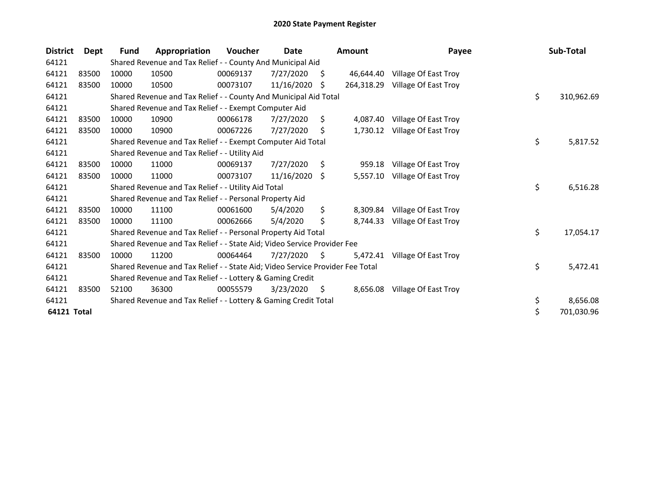| <b>District</b>    | Dept  | Fund  | Appropriation                                                                 | <b>Voucher</b> | Date       |    | <b>Amount</b> | Payee                | Sub-Total        |
|--------------------|-------|-------|-------------------------------------------------------------------------------|----------------|------------|----|---------------|----------------------|------------------|
| 64121              |       |       | Shared Revenue and Tax Relief - - County And Municipal Aid                    |                |            |    |               |                      |                  |
| 64121              | 83500 | 10000 | 10500                                                                         | 00069137       | 7/27/2020  | Ŝ. | 46.644.40     | Village Of East Troy |                  |
| 64121              | 83500 | 10000 | 10500                                                                         | 00073107       | 11/16/2020 | S  | 264,318.29    | Village Of East Troy |                  |
| 64121              |       |       | Shared Revenue and Tax Relief - - County And Municipal Aid Total              |                |            |    |               |                      | \$<br>310,962.69 |
| 64121              |       |       | Shared Revenue and Tax Relief - - Exempt Computer Aid                         |                |            |    |               |                      |                  |
| 64121              | 83500 | 10000 | 10900                                                                         | 00066178       | 7/27/2020  | Ŝ. | 4,087.40      | Village Of East Troy |                  |
| 64121              | 83500 | 10000 | 10900                                                                         | 00067226       | 7/27/2020  | S  | 1,730.12      | Village Of East Troy |                  |
| 64121              |       |       | Shared Revenue and Tax Relief - - Exempt Computer Aid Total                   |                |            |    |               |                      | \$<br>5,817.52   |
| 64121              |       |       | Shared Revenue and Tax Relief - - Utility Aid                                 |                |            |    |               |                      |                  |
| 64121              | 83500 | 10000 | 11000                                                                         | 00069137       | 7/27/2020  | \$ | 959.18        | Village Of East Troy |                  |
| 64121              | 83500 | 10000 | 11000                                                                         | 00073107       | 11/16/2020 | -S | 5,557.10      | Village Of East Troy |                  |
| 64121              |       |       | Shared Revenue and Tax Relief - - Utility Aid Total                           |                |            |    |               |                      | \$<br>6,516.28   |
| 64121              |       |       | Shared Revenue and Tax Relief - - Personal Property Aid                       |                |            |    |               |                      |                  |
| 64121              | 83500 | 10000 | 11100                                                                         | 00061600       | 5/4/2020   | \$ | 8,309.84      | Village Of East Troy |                  |
| 64121              | 83500 | 10000 | 11100                                                                         | 00062666       | 5/4/2020   | Ś  | 8,744.33      | Village Of East Troy |                  |
| 64121              |       |       | Shared Revenue and Tax Relief - - Personal Property Aid Total                 |                |            |    |               |                      | \$<br>17,054.17  |
| 64121              |       |       | Shared Revenue and Tax Relief - - State Aid; Video Service Provider Fee       |                |            |    |               |                      |                  |
| 64121              | 83500 | 10000 | 11200                                                                         | 00064464       | 7/27/2020  | S. | 5,472.41      | Village Of East Troy |                  |
| 64121              |       |       | Shared Revenue and Tax Relief - - State Aid; Video Service Provider Fee Total |                |            |    |               |                      | \$<br>5,472.41   |
| 64121              |       |       | Shared Revenue and Tax Relief - - Lottery & Gaming Credit                     |                |            |    |               |                      |                  |
| 64121              | 83500 | 52100 | 36300                                                                         | 00055579       | 3/23/2020  | \$ | 8,656.08      | Village Of East Troy |                  |
| 64121              |       |       | Shared Revenue and Tax Relief - - Lottery & Gaming Credit Total               |                |            |    |               |                      | \$<br>8,656.08   |
| <b>64121 Total</b> |       |       |                                                                               |                |            |    |               |                      | \$<br>701,030.96 |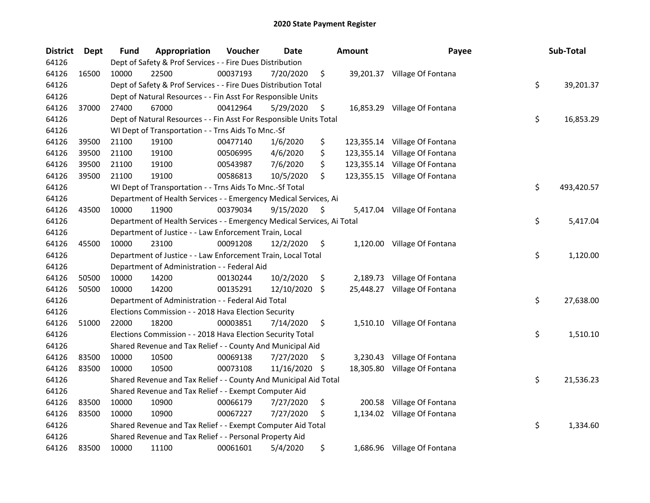| <b>District</b> | Dept  | <b>Fund</b> | Appropriation                                                          | Voucher  | Date       |     | <b>Amount</b> | Payee                         | Sub-Total        |
|-----------------|-------|-------------|------------------------------------------------------------------------|----------|------------|-----|---------------|-------------------------------|------------------|
| 64126           |       |             | Dept of Safety & Prof Services - - Fire Dues Distribution              |          |            |     |               |                               |                  |
| 64126           | 16500 | 10000       | 22500                                                                  | 00037193 | 7/20/2020  | \$  |               | 39,201.37 Village Of Fontana  |                  |
| 64126           |       |             | Dept of Safety & Prof Services - - Fire Dues Distribution Total        |          |            |     |               |                               | \$<br>39,201.37  |
| 64126           |       |             | Dept of Natural Resources - - Fin Asst For Responsible Units           |          |            |     |               |                               |                  |
| 64126           | 37000 | 27400       | 67000                                                                  | 00412964 | 5/29/2020  | \$  |               | 16,853.29 Village Of Fontana  |                  |
| 64126           |       |             | Dept of Natural Resources - - Fin Asst For Responsible Units Total     |          |            |     |               |                               | \$<br>16,853.29  |
| 64126           |       |             | WI Dept of Transportation - - Trns Aids To Mnc.-Sf                     |          |            |     |               |                               |                  |
| 64126           | 39500 | 21100       | 19100                                                                  | 00477140 | 1/6/2020   | \$  |               | 123,355.14 Village Of Fontana |                  |
| 64126           | 39500 | 21100       | 19100                                                                  | 00506995 | 4/6/2020   | \$  |               | 123,355.14 Village Of Fontana |                  |
| 64126           | 39500 | 21100       | 19100                                                                  | 00543987 | 7/6/2020   | \$  |               | 123,355.14 Village Of Fontana |                  |
| 64126           | 39500 | 21100       | 19100                                                                  | 00586813 | 10/5/2020  | \$  |               | 123,355.15 Village Of Fontana |                  |
| 64126           |       |             | WI Dept of Transportation - - Trns Aids To Mnc.-Sf Total               |          |            |     |               |                               | \$<br>493,420.57 |
| 64126           |       |             | Department of Health Services - - Emergency Medical Services, Ai       |          |            |     |               |                               |                  |
| 64126           | 43500 | 10000       | 11900                                                                  | 00379034 | 9/15/2020  | \$  |               | 5,417.04 Village Of Fontana   |                  |
| 64126           |       |             | Department of Health Services - - Emergency Medical Services, Ai Total |          |            |     |               |                               | \$<br>5,417.04   |
| 64126           |       |             | Department of Justice - - Law Enforcement Train, Local                 |          |            |     |               |                               |                  |
| 64126           | 45500 | 10000       | 23100                                                                  | 00091208 | 12/2/2020  | \$  |               | 1,120.00 Village Of Fontana   |                  |
| 64126           |       |             | Department of Justice - - Law Enforcement Train, Local Total           |          |            |     |               |                               | \$<br>1,120.00   |
| 64126           |       |             | Department of Administration - - Federal Aid                           |          |            |     |               |                               |                  |
| 64126           | 50500 | 10000       | 14200                                                                  | 00130244 | 10/2/2020  | \$  | 2,189.73      | Village Of Fontana            |                  |
| 64126           | 50500 | 10000       | 14200                                                                  | 00135291 | 12/10/2020 | -\$ |               | 25,448.27 Village Of Fontana  |                  |
| 64126           |       |             | Department of Administration - - Federal Aid Total                     |          |            |     |               |                               | \$<br>27,638.00  |
| 64126           |       |             | Elections Commission - - 2018 Hava Election Security                   |          |            |     |               |                               |                  |
| 64126           | 51000 | 22000       | 18200                                                                  | 00003851 | 7/14/2020  | \$  |               | 1,510.10 Village Of Fontana   |                  |
| 64126           |       |             | Elections Commission - - 2018 Hava Election Security Total             |          |            |     |               |                               | \$<br>1,510.10   |
| 64126           |       |             | Shared Revenue and Tax Relief - - County And Municipal Aid             |          |            |     |               |                               |                  |
| 64126           | 83500 | 10000       | 10500                                                                  | 00069138 | 7/27/2020  | \$. |               | 3,230.43 Village Of Fontana   |                  |
| 64126           | 83500 | 10000       | 10500                                                                  | 00073108 | 11/16/2020 | \$  |               | 18,305.80 Village Of Fontana  |                  |
| 64126           |       |             | Shared Revenue and Tax Relief - - County And Municipal Aid Total       |          |            |     |               |                               | \$<br>21,536.23  |
| 64126           |       |             | Shared Revenue and Tax Relief - - Exempt Computer Aid                  |          |            |     |               |                               |                  |
| 64126           | 83500 | 10000       | 10900                                                                  | 00066179 | 7/27/2020  | \$  | 200.58        | Village Of Fontana            |                  |
| 64126           | 83500 | 10000       | 10900                                                                  | 00067227 | 7/27/2020  | \$  |               | 1,134.02 Village Of Fontana   |                  |
| 64126           |       |             | Shared Revenue and Tax Relief - - Exempt Computer Aid Total            |          |            |     |               |                               | \$<br>1,334.60   |
| 64126           |       |             | Shared Revenue and Tax Relief - - Personal Property Aid                |          |            |     |               |                               |                  |
| 64126           | 83500 | 10000       | 11100                                                                  | 00061601 | 5/4/2020   | \$  |               | 1,686.96 Village Of Fontana   |                  |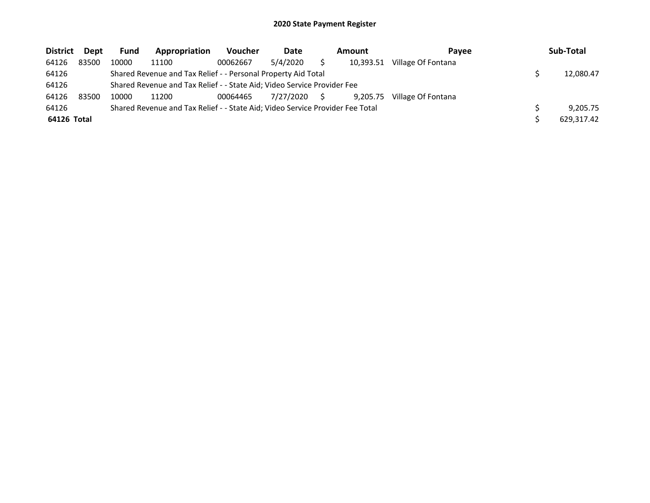| <b>District</b> | Dept  | <b>Fund</b> | Appropriation                                                                 | Voucher  | Date      | Amount |           | Pavee              | Sub-Total |            |  |  |
|-----------------|-------|-------------|-------------------------------------------------------------------------------|----------|-----------|--------|-----------|--------------------|-----------|------------|--|--|
| 64126           | 83500 | 10000       | 11100                                                                         | 00062667 | 5/4/2020  |        | 10,393.51 | Village Of Fontana |           |            |  |  |
| 64126           |       |             | Shared Revenue and Tax Relief - - Personal Property Aid Total                 |          |           |        |           |                    |           | 12,080.47  |  |  |
| 64126           |       |             | Shared Revenue and Tax Relief - - State Aid; Video Service Provider Fee       |          |           |        |           |                    |           |            |  |  |
| 64126           | 83500 | 10000       | 11200                                                                         | 00064465 | 7/27/2020 |        | 9.205.75  | Village Of Fontana |           |            |  |  |
| 64126           |       |             | Shared Revenue and Tax Relief - - State Aid; Video Service Provider Fee Total |          |           |        |           |                    |           | 9.205.75   |  |  |
| 64126 Total     |       |             |                                                                               |          |           |        |           |                    |           | 629.317.42 |  |  |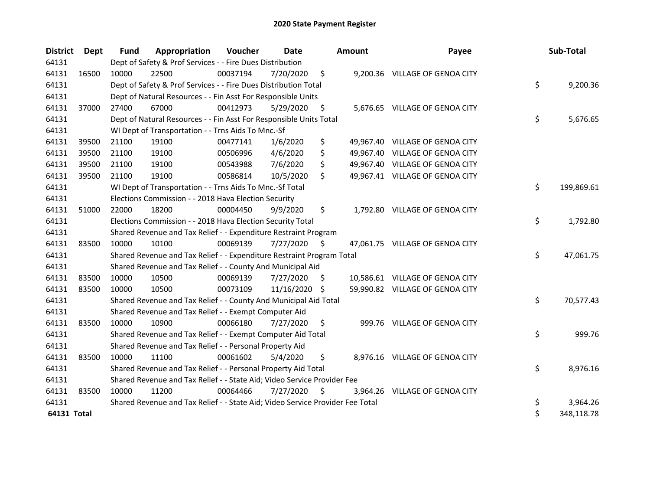| <b>District</b>    | Dept  | Fund  | Appropriation                                                                 | Voucher  | <b>Date</b>   |     | Amount | Payee                           | Sub-Total        |
|--------------------|-------|-------|-------------------------------------------------------------------------------|----------|---------------|-----|--------|---------------------------------|------------------|
| 64131              |       |       | Dept of Safety & Prof Services - - Fire Dues Distribution                     |          |               |     |        |                                 |                  |
| 64131              | 16500 | 10000 | 22500                                                                         | 00037194 | 7/20/2020     | \$  |        | 9,200.36 VILLAGE OF GENOA CITY  |                  |
| 64131              |       |       | Dept of Safety & Prof Services - - Fire Dues Distribution Total               |          |               |     |        |                                 | \$<br>9,200.36   |
| 64131              |       |       | Dept of Natural Resources - - Fin Asst For Responsible Units                  |          |               |     |        |                                 |                  |
| 64131              | 37000 | 27400 | 67000                                                                         | 00412973 | 5/29/2020     | \$  |        | 5,676.65 VILLAGE OF GENOA CITY  |                  |
| 64131              |       |       | Dept of Natural Resources - - Fin Asst For Responsible Units Total            |          |               |     |        |                                 | \$<br>5,676.65   |
| 64131              |       |       | WI Dept of Transportation - - Trns Aids To Mnc.-Sf                            |          |               |     |        |                                 |                  |
| 64131              | 39500 | 21100 | 19100                                                                         | 00477141 | 1/6/2020      | \$  |        | 49,967.40 VILLAGE OF GENOA CITY |                  |
| 64131              | 39500 | 21100 | 19100                                                                         | 00506996 | 4/6/2020      | \$  |        | 49,967.40 VILLAGE OF GENOA CITY |                  |
| 64131              | 39500 | 21100 | 19100                                                                         | 00543988 | 7/6/2020      | \$  |        | 49,967.40 VILLAGE OF GENOA CITY |                  |
| 64131              | 39500 | 21100 | 19100                                                                         | 00586814 | 10/5/2020     | \$  |        | 49,967.41 VILLAGE OF GENOA CITY |                  |
| 64131              |       |       | WI Dept of Transportation - - Trns Aids To Mnc.-Sf Total                      |          |               |     |        |                                 | \$<br>199,869.61 |
| 64131              |       |       | Elections Commission - - 2018 Hava Election Security                          |          |               |     |        |                                 |                  |
| 64131              | 51000 | 22000 | 18200                                                                         | 00004450 | 9/9/2020      | \$  |        | 1,792.80 VILLAGE OF GENOA CITY  |                  |
| 64131              |       |       | Elections Commission - - 2018 Hava Election Security Total                    |          |               |     |        |                                 | \$<br>1,792.80   |
| 64131              |       |       | Shared Revenue and Tax Relief - - Expenditure Restraint Program               |          |               |     |        |                                 |                  |
| 64131              | 83500 | 10000 | 10100                                                                         | 00069139 | 7/27/2020     | \$  |        | 47,061.75 VILLAGE OF GENOA CITY |                  |
| 64131              |       |       | Shared Revenue and Tax Relief - - Expenditure Restraint Program Total         |          |               |     |        |                                 | \$<br>47,061.75  |
| 64131              |       |       | Shared Revenue and Tax Relief - - County And Municipal Aid                    |          |               |     |        |                                 |                  |
| 64131              | 83500 | 10000 | 10500                                                                         | 00069139 | 7/27/2020     | \$. |        | 10,586.61 VILLAGE OF GENOA CITY |                  |
| 64131              | 83500 | 10000 | 10500                                                                         | 00073109 | 11/16/2020 \$ |     |        | 59,990.82 VILLAGE OF GENOA CITY |                  |
| 64131              |       |       | Shared Revenue and Tax Relief - - County And Municipal Aid Total              |          |               |     |        |                                 | \$<br>70,577.43  |
| 64131              |       |       | Shared Revenue and Tax Relief - - Exempt Computer Aid                         |          |               |     |        |                                 |                  |
| 64131              | 83500 | 10000 | 10900                                                                         | 00066180 | 7/27/2020     | \$  |        | 999.76 VILLAGE OF GENOA CITY    |                  |
| 64131              |       |       | Shared Revenue and Tax Relief - - Exempt Computer Aid Total                   |          |               |     |        |                                 | \$<br>999.76     |
| 64131              |       |       | Shared Revenue and Tax Relief - - Personal Property Aid                       |          |               |     |        |                                 |                  |
| 64131              | 83500 | 10000 | 11100                                                                         | 00061602 | 5/4/2020      | \$  |        | 8,976.16 VILLAGE OF GENOA CITY  |                  |
| 64131              |       |       | Shared Revenue and Tax Relief - - Personal Property Aid Total                 |          |               |     |        |                                 | \$<br>8,976.16   |
| 64131              |       |       | Shared Revenue and Tax Relief - - State Aid; Video Service Provider Fee       |          |               |     |        |                                 |                  |
| 64131              | 83500 | 10000 | 11200                                                                         | 00064466 | 7/27/2020     | \$  |        | 3,964.26 VILLAGE OF GENOA CITY  |                  |
| 64131              |       |       | Shared Revenue and Tax Relief - - State Aid; Video Service Provider Fee Total |          |               |     |        |                                 | \$<br>3,964.26   |
| <b>64131 Total</b> |       |       |                                                                               |          |               |     |        |                                 | \$<br>348,118.78 |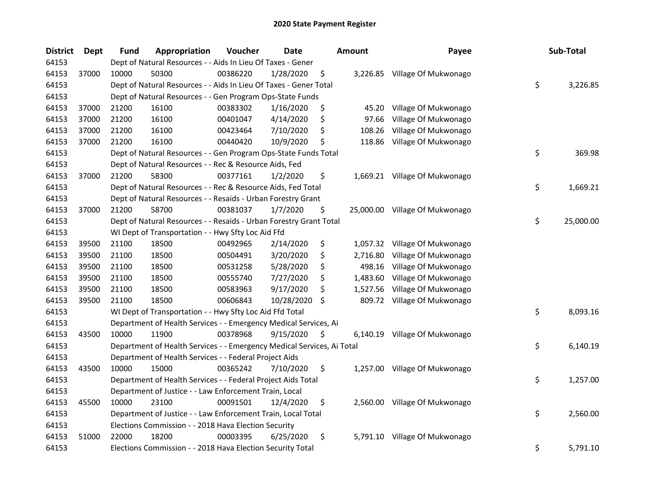| <b>District</b> | <b>Dept</b> | Fund  | Appropriation                                                          | Voucher  | <b>Date</b> |     | <b>Amount</b> | Payee                          | Sub-Total       |
|-----------------|-------------|-------|------------------------------------------------------------------------|----------|-------------|-----|---------------|--------------------------------|-----------------|
| 64153           |             |       | Dept of Natural Resources - - Aids In Lieu Of Taxes - Gener            |          |             |     |               |                                |                 |
| 64153           | 37000       | 10000 | 50300                                                                  | 00386220 | 1/28/2020   | \$  |               | 3,226.85 Village Of Mukwonago  |                 |
| 64153           |             |       | Dept of Natural Resources - - Aids In Lieu Of Taxes - Gener Total      |          |             |     |               |                                | \$<br>3,226.85  |
| 64153           |             |       | Dept of Natural Resources - - Gen Program Ops-State Funds              |          |             |     |               |                                |                 |
| 64153           | 37000       | 21200 | 16100                                                                  | 00383302 | 1/16/2020   | \$  | 45.20         | Village Of Mukwonago           |                 |
| 64153           | 37000       | 21200 | 16100                                                                  | 00401047 | 4/14/2020   | \$  | 97.66         | Village Of Mukwonago           |                 |
| 64153           | 37000       | 21200 | 16100                                                                  | 00423464 | 7/10/2020   | \$  | 108.26        | Village Of Mukwonago           |                 |
| 64153           | 37000       | 21200 | 16100                                                                  | 00440420 | 10/9/2020   | \$, | 118.86        | Village Of Mukwonago           |                 |
| 64153           |             |       | Dept of Natural Resources - - Gen Program Ops-State Funds Total        |          |             |     |               |                                | \$<br>369.98    |
| 64153           |             |       | Dept of Natural Resources - - Rec & Resource Aids, Fed                 |          |             |     |               |                                |                 |
| 64153           | 37000       | 21200 | 58300                                                                  | 00377161 | 1/2/2020    | \$  |               | 1,669.21 Village Of Mukwonago  |                 |
| 64153           |             |       | Dept of Natural Resources - - Rec & Resource Aids, Fed Total           |          |             |     |               |                                | \$<br>1,669.21  |
| 64153           |             |       | Dept of Natural Resources - - Resaids - Urban Forestry Grant           |          |             |     |               |                                |                 |
| 64153           | 37000       | 21200 | 58700                                                                  | 00381037 | 1/7/2020    | \$  |               | 25,000.00 Village Of Mukwonago |                 |
| 64153           |             |       | Dept of Natural Resources - - Resaids - Urban Forestry Grant Total     |          |             |     |               |                                | \$<br>25,000.00 |
| 64153           |             |       | WI Dept of Transportation - - Hwy Sfty Loc Aid Ffd                     |          |             |     |               |                                |                 |
| 64153           | 39500       | 21100 | 18500                                                                  | 00492965 | 2/14/2020   | \$  | 1,057.32      | Village Of Mukwonago           |                 |
| 64153           | 39500       | 21100 | 18500                                                                  | 00504491 | 3/20/2020   | \$  | 2,716.80      | Village Of Mukwonago           |                 |
| 64153           | 39500       | 21100 | 18500                                                                  | 00531258 | 5/28/2020   | \$  | 498.16        | Village Of Mukwonago           |                 |
| 64153           | 39500       | 21100 | 18500                                                                  | 00555740 | 7/27/2020   | \$  | 1,483.60      | Village Of Mukwonago           |                 |
| 64153           | 39500       | 21100 | 18500                                                                  | 00583963 | 9/17/2020   | \$  | 1,527.56      | Village Of Mukwonago           |                 |
| 64153           | 39500       | 21100 | 18500                                                                  | 00606843 | 10/28/2020  | \$  |               | 809.72 Village Of Mukwonago    |                 |
| 64153           |             |       | WI Dept of Transportation - - Hwy Sfty Loc Aid Ffd Total               |          |             |     |               |                                | \$<br>8,093.16  |
| 64153           |             |       | Department of Health Services - - Emergency Medical Services, Ai       |          |             |     |               |                                |                 |
| 64153           | 43500       | 10000 | 11900                                                                  | 00378968 | 9/15/2020   | \$  | 6,140.19      | Village Of Mukwonago           |                 |
| 64153           |             |       | Department of Health Services - - Emergency Medical Services, Ai Total |          |             |     |               |                                | \$<br>6,140.19  |
| 64153           |             |       | Department of Health Services - - Federal Project Aids                 |          |             |     |               |                                |                 |
| 64153           | 43500       | 10000 | 15000                                                                  | 00365242 | 7/10/2020   | \$  |               | 1,257.00 Village Of Mukwonago  |                 |
| 64153           |             |       | Department of Health Services - - Federal Project Aids Total           |          |             |     |               |                                | \$<br>1,257.00  |
| 64153           |             |       | Department of Justice - - Law Enforcement Train, Local                 |          |             |     |               |                                |                 |
| 64153           | 45500       | 10000 | 23100                                                                  | 00091501 | 12/4/2020   | \$  | 2,560.00      | Village Of Mukwonago           |                 |
| 64153           |             |       | Department of Justice - - Law Enforcement Train, Local Total           |          |             |     |               |                                | \$<br>2,560.00  |
| 64153           |             |       | Elections Commission - - 2018 Hava Election Security                   |          |             |     |               |                                |                 |
| 64153           | 51000       | 22000 | 18200                                                                  | 00003395 | 6/25/2020   | \$  | 5,791.10      | Village Of Mukwonago           |                 |
| 64153           |             |       | Elections Commission - - 2018 Hava Election Security Total             |          |             |     |               |                                | \$<br>5,791.10  |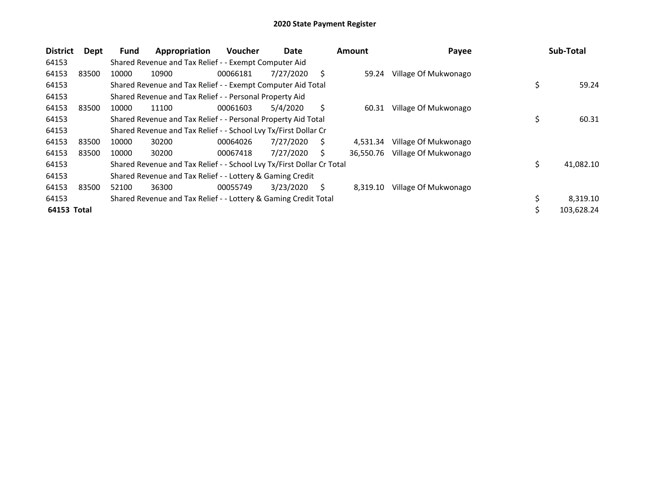| <b>District</b> | Dept  | Fund  | Appropriation                                                         | <b>Voucher</b> | Date      |    | <b>Amount</b> | Payee                | Sub-Total        |
|-----------------|-------|-------|-----------------------------------------------------------------------|----------------|-----------|----|---------------|----------------------|------------------|
| 64153           |       |       | Shared Revenue and Tax Relief - - Exempt Computer Aid                 |                |           |    |               |                      |                  |
| 64153           | 83500 | 10000 | 10900                                                                 | 00066181       | 7/27/2020 | S  | 59.24         | Village Of Mukwonago |                  |
| 64153           |       |       | Shared Revenue and Tax Relief - - Exempt Computer Aid Total           |                |           |    |               |                      | \$<br>59.24      |
| 64153           |       |       | Shared Revenue and Tax Relief - - Personal Property Aid               |                |           |    |               |                      |                  |
| 64153           | 83500 | 10000 | 11100                                                                 | 00061603       | 5/4/2020  | Ś. | 60.31         | Village Of Mukwonago |                  |
| 64153           |       |       | Shared Revenue and Tax Relief - - Personal Property Aid Total         |                |           |    |               |                      | \$<br>60.31      |
| 64153           |       |       | Shared Revenue and Tax Relief - - School Lvy Tx/First Dollar Cr       |                |           |    |               |                      |                  |
| 64153           | 83500 | 10000 | 30200                                                                 | 00064026       | 7/27/2020 | S  | 4.531.34      | Village Of Mukwonago |                  |
| 64153           | 83500 | 10000 | 30200                                                                 | 00067418       | 7/27/2020 | S. | 36.550.76     | Village Of Mukwonago |                  |
| 64153           |       |       | Shared Revenue and Tax Relief - - School Lvy Tx/First Dollar Cr Total |                |           |    |               |                      | \$<br>41,082.10  |
| 64153           |       |       | Shared Revenue and Tax Relief - - Lottery & Gaming Credit             |                |           |    |               |                      |                  |
| 64153           | 83500 | 52100 | 36300                                                                 | 00055749       | 3/23/2020 | S. | 8,319.10      | Village Of Mukwonago |                  |
| 64153           |       |       | Shared Revenue and Tax Relief - - Lottery & Gaming Credit Total       |                |           |    |               |                      | \$<br>8,319.10   |
| 64153 Total     |       |       |                                                                       |                |           |    |               |                      | \$<br>103,628.24 |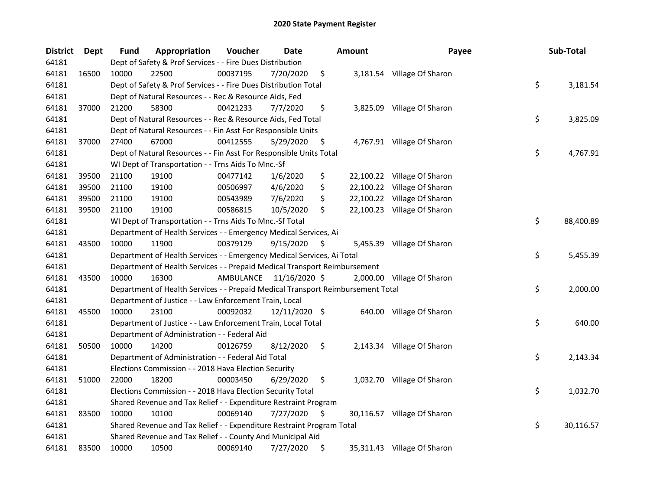| <b>District</b> | <b>Dept</b> | <b>Fund</b> | Appropriation                                                                   | Voucher   | Date          | <b>Amount</b> | Payee                       | Sub-Total       |
|-----------------|-------------|-------------|---------------------------------------------------------------------------------|-----------|---------------|---------------|-----------------------------|-----------------|
| 64181           |             |             | Dept of Safety & Prof Services - - Fire Dues Distribution                       |           |               |               |                             |                 |
| 64181           | 16500       | 10000       | 22500                                                                           | 00037195  | 7/20/2020     | \$            | 3,181.54 Village Of Sharon  |                 |
| 64181           |             |             | Dept of Safety & Prof Services - - Fire Dues Distribution Total                 |           |               |               |                             | \$<br>3,181.54  |
| 64181           |             |             | Dept of Natural Resources - - Rec & Resource Aids, Fed                          |           |               |               |                             |                 |
| 64181           | 37000       | 21200       | 58300                                                                           | 00421233  | 7/7/2020      | \$            | 3,825.09 Village Of Sharon  |                 |
| 64181           |             |             | Dept of Natural Resources - - Rec & Resource Aids, Fed Total                    |           |               |               |                             | \$<br>3,825.09  |
| 64181           |             |             | Dept of Natural Resources - - Fin Asst For Responsible Units                    |           |               |               |                             |                 |
| 64181           | 37000       | 27400       | 67000                                                                           | 00412555  | 5/29/2020     | \$            | 4,767.91 Village Of Sharon  |                 |
| 64181           |             |             | Dept of Natural Resources - - Fin Asst For Responsible Units Total              |           |               |               |                             | \$<br>4,767.91  |
| 64181           |             |             | WI Dept of Transportation - - Trns Aids To Mnc.-Sf                              |           |               |               |                             |                 |
| 64181           | 39500       | 21100       | 19100                                                                           | 00477142  | 1/6/2020      | \$            | 22,100.22 Village Of Sharon |                 |
| 64181           | 39500       | 21100       | 19100                                                                           | 00506997  | 4/6/2020      | \$            | 22,100.22 Village Of Sharon |                 |
| 64181           | 39500       | 21100       | 19100                                                                           | 00543989  | 7/6/2020      | \$            | 22,100.22 Village Of Sharon |                 |
| 64181           | 39500       | 21100       | 19100                                                                           | 00586815  | 10/5/2020     | \$            | 22,100.23 Village Of Sharon |                 |
| 64181           |             |             | WI Dept of Transportation - - Trns Aids To Mnc.-Sf Total                        |           |               |               |                             | \$<br>88,400.89 |
| 64181           |             |             | Department of Health Services - - Emergency Medical Services, Ai                |           |               |               |                             |                 |
| 64181           | 43500       | 10000       | 11900                                                                           | 00379129  | 9/15/2020     | \$            | 5,455.39 Village Of Sharon  |                 |
| 64181           |             |             | Department of Health Services - - Emergency Medical Services, Ai Total          |           |               |               |                             | \$<br>5,455.39  |
| 64181           |             |             | Department of Health Services - - Prepaid Medical Transport Reimbursement       |           |               |               |                             |                 |
| 64181           | 43500       | 10000       | 16300                                                                           | AMBULANCE | 11/16/2020 \$ |               | 2,000.00 Village Of Sharon  |                 |
| 64181           |             |             | Department of Health Services - - Prepaid Medical Transport Reimbursement Total |           |               |               |                             | \$<br>2,000.00  |
| 64181           |             |             | Department of Justice - - Law Enforcement Train, Local                          |           |               |               |                             |                 |
| 64181           | 45500       | 10000       | 23100                                                                           | 00092032  | 12/11/2020 \$ |               | 640.00 Village Of Sharon    |                 |
| 64181           |             |             | Department of Justice - - Law Enforcement Train, Local Total                    |           |               |               |                             | \$<br>640.00    |
| 64181           |             |             | Department of Administration - - Federal Aid                                    |           |               |               |                             |                 |
| 64181           | 50500       | 10000       | 14200                                                                           | 00126759  | 8/12/2020     | \$            | 2,143.34 Village Of Sharon  |                 |
| 64181           |             |             | Department of Administration - - Federal Aid Total                              |           |               |               |                             | \$<br>2,143.34  |
| 64181           |             |             | Elections Commission - - 2018 Hava Election Security                            |           |               |               |                             |                 |
| 64181           | 51000       | 22000       | 18200                                                                           | 00003450  | 6/29/2020     | \$            | 1,032.70 Village Of Sharon  |                 |
| 64181           |             |             | Elections Commission - - 2018 Hava Election Security Total                      |           |               |               |                             | \$<br>1,032.70  |
| 64181           |             |             | Shared Revenue and Tax Relief - - Expenditure Restraint Program                 |           |               |               |                             |                 |
| 64181           | 83500       | 10000       | 10100                                                                           | 00069140  | 7/27/2020     | \$            | 30,116.57 Village Of Sharon |                 |
| 64181           |             |             | Shared Revenue and Tax Relief - - Expenditure Restraint Program Total           |           |               |               |                             | \$<br>30,116.57 |
| 64181           |             |             | Shared Revenue and Tax Relief - - County And Municipal Aid                      |           |               |               |                             |                 |
| 64181           | 83500       | 10000       | 10500                                                                           | 00069140  | 7/27/2020     | \$            | 35,311.43 Village Of Sharon |                 |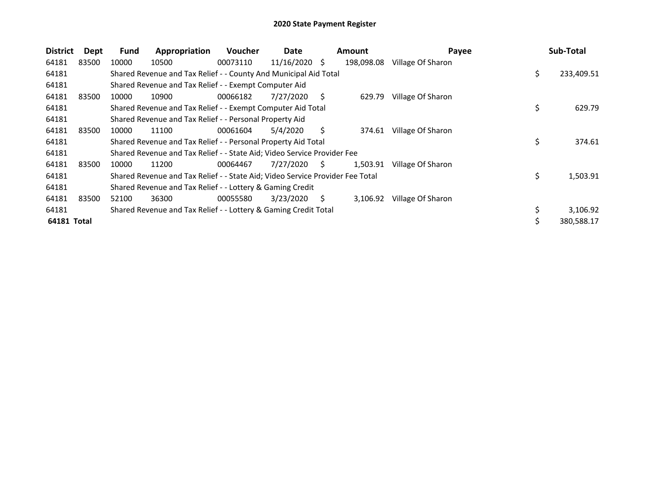| <b>District</b> | Dept  | Fund  | Appropriation                                                                 | Voucher  | Date       |    | <b>Amount</b> | Payee             | Sub-Total        |
|-----------------|-------|-------|-------------------------------------------------------------------------------|----------|------------|----|---------------|-------------------|------------------|
| 64181           | 83500 | 10000 | 10500                                                                         | 00073110 | 11/16/2020 | S. | 198,098.08    | Village Of Sharon |                  |
| 64181           |       |       | Shared Revenue and Tax Relief - - County And Municipal Aid Total              |          |            |    |               |                   | \$<br>233,409.51 |
| 64181           |       |       | Shared Revenue and Tax Relief - - Exempt Computer Aid                         |          |            |    |               |                   |                  |
| 64181           | 83500 | 10000 | 10900                                                                         | 00066182 | 7/27/2020  | Ś. | 629.79        | Village Of Sharon |                  |
| 64181           |       |       | Shared Revenue and Tax Relief - - Exempt Computer Aid Total                   |          |            |    |               |                   | \$<br>629.79     |
| 64181           |       |       | Shared Revenue and Tax Relief - - Personal Property Aid                       |          |            |    |               |                   |                  |
| 64181           | 83500 | 10000 | 11100                                                                         | 00061604 | 5/4/2020   | S  | 374.61        | Village Of Sharon |                  |
| 64181           |       |       | Shared Revenue and Tax Relief - - Personal Property Aid Total                 |          |            |    |               |                   | \$<br>374.61     |
| 64181           |       |       | Shared Revenue and Tax Relief - - State Aid; Video Service Provider Fee       |          |            |    |               |                   |                  |
| 64181           | 83500 | 10000 | 11200                                                                         | 00064467 | 7/27/2020  | S. | 1,503.91      | Village Of Sharon |                  |
| 64181           |       |       | Shared Revenue and Tax Relief - - State Aid; Video Service Provider Fee Total |          |            |    |               |                   | \$<br>1,503.91   |
| 64181           |       |       | Shared Revenue and Tax Relief - - Lottery & Gaming Credit                     |          |            |    |               |                   |                  |
| 64181           | 83500 | 52100 | 36300                                                                         | 00055580 | 3/23/2020  | S  | 3,106.92      | Village Of Sharon |                  |
| 64181           |       |       | Shared Revenue and Tax Relief - - Lottery & Gaming Credit Total               |          |            |    |               |                   | \$<br>3,106.92   |
| 64181 Total     |       |       |                                                                               |          |            |    |               |                   | \$<br>380,588.17 |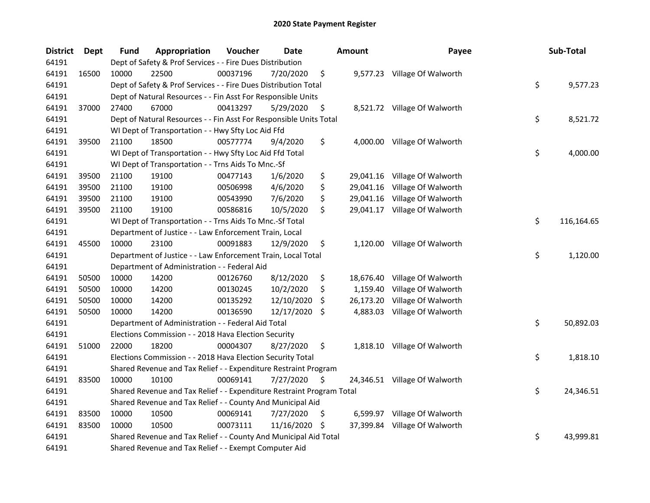| <b>District</b> | <b>Dept</b> | <b>Fund</b> | Appropriation                                                         | Voucher  | <b>Date</b>   |     | Amount    | Payee                         | Sub-Total        |
|-----------------|-------------|-------------|-----------------------------------------------------------------------|----------|---------------|-----|-----------|-------------------------------|------------------|
| 64191           |             |             | Dept of Safety & Prof Services - - Fire Dues Distribution             |          |               |     |           |                               |                  |
| 64191           | 16500       | 10000       | 22500                                                                 | 00037196 | 7/20/2020     | \$  |           | 9,577.23 Village Of Walworth  |                  |
| 64191           |             |             | Dept of Safety & Prof Services - - Fire Dues Distribution Total       |          |               |     |           |                               | \$<br>9,577.23   |
| 64191           |             |             | Dept of Natural Resources - - Fin Asst For Responsible Units          |          |               |     |           |                               |                  |
| 64191           | 37000       | 27400       | 67000                                                                 | 00413297 | 5/29/2020     | \$  |           | 8,521.72 Village Of Walworth  |                  |
| 64191           |             |             | Dept of Natural Resources - - Fin Asst For Responsible Units Total    |          |               |     |           |                               | \$<br>8,521.72   |
| 64191           |             |             | WI Dept of Transportation - - Hwy Sfty Loc Aid Ffd                    |          |               |     |           |                               |                  |
| 64191           | 39500       | 21100       | 18500                                                                 | 00577774 | 9/4/2020      | \$  |           | 4,000.00 Village Of Walworth  |                  |
| 64191           |             |             | WI Dept of Transportation - - Hwy Sfty Loc Aid Ffd Total              |          |               |     |           |                               | \$<br>4,000.00   |
| 64191           |             |             | WI Dept of Transportation - - Trns Aids To Mnc.-Sf                    |          |               |     |           |                               |                  |
| 64191           | 39500       | 21100       | 19100                                                                 | 00477143 | 1/6/2020      | \$  |           | 29,041.16 Village Of Walworth |                  |
| 64191           | 39500       | 21100       | 19100                                                                 | 00506998 | 4/6/2020      | \$  |           | 29,041.16 Village Of Walworth |                  |
| 64191           | 39500       | 21100       | 19100                                                                 | 00543990 | 7/6/2020      | \$  |           | 29,041.16 Village Of Walworth |                  |
| 64191           | 39500       | 21100       | 19100                                                                 | 00586816 | 10/5/2020     | \$  |           | 29,041.17 Village Of Walworth |                  |
| 64191           |             |             | WI Dept of Transportation - - Trns Aids To Mnc.-Sf Total              |          |               |     |           |                               | \$<br>116,164.65 |
| 64191           |             |             | Department of Justice - - Law Enforcement Train, Local                |          |               |     |           |                               |                  |
| 64191           | 45500       | 10000       | 23100                                                                 | 00091883 | 12/9/2020     | \$  | 1,120.00  | Village Of Walworth           |                  |
| 64191           |             |             | Department of Justice - - Law Enforcement Train, Local Total          |          |               |     |           |                               | \$<br>1,120.00   |
| 64191           |             |             | Department of Administration - - Federal Aid                          |          |               |     |           |                               |                  |
| 64191           | 50500       | 10000       | 14200                                                                 | 00126760 | 8/12/2020     | \$  | 18,676.40 | Village Of Walworth           |                  |
| 64191           | 50500       | 10000       | 14200                                                                 | 00130245 | 10/2/2020     | \$  | 1,159.40  | Village Of Walworth           |                  |
| 64191           | 50500       | 10000       | 14200                                                                 | 00135292 | 12/10/2020    | S   | 26,173.20 | Village Of Walworth           |                  |
| 64191           | 50500       | 10000       | 14200                                                                 | 00136590 | 12/17/2020 \$ |     | 4,883.03  | Village Of Walworth           |                  |
| 64191           |             |             | Department of Administration - - Federal Aid Total                    |          |               |     |           |                               | \$<br>50,892.03  |
| 64191           |             |             | Elections Commission - - 2018 Hava Election Security                  |          |               |     |           |                               |                  |
| 64191           | 51000       | 22000       | 18200                                                                 | 00004307 | 8/27/2020     | \$  |           | 1,818.10 Village Of Walworth  |                  |
| 64191           |             |             | Elections Commission - - 2018 Hava Election Security Total            |          |               |     |           |                               | \$<br>1,818.10   |
| 64191           |             |             | Shared Revenue and Tax Relief - - Expenditure Restraint Program       |          |               |     |           |                               |                  |
| 64191           | 83500       | 10000       | 10100                                                                 | 00069141 | 7/27/2020     | \$  |           | 24,346.51 Village Of Walworth |                  |
| 64191           |             |             | Shared Revenue and Tax Relief - - Expenditure Restraint Program Total |          |               |     |           |                               | \$<br>24,346.51  |
| 64191           |             |             | Shared Revenue and Tax Relief - - County And Municipal Aid            |          |               |     |           |                               |                  |
| 64191           | 83500       | 10000       | 10500                                                                 | 00069141 | 7/27/2020     | \$  | 6,599.97  | Village Of Walworth           |                  |
| 64191           | 83500       | 10000       | 10500                                                                 | 00073111 | 11/16/2020    | \$. |           | 37,399.84 Village Of Walworth |                  |
| 64191           |             |             | Shared Revenue and Tax Relief - - County And Municipal Aid Total      |          |               |     |           |                               | \$<br>43,999.81  |
| 64191           |             |             | Shared Revenue and Tax Relief - - Exempt Computer Aid                 |          |               |     |           |                               |                  |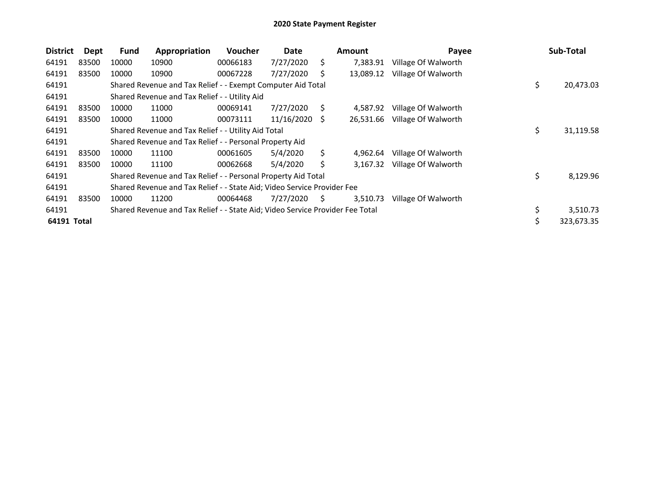| <b>District</b> | Dept  | <b>Fund</b> | Appropriation                                                                 | Voucher  | Date       |    | <b>Amount</b> | Payee               | Sub-Total       |
|-----------------|-------|-------------|-------------------------------------------------------------------------------|----------|------------|----|---------------|---------------------|-----------------|
| 64191           | 83500 | 10000       | 10900                                                                         | 00066183 | 7/27/2020  | S. | 7,383.91      | Village Of Walworth |                 |
| 64191           | 83500 | 10000       | 10900                                                                         | 00067228 | 7/27/2020  | S  | 13,089.12     | Village Of Walworth |                 |
| 64191           |       |             | Shared Revenue and Tax Relief - - Exempt Computer Aid Total                   |          |            |    |               |                     | \$<br>20,473.03 |
| 64191           |       |             | Shared Revenue and Tax Relief - - Utility Aid                                 |          |            |    |               |                     |                 |
| 64191           | 83500 | 10000       | 11000                                                                         | 00069141 | 7/27/2020  | S  | 4,587.92      | Village Of Walworth |                 |
| 64191           | 83500 | 10000       | 11000                                                                         | 00073111 | 11/16/2020 | S  | 26.531.66     | Village Of Walworth |                 |
| 64191           |       |             | Shared Revenue and Tax Relief - - Utility Aid Total                           |          |            |    |               |                     | \$<br>31,119.58 |
| 64191           |       |             | Shared Revenue and Tax Relief - - Personal Property Aid                       |          |            |    |               |                     |                 |
| 64191           | 83500 | 10000       | 11100                                                                         | 00061605 | 5/4/2020   | Ŝ. | 4.962.64      | Village Of Walworth |                 |
| 64191           | 83500 | 10000       | 11100                                                                         | 00062668 | 5/4/2020   |    | 3,167.32      | Village Of Walworth |                 |
| 64191           |       |             | Shared Revenue and Tax Relief - - Personal Property Aid Total                 |          |            |    |               |                     | \$<br>8,129.96  |
| 64191           |       |             | Shared Revenue and Tax Relief - - State Aid; Video Service Provider Fee       |          |            |    |               |                     |                 |
| 64191           | 83500 | 10000       | 11200                                                                         | 00064468 | 7/27/2020  | S. | 3,510.73      | Village Of Walworth |                 |
| 64191           |       |             | Shared Revenue and Tax Relief - - State Aid; Video Service Provider Fee Total |          |            |    |               |                     | \$<br>3,510.73  |
| 64191 Total     |       |             |                                                                               |          |            |    |               |                     | 323,673.35      |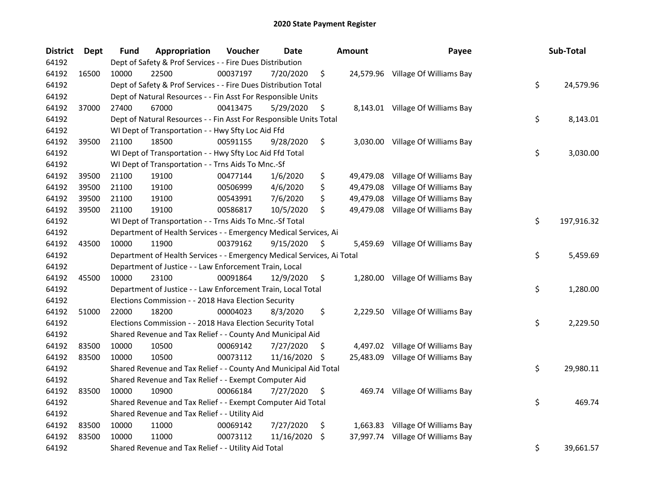| <b>District</b> | <b>Dept</b> | <b>Fund</b> | Appropriation                                                          | Voucher  | Date          |     | <b>Amount</b> | Payee                             | Sub-Total        |
|-----------------|-------------|-------------|------------------------------------------------------------------------|----------|---------------|-----|---------------|-----------------------------------|------------------|
| 64192           |             |             | Dept of Safety & Prof Services - - Fire Dues Distribution              |          |               |     |               |                                   |                  |
| 64192           | 16500       | 10000       | 22500                                                                  | 00037197 | 7/20/2020     | \$  |               | 24,579.96 Village Of Williams Bay |                  |
| 64192           |             |             | Dept of Safety & Prof Services - - Fire Dues Distribution Total        |          |               |     |               |                                   | \$<br>24,579.96  |
| 64192           |             |             | Dept of Natural Resources - - Fin Asst For Responsible Units           |          |               |     |               |                                   |                  |
| 64192           | 37000       | 27400       | 67000                                                                  | 00413475 | 5/29/2020     | \$  |               | 8,143.01 Village Of Williams Bay  |                  |
| 64192           |             |             | Dept of Natural Resources - - Fin Asst For Responsible Units Total     |          |               |     |               |                                   | \$<br>8,143.01   |
| 64192           |             |             | WI Dept of Transportation - - Hwy Sfty Loc Aid Ffd                     |          |               |     |               |                                   |                  |
| 64192           | 39500       | 21100       | 18500                                                                  | 00591155 | 9/28/2020     | \$  |               | 3,030.00 Village Of Williams Bay  |                  |
| 64192           |             |             | WI Dept of Transportation - - Hwy Sfty Loc Aid Ffd Total               |          |               |     |               |                                   | \$<br>3,030.00   |
| 64192           |             |             | WI Dept of Transportation - - Trns Aids To Mnc.-Sf                     |          |               |     |               |                                   |                  |
| 64192           | 39500       | 21100       | 19100                                                                  | 00477144 | 1/6/2020      | \$  | 49,479.08     | Village Of Williams Bay           |                  |
| 64192           | 39500       | 21100       | 19100                                                                  | 00506999 | 4/6/2020      | \$  | 49,479.08     | Village Of Williams Bay           |                  |
| 64192           | 39500       | 21100       | 19100                                                                  | 00543991 | 7/6/2020      | \$  | 49,479.08     | Village Of Williams Bay           |                  |
| 64192           | 39500       | 21100       | 19100                                                                  | 00586817 | 10/5/2020     | \$  | 49,479.08     | Village Of Williams Bay           |                  |
| 64192           |             |             | WI Dept of Transportation - - Trns Aids To Mnc.-Sf Total               |          |               |     |               |                                   | \$<br>197,916.32 |
| 64192           |             |             | Department of Health Services - - Emergency Medical Services, Ai       |          |               |     |               |                                   |                  |
| 64192           | 43500       | 10000       | 11900                                                                  | 00379162 | 9/15/2020     | \$  | 5,459.69      | Village Of Williams Bay           |                  |
| 64192           |             |             | Department of Health Services - - Emergency Medical Services, Ai Total |          |               |     |               |                                   | \$<br>5,459.69   |
| 64192           |             |             | Department of Justice - - Law Enforcement Train, Local                 |          |               |     |               |                                   |                  |
| 64192           | 45500       | 10000       | 23100                                                                  | 00091864 | 12/9/2020     | \$  | 1,280.00      | Village Of Williams Bay           |                  |
| 64192           |             |             | Department of Justice - - Law Enforcement Train, Local Total           |          |               |     |               |                                   | \$<br>1,280.00   |
| 64192           |             |             | Elections Commission - - 2018 Hava Election Security                   |          |               |     |               |                                   |                  |
| 64192           | 51000       | 22000       | 18200                                                                  | 00004023 | 8/3/2020      | \$  |               | 2,229.50 Village Of Williams Bay  |                  |
| 64192           |             |             | Elections Commission - - 2018 Hava Election Security Total             |          |               |     |               |                                   | \$<br>2,229.50   |
| 64192           |             |             | Shared Revenue and Tax Relief - - County And Municipal Aid             |          |               |     |               |                                   |                  |
| 64192           | 83500       | 10000       | 10500                                                                  | 00069142 | 7/27/2020     | \$. |               | 4,497.02 Village Of Williams Bay  |                  |
| 64192           | 83500       | 10000       | 10500                                                                  | 00073112 | 11/16/2020 \$ |     | 25,483.09     | Village Of Williams Bay           |                  |
| 64192           |             |             | Shared Revenue and Tax Relief - - County And Municipal Aid Total       |          |               |     |               |                                   | \$<br>29,980.11  |
| 64192           |             |             | Shared Revenue and Tax Relief - - Exempt Computer Aid                  |          |               |     |               |                                   |                  |
| 64192           | 83500       | 10000       | 10900                                                                  | 00066184 | 7/27/2020     | \$  |               | 469.74 Village Of Williams Bay    |                  |
| 64192           |             |             | Shared Revenue and Tax Relief - - Exempt Computer Aid Total            |          |               |     |               |                                   | \$<br>469.74     |
| 64192           |             |             | Shared Revenue and Tax Relief - - Utility Aid                          |          |               |     |               |                                   |                  |
| 64192           | 83500       | 10000       | 11000                                                                  | 00069142 | 7/27/2020     | \$  |               | 1,663.83 Village Of Williams Bay  |                  |
| 64192           | 83500       | 10000       | 11000                                                                  | 00073112 | 11/16/2020    | S.  |               | 37,997.74 Village Of Williams Bay |                  |
| 64192           |             |             | Shared Revenue and Tax Relief - - Utility Aid Total                    |          |               |     |               |                                   | \$<br>39,661.57  |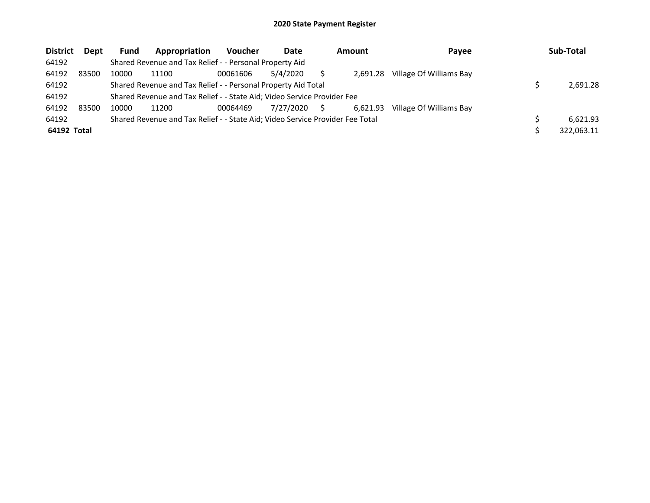| <b>District</b> | <b>Dept</b> | <b>Fund</b> | Appropriation                                                                 | <b>Voucher</b> | Date      |     | <b>Amount</b> | Payee                   | Sub-Total  |
|-----------------|-------------|-------------|-------------------------------------------------------------------------------|----------------|-----------|-----|---------------|-------------------------|------------|
| 64192           |             |             | Shared Revenue and Tax Relief - - Personal Property Aid                       |                |           |     |               |                         |            |
| 64192           | 83500       | 10000       | 11100                                                                         | 00061606       | 5/4/2020  |     | 2.691.28      | Village Of Williams Bay |            |
| 64192           |             |             | Shared Revenue and Tax Relief - - Personal Property Aid Total                 |                |           |     |               |                         | 2.691.28   |
| 64192           |             |             | Shared Revenue and Tax Relief - - State Aid; Video Service Provider Fee       |                |           |     |               |                         |            |
| 64192           | 83500       | 10000       | 11200                                                                         | 00064469       | 7/27/2020 | - S | 6.621.93      | Village Of Williams Bay |            |
| 64192           |             |             | Shared Revenue and Tax Relief - - State Aid; Video Service Provider Fee Total |                |           |     |               |                         | 6.621.93   |
| 64192 Total     |             |             |                                                                               |                |           |     |               |                         | 322.063.11 |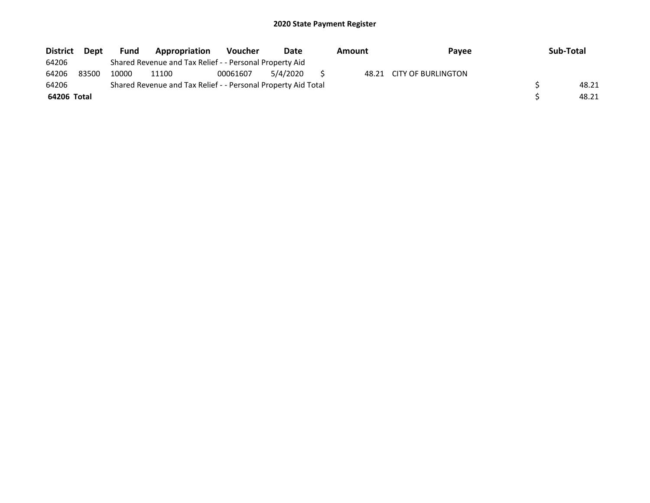| <b>District</b> | <b>Dept</b> | <b>Fund</b> | Appropriation                                                 | <b>Voucher</b> | Date     | Amount | <b>Pavee</b>             | Sub-Total |
|-----------------|-------------|-------------|---------------------------------------------------------------|----------------|----------|--------|--------------------------|-----------|
| 64206           |             |             | Shared Revenue and Tax Relief - - Personal Property Aid       |                |          |        |                          |           |
| 64206           | 83500       | 10000       | 11100                                                         | 00061607       | 5/4/2020 |        | 48.21 CITY OF BURLINGTON |           |
| 64206           |             |             | Shared Revenue and Tax Relief - - Personal Property Aid Total |                |          |        |                          | 48.21     |
| 64206 Total     |             |             |                                                               |                |          |        |                          | 48.21     |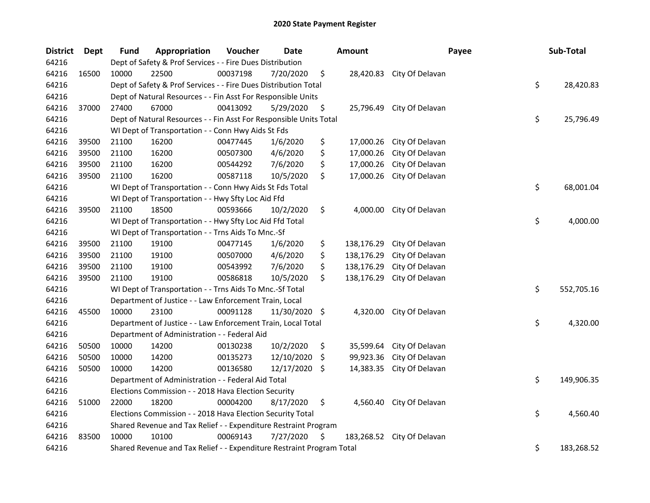| <b>District</b> | <b>Dept</b> | <b>Fund</b> | Appropriation                                                         | Voucher  | Date       |     | <b>Amount</b> | Payee           | Sub-Total        |
|-----------------|-------------|-------------|-----------------------------------------------------------------------|----------|------------|-----|---------------|-----------------|------------------|
| 64216           |             |             | Dept of Safety & Prof Services - - Fire Dues Distribution             |          |            |     |               |                 |                  |
| 64216           | 16500       | 10000       | 22500                                                                 | 00037198 | 7/20/2020  | \$  | 28,420.83     | City Of Delavan |                  |
| 64216           |             |             | Dept of Safety & Prof Services - - Fire Dues Distribution Total       |          |            |     |               |                 | \$<br>28,420.83  |
| 64216           |             |             | Dept of Natural Resources - - Fin Asst For Responsible Units          |          |            |     |               |                 |                  |
| 64216           | 37000       | 27400       | 67000                                                                 | 00413092 | 5/29/2020  | \$  | 25,796.49     | City Of Delavan |                  |
| 64216           |             |             | Dept of Natural Resources - - Fin Asst For Responsible Units Total    |          |            |     |               |                 | \$<br>25,796.49  |
| 64216           |             |             | WI Dept of Transportation - - Conn Hwy Aids St Fds                    |          |            |     |               |                 |                  |
| 64216           | 39500       | 21100       | 16200                                                                 | 00477445 | 1/6/2020   | \$  | 17,000.26     | City Of Delavan |                  |
| 64216           | 39500       | 21100       | 16200                                                                 | 00507300 | 4/6/2020   | \$  | 17,000.26     | City Of Delavan |                  |
| 64216           | 39500       | 21100       | 16200                                                                 | 00544292 | 7/6/2020   | \$  | 17,000.26     | City Of Delavan |                  |
| 64216           | 39500       | 21100       | 16200                                                                 | 00587118 | 10/5/2020  | \$  | 17,000.26     | City Of Delavan |                  |
| 64216           |             |             | WI Dept of Transportation - - Conn Hwy Aids St Fds Total              |          |            |     |               |                 | \$<br>68,001.04  |
| 64216           |             |             | WI Dept of Transportation - - Hwy Sfty Loc Aid Ffd                    |          |            |     |               |                 |                  |
| 64216           | 39500       | 21100       | 18500                                                                 | 00593666 | 10/2/2020  | \$  | 4,000.00      | City Of Delavan |                  |
| 64216           |             |             | WI Dept of Transportation - - Hwy Sfty Loc Aid Ffd Total              |          |            |     |               |                 | \$<br>4,000.00   |
| 64216           |             |             | WI Dept of Transportation - - Trns Aids To Mnc.-Sf                    |          |            |     |               |                 |                  |
| 64216           | 39500       | 21100       | 19100                                                                 | 00477145 | 1/6/2020   | \$  | 138,176.29    | City Of Delavan |                  |
| 64216           | 39500       | 21100       | 19100                                                                 | 00507000 | 4/6/2020   | \$  | 138,176.29    | City Of Delavan |                  |
| 64216           | 39500       | 21100       | 19100                                                                 | 00543992 | 7/6/2020   | \$  | 138,176.29    | City Of Delavan |                  |
| 64216           | 39500       | 21100       | 19100                                                                 | 00586818 | 10/5/2020  | \$  | 138,176.29    | City Of Delavan |                  |
| 64216           |             |             | WI Dept of Transportation - - Trns Aids To Mnc.-Sf Total              |          |            |     |               |                 | \$<br>552,705.16 |
| 64216           |             |             | Department of Justice - - Law Enforcement Train, Local                |          |            |     |               |                 |                  |
| 64216           | 45500       | 10000       | 23100                                                                 | 00091128 | 11/30/2020 | -\$ | 4,320.00      | City Of Delavan |                  |
| 64216           |             |             | Department of Justice - - Law Enforcement Train, Local Total          |          |            |     |               |                 | \$<br>4,320.00   |
| 64216           |             |             | Department of Administration - - Federal Aid                          |          |            |     |               |                 |                  |
| 64216           | 50500       | 10000       | 14200                                                                 | 00130238 | 10/2/2020  | \$  | 35,599.64     | City Of Delavan |                  |
| 64216           | 50500       | 10000       | 14200                                                                 | 00135273 | 12/10/2020 | \$  | 99,923.36     | City Of Delavan |                  |
| 64216           | 50500       | 10000       | 14200                                                                 | 00136580 | 12/17/2020 | \$  | 14,383.35     | City Of Delavan |                  |
| 64216           |             |             | Department of Administration - - Federal Aid Total                    |          |            |     |               |                 | \$<br>149,906.35 |
| 64216           |             |             | Elections Commission - - 2018 Hava Election Security                  |          |            |     |               |                 |                  |
| 64216           | 51000       | 22000       | 18200                                                                 | 00004200 | 8/17/2020  | \$  | 4,560.40      | City Of Delavan |                  |
| 64216           |             |             | Elections Commission - - 2018 Hava Election Security Total            |          |            |     |               |                 | \$<br>4,560.40   |
| 64216           |             |             | Shared Revenue and Tax Relief - - Expenditure Restraint Program       |          |            |     |               |                 |                  |
| 64216           | 83500       | 10000       | 10100                                                                 | 00069143 | 7/27/2020  | \$  | 183,268.52    | City Of Delavan |                  |
| 64216           |             |             | Shared Revenue and Tax Relief - - Expenditure Restraint Program Total |          |            |     |               |                 | \$<br>183,268.52 |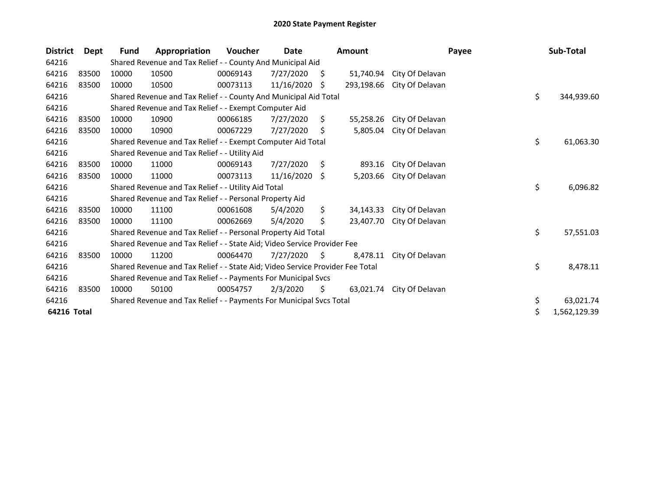| <b>District</b> | Dept  | <b>Fund</b> | Appropriation                                                                 | Voucher  | Date            |     | <b>Amount</b> | Payee           | Sub-Total          |
|-----------------|-------|-------------|-------------------------------------------------------------------------------|----------|-----------------|-----|---------------|-----------------|--------------------|
| 64216           |       |             | Shared Revenue and Tax Relief - - County And Municipal Aid                    |          |                 |     |               |                 |                    |
| 64216           | 83500 | 10000       | 10500                                                                         | 00069143 | 7/27/2020       | \$. | 51.740.94     | City Of Delavan |                    |
| 64216           | 83500 | 10000       | 10500                                                                         | 00073113 | 11/16/2020      | \$. | 293,198.66    | City Of Delavan |                    |
| 64216           |       |             | Shared Revenue and Tax Relief - - County And Municipal Aid Total              |          |                 |     |               |                 | \$<br>344,939.60   |
| 64216           |       |             | Shared Revenue and Tax Relief - - Exempt Computer Aid                         |          |                 |     |               |                 |                    |
| 64216           | 83500 | 10000       | 10900                                                                         | 00066185 | 7/27/2020       | S.  | 55,258.26     | City Of Delavan |                    |
| 64216           | 83500 | 10000       | 10900                                                                         | 00067229 | 7/27/2020       | \$  | 5,805.04      | City Of Delavan |                    |
| 64216           |       |             | Shared Revenue and Tax Relief - - Exempt Computer Aid Total                   |          |                 |     |               |                 | \$<br>61,063.30    |
| 64216           |       |             | Shared Revenue and Tax Relief - - Utility Aid                                 |          |                 |     |               |                 |                    |
| 64216           | 83500 | 10000       | 11000                                                                         | 00069143 | 7/27/2020       | \$  | 893.16        | City Of Delavan |                    |
| 64216           | 83500 | 10000       | 11000                                                                         | 00073113 | $11/16/2020$ \$ |     | 5,203.66      | City Of Delavan |                    |
| 64216           |       |             | Shared Revenue and Tax Relief - - Utility Aid Total                           |          |                 |     |               |                 | \$<br>6,096.82     |
| 64216           |       |             | Shared Revenue and Tax Relief - - Personal Property Aid                       |          |                 |     |               |                 |                    |
| 64216           | 83500 | 10000       | 11100                                                                         | 00061608 | 5/4/2020        | \$  | 34,143.33     | City Of Delavan |                    |
| 64216           | 83500 | 10000       | 11100                                                                         | 00062669 | 5/4/2020        | S   | 23,407.70     | City Of Delavan |                    |
| 64216           |       |             | Shared Revenue and Tax Relief - - Personal Property Aid Total                 |          |                 |     |               |                 | \$<br>57,551.03    |
| 64216           |       |             | Shared Revenue and Tax Relief - - State Aid; Video Service Provider Fee       |          |                 |     |               |                 |                    |
| 64216           | 83500 | 10000       | 11200                                                                         | 00064470 | 7/27/2020       | S.  | 8,478.11      | City Of Delavan |                    |
| 64216           |       |             | Shared Revenue and Tax Relief - - State Aid; Video Service Provider Fee Total |          |                 |     |               |                 | \$<br>8,478.11     |
| 64216           |       |             | Shared Revenue and Tax Relief - - Payments For Municipal Svcs                 |          |                 |     |               |                 |                    |
| 64216           | 83500 | 10000       | 50100                                                                         | 00054757 | 2/3/2020        | \$  | 63,021.74     | City Of Delavan |                    |
| 64216           |       |             | Shared Revenue and Tax Relief - - Payments For Municipal Svcs Total           |          |                 |     |               |                 | \$<br>63,021.74    |
| 64216 Total     |       |             |                                                                               |          |                 |     |               |                 | \$<br>1,562,129.39 |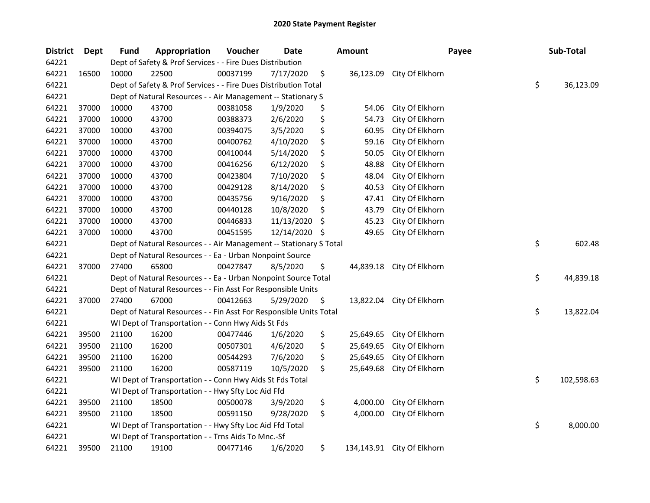| <b>District</b> | Dept  | <b>Fund</b> | Appropriation                                                      | Voucher  | <b>Date</b> |     | <b>Amount</b> | Payee                      | Sub-Total        |
|-----------------|-------|-------------|--------------------------------------------------------------------|----------|-------------|-----|---------------|----------------------------|------------------|
| 64221           |       |             | Dept of Safety & Prof Services - - Fire Dues Distribution          |          |             |     |               |                            |                  |
| 64221           | 16500 | 10000       | 22500                                                              | 00037199 | 7/17/2020   | \$  | 36,123.09     | City Of Elkhorn            |                  |
| 64221           |       |             | Dept of Safety & Prof Services - - Fire Dues Distribution Total    |          |             |     |               |                            | \$<br>36,123.09  |
| 64221           |       |             | Dept of Natural Resources - - Air Management -- Stationary S       |          |             |     |               |                            |                  |
| 64221           | 37000 | 10000       | 43700                                                              | 00381058 | 1/9/2020    | \$  | 54.06         | City Of Elkhorn            |                  |
| 64221           | 37000 | 10000       | 43700                                                              | 00388373 | 2/6/2020    | \$  | 54.73         | City Of Elkhorn            |                  |
| 64221           | 37000 | 10000       | 43700                                                              | 00394075 | 3/5/2020    | \$  | 60.95         | City Of Elkhorn            |                  |
| 64221           | 37000 | 10000       | 43700                                                              | 00400762 | 4/10/2020   | \$  | 59.16         | City Of Elkhorn            |                  |
| 64221           | 37000 | 10000       | 43700                                                              | 00410044 | 5/14/2020   | \$  | 50.05         | City Of Elkhorn            |                  |
| 64221           | 37000 | 10000       | 43700                                                              | 00416256 | 6/12/2020   | \$  | 48.88         | City Of Elkhorn            |                  |
| 64221           | 37000 | 10000       | 43700                                                              | 00423804 | 7/10/2020   | \$  | 48.04         | City Of Elkhorn            |                  |
| 64221           | 37000 | 10000       | 43700                                                              | 00429128 | 8/14/2020   | \$  | 40.53         | City Of Elkhorn            |                  |
| 64221           | 37000 | 10000       | 43700                                                              | 00435756 | 9/16/2020   | \$  | 47.41         | City Of Elkhorn            |                  |
| 64221           | 37000 | 10000       | 43700                                                              | 00440128 | 10/8/2020   | \$  | 43.79         | City Of Elkhorn            |                  |
| 64221           | 37000 | 10000       | 43700                                                              | 00446833 | 11/13/2020  | \$, | 45.23         | City Of Elkhorn            |                  |
| 64221           | 37000 | 10000       | 43700                                                              | 00451595 | 12/14/2020  | \$  | 49.65         | City Of Elkhorn            |                  |
| 64221           |       |             | Dept of Natural Resources - - Air Management -- Stationary S Total |          |             |     |               |                            | \$<br>602.48     |
| 64221           |       |             | Dept of Natural Resources - - Ea - Urban Nonpoint Source           |          |             |     |               |                            |                  |
| 64221           | 37000 | 27400       | 65800                                                              | 00427847 | 8/5/2020    | \$  | 44,839.18     | City Of Elkhorn            |                  |
| 64221           |       |             | Dept of Natural Resources - - Ea - Urban Nonpoint Source Total     |          |             |     |               |                            | \$<br>44,839.18  |
| 64221           |       |             | Dept of Natural Resources - - Fin Asst For Responsible Units       |          |             |     |               |                            |                  |
| 64221           | 37000 | 27400       | 67000                                                              | 00412663 | 5/29/2020   | \$  | 13,822.04     | City Of Elkhorn            |                  |
| 64221           |       |             | Dept of Natural Resources - - Fin Asst For Responsible Units Total |          |             |     |               |                            | \$<br>13,822.04  |
| 64221           |       |             | WI Dept of Transportation - - Conn Hwy Aids St Fds                 |          |             |     |               |                            |                  |
| 64221           | 39500 | 21100       | 16200                                                              | 00477446 | 1/6/2020    | \$  | 25,649.65     | City Of Elkhorn            |                  |
| 64221           | 39500 | 21100       | 16200                                                              | 00507301 | 4/6/2020    | \$  | 25,649.65     | City Of Elkhorn            |                  |
| 64221           | 39500 | 21100       | 16200                                                              | 00544293 | 7/6/2020    | \$  | 25,649.65     | City Of Elkhorn            |                  |
| 64221           | 39500 | 21100       | 16200                                                              | 00587119 | 10/5/2020   | \$  | 25,649.68     | City Of Elkhorn            |                  |
| 64221           |       |             | WI Dept of Transportation - - Conn Hwy Aids St Fds Total           |          |             |     |               |                            | \$<br>102,598.63 |
| 64221           |       |             | WI Dept of Transportation - - Hwy Sfty Loc Aid Ffd                 |          |             |     |               |                            |                  |
| 64221           | 39500 | 21100       | 18500                                                              | 00500078 | 3/9/2020    | \$  | 4,000.00      | City Of Elkhorn            |                  |
| 64221           | 39500 | 21100       | 18500                                                              | 00591150 | 9/28/2020   | \$  | 4,000.00      | City Of Elkhorn            |                  |
| 64221           |       |             | WI Dept of Transportation - - Hwy Sfty Loc Aid Ffd Total           |          |             |     |               |                            | \$<br>8,000.00   |
| 64221           |       |             | WI Dept of Transportation - - Trns Aids To Mnc.-Sf                 |          |             |     |               |                            |                  |
| 64221           | 39500 | 21100       | 19100                                                              | 00477146 | 1/6/2020    | \$  |               | 134,143.91 City Of Elkhorn |                  |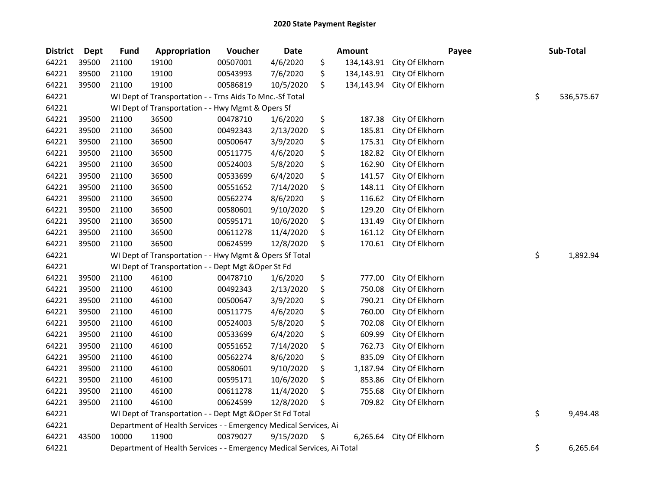| <b>District</b> | <b>Dept</b> | <b>Fund</b> | Appropriation                                                          | Voucher  | <b>Date</b> | <b>Amount</b>    |                 | Payee | Sub-Total        |
|-----------------|-------------|-------------|------------------------------------------------------------------------|----------|-------------|------------------|-----------------|-------|------------------|
| 64221           | 39500       | 21100       | 19100                                                                  | 00507001 | 4/6/2020    | \$<br>134,143.91 | City Of Elkhorn |       |                  |
| 64221           | 39500       | 21100       | 19100                                                                  | 00543993 | 7/6/2020    | \$<br>134,143.91 | City Of Elkhorn |       |                  |
| 64221           | 39500       | 21100       | 19100                                                                  | 00586819 | 10/5/2020   | \$<br>134,143.94 | City Of Elkhorn |       |                  |
| 64221           |             |             | WI Dept of Transportation - - Trns Aids To Mnc.-Sf Total               |          |             |                  |                 |       | \$<br>536,575.67 |
| 64221           |             |             | WI Dept of Transportation - - Hwy Mgmt & Opers Sf                      |          |             |                  |                 |       |                  |
| 64221           | 39500       | 21100       | 36500                                                                  | 00478710 | 1/6/2020    | \$<br>187.38     | City Of Elkhorn |       |                  |
| 64221           | 39500       | 21100       | 36500                                                                  | 00492343 | 2/13/2020   | \$<br>185.81     | City Of Elkhorn |       |                  |
| 64221           | 39500       | 21100       | 36500                                                                  | 00500647 | 3/9/2020    | \$<br>175.31     | City Of Elkhorn |       |                  |
| 64221           | 39500       | 21100       | 36500                                                                  | 00511775 | 4/6/2020    | \$<br>182.82     | City Of Elkhorn |       |                  |
| 64221           | 39500       | 21100       | 36500                                                                  | 00524003 | 5/8/2020    | \$<br>162.90     | City Of Elkhorn |       |                  |
| 64221           | 39500       | 21100       | 36500                                                                  | 00533699 | 6/4/2020    | \$<br>141.57     | City Of Elkhorn |       |                  |
| 64221           | 39500       | 21100       | 36500                                                                  | 00551652 | 7/14/2020   | \$<br>148.11     | City Of Elkhorn |       |                  |
| 64221           | 39500       | 21100       | 36500                                                                  | 00562274 | 8/6/2020    | \$<br>116.62     | City Of Elkhorn |       |                  |
| 64221           | 39500       | 21100       | 36500                                                                  | 00580601 | 9/10/2020   | \$<br>129.20     | City Of Elkhorn |       |                  |
| 64221           | 39500       | 21100       | 36500                                                                  | 00595171 | 10/6/2020   | \$<br>131.49     | City Of Elkhorn |       |                  |
| 64221           | 39500       | 21100       | 36500                                                                  | 00611278 | 11/4/2020   | \$<br>161.12     | City Of Elkhorn |       |                  |
| 64221           | 39500       | 21100       | 36500                                                                  | 00624599 | 12/8/2020   | \$<br>170.61     | City Of Elkhorn |       |                  |
| 64221           |             |             | WI Dept of Transportation - - Hwy Mgmt & Opers Sf Total                |          |             |                  |                 |       | \$<br>1,892.94   |
| 64221           |             |             | WI Dept of Transportation - - Dept Mgt & Oper St Fd                    |          |             |                  |                 |       |                  |
| 64221           | 39500       | 21100       | 46100                                                                  | 00478710 | 1/6/2020    | \$<br>777.00     | City Of Elkhorn |       |                  |
| 64221           | 39500       | 21100       | 46100                                                                  | 00492343 | 2/13/2020   | \$<br>750.08     | City Of Elkhorn |       |                  |
| 64221           | 39500       | 21100       | 46100                                                                  | 00500647 | 3/9/2020    | \$<br>790.21     | City Of Elkhorn |       |                  |
| 64221           | 39500       | 21100       | 46100                                                                  | 00511775 | 4/6/2020    | \$<br>760.00     | City Of Elkhorn |       |                  |
| 64221           | 39500       | 21100       | 46100                                                                  | 00524003 | 5/8/2020    | \$<br>702.08     | City Of Elkhorn |       |                  |
| 64221           | 39500       | 21100       | 46100                                                                  | 00533699 | 6/4/2020    | \$<br>609.99     | City Of Elkhorn |       |                  |
| 64221           | 39500       | 21100       | 46100                                                                  | 00551652 | 7/14/2020   | \$<br>762.73     | City Of Elkhorn |       |                  |
| 64221           | 39500       | 21100       | 46100                                                                  | 00562274 | 8/6/2020    | \$<br>835.09     | City Of Elkhorn |       |                  |
| 64221           | 39500       | 21100       | 46100                                                                  | 00580601 | 9/10/2020   | \$<br>1,187.94   | City Of Elkhorn |       |                  |
| 64221           | 39500       | 21100       | 46100                                                                  | 00595171 | 10/6/2020   | \$<br>853.86     | City Of Elkhorn |       |                  |
| 64221           | 39500       | 21100       | 46100                                                                  | 00611278 | 11/4/2020   | \$<br>755.68     | City Of Elkhorn |       |                  |
| 64221           | 39500       | 21100       | 46100                                                                  | 00624599 | 12/8/2020   | \$<br>709.82     | City Of Elkhorn |       |                  |
| 64221           |             |             | WI Dept of Transportation - - Dept Mgt & Oper St Fd Total              |          |             |                  |                 |       | \$<br>9,494.48   |
| 64221           |             |             | Department of Health Services - - Emergency Medical Services, Ai       |          |             |                  |                 |       |                  |
| 64221           | 43500       | 10000       | 11900                                                                  | 00379027 | 9/15/2020   | \$<br>6,265.64   | City Of Elkhorn |       |                  |
| 64221           |             |             | Department of Health Services - - Emergency Medical Services, Ai Total |          |             |                  |                 |       | \$<br>6,265.64   |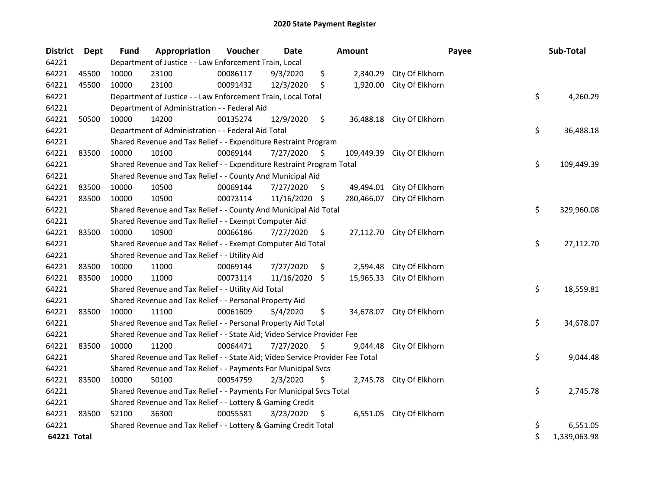| <b>District</b> | Dept  | <b>Fund</b> | Appropriation                                                                 | Voucher  | Date          |     | <b>Amount</b> | Payee                      | Sub-Total          |
|-----------------|-------|-------------|-------------------------------------------------------------------------------|----------|---------------|-----|---------------|----------------------------|--------------------|
| 64221           |       |             | Department of Justice - - Law Enforcement Train, Local                        |          |               |     |               |                            |                    |
| 64221           | 45500 | 10000       | 23100                                                                         | 00086117 | 9/3/2020      | \$  | 2,340.29      | City Of Elkhorn            |                    |
| 64221           | 45500 | 10000       | 23100                                                                         | 00091432 | 12/3/2020     | \$  | 1,920.00      | City Of Elkhorn            |                    |
| 64221           |       |             | Department of Justice - - Law Enforcement Train, Local Total                  |          |               |     |               |                            | \$<br>4,260.29     |
| 64221           |       |             | Department of Administration - - Federal Aid                                  |          |               |     |               |                            |                    |
| 64221           | 50500 | 10000       | 14200                                                                         | 00135274 | 12/9/2020     | \$  |               | 36,488.18 City Of Elkhorn  |                    |
| 64221           |       |             | Department of Administration - - Federal Aid Total                            |          |               |     |               |                            | \$<br>36,488.18    |
| 64221           |       |             | Shared Revenue and Tax Relief - - Expenditure Restraint Program               |          |               |     |               |                            |                    |
| 64221           | 83500 | 10000       | 10100                                                                         | 00069144 | 7/27/2020     | \$  | 109,449.39    | City Of Elkhorn            |                    |
| 64221           |       |             | Shared Revenue and Tax Relief - - Expenditure Restraint Program Total         |          |               |     |               |                            | \$<br>109,449.39   |
| 64221           |       |             | Shared Revenue and Tax Relief - - County And Municipal Aid                    |          |               |     |               |                            |                    |
| 64221           | 83500 | 10000       | 10500                                                                         | 00069144 | 7/27/2020     | \$  | 49,494.01     | City Of Elkhorn            |                    |
| 64221           | 83500 | 10000       | 10500                                                                         | 00073114 | 11/16/2020 \$ |     |               | 280,466.07 City Of Elkhorn |                    |
| 64221           |       |             | Shared Revenue and Tax Relief - - County And Municipal Aid Total              |          |               |     |               |                            | \$<br>329,960.08   |
| 64221           |       |             | Shared Revenue and Tax Relief - - Exempt Computer Aid                         |          |               |     |               |                            |                    |
| 64221           | 83500 | 10000       | 10900                                                                         | 00066186 | 7/27/2020     | \$. |               | 27,112.70 City Of Elkhorn  |                    |
| 64221           |       |             | Shared Revenue and Tax Relief - - Exempt Computer Aid Total                   |          |               |     |               |                            | \$<br>27,112.70    |
| 64221           |       |             | Shared Revenue and Tax Relief - - Utility Aid                                 |          |               |     |               |                            |                    |
| 64221           | 83500 | 10000       | 11000                                                                         | 00069144 | 7/27/2020     | \$  |               | 2,594.48 City Of Elkhorn   |                    |
| 64221           | 83500 | 10000       | 11000                                                                         | 00073114 | 11/16/2020 \$ |     |               | 15,965.33 City Of Elkhorn  |                    |
| 64221           |       |             | Shared Revenue and Tax Relief - - Utility Aid Total                           |          |               |     |               |                            | \$<br>18,559.81    |
| 64221           |       |             | Shared Revenue and Tax Relief - - Personal Property Aid                       |          |               |     |               |                            |                    |
| 64221           | 83500 | 10000       | 11100                                                                         | 00061609 | 5/4/2020      | \$  |               | 34,678.07 City Of Elkhorn  |                    |
| 64221           |       |             | Shared Revenue and Tax Relief - - Personal Property Aid Total                 |          |               |     |               |                            | \$<br>34,678.07    |
| 64221           |       |             | Shared Revenue and Tax Relief - - State Aid; Video Service Provider Fee       |          |               |     |               |                            |                    |
| 64221           | 83500 | 10000       | 11200                                                                         | 00064471 | 7/27/2020     | \$  | 9,044.48      | City Of Elkhorn            |                    |
| 64221           |       |             | Shared Revenue and Tax Relief - - State Aid; Video Service Provider Fee Total |          |               |     |               |                            | \$<br>9,044.48     |
| 64221           |       |             | Shared Revenue and Tax Relief - - Payments For Municipal Svcs                 |          |               |     |               |                            |                    |
| 64221           | 83500 | 10000       | 50100                                                                         | 00054759 | 2/3/2020      | \$  |               | 2,745.78 City Of Elkhorn   |                    |
| 64221           |       |             | Shared Revenue and Tax Relief - - Payments For Municipal Svcs Total           |          |               |     |               |                            | \$<br>2,745.78     |
| 64221           |       |             | Shared Revenue and Tax Relief - - Lottery & Gaming Credit                     |          |               |     |               |                            |                    |
| 64221           | 83500 | 52100       | 36300                                                                         | 00055581 | 3/23/2020     | \$  |               | 6,551.05 City Of Elkhorn   |                    |
| 64221           |       |             | Shared Revenue and Tax Relief - - Lottery & Gaming Credit Total               |          |               |     |               |                            | \$<br>6,551.05     |
| 64221 Total     |       |             |                                                                               |          |               |     |               |                            | \$<br>1,339,063.98 |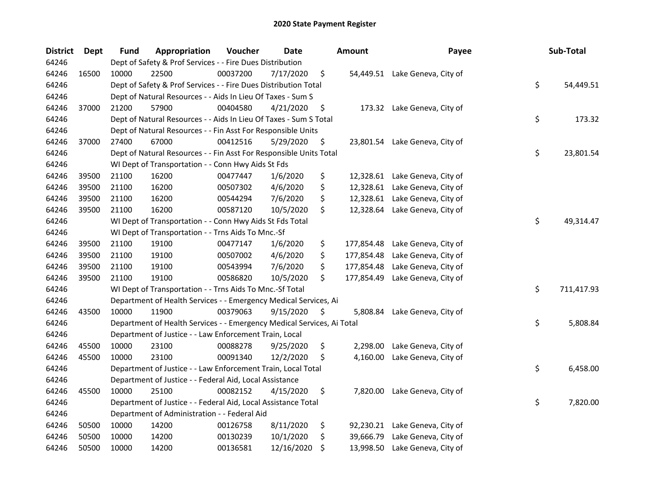## 2020 State Payment Register

| <b>District</b> | <b>Dept</b> | <b>Fund</b>                                                     | Appropriation                                                          | Voucher  | <b>Date</b> |    | <b>Amount</b> | Payee                          |    | Sub-Total  |
|-----------------|-------------|-----------------------------------------------------------------|------------------------------------------------------------------------|----------|-------------|----|---------------|--------------------------------|----|------------|
| 64246           |             | Dept of Safety & Prof Services - - Fire Dues Distribution       |                                                                        |          |             |    |               |                                |    |            |
| 64246           | 16500       | 10000                                                           | 22500                                                                  | 00037200 | 7/17/2020   | \$ |               | 54,449.51 Lake Geneva, City of |    |            |
| 64246           |             | Dept of Safety & Prof Services - - Fire Dues Distribution Total |                                                                        |          |             |    |               |                                |    |            |
| 64246           |             | Dept of Natural Resources - - Aids In Lieu Of Taxes - Sum S     |                                                                        |          |             |    |               |                                |    |            |
| 64246           | 37000       | 21200                                                           | 57900                                                                  | 00404580 | 4/21/2020   | \$ |               | 173.32 Lake Geneva, City of    |    |            |
| 64246           |             |                                                                 | Dept of Natural Resources - - Aids In Lieu Of Taxes - Sum S Total      |          |             |    |               |                                | \$ | 173.32     |
| 64246           |             |                                                                 | Dept of Natural Resources - - Fin Asst For Responsible Units           |          |             |    |               |                                |    |            |
| 64246           | 37000       | 27400                                                           | 67000                                                                  | 00412516 | 5/29/2020   | \$ |               | 23,801.54 Lake Geneva, City of |    |            |
| 64246           |             |                                                                 | Dept of Natural Resources - - Fin Asst For Responsible Units Total     |          |             |    |               |                                | \$ | 23,801.54  |
| 64246           |             |                                                                 | WI Dept of Transportation - - Conn Hwy Aids St Fds                     |          |             |    |               |                                |    |            |
| 64246           | 39500       | 21100                                                           | 16200                                                                  | 00477447 | 1/6/2020    | \$ |               | 12,328.61 Lake Geneva, City of |    |            |
| 64246           | 39500       | 21100                                                           | 16200                                                                  | 00507302 | 4/6/2020    | \$ |               | 12,328.61 Lake Geneva, City of |    |            |
| 64246           | 39500       | 21100                                                           | 16200                                                                  | 00544294 | 7/6/2020    | \$ | 12,328.61     | Lake Geneva, City of           |    |            |
| 64246           | 39500       | 21100                                                           | 16200                                                                  | 00587120 | 10/5/2020   | \$ | 12,328.64     | Lake Geneva, City of           |    |            |
| 64246           |             | WI Dept of Transportation - - Conn Hwy Aids St Fds Total        |                                                                        |          |             |    |               |                                |    | 49,314.47  |
| 64246           |             | WI Dept of Transportation - - Trns Aids To Mnc.-Sf              |                                                                        |          |             |    |               |                                |    |            |
| 64246           | 39500       | 21100                                                           | 19100                                                                  | 00477147 | 1/6/2020    | \$ | 177,854.48    | Lake Geneva, City of           |    |            |
| 64246           | 39500       | 21100                                                           | 19100                                                                  | 00507002 | 4/6/2020    | \$ | 177,854.48    | Lake Geneva, City of           |    |            |
| 64246           | 39500       | 21100                                                           | 19100                                                                  | 00543994 | 7/6/2020    | \$ | 177,854.48    | Lake Geneva, City of           |    |            |
| 64246           | 39500       | 21100                                                           | 19100                                                                  | 00586820 | 10/5/2020   | \$ | 177,854.49    | Lake Geneva, City of           |    |            |
| 64246           |             |                                                                 | WI Dept of Transportation - - Trns Aids To Mnc.-Sf Total               |          |             |    |               |                                | \$ | 711,417.93 |
| 64246           |             |                                                                 | Department of Health Services - - Emergency Medical Services, Ai       |          |             |    |               |                                |    |            |
| 64246           | 43500       | 10000                                                           | 11900                                                                  | 00379063 | 9/15/2020   | \$ | 5,808.84      | Lake Geneva, City of           |    |            |
| 64246           |             |                                                                 | Department of Health Services - - Emergency Medical Services, Ai Total |          |             |    |               |                                | \$ | 5,808.84   |
| 64246           |             |                                                                 | Department of Justice - - Law Enforcement Train, Local                 |          |             |    |               |                                |    |            |
| 64246           | 45500       | 10000                                                           | 23100                                                                  | 00088278 | 9/25/2020   | \$ | 2,298.00      | Lake Geneva, City of           |    |            |
| 64246           | 45500       | 10000                                                           | 23100                                                                  | 00091340 | 12/2/2020   | \$ | 4,160.00      | Lake Geneva, City of           |    |            |
| 64246           |             |                                                                 | Department of Justice - - Law Enforcement Train, Local Total           |          |             |    |               |                                | \$ | 6,458.00   |
| 64246           |             | Department of Justice - - Federal Aid, Local Assistance         |                                                                        |          |             |    |               |                                |    |            |
| 64246           | 45500       | 10000                                                           | 25100                                                                  | 00082152 | 4/15/2020   | \$ | 7,820.00      | Lake Geneva, City of           |    |            |
| 64246           |             |                                                                 | Department of Justice - - Federal Aid, Local Assistance Total          |          |             |    |               |                                | \$ | 7,820.00   |
| 64246           |             | Department of Administration - - Federal Aid                    |                                                                        |          |             |    |               |                                |    |            |
| 64246           | 50500       | 10000                                                           | 14200                                                                  | 00126758 | 8/11/2020   | \$ | 92,230.21     | Lake Geneva, City of           |    |            |
| 64246           | 50500       | 10000                                                           | 14200                                                                  | 00130239 | 10/1/2020   | \$ | 39,666.79     | Lake Geneva, City of           |    |            |
| 64246           | 50500       | 10000                                                           | 14200                                                                  | 00136581 | 12/16/2020  | \$ | 13,998.50     | Lake Geneva, City of           |    |            |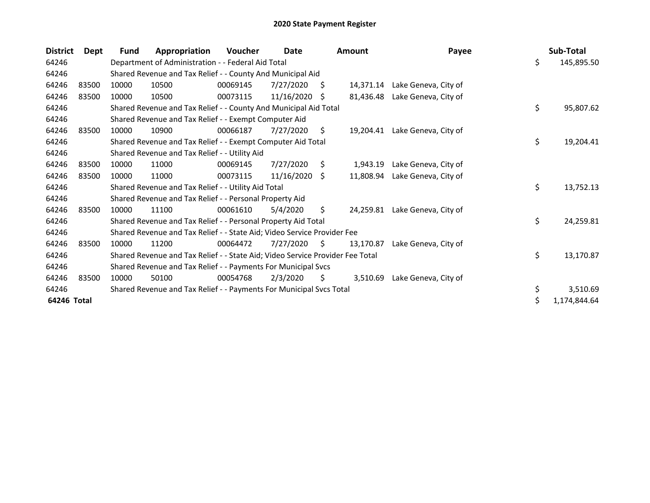## 2020 State Payment Register

| <b>District</b> | Dept  | <b>Fund</b>                                                             | Appropriation                                                                 | Voucher  | Date       |    | <b>Amount</b> | Payee                |              | Sub-Total  |
|-----------------|-------|-------------------------------------------------------------------------|-------------------------------------------------------------------------------|----------|------------|----|---------------|----------------------|--------------|------------|
| 64246           |       | Department of Administration - - Federal Aid Total                      |                                                                               |          |            |    |               |                      | \$           | 145,895.50 |
| 64246           |       | Shared Revenue and Tax Relief - - County And Municipal Aid              |                                                                               |          |            |    |               |                      |              |            |
| 64246           | 83500 | 10000                                                                   | 10500                                                                         | 00069145 | 7/27/2020  | S  | 14.371.14     | Lake Geneva, City of |              |            |
| 64246           | 83500 | 10000                                                                   | 10500                                                                         | 00073115 | 11/16/2020 | S. | 81,436.48     | Lake Geneva, City of |              |            |
| 64246           |       |                                                                         | Shared Revenue and Tax Relief - - County And Municipal Aid Total              |          |            |    |               |                      | \$           | 95,807.62  |
| 64246           |       |                                                                         | Shared Revenue and Tax Relief - - Exempt Computer Aid                         |          |            |    |               |                      |              |            |
| 64246           | 83500 | 10000                                                                   | 10900                                                                         | 00066187 | 7/27/2020  | S. | 19,204.41     | Lake Geneva, City of |              |            |
| 64246           |       |                                                                         | Shared Revenue and Tax Relief - - Exempt Computer Aid Total                   |          |            |    |               |                      | \$           | 19,204.41  |
| 64246           |       |                                                                         | Shared Revenue and Tax Relief - - Utility Aid                                 |          |            |    |               |                      |              |            |
| 64246           | 83500 | 10000                                                                   | 11000                                                                         | 00069145 | 7/27/2020  | \$ | 1,943.19      | Lake Geneva, City of |              |            |
| 64246           | 83500 | 10000                                                                   | 11000                                                                         | 00073115 | 11/16/2020 | S. | 11,808.94     | Lake Geneva, City of |              |            |
| 64246           |       |                                                                         | Shared Revenue and Tax Relief - - Utility Aid Total                           |          |            |    |               |                      | \$           | 13,752.13  |
| 64246           |       |                                                                         | Shared Revenue and Tax Relief - - Personal Property Aid                       |          |            |    |               |                      |              |            |
| 64246           | 83500 | 10000                                                                   | 11100                                                                         | 00061610 | 5/4/2020   | \$ | 24,259.81     | Lake Geneva, City of |              |            |
| 64246           |       | Shared Revenue and Tax Relief - - Personal Property Aid Total           |                                                                               |          |            |    |               |                      |              | 24,259.81  |
| 64246           |       | Shared Revenue and Tax Relief - - State Aid; Video Service Provider Fee |                                                                               |          |            |    |               |                      |              |            |
| 64246           | 83500 | 10000                                                                   | 11200                                                                         | 00064472 | 7/27/2020  | S  | 13.170.87     | Lake Geneva, City of |              |            |
| 64246           |       |                                                                         | Shared Revenue and Tax Relief - - State Aid; Video Service Provider Fee Total |          |            |    |               |                      | \$           | 13,170.87  |
| 64246           |       | Shared Revenue and Tax Relief - - Payments For Municipal Svcs           |                                                                               |          |            |    |               |                      |              |            |
| 64246           | 83500 | 10000                                                                   | 50100                                                                         | 00054768 | 2/3/2020   | \$ | 3,510.69      | Lake Geneva, City of |              |            |
| 64246           |       |                                                                         | Shared Revenue and Tax Relief - - Payments For Municipal Svcs Total           |          |            |    |               |                      | \$           | 3,510.69   |
| 64246 Total     |       |                                                                         |                                                                               |          |            |    |               | \$                   | 1,174,844.64 |            |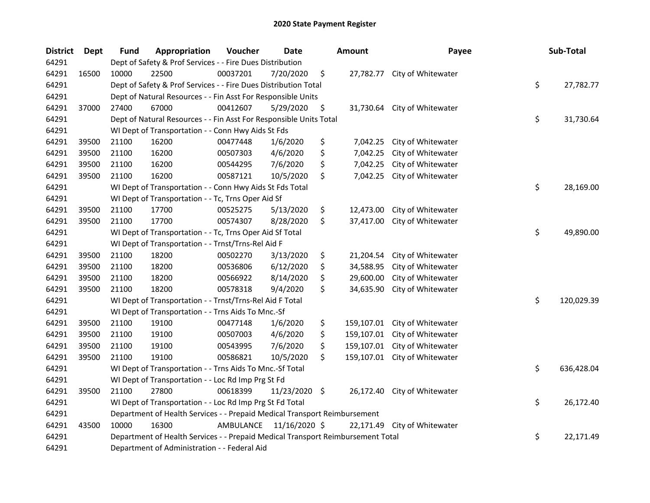## 2020 State Payment Register

| <b>District</b> | Dept  | <b>Fund</b>                                                                     | Appropriation                                                      | Voucher   | Date          |    | <b>Amount</b> | Payee                        |    | Sub-Total  |
|-----------------|-------|---------------------------------------------------------------------------------|--------------------------------------------------------------------|-----------|---------------|----|---------------|------------------------------|----|------------|
| 64291           |       |                                                                                 | Dept of Safety & Prof Services - - Fire Dues Distribution          |           |               |    |               |                              |    |            |
| 64291           | 16500 | 10000                                                                           | 22500                                                              | 00037201  | 7/20/2020     | \$ |               | 27,782.77 City of Whitewater |    |            |
| 64291           |       | Dept of Safety & Prof Services - - Fire Dues Distribution Total                 | \$                                                                 | 27,782.77 |               |    |               |                              |    |            |
| 64291           |       |                                                                                 | Dept of Natural Resources - - Fin Asst For Responsible Units       |           |               |    |               |                              |    |            |
| 64291           | 37000 | 27400                                                                           | 67000                                                              | 00412607  | 5/29/2020     | \$ | 31,730.64     | City of Whitewater           |    |            |
| 64291           |       |                                                                                 | Dept of Natural Resources - - Fin Asst For Responsible Units Total |           |               |    |               |                              | \$ | 31,730.64  |
| 64291           |       |                                                                                 | WI Dept of Transportation - - Conn Hwy Aids St Fds                 |           |               |    |               |                              |    |            |
| 64291           | 39500 | 21100                                                                           | 16200                                                              | 00477448  | 1/6/2020      | \$ | 7,042.25      | City of Whitewater           |    |            |
| 64291           | 39500 | 21100                                                                           | 16200                                                              | 00507303  | 4/6/2020      | \$ | 7,042.25      | City of Whitewater           |    |            |
| 64291           | 39500 | 21100                                                                           | 16200                                                              | 00544295  | 7/6/2020      | \$ | 7,042.25      | City of Whitewater           |    |            |
| 64291           | 39500 | 21100                                                                           | 16200                                                              | 00587121  | 10/5/2020     | \$ | 7,042.25      | City of Whitewater           |    |            |
| 64291           |       |                                                                                 | WI Dept of Transportation - - Conn Hwy Aids St Fds Total           |           |               |    |               |                              | \$ | 28,169.00  |
| 64291           |       |                                                                                 | WI Dept of Transportation - - Tc, Trns Oper Aid Sf                 |           |               |    |               |                              |    |            |
| 64291           | 39500 | 21100                                                                           | 17700                                                              | 00525275  | 5/13/2020     | \$ | 12,473.00     | City of Whitewater           |    |            |
| 64291           | 39500 | 21100                                                                           | 17700                                                              | 00574307  | 8/28/2020     | \$ | 37,417.00     | City of Whitewater           |    |            |
| 64291           |       | WI Dept of Transportation - - Tc, Trns Oper Aid Sf Total                        |                                                                    |           |               |    |               |                              |    | 49,890.00  |
| 64291           |       |                                                                                 | WI Dept of Transportation - - Trnst/Trns-Rel Aid F                 |           |               |    |               |                              |    |            |
| 64291           | 39500 | 21100                                                                           | 18200                                                              | 00502270  | 3/13/2020     | \$ | 21,204.54     | City of Whitewater           |    |            |
| 64291           | 39500 | 21100                                                                           | 18200                                                              | 00536806  | 6/12/2020     | \$ | 34,588.95     | City of Whitewater           |    |            |
| 64291           | 39500 | 21100                                                                           | 18200                                                              | 00566922  | 8/14/2020     | \$ | 29,600.00     | City of Whitewater           |    |            |
| 64291           | 39500 | 21100                                                                           | 18200                                                              | 00578318  | 9/4/2020      | \$ | 34,635.90     | City of Whitewater           |    |            |
| 64291           |       |                                                                                 | WI Dept of Transportation - - Trnst/Trns-Rel Aid F Total           |           |               |    |               |                              | \$ | 120,029.39 |
| 64291           |       |                                                                                 | WI Dept of Transportation - - Trns Aids To Mnc.-Sf                 |           |               |    |               |                              |    |            |
| 64291           | 39500 | 21100                                                                           | 19100                                                              | 00477148  | 1/6/2020      | \$ | 159,107.01    | City of Whitewater           |    |            |
| 64291           | 39500 | 21100                                                                           | 19100                                                              | 00507003  | 4/6/2020      | \$ | 159,107.01    | City of Whitewater           |    |            |
| 64291           | 39500 | 21100                                                                           | 19100                                                              | 00543995  | 7/6/2020      | \$ | 159,107.01    | City of Whitewater           |    |            |
| 64291           | 39500 | 21100                                                                           | 19100                                                              | 00586821  | 10/5/2020     | \$ | 159,107.01    | City of Whitewater           |    |            |
| 64291           |       | WI Dept of Transportation - - Trns Aids To Mnc.-Sf Total                        |                                                                    |           |               |    |               |                              | \$ | 636,428.04 |
| 64291           |       |                                                                                 | WI Dept of Transportation - - Loc Rd Imp Prg St Fd                 |           |               |    |               |                              |    |            |
| 64291           | 39500 | 21100                                                                           | 27800                                                              | 00618399  | 11/23/2020 \$ |    |               | 26,172.40 City of Whitewater |    |            |
| 64291           |       | WI Dept of Transportation - - Loc Rd Imp Prg St Fd Total                        |                                                                    |           |               |    |               |                              | \$ | 26,172.40  |
| 64291           |       | Department of Health Services - - Prepaid Medical Transport Reimbursement       |                                                                    |           |               |    |               |                              |    |            |
| 64291           | 43500 | 10000                                                                           | 16300                                                              | AMBULANCE | 11/16/2020 \$ |    |               | 22,171.49 City of Whitewater |    |            |
| 64291           |       | Department of Health Services - - Prepaid Medical Transport Reimbursement Total |                                                                    |           |               |    |               |                              |    | 22,171.49  |
| 64291           |       |                                                                                 | Department of Administration - - Federal Aid                       |           |               |    |               |                              |    |            |